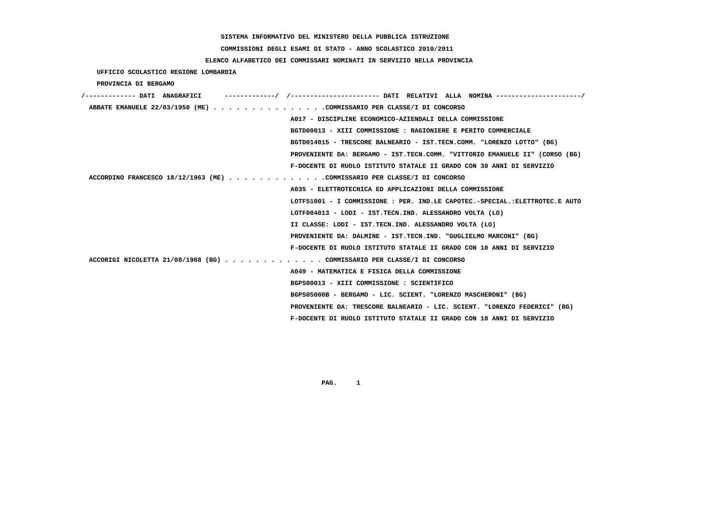#### **COMMISSIONI DEGLI ESAMI DI STATO - ANNO SCOLASTICO 2010/2011**

# **ELENCO ALFABETICO DEI COMMISSARI NOMINATI IN SERVIZIO NELLA PROVINCIA**

 **UFFICIO SCOLASTICO REGIONE LOMBARDIA**

 **PROVINCIA DI BERGAMO**

| /------------- DATI ANAGRAFICI                                              |
|-----------------------------------------------------------------------------|
| ABBATE EMANUELE 22/03/1950 (ME) COMMISSARIO PER CLASSE/I DI CONCORSO        |
| A017 - DISCIPLINE ECONOMICO-AZIENDALI DELLA COMMISSIONE                     |
| BGTD00013 - XIII COMMISSIONE : RAGIONIERE E PERITO COMMERCIALE              |
| BGTD014015 - TRESCORE BALNEARIO - IST.TECN.COMM. "LORENZO LOTTO" (BG)       |
| PROVENIENTE DA: BERGAMO - IST.TECN.COMM. "VITTORIO EMANUELE II" (CORSO (BG) |
| F-DOCENTE DI RUOLO ISTITUTO STATALE II GRADO CON 30 ANNI DI SERVIZIO        |
| ACCORDINO FRANCESCO 18/12/1963 (ME) COMMISSARIO PER CLASSE/I DI CONCORSO    |
| A035 - ELETTROTECNICA ED APPLICAZIONI DELLA COMMISSIONE                     |
| LOTF51001 - I COMMISSIONE : PER. IND.LE CAPOTEC.-SPECIAL.:ELETTROTEC.E AUTO |
| LOTF004013 - LODI - IST.TECN.IND. ALESSANDRO VOLTA (LO)                     |
| II CLASSE: LODI - IST.TECN.IND. ALESSANDRO VOLTA (LO)                       |
| PROVENIENTE DA: DALMINE - IST.TECN.IND. "GUGLIELMO MARCONI" (BG)            |
| F-DOCENTE DI RUOLO ISTITUTO STATALE II GRADO CON 10 ANNI DI SERVIZIO        |
| ACCORIGI NICOLETTA 21/08/1968 (BG) COMMISSARIO PER CLASSE/I DI CONCORSO     |
| A049 - MATEMATICA E FISICA DELLA COMMISSIONE                                |
| BGPS00013 - XIII COMMISSIONE : SCIENTIFICO                                  |
| BGPS05000B - BERGAMO - LIC. SCIENT. "LORENZO MASCHERONI" (BG)               |
| PROVENIENTE DA: TRESCORE BALNEARIO - LIC. SCIENT. "LORENZO FEDERICI" (BG)   |
| F-DOCENTE DI RUOLO ISTITUTO STATALE II GRADO CON 10 ANNI DI SERVIZIO        |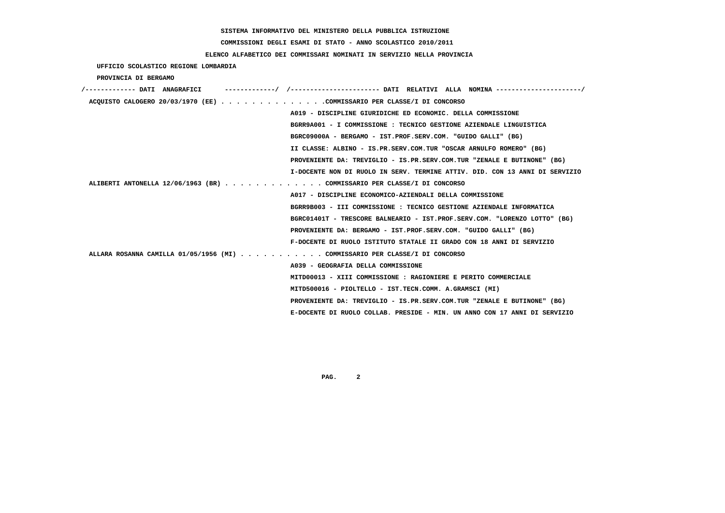# **COMMISSIONI DEGLI ESAMI DI STATO - ANNO SCOLASTICO 2010/2011**

## **ELENCO ALFABETICO DEI COMMISSARI NOMINATI IN SERVIZIO NELLA PROVINCIA**

 **UFFICIO SCOLASTICO REGIONE LOMBARDIA**

 **PROVINCIA DI BERGAMO**

| /------------- DATI ANAGRAFICI                                              | -/ /----------------------     DATI RELATIVI ALLA NOMINA ---------------------/ |
|-----------------------------------------------------------------------------|---------------------------------------------------------------------------------|
| ACQUISTO CALOGERO 20/03/1970 (EE) COMMISSARIO PER CLASSE/I DI CONCORSO      |                                                                                 |
| A019 - DISCIPLINE GIURIDICHE ED ECONOMIC. DELLA COMMISSIONE                 |                                                                                 |
| BGRR9A001 - I COMMISSIONE : TECNICO GESTIONE AZIENDALE LINGUISTICA          |                                                                                 |
| BGRC09000A - BERGAMO - IST.PROF.SERV.COM. "GUIDO GALLI" (BG)                |                                                                                 |
| II CLASSE: ALBINO - IS.PR.SERV.COM.TUR "OSCAR ARNULFO ROMERO" (BG)          |                                                                                 |
|                                                                             | PROVENIENTE DA: TREVIGLIO - IS.PR.SERV.COM.TUR "ZENALE E BUTINONE" (BG)         |
|                                                                             | I-DOCENTE NON DI RUOLO IN SERV. TERMINE ATTIV. DID. CON 13 ANNI DI SERVIZIO     |
| ALIBERTI ANTONELLA 12/06/1963 (BR) COMMISSARIO PER CLASSE/I DI CONCORSO     |                                                                                 |
| A017 - DISCIPLINE ECONOMICO-AZIENDALI DELLA COMMISSIONE                     |                                                                                 |
| BGRR9B003 - III COMMISSIONE : TECNICO GESTIONE AZIENDALE INFORMATICA        |                                                                                 |
|                                                                             | BGRC01401T - TRESCORE BALNEARIO - IST.PROF.SERV.COM. "LORENZO LOTTO" (BG)       |
| PROVENIENTE DA: BERGAMO - IST.PROF.SERV.COM. "GUIDO GALLI" (BG)             |                                                                                 |
| F-DOCENTE DI RUOLO ISTITUTO STATALE II GRADO CON 18 ANNI DI SERVIZIO        |                                                                                 |
| ALLARA ROSANNA CAMILLA 01/05/1956 (MI) COMMISSARIO PER CLASSE/I DI CONCORSO |                                                                                 |
| A039 - GEOGRAFIA DELLA COMMISSIONE                                          |                                                                                 |
| MITD00013 - XIII COMMISSIONE : RAGIONIERE E PERITO COMMERCIALE              |                                                                                 |
| MITD500016 - PIOLTELLO - IST.TECN.COMM. A.GRAMSCI (MI)                      |                                                                                 |
|                                                                             | PROVENIENTE DA: TREVIGLIO - IS.PR.SERV.COM.TUR "ZENALE E BUTINONE" (BG)         |
|                                                                             | E-DOCENTE DI RUOLO COLLAB. PRESIDE - MIN. UN ANNO CON 17 ANNI DI SERVIZIO       |
|                                                                             |                                                                                 |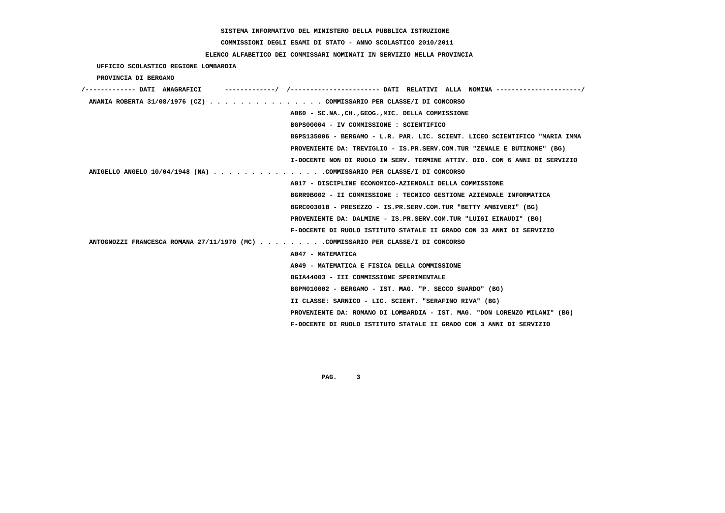# **COMMISSIONI DEGLI ESAMI DI STATO - ANNO SCOLASTICO 2010/2011**

## **ELENCO ALFABETICO DEI COMMISSARI NOMINATI IN SERVIZIO NELLA PROVINCIA**

|  |  | UFFICIO SCOLASTICO REGIONE LOMBARDIA |  |  |
|--|--|--------------------------------------|--|--|
|--|--|--------------------------------------|--|--|

 **PROVINCIA DI BERGAMO**

| /------------- DATI ANAGRAFICI                                                   | ----------/ /---------------------- DATI RELATIVI ALLA NOMINA --------------------/ |
|----------------------------------------------------------------------------------|-------------------------------------------------------------------------------------|
| ANANIA ROBERTA 31/08/1976 (CZ) COMMISSARIO PER CLASSE/I DI CONCORSO              |                                                                                     |
|                                                                                  | A060 - SC.NA., CH., GEOG., MIC. DELLA COMMISSIONE                                   |
|                                                                                  | BGPS00004 - IV COMMISSIONE : SCIENTIFICO                                            |
|                                                                                  | BGPS135006 - BERGAMO - L.R. PAR. LIC. SCIENT. LICEO SCIENTIFICO "MARIA IMMA         |
|                                                                                  | PROVENIENTE DA: TREVIGLIO - IS.PR.SERV.COM.TUR "ZENALE E BUTINONE" (BG)             |
|                                                                                  | I-DOCENTE NON DI RUOLO IN SERV. TERMINE ATTIV. DID. CON 6 ANNI DI SERVIZIO          |
| ANIGELLO ANGELO $10/04/1948$ (NA) COMMISSARIO PER CLASSE/I DI CONCORSO           |                                                                                     |
|                                                                                  | A017 - DISCIPLINE ECONOMICO-AZIENDALI DELLA COMMISSIONE                             |
|                                                                                  | BGRR9B002 - II COMMISSIONE : TECNICO GESTIONE AZIENDALE INFORMATICA                 |
|                                                                                  | BGRC00301B - PRESEZZO - IS.PR.SERV.COM.TUR "BETTY AMBIVERI" (BG)                    |
|                                                                                  | PROVENIENTE DA: DALMINE - IS.PR.SERV.COM.TUR "LUIGI EINAUDI" (BG)                   |
|                                                                                  | F-DOCENTE DI RUOLO ISTITUTO STATALE II GRADO CON 33 ANNI DI SERVIZIO                |
| ANTOGNOZZI FRANCESCA ROMANA 27/11/1970 (MC) COMMISSARIO PER CLASSE/I DI CONCORSO |                                                                                     |
|                                                                                  | A047 - MATEMATICA                                                                   |
|                                                                                  | A049 - MATEMATICA E FISICA DELLA COMMISSIONE                                        |
|                                                                                  | BGIA44003 - III COMMISSIONE SPERIMENTALE                                            |
|                                                                                  | BGPM010002 - BERGAMO - IST. MAG. "P. SECCO SUARDO" (BG)                             |
|                                                                                  | II CLASSE: SARNICO - LIC. SCIENT. "SERAFINO RIVA" (BG)                              |
|                                                                                  | PROVENIENTE DA: ROMANO DI LOMBARDIA - IST. MAG. "DON LORENZO MILANI" (BG)           |
|                                                                                  | F-DOCENTE DI RUOLO ISTITUTO STATALE II GRADO CON 3 ANNI DI SERVIZIO                 |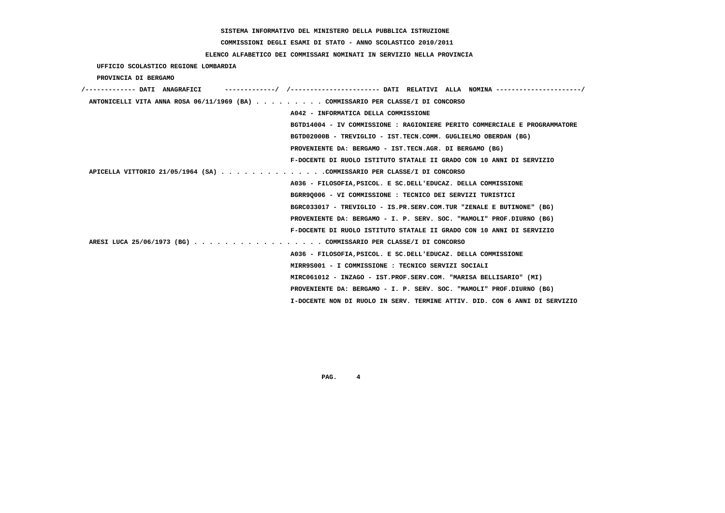**COMMISSIONI DEGLI ESAMI DI STATO - ANNO SCOLASTICO 2010/2011**

#### **ELENCO ALFABETICO DEI COMMISSARI NOMINATI IN SERVIZIO NELLA PROVINCIA**

 **UFFICIO SCOLASTICO REGIONE LOMBARDIA**

 **PROVINCIA DI BERGAMO**

| /------------- DATI ANAGRAFICI | ----------/ /--------------------- DATI RELATIVI ALLA NOMINA--------------------/ |
|--------------------------------|-----------------------------------------------------------------------------------|
|                                | ANTONICELLI VITA ANNA ROSA 06/11/1969 (BA) COMMISSARIO PER CLASSE/I DI CONCORSO   |
|                                | A042 - INFORMATICA DELLA COMMISSIONE                                              |
|                                | BGTD14004 - IV COMMISSIONE : RAGIONIERE PERITO COMMERCIALE E PROGRAMMATORE        |
|                                | BGTD02000B - TREVIGLIO - IST.TECN.COMM. GUGLIELMO OBERDAN (BG)                    |
|                                | PROVENIENTE DA: BERGAMO - IST.TECN.AGR. DI BERGAMO (BG)                           |
|                                | F-DOCENTE DI RUOLO ISTITUTO STATALE II GRADO CON 10 ANNI DI SERVIZIO              |
|                                | APICELLA VITTORIO 21/05/1964 (SA) COMMISSARIO PER CLASSE/I DI CONCORSO            |
|                                | A036 - FILOSOFIA, PSICOL. E SC. DELL'EDUCAZ. DELLA COMMISSIONE                    |
|                                | BGRR90006 - VI COMMISSIONE : TECNICO DEI SERVIZI TURISTICI                        |
|                                | BGRC033017 - TREVIGLIO - IS.PR.SERV.COM.TUR "ZENALE E BUTINONE" (BG)              |
|                                | PROVENIENTE DA: BERGAMO - I. P. SERV. SOC. "MAMOLI" PROF.DIURNO (BG)              |
|                                | F-DOCENTE DI RUOLO ISTITUTO STATALE II GRADO CON 10 ANNI DI SERVIZIO              |
|                                | ARESI LUCA 25/06/1973 (BG) COMMISSARIO PER CLASSE/I DI CONCORSO                   |
|                                | A036 - FILOSOFIA, PSICOL. E SC. DELL'EDUCAZ. DELLA COMMISSIONE                    |
|                                | MIRR9S001 - I COMMISSIONE : TECNICO SERVIZI SOCIALI                               |
|                                | MIRC061012 - INZAGO - IST.PROF.SERV.COM. "MARISA BELLISARIO" (MI)                 |
|                                | PROVENIENTE DA: BERGAMO - I. P. SERV. SOC. "MAMOLI" PROF.DIURNO (BG)              |
|                                | I-DOCENTE NON DI RUOLO IN SERV. TERMINE ATTIV. DID. CON 6 ANNI DI SERVIZIO        |
|                                |                                                                                   |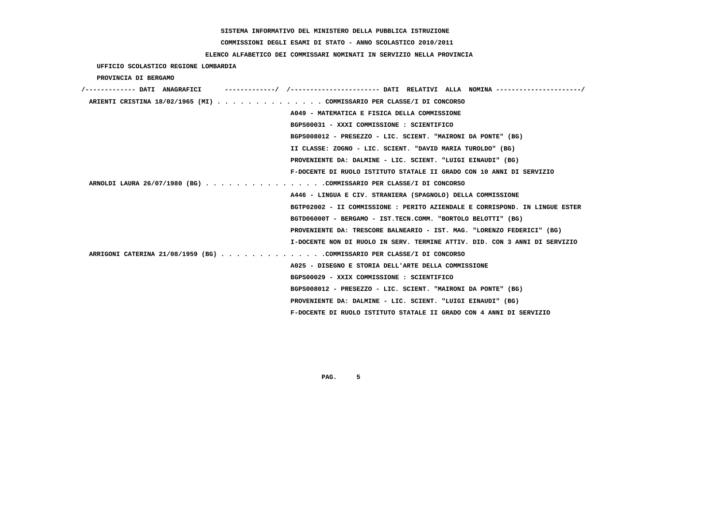# **COMMISSIONI DEGLI ESAMI DI STATO - ANNO SCOLASTICO 2010/2011**

## **ELENCO ALFABETICO DEI COMMISSARI NOMINATI IN SERVIZIO NELLA PROVINCIA**

 **UFFICIO SCOLASTICO REGIONE LOMBARDIA**

 **PROVINCIA DI BERGAMO**

| /------------- DATI ANAGRAFICI |                                                                             |
|--------------------------------|-----------------------------------------------------------------------------|
|                                | ARIENTI CRISTINA 18/02/1965 (MI) COMMISSARIO PER CLASSE/I DI CONCORSO       |
|                                | A049 - MATEMATICA E FISICA DELLA COMMISSIONE                                |
|                                | BGPS00031 - XXXI COMMISSIONE : SCIENTIFICO                                  |
|                                | BGPS008012 - PRESEZZO - LIC. SCIENT. "MAIRONI DA PONTE" (BG)                |
|                                | II CLASSE: ZOGNO - LIC. SCIENT. "DAVID MARIA TUROLDO" (BG)                  |
|                                | PROVENIENTE DA: DALMINE - LIC. SCIENT. "LUIGI EINAUDI" (BG)                 |
|                                | F-DOCENTE DI RUOLO ISTITUTO STATALE II GRADO CON 10 ANNI DI SERVIZIO        |
|                                | ARNOLDI LAURA 26/07/1980 (BG) COMMISSARIO PER CLASSE/I DI CONCORSO          |
|                                | A446 - LINGUA E CIV. STRANIERA (SPAGNOLO) DELLA COMMISSIONE                 |
|                                | BGTP02002 - II COMMISSIONE : PERITO AZIENDALE E CORRISPOND. IN LINGUE ESTER |
|                                | BGTD06000T - BERGAMO - IST.TECN.COMM. "BORTOLO BELOTTI" (BG)                |
|                                | PROVENIENTE DA: TRESCORE BALNEARIO - IST. MAG. "LORENZO FEDERICI" (BG)      |
|                                | I-DOCENTE NON DI RUOLO IN SERV. TERMINE ATTIV. DID. CON 3 ANNI DI SERVIZIO  |
|                                | ARRIGONI CATERINA 21/08/1959 (BG) COMMISSARIO PER CLASSE/I DI CONCORSO      |
|                                | A025 - DISEGNO E STORIA DELL'ARTE DELLA COMMISSIONE                         |
|                                | BGPS00029 - XXIX COMMISSIONE : SCIENTIFICO                                  |
|                                | BGPS008012 - PRESEZZO - LIC. SCIENT. "MAIRONI DA PONTE" (BG)                |
|                                | PROVENIENTE DA: DALMINE - LIC. SCIENT. "LUIGI EINAUDI" (BG)                 |
|                                | F-DOCENTE DI RUOLO ISTITUTO STATALE II GRADO CON 4 ANNI DI SERVIZIO         |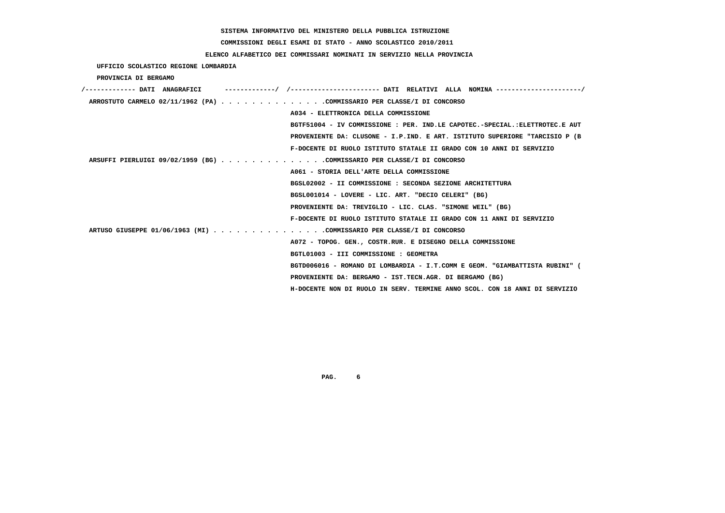# **COMMISSIONI DEGLI ESAMI DI STATO - ANNO SCOLASTICO 2010/2011**

## **ELENCO ALFABETICO DEI COMMISSARI NOMINATI IN SERVIZIO NELLA PROVINCIA**

 **UFFICIO SCOLASTICO REGIONE LOMBARDIA**

 **PROVINCIA DI BERGAMO**

| /------------- DATI ANAGRAFICI                                         | -----------/ /--------------------- DATI RELATIVI ALLA NOMINA --------------------/ |
|------------------------------------------------------------------------|-------------------------------------------------------------------------------------|
| ARROSTUTO CARMELO 02/11/1962 (PA) COMMISSARIO PER CLASSE/I DI CONCORSO |                                                                                     |
|                                                                        | A034 - ELETTRONICA DELLA COMMISSIONE                                                |
|                                                                        | BGTF51004 - IV COMMISSIONE : PER. IND.LE CAPOTEC.-SPECIAL.:ELETTROTEC.E AUT         |
|                                                                        | PROVENIENTE DA: CLUSONE - I.P.IND. E ART. ISTITUTO SUPERIORE "TARCISIO P (B         |
|                                                                        | F-DOCENTE DI RUOLO ISTITUTO STATALE II GRADO CON 10 ANNI DI SERVIZIO                |
| ARSUFFI PIERLUIGI 09/02/1959 (BG) COMMISSARIO PER CLASSE/I DI CONCORSO |                                                                                     |
|                                                                        | A061 - STORIA DELL'ARTE DELLA COMMISSIONE                                           |
|                                                                        | BGSL02002 - II COMMISSIONE : SECONDA SEZIONE ARCHITETTURA                           |
|                                                                        | BGSL001014 - LOVERE - LIC. ART. "DECIO CELERI" (BG)                                 |
|                                                                        | PROVENIENTE DA: TREVIGLIO - LIC. CLAS. "SIMONE WEIL" (BG)                           |
|                                                                        | F-DOCENTE DI RUOLO ISTITUTO STATALE II GRADO CON 11 ANNI DI SERVIZIO                |
| ARTUSO GIUSEPPE 01/06/1963 (MI) COMMISSARIO PER CLASSE/I DI CONCORSO   |                                                                                     |
|                                                                        | A072 - TOPOG. GEN., COSTR.RUR. E DISEGNO DELLA COMMISSIONE                          |
|                                                                        | BGTL01003 - III COMMISSIONE : GEOMETRA                                              |
|                                                                        | BGTD006016 - ROMANO DI LOMBARDIA - I.T.COMM E GEOM. "GIAMBATTISTA RUBINI" (         |
|                                                                        | PROVENIENTE DA: BERGAMO - IST.TECN.AGR. DI BERGAMO (BG)                             |
|                                                                        | H-DOCENTE NON DI RUOLO IN SERV. TERMINE ANNO SCOL. CON 18 ANNI DI SERVIZIO          |
|                                                                        |                                                                                     |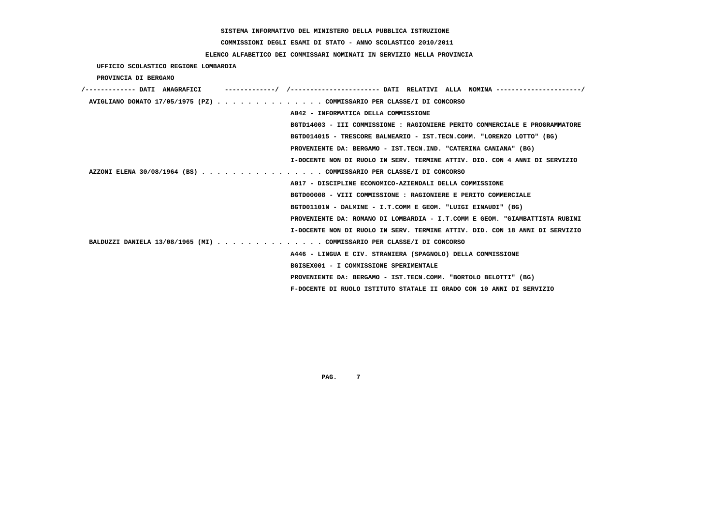**COMMISSIONI DEGLI ESAMI DI STATO - ANNO SCOLASTICO 2010/2011**

## **ELENCO ALFABETICO DEI COMMISSARI NOMINATI IN SERVIZIO NELLA PROVINCIA**

 **UFFICIO SCOLASTICO REGIONE LOMBARDIA**

 **PROVINCIA DI BERGAMO**

| /------------- DATT ANAGRAFICT                                        |                                                                             |
|-----------------------------------------------------------------------|-----------------------------------------------------------------------------|
| AVIGLIANO DONATO 17/05/1975 (PZ) COMMISSARIO PER CLASSE/I DI CONCORSO |                                                                             |
|                                                                       | A042 - INFORMATICA DELLA COMMISSIONE                                        |
|                                                                       | BGTD14003 - III COMMISSIONE : RAGIONIERE PERITO COMMERCIALE E PROGRAMMATORE |
|                                                                       | BGTD014015 - TRESCORE BALNEARIO - IST.TECN.COMM. "LORENZO LOTTO" (BG)       |
|                                                                       | PROVENIENTE DA: BERGAMO - IST.TECN.IND. "CATERINA CANIANA" (BG)             |
|                                                                       | I-DOCENTE NON DI RUOLO IN SERV. TERMINE ATTIV. DID. CON 4 ANNI DI SERVIZIO  |
| AZZONI ELENA 30/08/1964 (BS) COMMISSARIO PER CLASSE/I DI CONCORSO     |                                                                             |
|                                                                       | A017 - DISCIPLINE ECONOMICO-AZIENDALI DELLA COMMISSIONE                     |
|                                                                       | BGTD00008 - VIII COMMISSIONE : RAGIONIERE E PERITO COMMERCIALE              |
|                                                                       | BGTD01101N - DALMINE - I.T.COMM E GEOM. "LUIGI EINAUDI" (BG)                |
|                                                                       | PROVENIENTE DA: ROMANO DI LOMBARDIA - I.T.COMM E GEOM. "GIAMBATTISTA RUBINI |
|                                                                       | I-DOCENTE NON DI RUOLO IN SERV. TERMINE ATTIV. DID. CON 18 ANNI DI SERVIZIO |
| BALDUZZI DANIELA 13/08/1965 (MI) COMMISSARIO PER CLASSE/I DI CONCORSO |                                                                             |
|                                                                       | A446 - LINGUA E CIV. STRANIERA (SPAGNOLO) DELLA COMMISSIONE                 |
|                                                                       | BGISEX001 - I COMMISSIONE SPERIMENTALE                                      |
|                                                                       | PROVENIENTE DA: BERGAMO - IST.TECN.COMM. "BORTOLO BELOTTI" (BG)             |
|                                                                       | F-DOCENTE DI RUOLO ISTITUTO STATALE II GRADO CON 10 ANNI DI SERVIZIO        |
|                                                                       |                                                                             |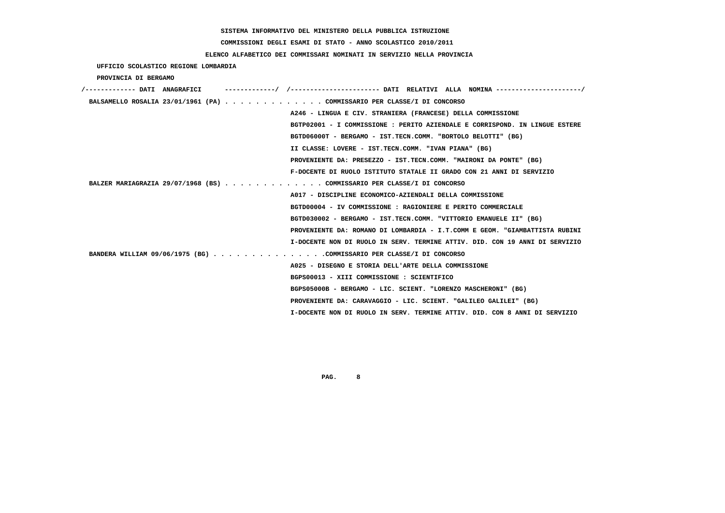# **COMMISSIONI DEGLI ESAMI DI STATO - ANNO SCOLASTICO 2010/2011**

## **ELENCO ALFABETICO DEI COMMISSARI NOMINATI IN SERVIZIO NELLA PROVINCIA**

 **UFFICIO SCOLASTICO REGIONE LOMBARDIA**

 **PROVINCIA DI BERGAMO**

| /------------- DATI ANAGRAFICI                                          | --------/ /--------------------- DATI RELATIVI ALLA NOMINA--------------------/ |
|-------------------------------------------------------------------------|---------------------------------------------------------------------------------|
| BALSAMELLO ROSALIA 23/01/1961 (PA) COMMISSARIO PER CLASSE/I DI CONCORSO |                                                                                 |
|                                                                         | A246 - LINGUA E CIV. STRANIERA (FRANCESE) DELLA COMMISSIONE                     |
|                                                                         | BGTP02001 - I COMMISSIONE : PERITO AZIENDALE E CORRISPOND. IN LINGUE ESTERE     |
|                                                                         | BGTD06000T - BERGAMO - IST.TECN.COMM. "BORTOLO BELOTTI" (BG)                    |
|                                                                         | II CLASSE: LOVERE - IST.TECN.COMM. "IVAN PIANA" (BG)                            |
|                                                                         | PROVENIENTE DA: PRESEZZO - IST.TECN.COMM. "MAIRONI DA PONTE" (BG)               |
|                                                                         | F-DOCENTE DI RUOLO ISTITUTO STATALE II GRADO CON 21 ANNI DI SERVIZIO            |
| BALZER MARIAGRAZIA 29/07/1968 (BS) COMMISSARIO PER CLASSE/I DI CONCORSO |                                                                                 |
|                                                                         | A017 - DISCIPLINE ECONOMICO-AZIENDALI DELLA COMMISSIONE                         |
|                                                                         | BGTD00004 - IV COMMISSIONE : RAGIONIERE E PERITO COMMERCIALE                    |
|                                                                         | BGTD030002 - BERGAMO - IST.TECN.COMM. "VITTORIO EMANUELE II" (BG)               |
|                                                                         | PROVENIENTE DA: ROMANO DI LOMBARDIA - I.T.COMM E GEOM. "GIAMBATTISTA RUBINI     |
|                                                                         | I-DOCENTE NON DI RUOLO IN SERV. TERMINE ATTIV. DID. CON 19 ANNI DI SERVIZIO     |
| BANDERA WILLIAM 09/06/1975 (BG) COMMISSARIO PER CLASSE/I DI CONCORSO    |                                                                                 |
|                                                                         | A025 - DISEGNO E STORIA DELL'ARTE DELLA COMMISSIONE                             |
|                                                                         | BGPS00013 - XIII COMMISSIONE : SCIENTIFICO                                      |
|                                                                         | BGPS05000B - BERGAMO - LIC. SCIENT. "LORENZO MASCHERONI" (BG)                   |
|                                                                         | PROVENIENTE DA: CARAVAGGIO - LIC. SCIENT. "GALILEO GALILEI" (BG)                |
|                                                                         | I-DOCENTE NON DI RUOLO IN SERV. TERMINE ATTIV. DID. CON 8 ANNI DI SERVIZIO      |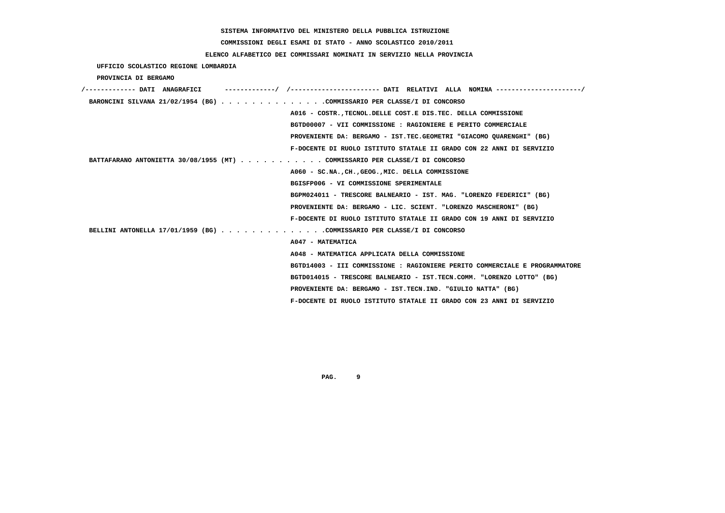**COMMISSIONI DEGLI ESAMI DI STATO - ANNO SCOLASTICO 2010/2011**

## **ELENCO ALFABETICO DEI COMMISSARI NOMINATI IN SERVIZIO NELLA PROVINCIA**

 **UFFICIO SCOLASTICO REGIONE LOMBARDIA**

 **PROVINCIA DI BERGAMO**

| /------------- DATI ANAGRAFICI                                              |                                                                             |
|-----------------------------------------------------------------------------|-----------------------------------------------------------------------------|
| BARONCINI SILVANA 21/02/1954 (BG) COMMISSARIO PER CLASSE/I DI CONCORSO      |                                                                             |
|                                                                             | A016 - COSTR., TECNOL. DELLE COST. E DIS. TEC. DELLA COMMISSIONE            |
|                                                                             | BGTD00007 - VII COMMISSIONE : RAGIONIERE E PERITO COMMERCIALE               |
|                                                                             | PROVENIENTE DA: BERGAMO - IST.TEC.GEOMETRI "GIACOMO OUARENGHI" (BG)         |
|                                                                             | F-DOCENTE DI RUOLO ISTITUTO STATALE II GRADO CON 22 ANNI DI SERVIZIO        |
| BATTAFARANO ANTONIETTA 30/08/1955 (MT) COMMISSARIO PER CLASSE/I DI CONCORSO |                                                                             |
|                                                                             | A060 - SC.NA., CH., GEOG., MIC. DELLA COMMISSIONE                           |
|                                                                             | BGISFP006 - VI COMMISSIONE SPERIMENTALE                                     |
|                                                                             | BGPM024011 - TRESCORE BALNEARIO - IST. MAG. "LORENZO FEDERICI" (BG)         |
|                                                                             | PROVENIENTE DA: BERGAMO - LIC. SCIENT. "LORENZO MASCHERONI" (BG)            |
|                                                                             | F-DOCENTE DI RUOLO ISTITUTO STATALE II GRADO CON 19 ANNI DI SERVIZIO        |
| BELLINI ANTONELLA 17/01/1959 (BG) COMMISSARIO PER CLASSE/I DI CONCORSO      |                                                                             |
|                                                                             | A047 - MATEMATICA                                                           |
|                                                                             | A048 - MATEMATICA APPLICATA DELLA COMMISSIONE                               |
|                                                                             | BGTD14003 - III COMMISSIONE : RAGIONIERE PERITO COMMERCIALE E PROGRAMMATORE |
|                                                                             | BGTD014015 - TRESCORE BALNEARIO - IST.TECN.COMM. "LORENZO LOTTO" (BG)       |
|                                                                             | PROVENIENTE DA: BERGAMO - IST.TECN.IND. "GIULIO NATTA" (BG)                 |
|                                                                             | F-DOCENTE DI RUOLO ISTITUTO STATALE II GRADO CON 23 ANNI DI SERVIZIO        |
|                                                                             |                                                                             |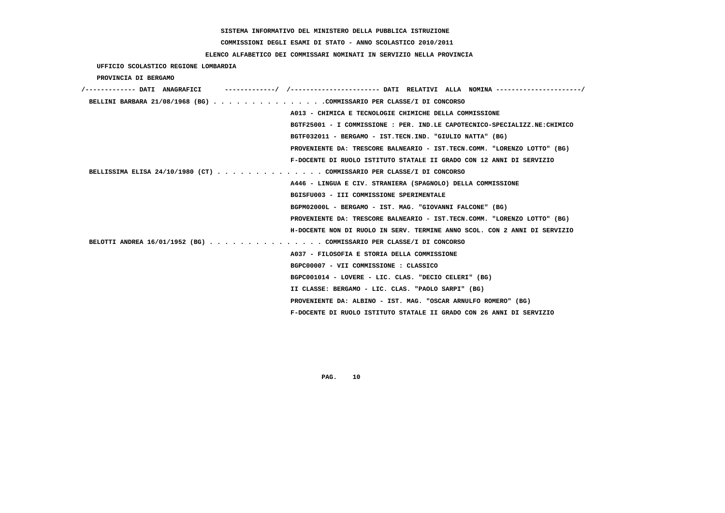# **COMMISSIONI DEGLI ESAMI DI STATO - ANNO SCOLASTICO 2010/2011**

## **ELENCO ALFABETICO DEI COMMISSARI NOMINATI IN SERVIZIO NELLA PROVINCIA**

 **UFFICIO SCOLASTICO REGIONE LOMBARDIA**

 **PROVINCIA DI BERGAMO**

| ------------------       DATI RELATIVI ALLA NOMINA----------------------/<br>/------------- DATI ANAGRAFICI |
|-------------------------------------------------------------------------------------------------------------|
| BELLINI BARBARA 21/08/1968 (BG) COMMISSARIO PER CLASSE/I DI CONCORSO                                        |
| A013 - CHIMICA E TECNOLOGIE CHIMICHE DELLA COMMISSIONE                                                      |
| BGTF25001 - I COMMISSIONE : PER. IND.LE CAPOTECNICO-SPECIALIZZ.NE: CHIMICO                                  |
| BGTF032011 - BERGAMO - IST.TECN.IND. "GIULIO NATTA" (BG)                                                    |
| PROVENIENTE DA: TRESCORE BALNEARIO - IST.TECN.COMM. "LORENZO LOTTO" (BG)                                    |
| F-DOCENTE DI RUOLO ISTITUTO STATALE II GRADO CON 12 ANNI DI SERVIZIO                                        |
| BELLISSIMA ELISA 24/10/1980 (CT) COMMISSARIO PER CLASSE/I DI CONCORSO                                       |
| A446 - LINGUA E CIV. STRANIERA (SPAGNOLO) DELLA COMMISSIONE                                                 |
| BGISFU003 - III COMMISSIONE SPERIMENTALE                                                                    |
| BGPM02000L - BERGAMO - IST. MAG. "GIOVANNI FALCONE" (BG)                                                    |
| PROVENIENTE DA: TRESCORE BALNEARIO - IST.TECN.COMM. "LORENZO LOTTO" (BG)                                    |
| H-DOCENTE NON DI RUOLO IN SERV. TERMINE ANNO SCOL. CON 2 ANNI DI SERVIZIO                                   |
| BELOTTI ANDREA 16/01/1952 (BG) COMMISSARIO PER CLASSE/I DI CONCORSO                                         |
| A037 - FILOSOFIA E STORIA DELLA COMMISSIONE                                                                 |
| BGPC00007 - VII COMMISSIONE : CLASSICO                                                                      |
| BGPC001014 - LOVERE - LIC. CLAS. "DECIO CELERI" (BG)                                                        |
| II CLASSE: BERGAMO - LIC. CLAS. "PAOLO SARPI" (BG)                                                          |
| PROVENIENTE DA: ALBINO - IST. MAG. "OSCAR ARNULFO ROMERO" (BG)                                              |
| F-DOCENTE DI RUOLO ISTITUTO STATALE II GRADO CON 26 ANNI DI SERVIZIO                                        |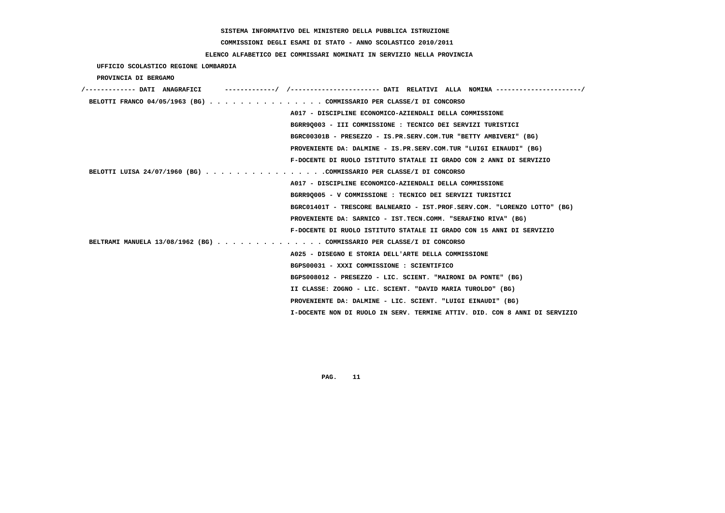**COMMISSIONI DEGLI ESAMI DI STATO - ANNO SCOLASTICO 2010/2011**

### **ELENCO ALFABETICO DEI COMMISSARI NOMINATI IN SERVIZIO NELLA PROVINCIA**

 **UFFICIO SCOLASTICO REGIONE LOMBARDIA**

 **PROVINCIA DI BERGAMO**

| /------------- DATI ANAGRAFICI |                                                                            |
|--------------------------------|----------------------------------------------------------------------------|
|                                | BELOTTI FRANCO 04/05/1963 (BG) COMMISSARIO PER CLASSE/I DI CONCORSO        |
|                                | A017 - DISCIPLINE ECONOMICO-AZIENDALI DELLA COMMISSIONE                    |
|                                | BGRR90003 - III COMMISSIONE : TECNICO DEI SERVIZI TURISTICI                |
|                                | BGRC00301B - PRESEZZO - IS.PR.SERV.COM.TUR "BETTY AMBIVERI" (BG)           |
|                                | PROVENIENTE DA: DALMINE - IS.PR.SERV.COM.TUR "LUIGI EINAUDI" (BG)          |
|                                | F-DOCENTE DI RUOLO ISTITUTO STATALE II GRADO CON 2 ANNI DI SERVIZIO        |
|                                | BELOTTI LUISA 24/07/1960 (BG) COMMISSARIO PER CLASSE/I DI CONCORSO         |
|                                | A017 - DISCIPLINE ECONOMICO-AZIENDALI DELLA COMMISSIONE                    |
|                                | BGRR9Q005 - V COMMISSIONE : TECNICO DEI SERVIZI TURISTICI                  |
|                                | BGRC01401T - TRESCORE BALNEARIO - IST.PROF.SERV.COM. "LORENZO LOTTO" (BG)  |
|                                | PROVENIENTE DA: SARNICO - IST.TECN.COMM. "SERAFINO RIVA" (BG)              |
|                                | F-DOCENTE DI RUOLO ISTITUTO STATALE II GRADO CON 15 ANNI DI SERVIZIO       |
|                                | BELTRAMI MANUELA 13/08/1962 (BG) COMMISSARIO PER CLASSE/I DI CONCORSO      |
|                                | A025 - DISEGNO E STORIA DELL'ARTE DELLA COMMISSIONE                        |
|                                | BGPS00031 - XXXI COMMISSIONE : SCIENTIFICO                                 |
|                                | BGPS008012 - PRESEZZO - LIC. SCIENT. "MAIRONI DA PONTE" (BG)               |
|                                | II CLASSE: ZOGNO - LIC. SCIENT. "DAVID MARIA TUROLDO" (BG)                 |
|                                | PROVENIENTE DA: DALMINE - LIC. SCIENT. "LUIGI EINAUDI" (BG)                |
|                                | I-DOCENTE NON DI RUOLO IN SERV. TERMINE ATTIV. DID. CON 8 ANNI DI SERVIZIO |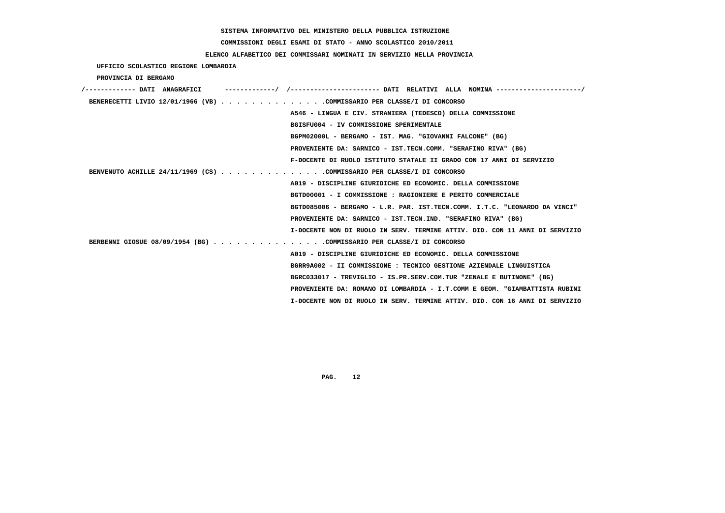# **COMMISSIONI DEGLI ESAMI DI STATO - ANNO SCOLASTICO 2010/2011**

## **ELENCO ALFABETICO DEI COMMISSARI NOMINATI IN SERVIZIO NELLA PROVINCIA**

 **UFFICIO SCOLASTICO REGIONE LOMBARDIA**

 **PROVINCIA DI BERGAMO**

| /------------- DATI ANAGRAFICI                                         |                                                                             |
|------------------------------------------------------------------------|-----------------------------------------------------------------------------|
| BENERECETTI LIVIO 12/01/1966 (VB) COMMISSARIO PER CLASSE/I DI CONCORSO |                                                                             |
|                                                                        | A546 - LINGUA E CIV. STRANIERA (TEDESCO) DELLA COMMISSIONE                  |
|                                                                        | BGISFU004 - IV COMMISSIONE SPERIMENTALE                                     |
|                                                                        | BGPM02000L - BERGAMO - IST. MAG. "GIOVANNI FALCONE" (BG)                    |
|                                                                        | PROVENIENTE DA: SARNICO - IST.TECN.COMM. "SERAFINO RIVA" (BG)               |
|                                                                        | F-DOCENTE DI RUOLO ISTITUTO STATALE II GRADO CON 17 ANNI DI SERVIZIO        |
| BENVENUTO ACHILLE 24/11/1969 (CS) COMMISSARIO PER CLASSE/I DI CONCORSO |                                                                             |
|                                                                        | A019 - DISCIPLINE GIURIDICHE ED ECONOMIC. DELLA COMMISSIONE                 |
|                                                                        | BGTD00001 - I COMMISSIONE : RAGIONIERE E PERITO COMMERCIALE                 |
|                                                                        | BGTD085006 - BERGAMO - L.R. PAR. IST.TECN.COMM. I.T.C. "LEONARDO DA VINCI"  |
|                                                                        | PROVENIENTE DA: SARNICO - IST.TECN.IND. "SERAFINO RIVA" (BG)                |
|                                                                        | I-DOCENTE NON DI RUOLO IN SERV. TERMINE ATTIV. DID. CON 11 ANNI DI SERVIZIO |
| BERBENNI GIOSUE 08/09/1954 (BG) COMMISSARIO PER CLASSE/I DI CONCORSO   |                                                                             |
|                                                                        | A019 - DISCIPLINE GIURIDICHE ED ECONOMIC. DELLA COMMISSIONE                 |
|                                                                        | BGRR9A002 - II COMMISSIONE : TECNICO GESTIONE AZIENDALE LINGUISTICA         |
|                                                                        | BGRC033017 - TREVIGLIO - IS.PR.SERV.COM.TUR "ZENALE E BUTINONE" (BG)        |
|                                                                        | PROVENIENTE DA: ROMANO DI LOMBARDIA - I.T.COMM E GEOM. "GIAMBATTISTA RUBINI |
|                                                                        | I-DOCENTE NON DI RUOLO IN SERV. TERMINE ATTIV. DID. CON 16 ANNI DI SERVIZIO |
|                                                                        |                                                                             |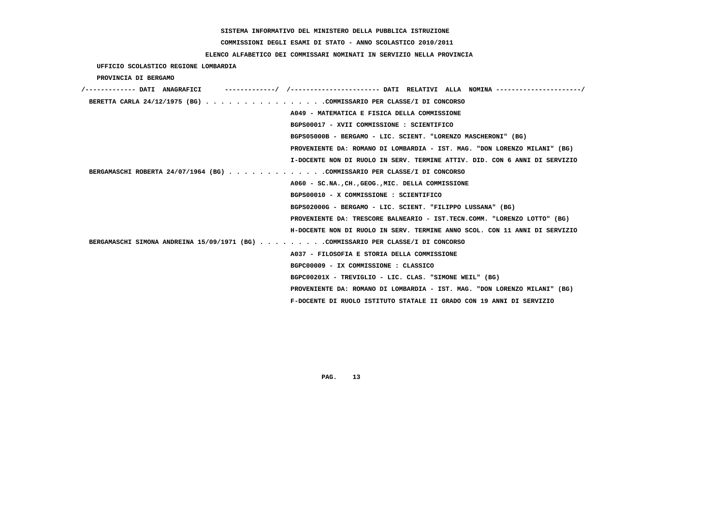# **COMMISSIONI DEGLI ESAMI DI STATO - ANNO SCOLASTICO 2010/2011**

## **ELENCO ALFABETICO DEI COMMISSARI NOMINATI IN SERVIZIO NELLA PROVINCIA**

 **UFFICIO SCOLASTICO REGIONE LOMBARDIA**

 **PROVINCIA DI BERGAMO**

| /------------- DATI ANAGRAFICI                                                   |
|----------------------------------------------------------------------------------|
| BERETTA CARLA 24/12/1975 (BG) COMMISSARIO PER CLASSE/I DI CONCORSO               |
| A049 - MATEMATICA E FISICA DELLA COMMISSIONE                                     |
| BGPS00017 - XVII COMMISSIONE : SCIENTIFICO                                       |
| BGPS05000B - BERGAMO - LIC. SCIENT. "LORENZO MASCHERONI" (BG)                    |
| PROVENIENTE DA: ROMANO DI LOMBARDIA - IST. MAG. "DON LORENZO MILANI" (BG)        |
| I-DOCENTE NON DI RUOLO IN SERV. TERMINE ATTIV. DID. CON 6 ANNI DI SERVIZIO       |
| BERGAMASCHI ROBERTA 24/07/1964 (BG) COMMISSARIO PER CLASSE/I DI CONCORSO         |
| A060 - SC.NA., CH., GEOG., MIC. DELLA COMMISSIONE                                |
| BGPS00010 - X COMMISSIONE : SCIENTIFICO                                          |
| BGPS02000G - BERGAMO - LIC. SCIENT. "FILIPPO LUSSANA" (BG)                       |
| PROVENIENTE DA: TRESCORE BALNEARIO - IST.TECN.COMM. "LORENZO LOTTO" (BG)         |
| H-DOCENTE NON DI RUOLO IN SERV. TERMINE ANNO SCOL. CON 11 ANNI DI SERVIZIO       |
| BERGAMASCHI SIMONA ANDREINA 15/09/1971 (BG) COMMISSARIO PER CLASSE/I DI CONCORSO |
| A037 - FILOSOFIA E STORIA DELLA COMMISSIONE                                      |
| BGPC00009 - IX COMMISSIONE: CLASSICO                                             |
| BGPC00201X - TREVIGLIO - LIC. CLAS. "SIMONE WEIL" (BG)                           |
| PROVENIENTE DA: ROMANO DI LOMBARDIA - IST. MAG. "DON LORENZO MILANI" (BG)        |
| F-DOCENTE DI RUOLO ISTITUTO STATALE II GRADO CON 19 ANNI DI SERVIZIO             |
|                                                                                  |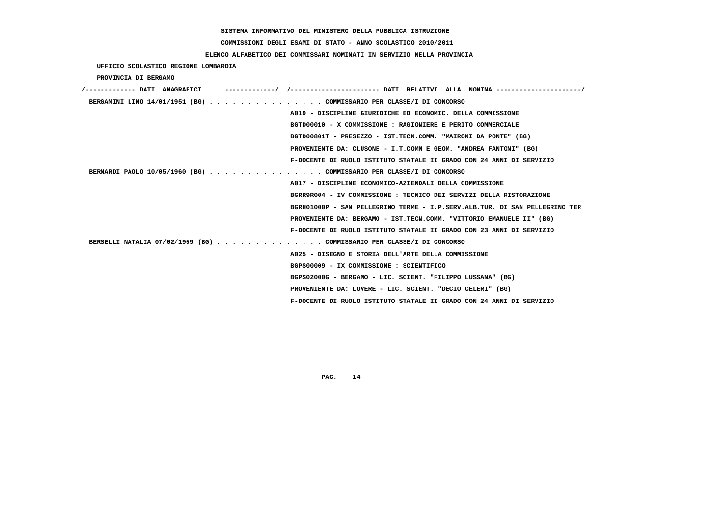**COMMISSIONI DEGLI ESAMI DI STATO - ANNO SCOLASTICO 2010/2011**

## **ELENCO ALFABETICO DEI COMMISSARI NOMINATI IN SERVIZIO NELLA PROVINCIA**

 **UFFICIO SCOLASTICO REGIONE LOMBARDIA**

 **PROVINCIA DI BERGAMO**

| /------------- DATI ANAGRAFICI                                        |                                                                             |
|-----------------------------------------------------------------------|-----------------------------------------------------------------------------|
| BERGAMINI LINO 14/01/1951 (BG) COMMISSARIO PER CLASSE/I DI CONCORSO   |                                                                             |
|                                                                       | A019 - DISCIPLINE GIURIDICHE ED ECONOMIC. DELLA COMMISSIONE                 |
|                                                                       | BGTD00010 - X COMMISSIONE : RAGIONIERE E PERITO COMMERCIALE                 |
|                                                                       | BGTD00801T - PRESEZZO - IST.TECN.COMM. "MAIRONI DA PONTE" (BG)              |
|                                                                       | PROVENIENTE DA: CLUSONE - I.T.COMM E GEOM. "ANDREA FANTONI" (BG)            |
|                                                                       | F-DOCENTE DI RUOLO ISTITUTO STATALE II GRADO CON 24 ANNI DI SERVIZIO        |
| BERNARDI PAOLO 10/05/1960 (BG) COMMISSARIO PER CLASSE/I DI CONCORSO   |                                                                             |
|                                                                       | A017 - DISCIPLINE ECONOMICO-AZIENDALI DELLA COMMISSIONE                     |
|                                                                       | BGRR9R004 - IV COMMISSIONE : TECNICO DEI SERVIZI DELLA RISTORAZIONE         |
|                                                                       | BGRH01000P - SAN PELLEGRINO TERME - I.P.SERV.ALB.TUR. DI SAN PELLEGRINO TER |
|                                                                       | PROVENIENTE DA: BERGAMO - IST.TECN.COMM. "VITTORIO EMANUELE II" (BG)        |
|                                                                       | F-DOCENTE DI RUOLO ISTITUTO STATALE II GRADO CON 23 ANNI DI SERVIZIO        |
| BERSELLI NATALIA 07/02/1959 (BG) COMMISSARIO PER CLASSE/I DI CONCORSO |                                                                             |
|                                                                       | A025 - DISEGNO E STORIA DELL'ARTE DELLA COMMISSIONE                         |
|                                                                       | BGPS00009 - IX COMMISSIONE : SCIENTIFICO                                    |
|                                                                       | BGPS02000G - BERGAMO - LIC. SCIENT. "FILIPPO LUSSANA" (BG)                  |
|                                                                       | PROVENIENTE DA: LOVERE - LIC. SCIENT. "DECIO CELERI" (BG)                   |
|                                                                       | F-DOCENTE DI RUOLO ISTITUTO STATALE II GRADO CON 24 ANNI DI SERVIZIO        |
|                                                                       |                                                                             |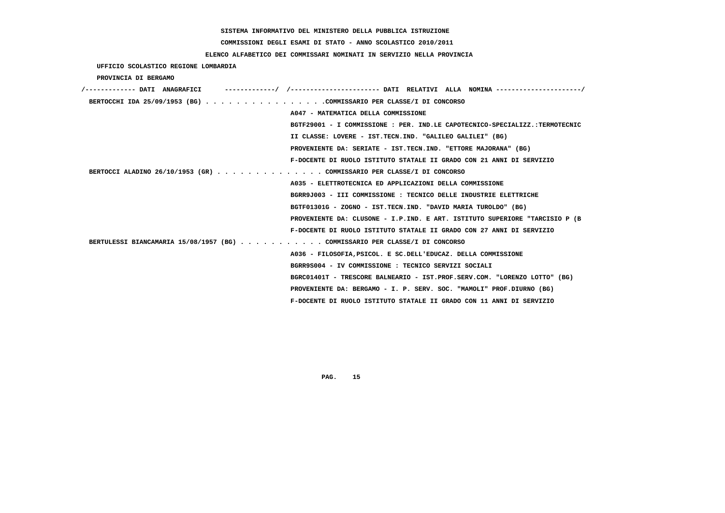# **COMMISSIONI DEGLI ESAMI DI STATO - ANNO SCOLASTICO 2010/2011**

## **ELENCO ALFABETICO DEI COMMISSARI NOMINATI IN SERVIZIO NELLA PROVINCIA**

 **UFFICIO SCOLASTICO REGIONE LOMBARDIA**

 **PROVINCIA DI BERGAMO**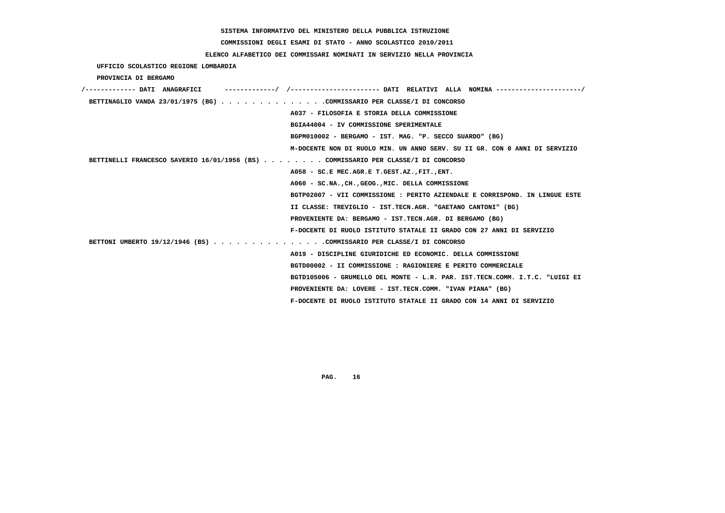# **COMMISSIONI DEGLI ESAMI DI STATO - ANNO SCOLASTICO 2010/2011**

## **ELENCO ALFABETICO DEI COMMISSARI NOMINATI IN SERVIZIO NELLA PROVINCIA**

 **UFFICIO SCOLASTICO REGIONE LOMBARDIA**

 **PROVINCIA DI BERGAMO**

| /------------- DATI ANAGRAFICI                                                    |                                                                             |
|-----------------------------------------------------------------------------------|-----------------------------------------------------------------------------|
| BETTINAGLIO VANDA 23/01/1975 (BG) COMMISSARIO PER CLASSE/I DI CONCORSO            |                                                                             |
|                                                                                   | A037 - FILOSOFIA E STORIA DELLA COMMISSIONE                                 |
|                                                                                   | BGIA44004 - IV COMMISSIONE SPERIMENTALE                                     |
|                                                                                   | BGPM010002 - BERGAMO - IST. MAG. "P. SECCO SUARDO" (BG)                     |
|                                                                                   | M-DOCENTE NON DI RUOLO MIN. UN ANNO SERV. SU II GR. CON 0 ANNI DI SERVIZIO  |
| BETTINELLI FRANCESCO SAVERIO 16/01/1956 (BS) COMMISSARIO PER CLASSE/I DI CONCORSO |                                                                             |
|                                                                                   | A058 - SC.E MEC.AGR.E T.GEST.AZ., FIT., ENT.                                |
|                                                                                   | A060 - SC.NA., CH., GEOG., MIC. DELLA COMMISSIONE                           |
|                                                                                   | BGTP02007 - VII COMMISSIONE : PERITO AZIENDALE E CORRISPOND. IN LINGUE ESTE |
|                                                                                   | II CLASSE: TREVIGLIO - IST.TECN.AGR. "GAETANO CANTONI" (BG)                 |
|                                                                                   | PROVENIENTE DA: BERGAMO - IST.TECN.AGR. DI BERGAMO (BG)                     |
|                                                                                   | F-DOCENTE DI RUOLO ISTITUTO STATALE II GRADO CON 27 ANNI DI SERVIZIO        |
| BETTONI UMBERTO 19/12/1946 (BS) COMMISSARIO PER CLASSE/I DI CONCORSO              |                                                                             |
|                                                                                   | A019 - DISCIPLINE GIURIDICHE ED ECONOMIC. DELLA COMMISSIONE                 |
|                                                                                   | BGTD00002 - II COMMISSIONE : RAGIONIERE E PERITO COMMERCIALE                |
|                                                                                   | BGTD105006 - GRUMELLO DEL MONTE - L.R. PAR. IST.TECN.COMM. I.T.C. "LUIGI EI |
|                                                                                   | PROVENIENTE DA: LOVERE - IST.TECN.COMM. "IVAN PIANA" (BG)                   |
|                                                                                   | F-DOCENTE DI RUOLO ISTITUTO STATALE II GRADO CON 14 ANNI DI SERVIZIO        |
|                                                                                   |                                                                             |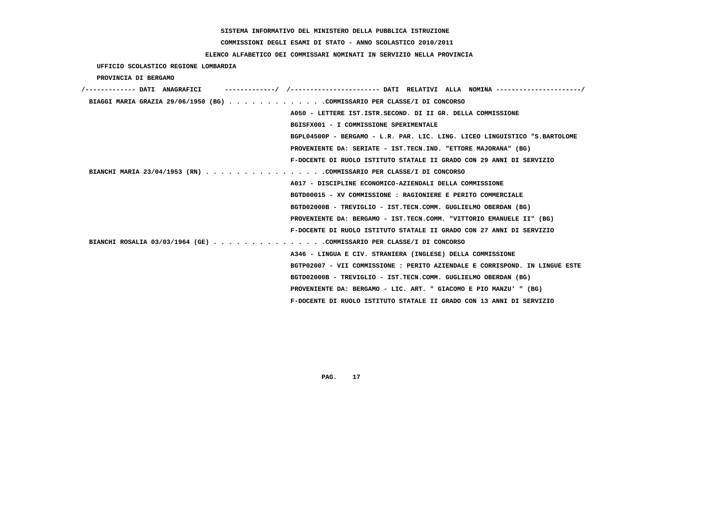# **COMMISSIONI DEGLI ESAMI DI STATO - ANNO SCOLASTICO 2010/2011**

## **ELENCO ALFABETICO DEI COMMISSARI NOMINATI IN SERVIZIO NELLA PROVINCIA**

 **UFFICIO SCOLASTICO REGIONE LOMBARDIA**

 **PROVINCIA DI BERGAMO**

| /------------- DATI ANAGRAFICI                                           | -----------/ /--------------------- DATI RELATIVI ALLA NOMINA --------------------/ |
|--------------------------------------------------------------------------|-------------------------------------------------------------------------------------|
| BIAGGI MARIA GRAZIA 29/06/1950 (BG) COMMISSARIO PER CLASSE/I DI CONCORSO |                                                                                     |
|                                                                          | A050 - LETTERE IST. ISTR. SECOND. DI II GR. DELLA COMMISSIONE                       |
|                                                                          | BGISFX001 - I COMMISSIONE SPERIMENTALE                                              |
|                                                                          | BGPL04500P - BERGAMO - L.R. PAR. LIC. LING. LICEO LINGUISTICO "S.BARTOLOME          |
|                                                                          | PROVENIENTE DA: SERIATE - IST.TECN.IND. "ETTORE MAJORANA" (BG)                      |
|                                                                          | F-DOCENTE DI RUOLO ISTITUTO STATALE II GRADO CON 29 ANNI DI SERVIZIO                |
| BIANCHI MARIA 23/04/1953 (RN) COMMISSARIO PER CLASSE/I DI CONCORSO       |                                                                                     |
|                                                                          | A017 - DISCIPLINE ECONOMICO-AZIENDALI DELLA COMMISSIONE                             |
|                                                                          | BGTD00015 - XV COMMISSIONE : RAGIONIERE E PERITO COMMERCIALE                        |
|                                                                          | BGTD02000B - TREVIGLIO - IST.TECN.COMM. GUGLIELMO OBERDAN (BG)                      |
|                                                                          | PROVENIENTE DA: BERGAMO - IST.TECN.COMM. "VITTORIO EMANUELE II" (BG)                |
|                                                                          | F-DOCENTE DI RUOLO ISTITUTO STATALE II GRADO CON 27 ANNI DI SERVIZIO                |
| BIANCHI ROSALIA 03/03/1964 (GE) COMMISSARIO PER CLASSE/I DI CONCORSO     |                                                                                     |
|                                                                          | A346 - LINGUA E CIV. STRANIERA (INGLESE) DELLA COMMISSIONE                          |
|                                                                          | BGTP02007 - VII COMMISSIONE : PERITO AZIENDALE E CORRISPOND. IN LINGUE ESTE         |
|                                                                          | BGTD02000B - TREVIGLIO - IST.TECN.COMM. GUGLIELMO OBERDAN (BG)                      |
|                                                                          | PROVENIENTE DA: BERGAMO - LIC. ART. " GIACOMO E PIO MANZU' " (BG)                   |
|                                                                          | F-DOCENTE DI RUOLO ISTITUTO STATALE II GRADO CON 13 ANNI DI SERVIZIO                |
|                                                                          |                                                                                     |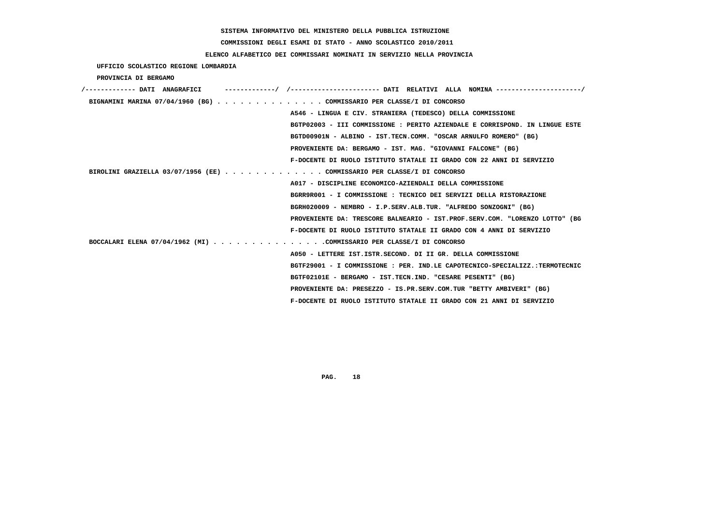**COMMISSIONI DEGLI ESAMI DI STATO - ANNO SCOLASTICO 2010/2011**

 **ELENCO ALFABETICO DEI COMMISSARI NOMINATI IN SERVIZIO NELLA PROVINCIA**

 **UFFICIO SCOLASTICO REGIONE LOMBARDIA**

 **PROVINCIA DI BERGAMO**

| /------------- DATI ANAGRAFICI                                           |                                                                             |
|--------------------------------------------------------------------------|-----------------------------------------------------------------------------|
|                                                                          | BIGNAMINI MARINA 07/04/1960 (BG) COMMISSARIO PER CLASSE/I DI CONCORSO       |
|                                                                          | A546 - LINGUA E CIV. STRANIERA (TEDESCO) DELLA COMMISSIONE                  |
|                                                                          | BGTP02003 - III COMMISSIONE : PERITO AZIENDALE E CORRISPOND. IN LINGUE ESTE |
|                                                                          | BGTD00901N - ALBINO - IST.TECN.COMM. "OSCAR ARNULFO ROMERO" (BG)            |
|                                                                          | PROVENIENTE DA: BERGAMO - IST. MAG. "GIOVANNI FALCONE" (BG)                 |
|                                                                          | F-DOCENTE DI RUOLO ISTITUTO STATALE II GRADO CON 22 ANNI DI SERVIZIO        |
| BIROLINI GRAZIELLA 03/07/1956 (EE) $\cdot \cdot \cdot \cdot \cdot \cdot$ | . COMMISSARIO PER CLASSE/I DI CONCORSO                                      |
|                                                                          | A017 - DISCIPLINE ECONOMICO-AZIENDALI DELLA COMMISSIONE                     |
|                                                                          | BGRR9R001 - I COMMISSIONE: TECNICO DEI SERVIZI DELLA RISTORAZIONE           |
|                                                                          | BGRH020009 - NEMBRO - I.P.SERV.ALB.TUR. "ALFREDO SONZOGNI" (BG)             |
|                                                                          | PROVENIENTE DA: TRESCORE BALNEARIO - IST.PROF.SERV.COM. "LORENZO LOTTO" (BG |
|                                                                          | F-DOCENTE DI RUOLO ISTITUTO STATALE II GRADO CON 4 ANNI DI SERVIZIO         |
|                                                                          | BOCCALARI ELENA 07/04/1962 (MI) COMMISSARIO PER CLASSE/I DI CONCORSO        |
|                                                                          | A050 - LETTERE IST.ISTR.SECOND. DI II GR. DELLA COMMISSIONE                 |
|                                                                          | BGTF29001 - I COMMISSIONE : PER. IND.LE CAPOTECNICO-SPECIALIZZ.:TERMOTECNIC |
|                                                                          | BGTF02101E - BERGAMO - IST.TECN.IND. "CESARE PESENTI" (BG)                  |
|                                                                          | PROVENIENTE DA: PRESEZZO - IS.PR.SERV.COM.TUR "BETTY AMBIVERI" (BG)         |
|                                                                          | F-DOCENTE DI RUOLO ISTITUTO STATALE II GRADO CON 21 ANNI DI SERVIZIO        |
|                                                                          |                                                                             |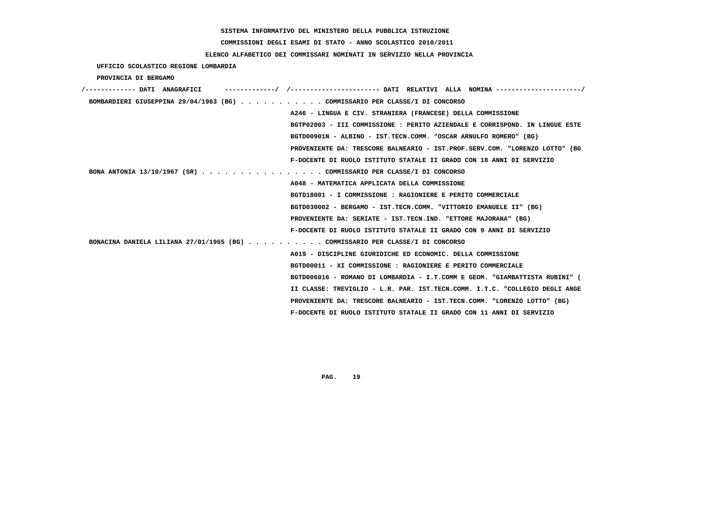**COMMISSIONI DEGLI ESAMI DI STATO - ANNO SCOLASTICO 2010/2011**

 **ELENCO ALFABETICO DEI COMMISSARI NOMINATI IN SERVIZIO NELLA PROVINCIA**

 **UFFICIO SCOLASTICO REGIONE LOMBARDIA**

 **PROVINCIA DI BERGAMO**

| /------------- DATI ANAGRAFICI                                                | -----------/ /---------------------- DATI RELATIVI ALLA NOMINA ---------------------/ |
|-------------------------------------------------------------------------------|---------------------------------------------------------------------------------------|
| BOMBARDIERI GIUSEPPINA 29/04/1963 (BG) COMMISSARIO PER CLASSE/I DI CONCORSO   |                                                                                       |
|                                                                               | A246 - LINGUA E CIV. STRANIERA (FRANCESE) DELLA COMMISSIONE                           |
|                                                                               | BGTP02003 - III COMMISSIONE : PERITO AZIENDALE E CORRISPOND. IN LINGUE ESTE           |
|                                                                               | BGTD00901N - ALBINO - IST.TECN.COMM. "OSCAR ARNULFO ROMERO" (BG)                      |
|                                                                               | PROVENIENTE DA: TRESCORE BALNEARIO - IST.PROF.SERV.COM. "LORENZO LOTTO" (BG           |
|                                                                               | F-DOCENTE DI RUOLO ISTITUTO STATALE II GRADO CON 18 ANNI DI SERVIZIO                  |
| BONA ANTONIA 13/10/1967 (SR) COMMISSARIO PER CLASSE/I DI CONCORSO             |                                                                                       |
|                                                                               | A048 - MATEMATICA APPLICATA DELLA COMMISSIONE                                         |
|                                                                               | BGTD18001 - I COMMISSIONE : RAGIONIERE E PERITO COMMERCIALE                           |
|                                                                               | BGTD030002 - BERGAMO - IST.TECN.COMM. "VITTORIO EMANUELE II" (BG)                     |
|                                                                               | PROVENIENTE DA: SERIATE - IST.TECN.IND. "ETTORE MAJORANA" (BG)                        |
|                                                                               | F-DOCENTE DI RUOLO ISTITUTO STATALE II GRADO CON 9 ANNI DI SERVIZIO                   |
| BONACINA DANIELA LILIANA 27/01/1965 (BG) COMMISSARIO PER CLASSE/I DI CONCORSO |                                                                                       |
|                                                                               | A019 - DISCIPLINE GIURIDICHE ED ECONOMIC. DELLA COMMISSIONE                           |
|                                                                               | BGTD00011 - XI COMMISSIONE : RAGIONIERE E PERITO COMMERCIALE                          |
|                                                                               | BGTD006016 - ROMANO DI LOMBARDIA - I.T.COMM E GEOM. "GIAMBATTISTA RUBINI" (           |
|                                                                               | II CLASSE: TREVIGLIO - L.R. PAR. IST.TECN.COMM. I.T.C. "COLLEGIO DEGLI ANGE           |
|                                                                               | PROVENIENTE DA: TRESCORE BALNEARIO - IST.TECN.COMM. "LORENZO LOTTO" (BG)              |
|                                                                               | F-DOCENTE DI RUOLO ISTITUTO STATALE II GRADO CON 11 ANNI DI SERVIZIO                  |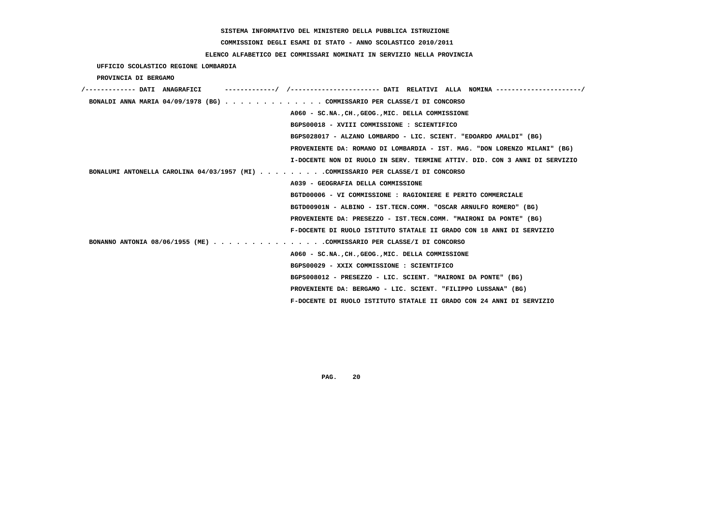# **COMMISSIONI DEGLI ESAMI DI STATO - ANNO SCOLASTICO 2010/2011**

## **ELENCO ALFABETICO DEI COMMISSARI NOMINATI IN SERVIZIO NELLA PROVINCIA**

 **UFFICIO SCOLASTICO REGIONE LOMBARDIA**

 **PROVINCIA DI BERGAMO**

| /------------- DATI ANAGRAFICI |  |  |                                                                                  |  |
|--------------------------------|--|--|----------------------------------------------------------------------------------|--|
|                                |  |  | BONALDI ANNA MARIA 04/09/1978 (BG) COMMISSARIO PER CLASSE/I DI CONCORSO          |  |
|                                |  |  | A060 - SC.NA., CH., GEOG., MIC. DELLA COMMISSIONE                                |  |
|                                |  |  | BGPS00018 - XVIII COMMISSIONE : SCIENTIFICO                                      |  |
|                                |  |  | BGPS028017 - ALZANO LOMBARDO - LIC. SCIENT. "EDOARDO AMALDI" (BG)                |  |
|                                |  |  | PROVENIENTE DA: ROMANO DI LOMBARDIA - IST. MAG. "DON LORENZO MILANI" (BG)        |  |
|                                |  |  | I-DOCENTE NON DI RUOLO IN SERV. TERMINE ATTIV. DID. CON 3 ANNI DI SERVIZIO       |  |
|                                |  |  | BONALUMI ANTONELLA CAROLINA 04/03/1957 (MI) COMMISSARIO PER CLASSE/I DI CONCORSO |  |
|                                |  |  | A039 - GEOGRAFIA DELLA COMMISSIONE                                               |  |
|                                |  |  | BGTD00006 - VI COMMISSIONE : RAGIONIERE E PERITO COMMERCIALE                     |  |
|                                |  |  | BGTD00901N - ALBINO - IST.TECN.COMM. "OSCAR ARNULFO ROMERO" (BG)                 |  |
|                                |  |  | PROVENIENTE DA: PRESEZZO - IST.TECN.COMM. "MAIRONI DA PONTE" (BG)                |  |
|                                |  |  | F-DOCENTE DI RUOLO ISTITUTO STATALE II GRADO CON 18 ANNI DI SERVIZIO             |  |
|                                |  |  | BONANNO ANTONIA 08/06/1955 (ME) COMMISSARIO PER CLASSE/I DI CONCORSO             |  |
|                                |  |  | A060 - SC.NA., CH., GEOG., MIC. DELLA COMMISSIONE                                |  |
|                                |  |  | BGPS00029 - XXIX COMMISSIONE : SCIENTIFICO                                       |  |
|                                |  |  | BGPS008012 - PRESEZZO - LIC. SCIENT. "MAIRONI DA PONTE" (BG)                     |  |
|                                |  |  | PROVENIENTE DA: BERGAMO - LIC. SCIENT. "FILIPPO LUSSANA" (BG)                    |  |
|                                |  |  | F-DOCENTE DI RUOLO ISTITUTO STATALE II GRADO CON 24 ANNI DI SERVIZIO             |  |
|                                |  |  |                                                                                  |  |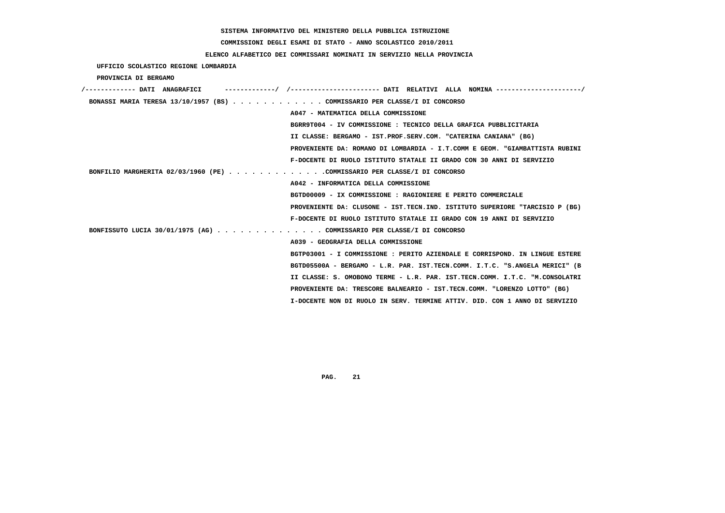# **COMMISSIONI DEGLI ESAMI DI STATO - ANNO SCOLASTICO 2010/2011**

### **ELENCO ALFABETICO DEI COMMISSARI NOMINATI IN SERVIZIO NELLA PROVINCIA**

 **UFFICIO SCOLASTICO REGIONE LOMBARDIA**

 **PROVINCIA DI BERGAMO**

| /------------- DATI ANAGRAFICI<br>-----------/ /---------------------- DATI RELATIVI ALLA NOMINA ---------------------/ |
|-------------------------------------------------------------------------------------------------------------------------|
| BONASSI MARIA TERESA 13/10/1957 (BS) COMMISSARIO PER CLASSE/I DI CONCORSO                                               |
| A047 - MATEMATICA DELLA COMMISSIONE                                                                                     |
| BGRR9T004 - IV COMMISSIONE : TECNICO DELLA GRAFICA PUBBLICITARIA                                                        |
| II CLASSE: BERGAMO - IST.PROF.SERV.COM. "CATERINA CANIANA" (BG)                                                         |
| PROVENIENTE DA: ROMANO DI LOMBARDIA - I.T.COMM E GEOM. "GIAMBATTISTA RUBINI                                             |
| F-DOCENTE DI RUOLO ISTITUTO STATALE II GRADO CON 30 ANNI DI SERVIZIO                                                    |
| BONFILIO MARGHERITA 02/03/1960 (PE) COMMISSARIO PER CLASSE/I DI CONCORSO                                                |
| A042 - INFORMATICA DELLA COMMISSIONE                                                                                    |
| BGTD00009 - IX COMMISSIONE : RAGIONIERE E PERITO COMMERCIALE                                                            |
| PROVENIENTE DA: CLUSONE - IST.TECN.IND. ISTITUTO SUPERIORE "TARCISIO P (BG)                                             |
| F-DOCENTE DI RUOLO ISTITUTO STATALE II GRADO CON 19 ANNI DI SERVIZIO                                                    |
| BONFISSUTO LUCIA 30/01/1975 (AG) COMMISSARIO PER CLASSE/I DI CONCORSO                                                   |
| A039 - GEOGRAFIA DELLA COMMISSIONE                                                                                      |
| BGTP03001 - I COMMISSIONE : PERITO AZIENDALE E CORRISPOND. IN LINGUE ESTERE                                             |
| BGTD05500A - BERGAMO - L.R. PAR. IST.TECN.COMM. I.T.C. "S.ANGELA MERICI" (B                                             |
| II CLASSE: S. OMOBONO TERME - L.R. PAR. IST.TECN.COMM. I.T.C. "M.CONSOLATRI                                             |
| PROVENIENTE DA: TRESCORE BALNEARIO - IST.TECN.COMM. "LORENZO LOTTO" (BG)                                                |
| I-DOCENTE NON DI RUOLO IN SERV. TERMINE ATTIV. DID. CON 1 ANNO DI SERVIZIO                                              |
|                                                                                                                         |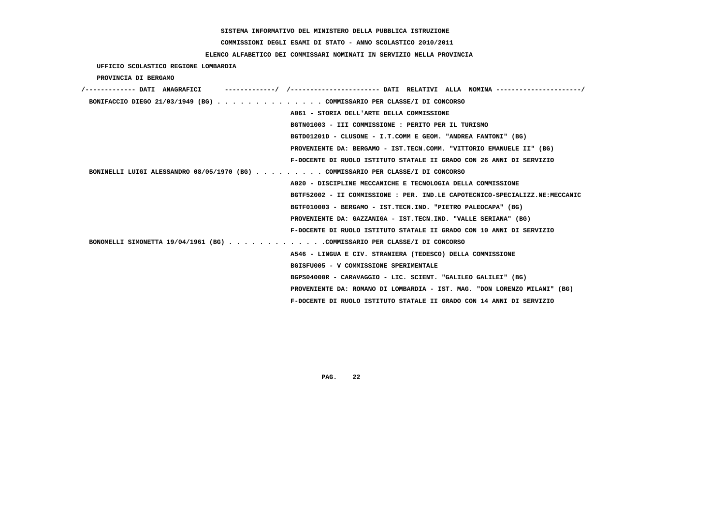# **COMMISSIONI DEGLI ESAMI DI STATO - ANNO SCOLASTICO 2010/2011**

## **ELENCO ALFABETICO DEI COMMISSARI NOMINATI IN SERVIZIO NELLA PROVINCIA**

 **UFFICIO SCOLASTICO REGIONE LOMBARDIA**

 **PROVINCIA DI BERGAMO**

| /------------- DATI ANAGRAFICI                                                  |                                                                             |
|---------------------------------------------------------------------------------|-----------------------------------------------------------------------------|
| BONIFACCIO DIEGO 21/03/1949 (BG) COMMISSARIO PER CLASSE/I DI CONCORSO           |                                                                             |
|                                                                                 | A061 - STORIA DELL'ARTE DELLA COMMISSIONE                                   |
|                                                                                 | BGTN01003 - III COMMISSIONE : PERITO PER IL TURISMO                         |
|                                                                                 | BGTD01201D - CLUSONE - I.T.COMM E GEOM. "ANDREA FANTONI" (BG)               |
|                                                                                 | PROVENIENTE DA: BERGAMO - IST.TECN.COMM. "VITTORIO EMANUELE II" (BG)        |
|                                                                                 | F-DOCENTE DI RUOLO ISTITUTO STATALE II GRADO CON 26 ANNI DI SERVIZIO        |
| BONINELLI LUIGI ALESSANDRO 08/05/1970 (BG) COMMISSARIO PER CLASSE/I DI CONCORSO |                                                                             |
|                                                                                 | A020 - DISCIPLINE MECCANICHE E TECNOLOGIA DELLA COMMISSIONE                 |
|                                                                                 | BGTF52002 - II COMMISSIONE : PER. IND.LE CAPOTECNICO-SPECIALIZZ.NE:MECCANIC |
|                                                                                 | BGTF010003 - BERGAMO - IST.TECN.IND. "PIETRO PALEOCAPA" (BG)                |
|                                                                                 | PROVENIENTE DA: GAZZANIGA - IST.TECN.IND. "VALLE SERIANA" (BG)              |
|                                                                                 | F-DOCENTE DI RUOLO ISTITUTO STATALE II GRADO CON 10 ANNI DI SERVIZIO        |
| BONOMELLI SIMONETTA 19/04/1961 (BG) COMMISSARIO PER CLASSE/I DI CONCORSO        |                                                                             |
|                                                                                 | A546 - LINGUA E CIV. STRANIERA (TEDESCO) DELLA COMMISSIONE                  |
|                                                                                 | BGISFU005 - V COMMISSIONE SPERIMENTALE                                      |
|                                                                                 | BGPS04000R - CARAVAGGIO - LIC. SCIENT. "GALILEO GALILEI" (BG)               |
|                                                                                 | PROVENIENTE DA: ROMANO DI LOMBARDIA - IST. MAG. "DON LORENZO MILANI" (BG)   |
|                                                                                 | F-DOCENTE DI RUOLO ISTITUTO STATALE II GRADO CON 14 ANNI DI SERVIZIO        |
|                                                                                 |                                                                             |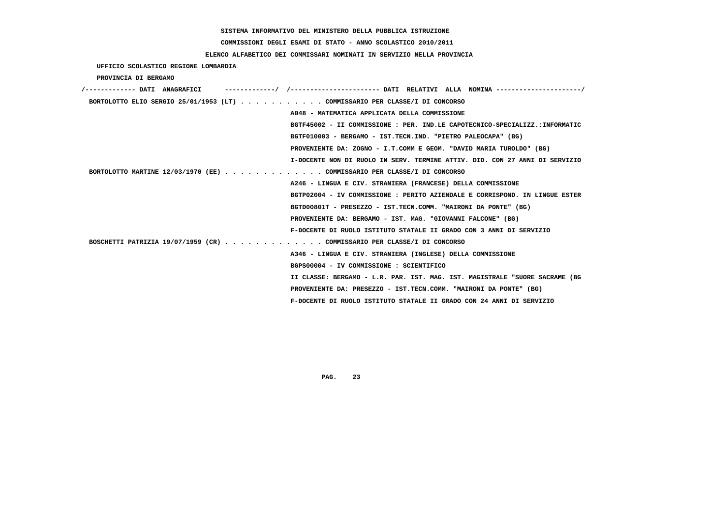# **COMMISSIONI DEGLI ESAMI DI STATO - ANNO SCOLASTICO 2010/2011**

## **ELENCO ALFABETICO DEI COMMISSARI NOMINATI IN SERVIZIO NELLA PROVINCIA**

 **UFFICIO SCOLASTICO REGIONE LOMBARDIA**

 **PROVINCIA DI BERGAMO**

| /------------- DATI ANAGRAFICI |  |                                                                             |  |
|--------------------------------|--|-----------------------------------------------------------------------------|--|
|                                |  | BORTOLOTTO ELIO SERGIO 25/01/1953 (LT) COMMISSARIO PER CLASSE/I DI CONCORSO |  |
|                                |  | A048 - MATEMATICA APPLICATA DELLA COMMISSIONE                               |  |
|                                |  | BGTF45002 - II COMMISSIONE : PER. IND.LE CAPOTECNICO-SPECIALIZZ.:INFORMATIC |  |
|                                |  | BGTF010003 - BERGAMO - IST.TECN.IND. "PIETRO PALEOCAPA" (BG)                |  |
|                                |  | PROVENIENTE DA: ZOGNO - I.T.COMM E GEOM. "DAVID MARIA TUROLDO" (BG)         |  |
|                                |  | I-DOCENTE NON DI RUOLO IN SERV. TERMINE ATTIV. DID. CON 27 ANNI DI SERVIZIO |  |
|                                |  | BORTOLOTTO MARTINE 12/03/1970 (EE) COMMISSARIO PER CLASSE/I DI CONCORSO     |  |
|                                |  | A246 - LINGUA E CIV. STRANIERA (FRANCESE) DELLA COMMISSIONE                 |  |
|                                |  | BGTP02004 - IV COMMISSIONE : PERITO AZIENDALE E CORRISPOND. IN LINGUE ESTER |  |
|                                |  | BGTD00801T - PRESEZZO - IST.TECN.COMM. "MAIRONI DA PONTE" (BG)              |  |
|                                |  | PROVENIENTE DA: BERGAMO - IST. MAG. "GIOVANNI FALCONE" (BG)                 |  |
|                                |  | F-DOCENTE DI RUOLO ISTITUTO STATALE II GRADO CON 3 ANNI DI SERVIZIO         |  |
|                                |  | BOSCHETTI PATRIZIA 19/07/1959 (CR) COMMISSARIO PER CLASSE/I DI CONCORSO     |  |
|                                |  | A346 - LINGUA E CIV. STRANIERA (INGLESE) DELLA COMMISSIONE                  |  |
|                                |  | BGPS00004 - IV COMMISSIONE : SCIENTIFICO                                    |  |
|                                |  | II CLASSE: BERGAMO - L.R. PAR. IST. MAG. IST. MAGISTRALE "SUORE SACRAME (BG |  |
|                                |  | PROVENIENTE DA: PRESEZZO - IST.TECN.COMM. "MAIRONI DA PONTE" (BG)           |  |
|                                |  | F-DOCENTE DI RUOLO ISTITUTO STATALE II GRADO CON 24 ANNI DI SERVIZIO        |  |
|                                |  |                                                                             |  |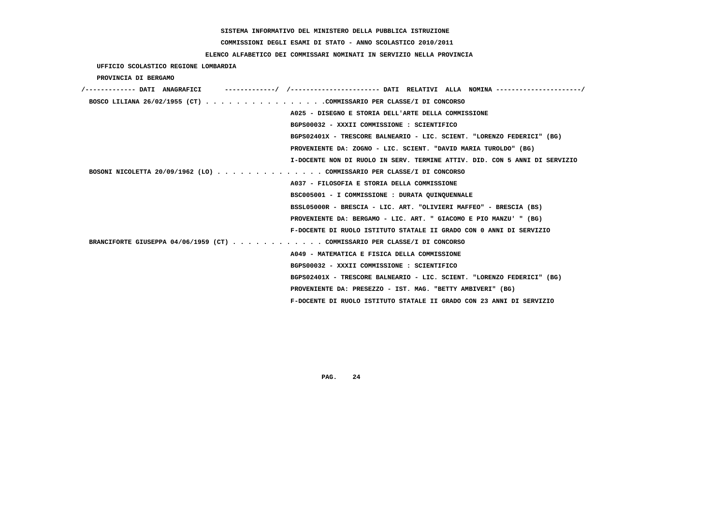# **COMMISSIONI DEGLI ESAMI DI STATO - ANNO SCOLASTICO 2010/2011**

## **ELENCO ALFABETICO DEI COMMISSARI NOMINATI IN SERVIZIO NELLA PROVINCIA**

 **UFFICIO SCOLASTICO REGIONE LOMBARDIA**

 **PROVINCIA DI BERGAMO**

| /------------- DATI ANAGRAFICI                                            |                                                                            |
|---------------------------------------------------------------------------|----------------------------------------------------------------------------|
| BOSCO LILIANA 26/02/1955 (CT) COMMISSARIO PER CLASSE/I DI CONCORSO        |                                                                            |
|                                                                           | A025 - DISEGNO E STORIA DELL'ARTE DELLA COMMISSIONE                        |
|                                                                           | BGPS00032 - XXXII COMMISSIONE : SCIENTIFICO                                |
|                                                                           | BGPS02401X - TRESCORE BALNEARIO - LIC. SCIENT. "LORENZO FEDERICI" (BG)     |
|                                                                           | PROVENIENTE DA: ZOGNO - LIC. SCIENT. "DAVID MARIA TUROLDO" (BG)            |
|                                                                           | I-DOCENTE NON DI RUOLO IN SERV. TERMINE ATTIV. DID. CON 5 ANNI DI SERVIZIO |
| BOSONI NICOLETTA 20/09/1962 (LO) COMMISSARIO PER CLASSE/I DI CONCORSO     |                                                                            |
|                                                                           | A037 - FILOSOFIA E STORIA DELLA COMMISSIONE                                |
|                                                                           | BSC005001 - I COMMISSIONE : DURATA QUINQUENNALE                            |
|                                                                           | BSSL05000R - BRESCIA - LIC. ART. "OLIVIERI MAFFEO" - BRESCIA (BS)          |
|                                                                           | PROVENIENTE DA: BERGAMO - LIC. ART. " GIACOMO E PIO MANZU' " (BG)          |
|                                                                           | F-DOCENTE DI RUOLO ISTITUTO STATALE II GRADO CON 0 ANNI DI SERVIZIO        |
| BRANCIFORTE GIUSEPPA 04/06/1959 (CT) COMMISSARIO PER CLASSE/I DI CONCORSO |                                                                            |
|                                                                           | A049 - MATEMATICA E FISICA DELLA COMMISSIONE                               |
|                                                                           | BGPS00032 - XXXII COMMISSIONE : SCIENTIFICO                                |
|                                                                           | BGPS02401X - TRESCORE BALNEARIO - LIC. SCIENT. "LORENZO FEDERICI" (BG)     |
|                                                                           | PROVENIENTE DA: PRESEZZO - IST. MAG. "BETTY AMBIVERI" (BG)                 |
|                                                                           | F-DOCENTE DI RUOLO ISTITUTO STATALE II GRADO CON 23 ANNI DI SERVIZIO       |
|                                                                           |                                                                            |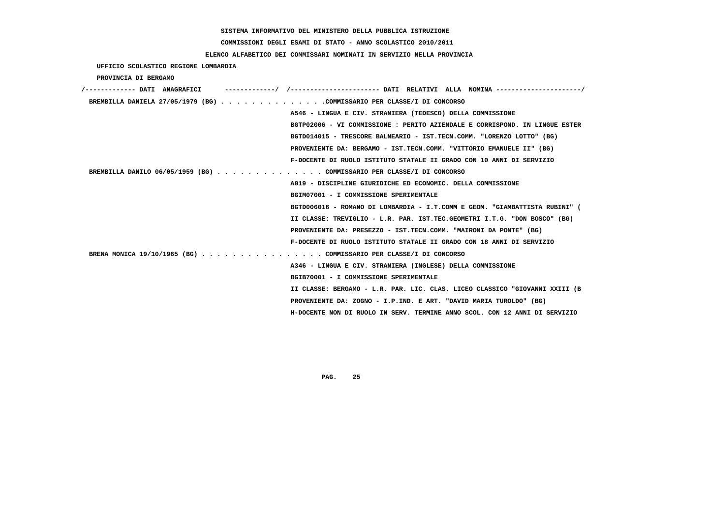**COMMISSIONI DEGLI ESAMI DI STATO - ANNO SCOLASTICO 2010/2011**

## **ELENCO ALFABETICO DEI COMMISSARI NOMINATI IN SERVIZIO NELLA PROVINCIA**

 **UFFICIO SCOLASTICO REGIONE LOMBARDIA**

 **PROVINCIA DI BERGAMO**

| /------------- DATI ANAGRAFICI                                         | ./ /---------------------- DATI RELATIVI ALLA NOMINA ----------------------/ |
|------------------------------------------------------------------------|------------------------------------------------------------------------------|
| BREMBILLA DANIELA 27/05/1979 (BG) COMMISSARIO PER CLASSE/I DI CONCORSO |                                                                              |
|                                                                        | A546 - LINGUA E CIV. STRANIERA (TEDESCO) DELLA COMMISSIONE                   |
|                                                                        | BGTP02006 - VI COMMISSIONE : PERITO AZIENDALE E CORRISPOND. IN LINGUE ESTER  |
|                                                                        | BGTD014015 - TRESCORE BALNEARIO - IST.TECN.COMM. "LORENZO LOTTO" (BG)        |
|                                                                        | PROVENIENTE DA: BERGAMO - IST.TECN.COMM. "VITTORIO EMANUELE II" (BG)         |
|                                                                        | F-DOCENTE DI RUOLO ISTITUTO STATALE II GRADO CON 10 ANNI DI SERVIZIO         |
| BREMBILLA DANILO 06/05/1959 (BG) COMMISSARIO PER CLASSE/I DI CONCORSO  |                                                                              |
|                                                                        | A019 - DISCIPLINE GIURIDICHE ED ECONOMIC. DELLA COMMISSIONE                  |
|                                                                        | BGIM07001 - I COMMISSIONE SPERIMENTALE                                       |
|                                                                        | BGTD006016 - ROMANO DI LOMBARDIA - I.T.COMM E GEOM. "GIAMBATTISTA RUBINI" (  |
|                                                                        | II CLASSE: TREVIGLIO - L.R. PAR. IST.TEC.GEOMETRI I.T.G. "DON BOSCO" (BG)    |
|                                                                        | PROVENIENTE DA: PRESEZZO - IST.TECN.COMM. "MAIRONI DA PONTE" (BG)            |
|                                                                        | F-DOCENTE DI RUOLO ISTITUTO STATALE II GRADO CON 18 ANNI DI SERVIZIO         |
| BRENA MONICA 19/10/1965 (BG) COMMISSARIO PER CLASSE/I DI CONCORSO      |                                                                              |
|                                                                        | A346 - LINGUA E CIV. STRANIERA (INGLESE) DELLA COMMISSIONE                   |
|                                                                        | BGIB70001 - I COMMISSIONE SPERIMENTALE                                       |
|                                                                        | II CLASSE: BERGAMO - L.R. PAR. LIC. CLAS. LICEO CLASSICO "GIOVANNI XXIII (B  |
|                                                                        | PROVENIENTE DA: ZOGNO - I.P.IND. E ART. "DAVID MARIA TUROLDO" (BG)           |
|                                                                        | H-DOCENTE NON DI RUOLO IN SERV. TERMINE ANNO SCOL. CON 12 ANNI DI SERVIZIO   |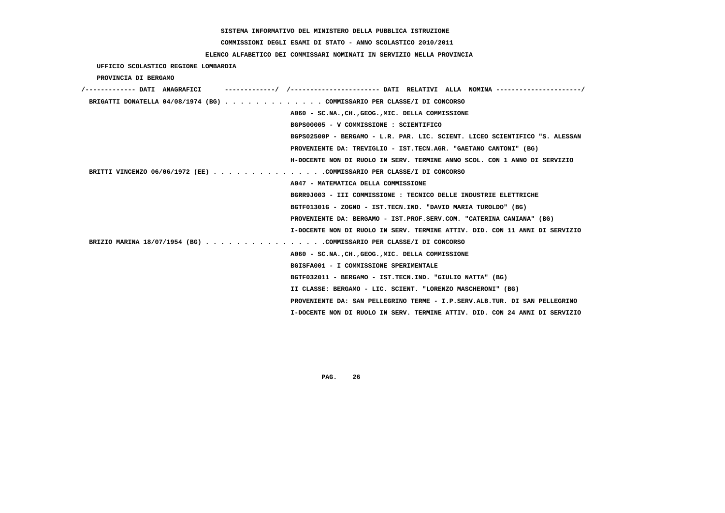# **COMMISSIONI DEGLI ESAMI DI STATO - ANNO SCOLASTICO 2010/2011**

## **ELENCO ALFABETICO DEI COMMISSARI NOMINATI IN SERVIZIO NELLA PROVINCIA**

 **UFFICIO SCOLASTICO REGIONE LOMBARDIA**

 **PROVINCIA DI BERGAMO**

| BRIGATTI DONATELLA 04/08/1974 (BG) COMMISSARIO PER CLASSE/I DI CONCORSO     |  |
|-----------------------------------------------------------------------------|--|
|                                                                             |  |
| A060 - SC.NA., CH., GEOG., MIC. DELLA COMMISSIONE                           |  |
| BGPS00005 - V COMMISSIONE : SCIENTIFICO                                     |  |
| BGPS02500P - BERGAMO - L.R. PAR. LIC. SCIENT. LICEO SCIENTIFICO "S. ALESSAN |  |
| PROVENIENTE DA: TREVIGLIO - IST.TECN.AGR. "GAETANO CANTONI" (BG)            |  |
| H-DOCENTE NON DI RUOLO IN SERV. TERMINE ANNO SCOL. CON 1 ANNO DI SERVIZIO   |  |
| BRITTI VINCENZO 06/06/1972 (EE) COMMISSARIO PER CLASSE/I DI CONCORSO        |  |
| A047 - MATEMATICA DELLA COMMISSIONE                                         |  |
| BGRR9J003 - III COMMISSIONE : TECNICO DELLE INDUSTRIE ELETTRICHE            |  |
| BGTF01301G - ZOGNO - IST.TECN.IND. "DAVID MARIA TUROLDO" (BG)               |  |
| PROVENIENTE DA: BERGAMO - IST.PROF.SERV.COM. "CATERINA CANIANA" (BG)        |  |
| I-DOCENTE NON DI RUOLO IN SERV. TERMINE ATTIV. DID. CON 11 ANNI DI SERVIZIO |  |
| BRIZIO MARINA 18/07/1954 (BG) COMMISSARIO PER CLASSE/I DI CONCORSO          |  |
| A060 - SC.NA., CH., GEOG., MIC. DELLA COMMISSIONE                           |  |
| BGISFA001 - I COMMISSIONE SPERIMENTALE                                      |  |
| BGTF032011 - BERGAMO - IST.TECN.IND. "GIULIO NATTA" (BG)                    |  |
| II CLASSE: BERGAMO - LIC. SCIENT. "LORENZO MASCHERONI" (BG)                 |  |
| PROVENIENTE DA: SAN PELLEGRINO TERME - I.P.SERV.ALB.TUR. DI SAN PELLEGRINO  |  |
| I-DOCENTE NON DI RUOLO IN SERV. TERMINE ATTIV. DID. CON 24 ANNI DI SERVIZIO |  |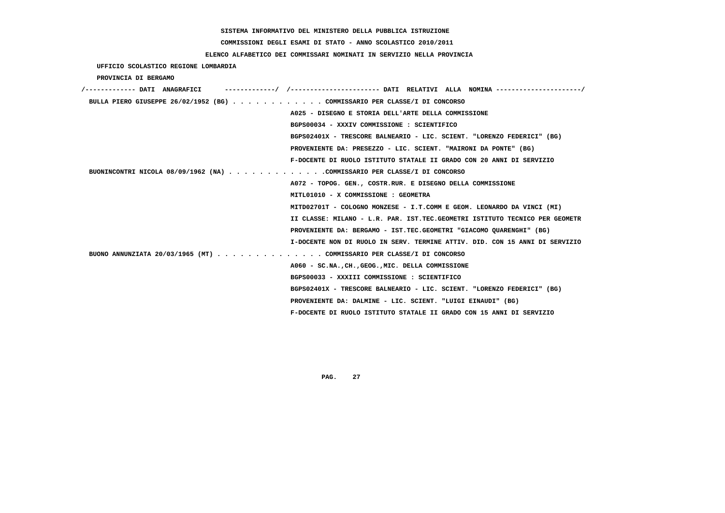**COMMISSIONI DEGLI ESAMI DI STATO - ANNO SCOLASTICO 2010/2011**

## **ELENCO ALFABETICO DEI COMMISSARI NOMINATI IN SERVIZIO NELLA PROVINCIA**

 **UFFICIO SCOLASTICO REGIONE LOMBARDIA**

 **PROVINCIA DI BERGAMO**

| /------------- DATI ANAGRAFICI                                            |                                                                             |
|---------------------------------------------------------------------------|-----------------------------------------------------------------------------|
| BULLA PIERO GIUSEPPE 26/02/1952 (BG) COMMISSARIO PER CLASSE/I DI CONCORSO |                                                                             |
|                                                                           | A025 - DISEGNO E STORIA DELL'ARTE DELLA COMMISSIONE                         |
| BGPS00034 - XXXIV COMMISSIONE : SCIENTIFICO                               |                                                                             |
|                                                                           | BGPS02401X - TRESCORE BALNEARIO - LIC. SCIENT. "LORENZO FEDERICI" (BG)      |
|                                                                           | PROVENIENTE DA: PRESEZZO - LIC. SCIENT. "MAIRONI DA PONTE" (BG)             |
|                                                                           | F-DOCENTE DI RUOLO ISTITUTO STATALE II GRADO CON 20 ANNI DI SERVIZIO        |
| BUONINCONTRI NICOLA 08/09/1962 (NA) COMMISSARIO PER CLASSE/I DI CONCORSO  |                                                                             |
|                                                                           | A072 - TOPOG. GEN., COSTR.RUR. E DISEGNO DELLA COMMISSIONE                  |
| MITL01010 - X COMMISSIONE : GEOMETRA                                      |                                                                             |
|                                                                           | MITD02701T - COLOGNO MONZESE - I.T.COMM E GEOM. LEONARDO DA VINCI (MI)      |
|                                                                           | II CLASSE: MILANO - L.R. PAR. IST.TEC.GEOMETRI ISTITUTO TECNICO PER GEOMETR |
|                                                                           | PROVENIENTE DA: BERGAMO - IST.TEC.GEOMETRI "GIACOMO OUARENGHI" (BG)         |
|                                                                           | I-DOCENTE NON DI RUOLO IN SERV. TERMINE ATTIV. DID. CON 15 ANNI DI SERVIZIO |
| BUONO ANNUNZIATA 20/03/1965 (MT) COMMISSARIO PER CLASSE/I DI CONCORSO     |                                                                             |
| A060 - SC.NA., CH., GEOG., MIC. DELLA COMMISSIONE                         |                                                                             |
| BGPS00033 - XXXIII COMMISSIONE : SCIENTIFICO                              |                                                                             |
|                                                                           | BGPS02401X - TRESCORE BALNEARIO - LIC. SCIENT. "LORENZO FEDERICI" (BG)      |
|                                                                           | PROVENIENTE DA: DALMINE - LIC. SCIENT. "LUIGI EINAUDI" (BG)                 |
|                                                                           | F-DOCENTE DI RUOLO ISTITUTO STATALE II GRADO CON 15 ANNI DI SERVIZIO        |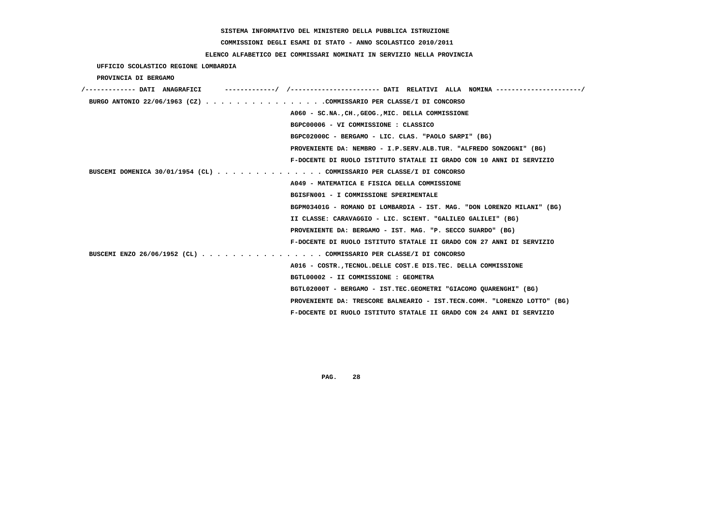# **COMMISSIONI DEGLI ESAMI DI STATO - ANNO SCOLASTICO 2010/2011**

## **ELENCO ALFABETICO DEI COMMISSARI NOMINATI IN SERVIZIO NELLA PROVINCIA**

 **UFFICIO SCOLASTICO REGIONE LOMBARDIA**

 **PROVINCIA DI BERGAMO**

| /------------- DATI ANAGRAFICI                                        |                                                                          |
|-----------------------------------------------------------------------|--------------------------------------------------------------------------|
| BURGO ANTONIO 22/06/1963 (CZ) COMMISSARIO PER CLASSE/I DI CONCORSO    |                                                                          |
|                                                                       | A060 - SC.NA., CH., GEOG., MIC. DELLA COMMISSIONE                        |
|                                                                       | BGPC00006 - VI COMMISSIONE : CLASSICO                                    |
|                                                                       | BGPC02000C - BERGAMO - LIC. CLAS. "PAOLO SARPI" (BG)                     |
|                                                                       | PROVENIENTE DA: NEMBRO - I.P.SERV.ALB.TUR. "ALFREDO SONZOGNI" (BG)       |
|                                                                       | F-DOCENTE DI RUOLO ISTITUTO STATALE II GRADO CON 10 ANNI DI SERVIZIO     |
| BUSCEMI DOMENICA 30/01/1954 (CL) COMMISSARIO PER CLASSE/I DI CONCORSO |                                                                          |
|                                                                       | A049 - MATEMATICA E FISICA DELLA COMMISSIONE                             |
|                                                                       | BGISFN001 - I COMMISSIONE SPERIMENTALE                                   |
|                                                                       | BGPM03401G - ROMANO DI LOMBARDIA - IST. MAG. "DON LORENZO MILANI" (BG)   |
|                                                                       | II CLASSE: CARAVAGGIO - LIC. SCIENT. "GALILEO GALILEI" (BG)              |
|                                                                       | PROVENIENTE DA: BERGAMO - IST. MAG. "P. SECCO SUARDO" (BG)               |
|                                                                       | F-DOCENTE DI RUOLO ISTITUTO STATALE II GRADO CON 27 ANNI DI SERVIZIO     |
| BUSCEMI ENZO 26/06/1952 (CL) COMMISSARIO PER CLASSE/I DI CONCORSO     |                                                                          |
|                                                                       | A016 - COSTR., TECNOL. DELLE COST. E DIS. TEC. DELLA COMMISSIONE         |
|                                                                       | BGTL00002 - II COMMISSIONE : GEOMETRA                                    |
|                                                                       | BGTL02000T - BERGAMO - IST.TEC.GEOMETRI "GIACOMO QUARENGHI" (BG)         |
|                                                                       | PROVENIENTE DA: TRESCORE BALNEARIO - IST.TECN.COMM. "LORENZO LOTTO" (BG) |
|                                                                       | F-DOCENTE DI RUOLO ISTITUTO STATALE II GRADO CON 24 ANNI DI SERVIZIO     |
|                                                                       |                                                                          |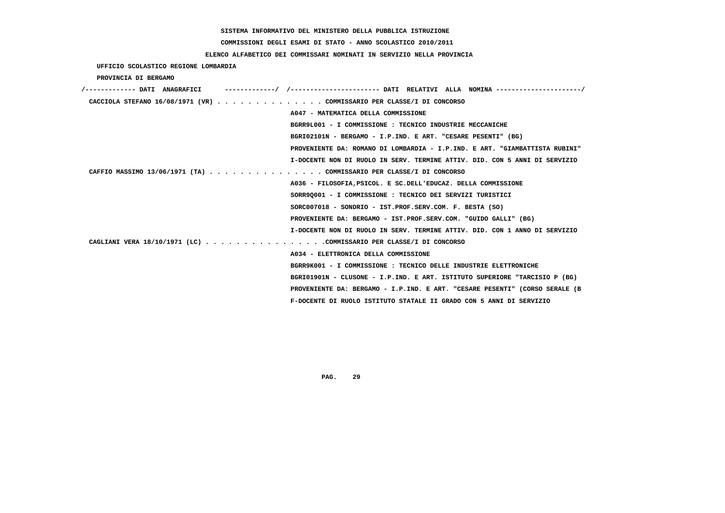# **COMMISSIONI DEGLI ESAMI DI STATO - ANNO SCOLASTICO 2010/2011**

## **ELENCO ALFABETICO DEI COMMISSARI NOMINATI IN SERVIZIO NELLA PROVINCIA**

 **UFFICIO SCOLASTICO REGIONE LOMBARDIA**

 **PROVINCIA DI BERGAMO**

| /------------- DATI ANAGRAFICI | ---------/ /---------------------- DATI RELATIVI ALLA NOMINA --------------------/ |
|--------------------------------|------------------------------------------------------------------------------------|
|                                | CACCIOLA STEFANO $16/08/1971$ (VR) COMMISSARIO PER CLASSE/I DI CONCORSO            |
|                                | A047 - MATEMATICA DELLA COMMISSIONE                                                |
|                                | BGRR9L001 - I COMMISSIONE: TECNICO INDUSTRIE MECCANICHE                            |
|                                | BGRI02101N - BERGAMO - I.P.IND. E ART. "CESARE PESENTI" (BG)                       |
|                                | PROVENIENTE DA: ROMANO DI LOMBARDIA - I.P.IND. E ART. "GIAMBATTISTA RUBINI"        |
|                                | I-DOCENTE NON DI RUOLO IN SERV. TERMINE ATTIV. DID. CON 5 ANNI DI SERVIZIO         |
|                                | CAFFIO MASSIMO 13/06/1971 (TA) COMMISSARIO PER CLASSE/I DI CONCORSO                |
|                                | A036 - FILOSOFIA, PSICOL. E SC. DELL'EDUCAZ. DELLA COMMISSIONE                     |
|                                | SORR90001 - I COMMISSIONE : TECNICO DEI SERVIZI TURISTICI                          |
|                                | $SORC007018$ - $SONDRIO$ - $IST.PROF.SERV.COM. F. BESTA (SO)$                      |
|                                | PROVENIENTE DA: BERGAMO - IST.PROF.SERV.COM. "GUIDO GALLI" (BG)                    |
|                                | I-DOCENTE NON DI RUOLO IN SERV. TERMINE ATTIV. DID. CON 1 ANNO DI SERVIZIO         |
|                                | CAGLIANI VERA 18/10/1971 (LC) COMMISSARIO PER CLASSE/I DI CONCORSO                 |
|                                | A034 - ELETTRONICA DELLA COMMISSIONE                                               |
|                                | BGRR9K001 - I COMMISSIONE : TECNICO DELLE INDUSTRIE ELETTRONICHE                   |
|                                | BGRI01901N - CLUSONE - I.P.IND. E ART. ISTITUTO SUPERIORE "TARCISIO P (BG)         |
|                                | PROVENIENTE DA: BERGAMO - I.P.IND. E ART. "CESARE PESENTI" (CORSO SERALE (B        |
|                                | F-DOCENTE DI RUOLO ISTITUTO STATALE II GRADO CON 5 ANNI DI SERVIZIO                |
|                                |                                                                                    |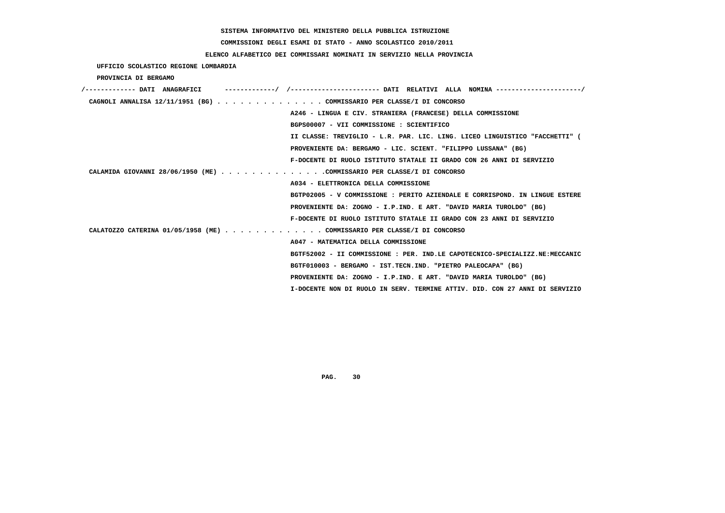# **COMMISSIONI DEGLI ESAMI DI STATO - ANNO SCOLASTICO 2010/2011**

## **ELENCO ALFABETICO DEI COMMISSARI NOMINATI IN SERVIZIO NELLA PROVINCIA**

 **UFFICIO SCOLASTICO REGIONE LOMBARDIA**

 **PROVINCIA DI BERGAMO**

| /------------- DATI ANAGRAFICI |                                                                             |
|--------------------------------|-----------------------------------------------------------------------------|
|                                | CAGNOLI ANNALISA 12/11/1951 (BG) COMMISSARIO PER CLASSE/I DI CONCORSO       |
|                                | A246 - LINGUA E CIV. STRANIERA (FRANCESE) DELLA COMMISSIONE                 |
|                                | BGPS00007 - VII COMMISSIONE : SCIENTIFICO                                   |
|                                | II CLASSE: TREVIGLIO - L.R. PAR. LIC. LING. LICEO LINGUISTICO "FACCHETTI" ( |
|                                | PROVENIENTE DA: BERGAMO - LIC. SCIENT. "FILIPPO LUSSANA" (BG)               |
|                                | F-DOCENTE DI RUOLO ISTITUTO STATALE II GRADO CON 26 ANNI DI SERVIZIO        |
|                                | CALAMIDA GIOVANNI 28/06/1950 (ME) COMMISSARIO PER CLASSE/I DI CONCORSO      |
|                                | A034 - ELETTRONICA DELLA COMMISSIONE                                        |
|                                | BGTP02005 - V COMMISSIONE: PERITO AZIENDALE E CORRISPOND. IN LINGUE ESTERE  |
|                                | PROVENIENTE DA: ZOGNO - I.P.IND. E ART. "DAVID MARIA TUROLDO" (BG)          |
|                                | F-DOCENTE DI RUOLO ISTITUTO STATALE II GRADO CON 23 ANNI DI SERVIZIO        |
|                                | CALATOZZO CATERINA 01/05/1958 (ME) COMMISSARIO PER CLASSE/I DI CONCORSO     |
|                                | A047 - MATEMATICA DELLA COMMISSIONE                                         |
|                                | BGTF52002 - II COMMISSIONE : PER. IND.LE CAPOTECNICO-SPECIALIZZ.NE:MECCANIC |
|                                | BGTF010003 - BERGAMO - IST.TECN.IND. "PIETRO PALEOCAPA" (BG)                |
|                                | PROVENIENTE DA: ZOGNO - I.P.IND. E ART. "DAVID MARIA TUROLDO" (BG)          |
|                                | I-DOCENTE NON DI RUOLO IN SERV. TERMINE ATTIV. DID. CON 27 ANNI DI SERVIZIO |
|                                |                                                                             |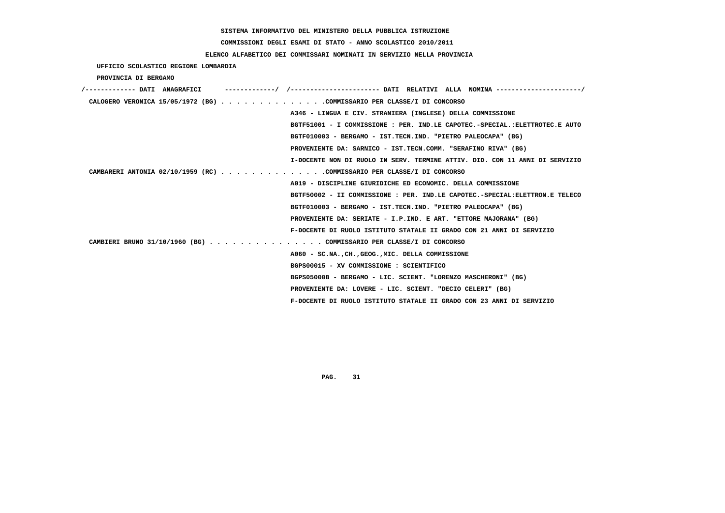# **COMMISSIONI DEGLI ESAMI DI STATO - ANNO SCOLASTICO 2010/2011**

## **ELENCO ALFABETICO DEI COMMISSARI NOMINATI IN SERVIZIO NELLA PROVINCIA**

 **UFFICIO SCOLASTICO REGIONE LOMBARDIA**

 **PROVINCIA DI BERGAMO**

| /------------- DATI ANAGRAFICI | -----------/ /--------------------- DATI RELATIVI ALLA NOMINA --------------------/ |
|--------------------------------|-------------------------------------------------------------------------------------|
|                                | CALOGERO VERONICA 15/05/1972 (BG) COMMISSARIO PER CLASSE/I DI CONCORSO              |
|                                | A346 - LINGUA E CIV. STRANIERA (INGLESE) DELLA COMMISSIONE                          |
|                                | BGTF51001 - I COMMISSIONE : PER. IND.LE CAPOTEC.-SPECIAL.:ELETTROTEC.E AUTO         |
|                                | BGTF010003 - BERGAMO - IST.TECN.IND. "PIETRO PALEOCAPA" (BG)                        |
|                                | PROVENIENTE DA: SARNICO - IST.TECN.COMM. "SERAFINO RIVA" (BG)                       |
|                                | I-DOCENTE NON DI RUOLO IN SERV. TERMINE ATTIV. DID. CON 11 ANNI DI SERVIZIO         |
|                                | CAMBARERI ANTONIA 02/10/1959 (RC) COMMISSARIO PER CLASSE/I DI CONCORSO              |
|                                | A019 - DISCIPLINE GIURIDICHE ED ECONOMIC. DELLA COMMISSIONE                         |
|                                | BGTF50002 - II COMMISSIONE : PER. IND.LE CAPOTEC.-SPECIAL:ELETTRON.E TELECO         |
|                                | BGTF010003 - BERGAMO - IST.TECN.IND. "PIETRO PALEOCAPA" (BG)                        |
|                                | PROVENIENTE DA: SERIATE - I.P.IND. E ART. "ETTORE MAJORANA" (BG)                    |
|                                | F-DOCENTE DI RUOLO ISTITUTO STATALE II GRADO CON 21 ANNI DI SERVIZIO                |
|                                | CAMBIERI BRUNO 31/10/1960 (BG) COMMISSARIO PER CLASSE/I DI CONCORSO                 |
|                                | A060 - SC.NA., CH., GEOG., MIC. DELLA COMMISSIONE                                   |
|                                | BGPS00015 - XV COMMISSIONE : SCIENTIFICO                                            |
|                                | BGPS05000B - BERGAMO - LIC. SCIENT. "LORENZO MASCHERONI" (BG)                       |
|                                | PROVENIENTE DA: LOVERE - LIC. SCIENT. "DECIO CELERI" (BG)                           |
|                                | F-DOCENTE DI RUOLO ISTITUTO STATALE II GRADO CON 23 ANNI DI SERVIZIO                |
|                                |                                                                                     |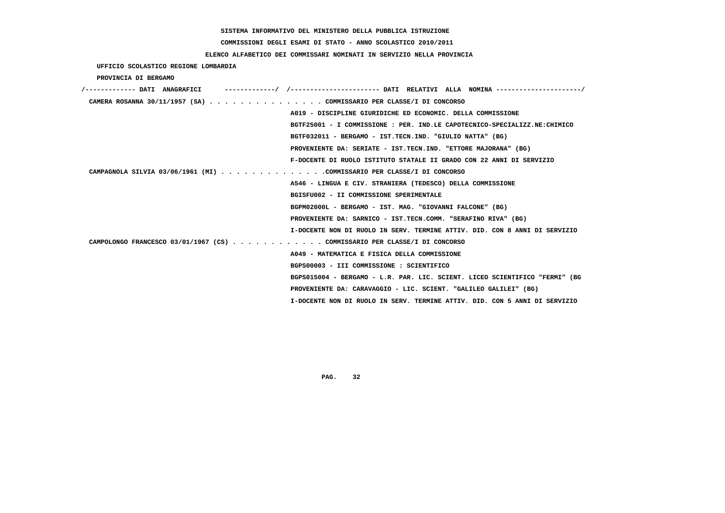**COMMISSIONI DEGLI ESAMI DI STATO - ANNO SCOLASTICO 2010/2011**

 **ELENCO ALFABETICO DEI COMMISSARI NOMINATI IN SERVIZIO NELLA PROVINCIA**

 **UFFICIO SCOLASTICO REGIONE LOMBARDIA**

 **PROVINCIA DI BERGAMO**

| /------------- DATI ANAGRAFICI                                            | ---------/ /---------------------- DATI RELATIVI ALLA NOMINA --------------------/ |
|---------------------------------------------------------------------------|------------------------------------------------------------------------------------|
| CAMERA ROSANNA 30/11/1957 (SA) COMMISSARIO PER CLASSE/I DI CONCORSO       |                                                                                    |
|                                                                           | A019 - DISCIPLINE GIURIDICHE ED ECONOMIC. DELLA COMMISSIONE                        |
|                                                                           | BGTF25001 - I COMMISSIONE : PER. IND.LE CAPOTECNICO-SPECIALIZZ.NE:CHIMICO          |
|                                                                           | BGTF032011 - BERGAMO - IST.TECN.IND. "GIULIO NATTA" (BG)                           |
|                                                                           | PROVENIENTE DA: SERIATE - IST.TECN.IND. "ETTORE MAJORANA" (BG)                     |
|                                                                           | F-DOCENTE DI RUOLO ISTITUTO STATALE II GRADO CON 22 ANNI DI SERVIZIO               |
| CAMPAGNOLA SILVIA 03/06/1961 (MI) COMMISSARIO PER CLASSE/I DI CONCORSO    |                                                                                    |
|                                                                           | A546 - LINGUA E CIV. STRANIERA (TEDESCO) DELLA COMMISSIONE                         |
|                                                                           | BGISFU002 - II COMMISSIONE SPERIMENTALE                                            |
|                                                                           | BGPM02000L - BERGAMO - IST. MAG. "GIOVANNI FALCONE" (BG)                           |
|                                                                           | PROVENIENTE DA: SARNICO - IST.TECN.COMM. "SERAFINO RIVA" (BG)                      |
|                                                                           | I-DOCENTE NON DI RUOLO IN SERV. TERMINE ATTIV. DID. CON 8 ANNI DI SERVIZIO         |
| CAMPOLONGO FRANCESCO 03/01/1967 (CS) COMMISSARIO PER CLASSE/I DI CONCORSO |                                                                                    |
|                                                                           | A049 - MATEMATICA E FISICA DELLA COMMISSIONE                                       |
|                                                                           | BGPS00003 - III COMMISSIONE : SCIENTIFICO                                          |
|                                                                           | BGPS015004 - BERGAMO - L.R. PAR. LIC. SCIENT. LICEO SCIENTIFICO "FERMI" (BG        |
|                                                                           | PROVENIENTE DA: CARAVAGGIO - LIC. SCIENT. "GALILEO GALILEI" (BG)                   |
|                                                                           | I-DOCENTE NON DI RUOLO IN SERV. TERMINE ATTIV. DID. CON 5 ANNI DI SERVIZIO         |
|                                                                           |                                                                                    |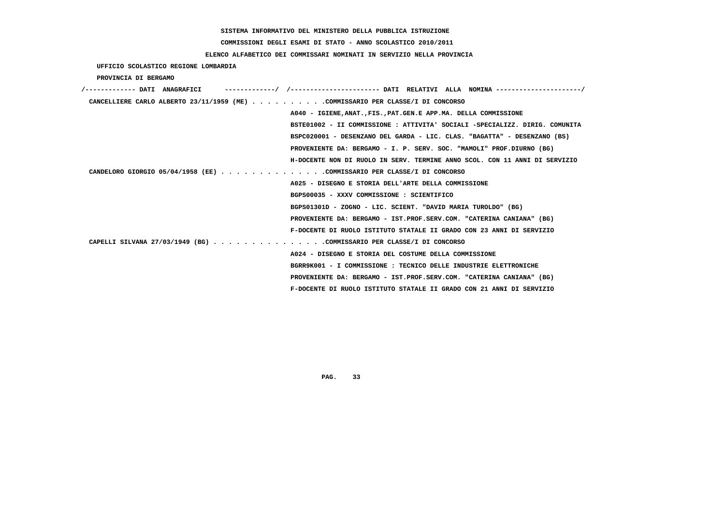# **COMMISSIONI DEGLI ESAMI DI STATO - ANNO SCOLASTICO 2010/2011**

## **ELENCO ALFABETICO DEI COMMISSARI NOMINATI IN SERVIZIO NELLA PROVINCIA**

 **UFFICIO SCOLASTICO REGIONE LOMBARDIA**

 **PROVINCIA DI BERGAMO**

| /------------- DATI ANAGRAFICI                                                 |
|--------------------------------------------------------------------------------|
| CANCELLIERE CARLO ALBERTO 23/11/1959 (ME) COMMISSARIO PER CLASSE/I DI CONCORSO |
| A040 - IGIENE, ANAT., FIS., PAT. GEN. E APP. MA. DELLA COMMISSIONE             |
| BSTE01002 - II COMMISSIONE : ATTIVITA' SOCIALI -SPECIALIZZ. DIRIG. COMUNITA    |
| BSPC020001 - DESENZANO DEL GARDA - LIC. CLAS. "BAGATTA" - DESENZANO (BS)       |
| PROVENIENTE DA: BERGAMO - I. P. SERV. SOC. "MAMOLI" PROF.DIURNO (BG)           |
| H-DOCENTE NON DI RUOLO IN SERV. TERMINE ANNO SCOL. CON 11 ANNI DI SERVIZIO     |
| CANDELORO GIORGIO 05/04/1958 (EE) COMMISSARIO PER CLASSE/I DI CONCORSO         |
| A025 - DISEGNO E STORIA DELL'ARTE DELLA COMMISSIONE                            |
| BGPS00035 - XXXV COMMISSIONE : SCIENTIFICO                                     |
| BGPS01301D - ZOGNO - LIC. SCIENT. "DAVID MARIA TUROLDO" (BG)                   |
| PROVENIENTE DA: BERGAMO - IST.PROF.SERV.COM. "CATERINA CANIANA" (BG)           |
| F-DOCENTE DI RUOLO ISTITUTO STATALE II GRADO CON 23 ANNI DI SERVIZIO           |
| CAPELLI SILVANA 27/03/1949 (BG) COMMISSARIO PER CLASSE/I DI CONCORSO           |
| A024 - DISEGNO E STORIA DEL COSTUME DELLA COMMISSIONE                          |
| BGRR9K001 - I COMMISSIONE : TECNICO DELLE INDUSTRIE ELETTRONICHE               |
| PROVENIENTE DA: BERGAMO - IST.PROF.SERV.COM. "CATERINA CANIANA" (BG)           |
| F-DOCENTE DI RUOLO ISTITUTO STATALE II GRADO CON 21 ANNI DI SERVIZIO           |
|                                                                                |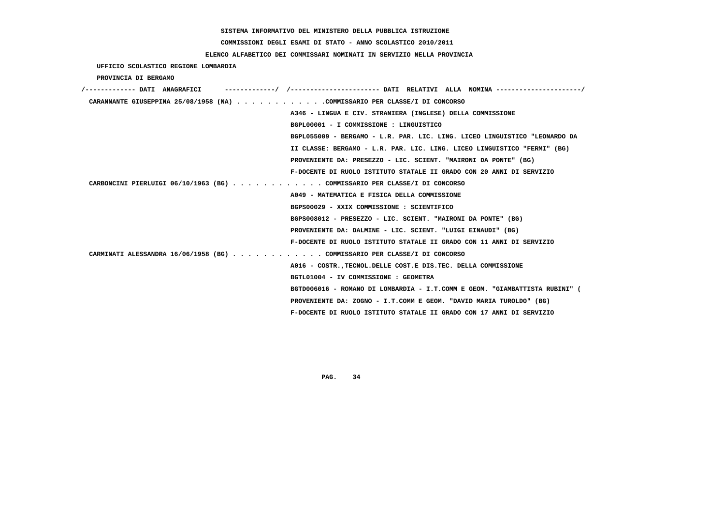# **COMMISSIONI DEGLI ESAMI DI STATO - ANNO SCOLASTICO 2010/2011**

## **ELENCO ALFABETICO DEI COMMISSARI NOMINATI IN SERVIZIO NELLA PROVINCIA**

 **UFFICIO SCOLASTICO REGIONE LOMBARDIA**

 **PROVINCIA DI BERGAMO**

| /------------- DATI ANAGRAFICI | ----------/ /---------------------- DATI RELATIVI ALLA NOMINA --------------------/ |
|--------------------------------|-------------------------------------------------------------------------------------|
|                                | CARANNANTE GIUSEPPINA 25/08/1958 (NA) COMMISSARIO PER CLASSE/I DI CONCORSO          |
|                                | A346 - LINGUA E CIV. STRANIERA (INGLESE) DELLA COMMISSIONE                          |
|                                | BGPL00001 - I COMMISSIONE : LINGUISTICO                                             |
|                                | BGPL055009 - BERGAMO - L.R. PAR. LIC. LING. LICEO LINGUISTICO "LEONARDO DA          |
|                                | II CLASSE: BERGAMO - L.R. PAR. LIC. LING. LICEO LINGUISTICO "FERMI" (BG)            |
|                                | PROVENIENTE DA: PRESEZZO - LIC. SCIENT. "MAIRONI DA PONTE" (BG)                     |
|                                | F-DOCENTE DI RUOLO ISTITUTO STATALE II GRADO CON 20 ANNI DI SERVIZIO                |
|                                | CARBONCINI PIERLUIGI 06/10/1963 (BG) COMMISSARIO PER CLASSE/I DI CONCORSO           |
|                                | A049 - MATEMATICA E FISICA DELLA COMMISSIONE                                        |
|                                | BGPS00029 - XXIX COMMISSIONE : SCIENTIFICO                                          |
|                                | BGPS008012 - PRESEZZO - LIC. SCIENT. "MAIRONI DA PONTE" (BG)                        |
|                                | PROVENIENTE DA: DALMINE - LIC. SCIENT. "LUIGI EINAUDI" (BG)                         |
|                                | F-DOCENTE DI RUOLO ISTITUTO STATALE II GRADO CON 11 ANNI DI SERVIZIO                |
|                                | CARMINATI ALESSANDRA 16/06/1958 (BG) COMMISSARIO PER CLASSE/I DI CONCORSO           |
|                                | A016 - COSTR., TECNOL. DELLE COST. E DIS. TEC. DELLA COMMISSIONE                    |
|                                | BGTL01004 - IV COMMISSIONE : GEOMETRA                                               |
|                                | BGTD006016 - ROMANO DI LOMBARDIA - I.T.COMM E GEOM. "GIAMBATTISTA RUBINI" (         |
|                                | PROVENIENTE DA: ZOGNO - I.T.COMM E GEOM. "DAVID MARIA TUROLDO" (BG)                 |
|                                | F-DOCENTE DI RUOLO ISTITUTO STATALE II GRADO CON 17 ANNI DI SERVIZIO                |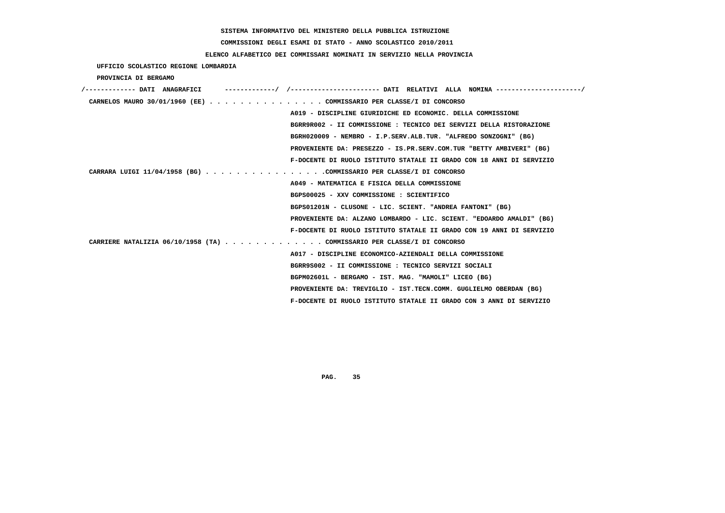**COMMISSIONI DEGLI ESAMI DI STATO - ANNO SCOLASTICO 2010/2011**

### **ELENCO ALFABETICO DEI COMMISSARI NOMINATI IN SERVIZIO NELLA PROVINCIA**

 **UFFICIO SCOLASTICO REGIONE LOMBARDIA**

 **PROVINCIA DI BERGAMO**

| /------------- DATI ANAGRAFICI |                                                                         |  |
|--------------------------------|-------------------------------------------------------------------------|--|
|                                | CARNELOS MAURO 30/01/1960 (EE) COMMISSARIO PER CLASSE/I DI CONCORSO     |  |
|                                | A019 - DISCIPLINE GIURIDICHE ED ECONOMIC. DELLA COMMISSIONE             |  |
|                                | BGRR9R002 - II COMMISSIONE : TECNICO DEI SERVIZI DELLA RISTORAZIONE     |  |
|                                | BGRH020009 - NEMBRO - I.P.SERV.ALB.TUR. "ALFREDO SONZOGNI" (BG)         |  |
|                                | PROVENIENTE DA: PRESEZZO - IS.PR.SERV.COM.TUR "BETTY AMBIVERI" (BG)     |  |
|                                | F-DOCENTE DI RUOLO ISTITUTO STATALE II GRADO CON 18 ANNI DI SERVIZIO    |  |
|                                | CARRARA LUIGI 11/04/1958 (BG) COMMISSARIO PER CLASSE/I DI CONCORSO      |  |
|                                | A049 - MATEMATICA E FISICA DELLA COMMISSIONE                            |  |
|                                | BGPS00025 - XXV COMMISSIONE : SCIENTIFICO                               |  |
|                                | BGPS01201N - CLUSONE - LIC. SCIENT. "ANDREA FANTONI" (BG)               |  |
|                                | PROVENIENTE DA: ALZANO LOMBARDO - LIC. SCIENT. "EDOARDO AMALDI" (BG)    |  |
|                                | F-DOCENTE DI RUOLO ISTITUTO STATALE II GRADO CON 19 ANNI DI SERVIZIO    |  |
|                                | CARRIERE NATALIZIA 06/10/1958 (TA) COMMISSARIO PER CLASSE/I DI CONCORSO |  |
|                                | A017 - DISCIPLINE ECONOMICO-AZIENDALI DELLA COMMISSIONE                 |  |
|                                | BGRR9S002 - II COMMISSIONE : TECNICO SERVIZI SOCIALI                    |  |
|                                | BGPM02601L - BERGAMO - IST. MAG. "MAMOLI" LICEO (BG)                    |  |
|                                | PROVENIENTE DA: TREVIGLIO - IST.TECN.COMM. GUGLIELMO OBERDAN (BG)       |  |
|                                | F-DOCENTE DI RUOLO ISTITUTO STATALE II GRADO CON 3 ANNI DI SERVIZIO     |  |
|                                |                                                                         |  |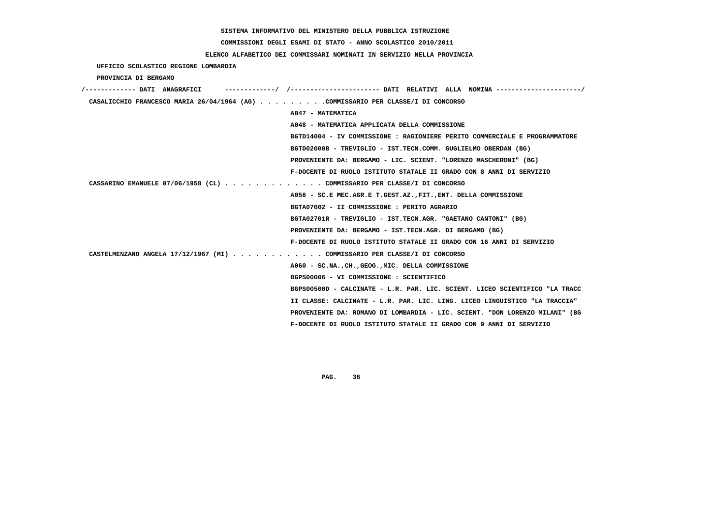**COMMISSIONI DEGLI ESAMI DI STATO - ANNO SCOLASTICO 2010/2011**

### **ELENCO ALFABETICO DEI COMMISSARI NOMINATI IN SERVIZIO NELLA PROVINCIA**

 **UFFICIO SCOLASTICO REGIONE LOMBARDIA**

 **PROVINCIA DI BERGAMO**

| /------------- DATI ANAGRAFICI                                                   | -----------/ /---------------------- DATT RELATTVT ALLA NOMTNA ---------------------/ |
|----------------------------------------------------------------------------------|---------------------------------------------------------------------------------------|
| CASALICCHIO FRANCESCO MARIA 26/04/1964 (AG) COMMISSARIO PER CLASSE/I DI CONCORSO |                                                                                       |
|                                                                                  | A047 - MATEMATICA                                                                     |
|                                                                                  | A048 - MATEMATICA APPLICATA DELLA COMMISSIONE                                         |
|                                                                                  | BGTD14004 - IV COMMISSIONE : RAGIONIERE PERITO COMMERCIALE E PROGRAMMATORE            |
|                                                                                  | BGTD02000B - TREVIGLIO - IST.TECN.COMM. GUGLIELMO OBERDAN (BG)                        |
|                                                                                  | PROVENIENTE DA: BERGAMO - LIC. SCIENT. "LORENZO MASCHERONI" (BG)                      |
|                                                                                  | F-DOCENTE DI RUOLO ISTITUTO STATALE II GRADO CON 8 ANNI DI SERVIZIO                   |
| CASSARINO EMANUELE 07/06/1958 (CL) COMMISSARIO PER CLASSE/I DI CONCORSO          |                                                                                       |
|                                                                                  | A058 - SC.E MEC.AGR.E T.GEST.AZ., FIT., ENT. DELLA COMMISSIONE                        |
|                                                                                  | BGTA07002 - II COMMISSIONE : PERITO AGRARIO                                           |
|                                                                                  | BGTA02701R - TREVIGLIO - IST.TECN.AGR. "GAETANO CANTONI" (BG)                         |
|                                                                                  | PROVENIENTE DA: BERGAMO - IST.TECN.AGR. DI BERGAMO (BG)                               |
|                                                                                  | F-DOCENTE DI RUOLO ISTITUTO STATALE II GRADO CON 16 ANNI DI SERVIZIO                  |
| CASTELMENZANO ANGELA 17/12/1967 (MI) COMMISSARIO PER CLASSE/I DI CONCORSO        |                                                                                       |
|                                                                                  | A060 - SC.NA., CH., GEOG., MIC. DELLA COMMISSIONE                                     |
|                                                                                  | BGPS00006 - VI COMMISSIONE : SCIENTIFICO                                              |
|                                                                                  | BGPS00500D - CALCINATE - L.R. PAR. LIC. SCIENT. LICEO SCIENTIFICO "LA TRACC           |
|                                                                                  | II CLASSE: CALCINATE - L.R. PAR. LIC. LING. LICEO LINGUISTICO "LA TRACCIA"            |
|                                                                                  | PROVENIENTE DA: ROMANO DI LOMBARDIA - LIC. SCIENT. "DON LORENZO MILANI" (BG           |
|                                                                                  | F-DOCENTE DI RUOLO ISTITUTO STATALE II GRADO CON 9 ANNI DI SERVIZIO                   |
|                                                                                  |                                                                                       |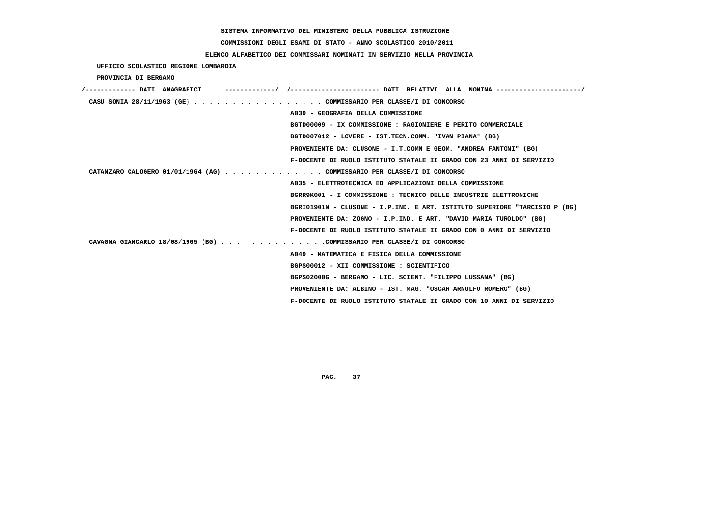**COMMISSIONI DEGLI ESAMI DI STATO - ANNO SCOLASTICO 2010/2011**

### **ELENCO ALFABETICO DEI COMMISSARI NOMINATI IN SERVIZIO NELLA PROVINCIA**

 **UFFICIO SCOLASTICO REGIONE LOMBARDIA**

 **PROVINCIA DI BERGAMO**

| /------------- DATI ANAGRAFICI                                          | ----------/ /---------------------- DATI RELATIVI ALLA NOMINA---------------------/ |
|-------------------------------------------------------------------------|-------------------------------------------------------------------------------------|
| CASU SONIA 28/11/1963 (GE) COMMISSARIO PER CLASSE/I DI CONCORSO         |                                                                                     |
|                                                                         | A039 - GEOGRAFIA DELLA COMMISSIONE                                                  |
|                                                                         | BGTD00009 - IX COMMISSIONE : RAGIONIERE E PERITO COMMERCIALE                        |
|                                                                         | BGTD007012 - LOVERE - IST.TECN.COMM. "IVAN PIANA" (BG)                              |
|                                                                         | PROVENIENTE DA: CLUSONE - I.T.COMM E GEOM. "ANDREA FANTONI" (BG)                    |
|                                                                         | F-DOCENTE DI RUOLO ISTITUTO STATALE II GRADO CON 23 ANNI DI SERVIZIO                |
| CATANZARO CALOGERO 01/01/1964 (AG) COMMISSARIO PER CLASSE/I DI CONCORSO |                                                                                     |
|                                                                         | A035 - ELETTROTECNICA ED APPLICAZIONI DELLA COMMISSIONE                             |
|                                                                         | BGRR9K001 - I COMMISSIONE : TECNICO DELLE INDUSTRIE ELETTRONICHE                    |
|                                                                         | BGRI01901N - CLUSONE - I.P.IND. E ART. ISTITUTO SUPERIORE "TARCISIO P (BG)          |
|                                                                         | PROVENIENTE DA: ZOGNO - I.P.IND. E ART. "DAVID MARIA TUROLDO" (BG)                  |
|                                                                         | F-DOCENTE DI RUOLO ISTITUTO STATALE II GRADO CON 0 ANNI DI SERVIZIO                 |
| CAVAGNA GIANCARLO 18/08/1965 (BG) COMMISSARIO PER CLASSE/I DI CONCORSO  |                                                                                     |
|                                                                         | A049 - MATEMATICA E FISICA DELLA COMMISSIONE                                        |
|                                                                         | BGPS00012 - XII COMMISSIONE : SCIENTIFICO                                           |
|                                                                         | BGPS02000G - BERGAMO - LIC. SCIENT. "FILIPPO LUSSANA" (BG)                          |
|                                                                         | PROVENIENTE DA: ALBINO - IST. MAG. "OSCAR ARNULFO ROMERO" (BG)                      |
|                                                                         | F-DOCENTE DI RUOLO ISTITUTO STATALE II GRADO CON 10 ANNI DI SERVIZIO                |
|                                                                         |                                                                                     |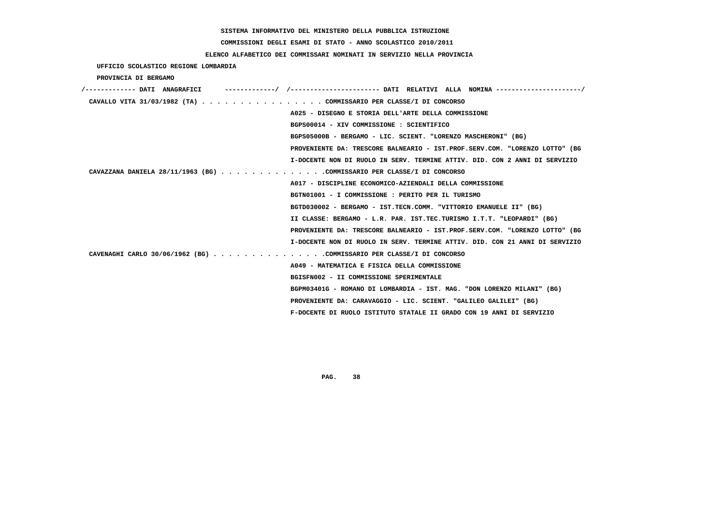# **COMMISSIONI DEGLI ESAMI DI STATO - ANNO SCOLASTICO 2010/2011**

## **ELENCO ALFABETICO DEI COMMISSARI NOMINATI IN SERVIZIO NELLA PROVINCIA**

 **UFFICIO SCOLASTICO REGIONE LOMBARDIA**

 **PROVINCIA DI BERGAMO**

| /------------- DATI ANAGRAFICI |                                                                             |
|--------------------------------|-----------------------------------------------------------------------------|
|                                | CAVALLO VITA 31/03/1982 (TA) COMMISSARIO PER CLASSE/I DI CONCORSO           |
|                                | A025 - DISEGNO E STORIA DELL'ARTE DELLA COMMISSIONE                         |
|                                | BGPS00014 - XIV COMMISSIONE : SCIENTIFICO                                   |
|                                | BGPS05000B - BERGAMO - LIC. SCIENT. "LORENZO MASCHERONI" (BG)               |
|                                | PROVENIENTE DA: TRESCORE BALNEARIO - IST.PROF.SERV.COM. "LORENZO LOTTO" (BG |
|                                | I-DOCENTE NON DI RUOLO IN SERV. TERMINE ATTIV. DID. CON 2 ANNI DI SERVIZIO  |
|                                | CAVAZZANA DANIELA 28/11/1963 (BG) COMMISSARIO PER CLASSE/I DI CONCORSO      |
|                                | A017 - DISCIPLINE ECONOMICO-AZIENDALI DELLA COMMISSIONE                     |
|                                | BGTN01001 - I COMMISSIONE : PERITO PER IL TURISMO                           |
|                                | BGTD030002 - BERGAMO - IST.TECN.COMM. "VITTORIO EMANUELE II" (BG)           |
|                                | II CLASSE: BERGAMO - L.R. PAR. IST.TEC.TURISMO I.T.T. "LEOPARDI" (BG)       |
|                                | PROVENIENTE DA: TRESCORE BALNEARIO - IST.PROF.SERV.COM. "LORENZO LOTTO" (BG |
|                                | I-DOCENTE NON DI RUOLO IN SERV. TERMINE ATTIV. DID. CON 21 ANNI DI SERVIZIO |
|                                | CAVENAGHI CARLO 30/06/1962 (BG) COMMISSARIO PER CLASSE/I DI CONCORSO        |
|                                | A049 - MATEMATICA E FISICA DELLA COMMISSIONE                                |
|                                | BGISFN002 - II COMMISSIONE SPERIMENTALE                                     |
|                                | BGPM03401G - ROMANO DI LOMBARDIA - IST. MAG. "DON LORENZO MILANI" (BG)      |
|                                | PROVENIENTE DA: CARAVAGGIO - LIC. SCIENT. "GALILEO GALILEI" (BG)            |
|                                | F-DOCENTE DI RUOLO ISTITUTO STATALE II GRADO CON 19 ANNI DI SERVIZIO        |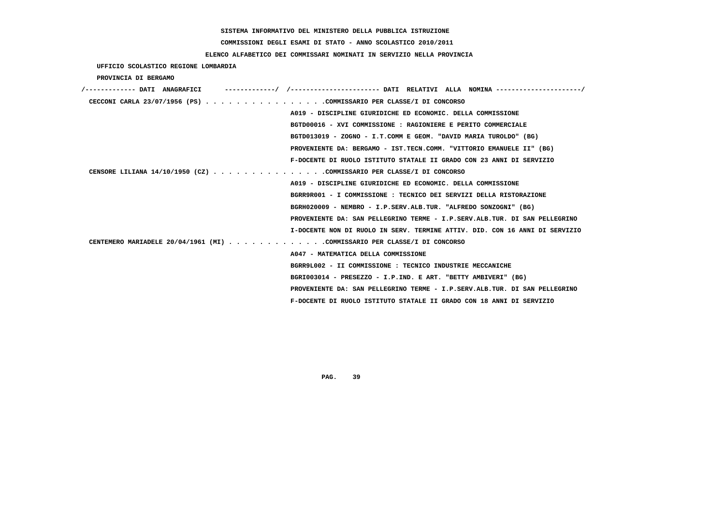# **COMMISSIONI DEGLI ESAMI DI STATO - ANNO SCOLASTICO 2010/2011**

## **ELENCO ALFABETICO DEI COMMISSARI NOMINATI IN SERVIZIO NELLA PROVINCIA**

 **UFFICIO SCOLASTICO REGIONE LOMBARDIA**

 **PROVINCIA DI BERGAMO**

| /------------- DATI ANAGRAFICI                                              |  |
|-----------------------------------------------------------------------------|--|
| CECCONI CARLA 23/07/1956 (PS) COMMISSARIO PER CLASSE/I DI CONCORSO          |  |
| A019 - DISCIPLINE GIURIDICHE ED ECONOMIC. DELLA COMMISSIONE                 |  |
| BGTD00016 - XVI COMMISSIONE : RAGIONIERE E PERITO COMMERCIALE               |  |
| BGTD013019 - ZOGNO - I.T.COMM E GEOM. "DAVID MARIA TUROLDO" (BG)            |  |
| PROVENIENTE DA: BERGAMO - IST.TECN.COMM. "VITTORIO EMANUELE II" (BG)        |  |
| F-DOCENTE DI RUOLO ISTITUTO STATALE II GRADO CON 23 ANNI DI SERVIZIO        |  |
| CENSORE LILIANA $14/10/1950$ (CZ) COMMISSARIO PER CLASSE/I DI CONCORSO      |  |
| A019 - DISCIPLINE GIURIDICHE ED ECONOMIC. DELLA COMMISSIONE                 |  |
| BGRR9R001 - I COMMISSIONE : TECNICO DEI SERVIZI DELLA RISTORAZIONE          |  |
| BGRH020009 - NEMBRO - I.P.SERV.ALB.TUR. "ALFREDO SONZOGNI" (BG)             |  |
| PROVENIENTE DA: SAN PELLEGRINO TERME - I.P.SERV.ALB.TUR. DI SAN PELLEGRINO  |  |
| I-DOCENTE NON DI RUOLO IN SERV. TERMINE ATTIV. DID. CON 16 ANNI DI SERVIZIO |  |
| CENTEMERO MARIADELE 20/04/1961 (MI) COMMISSARIO PER CLASSE/I DI CONCORSO    |  |
| A047 - MATEMATICA DELLA COMMISSIONE                                         |  |
| BGRR9L002 - II COMMISSIONE : TECNICO INDUSTRIE MECCANICHE                   |  |
| BGRI003014 - PRESEZZO - I.P.IND. E ART. "BETTY AMBIVERI" (BG)               |  |
| PROVENIENTE DA: SAN PELLEGRINO TERME - I.P.SERV.ALB.TUR. DI SAN PELLEGRINO  |  |
| F-DOCENTE DI RUOLO ISTITUTO STATALE II GRADO CON 18 ANNI DI SERVIZIO        |  |
|                                                                             |  |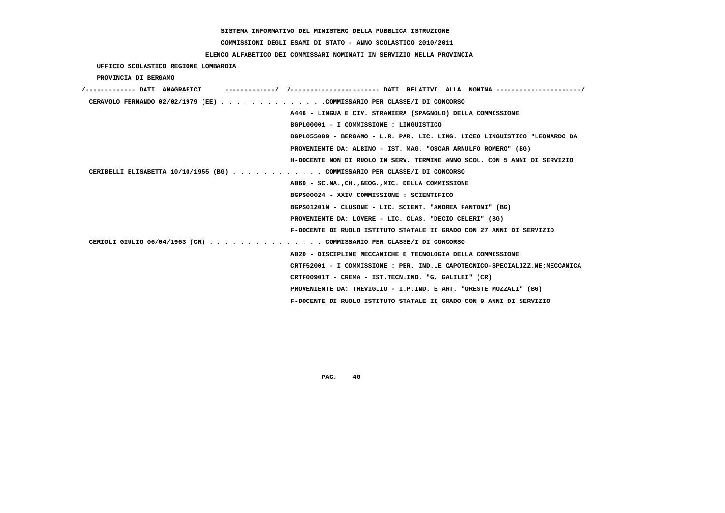# **COMMISSIONI DEGLI ESAMI DI STATO - ANNO SCOLASTICO 2010/2011**

### **ELENCO ALFABETICO DEI COMMISSARI NOMINATI IN SERVIZIO NELLA PROVINCIA**

 **UFFICIO SCOLASTICO REGIONE LOMBARDIA**

 **PROVINCIA DI BERGAMO**

| /------------- DATI ANAGRAFICI                                              |
|-----------------------------------------------------------------------------|
| CERAVOLO FERNANDO 02/02/1979 (EE)COMMISSARIO PER CLASSE/I DI CONCORSO       |
| A446 - LINGUA E CIV. STRANIERA (SPAGNOLO) DELLA COMMISSIONE                 |
| BGPL00001 - I COMMISSIONE : LINGUISTICO                                     |
| BGPL055009 - BERGAMO - L.R. PAR. LIC. LING. LICEO LINGUISTICO "LEONARDO DA  |
| PROVENIENTE DA: ALBINO - IST. MAG. "OSCAR ARNULFO ROMERO" (BG)              |
| H-DOCENTE NON DI RUOLO IN SERV. TERMINE ANNO SCOL. CON 5 ANNI DI SERVIZIO   |
| CERIBELLI ELISABETTA 10/10/1955 (BG) COMMISSARIO PER CLASSE/I DI CONCORSO   |
| A060 - SC.NA., CH., GEOG., MIC. DELLA COMMISSIONE                           |
| BGPS00024 - XXIV COMMISSIONE : SCIENTIFICO                                  |
| BGPS01201N - CLUSONE - LIC. SCIENT. "ANDREA FANTONI" (BG)                   |
| PROVENIENTE DA: LOVERE - LIC. CLAS. "DECIO CELERI" (BG)                     |
| F-DOCENTE DI RUOLO ISTITUTO STATALE II GRADO CON 27 ANNI DI SERVIZIO        |
| CERIOLI GIULIO 06/04/1963 (CR) COMMISSARIO PER CLASSE/I DI CONCORSO         |
| A020 - DISCIPLINE MECCANICHE E TECNOLOGIA DELLA COMMISSIONE                 |
| CRTF52001 - I COMMISSIONE : PER. IND.LE CAPOTECNICO-SPECIALIZZ.NE:MECCANICA |
| CRTF00901T - CREMA - IST.TECN.IND. "G. GALILEI" (CR)                        |
| PROVENIENTE DA: TREVIGLIO - I.P.IND. E ART. "ORESTE MOZZALI" (BG)           |
| F-DOCENTE DI RUOLO ISTITUTO STATALE II GRADO CON 9 ANNI DI SERVIZIO         |
|                                                                             |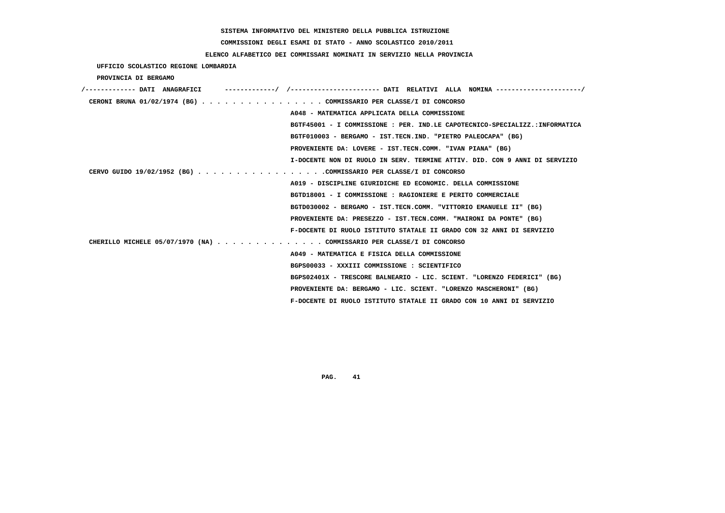# **COMMISSIONI DEGLI ESAMI DI STATO - ANNO SCOLASTICO 2010/2011**

## **ELENCO ALFABETICO DEI COMMISSARI NOMINATI IN SERVIZIO NELLA PROVINCIA**

 **UFFICIO SCOLASTICO REGIONE LOMBARDIA**

 **PROVINCIA DI BERGAMO**

| /------------- DATI ANAGRAFICI |                                                                             |
|--------------------------------|-----------------------------------------------------------------------------|
|                                | CERONI BRUNA 01/02/1974 (BG) COMMISSARIO PER CLASSE/I DI CONCORSO           |
|                                | A048 - MATEMATICA APPLICATA DELLA COMMISSIONE                               |
|                                | BGTF45001 - I COMMISSIONE : PER. IND.LE CAPOTECNICO-SPECIALIZZ.:INFORMATICA |
|                                | BGTF010003 - BERGAMO - IST.TECN.IND. "PIETRO PALEOCAPA" (BG)                |
|                                | PROVENIENTE DA: LOVERE - IST.TECN.COMM. "IVAN PIANA" (BG)                   |
|                                | I-DOCENTE NON DI RUOLO IN SERV. TERMINE ATTIV. DID. CON 9 ANNI DI SERVIZIO  |
|                                | CERVO GUIDO 19/02/1952 (BG) COMMISSARIO PER CLASSE/I DI CONCORSO            |
|                                | A019 - DISCIPLINE GIURIDICHE ED ECONOMIC. DELLA COMMISSIONE                 |
|                                | BGTD18001 - I COMMISSIONE : RAGIONIERE E PERITO COMMERCIALE                 |
|                                | BGTD030002 - BERGAMO - IST.TECN.COMM. "VITTORIO EMANUELE II" (BG)           |
|                                | PROVENIENTE DA: PRESEZZO - IST.TECN.COMM. "MAIRONI DA PONTE" (BG)           |
|                                | F-DOCENTE DI RUOLO ISTITUTO STATALE II GRADO CON 32 ANNI DI SERVIZIO        |
|                                | CHERILLO MICHELE 05/07/1970 (NA) COMMISSARIO PER CLASSE/I DI CONCORSO       |
|                                | A049 - MATEMATICA E FISICA DELLA COMMISSIONE                                |
|                                | BGPS00033 - XXXIII COMMISSIONE : SCIENTIFICO                                |
|                                | BGPS02401X - TRESCORE BALNEARIO - LIC. SCIENT. "LORENZO FEDERICI" (BG)      |
|                                | PROVENIENTE DA: BERGAMO - LIC. SCIENT. "LORENZO MASCHERONI" (BG)            |
|                                | F-DOCENTE DI RUOLO ISTITUTO STATALE II GRADO CON 10 ANNI DI SERVIZIO        |
|                                |                                                                             |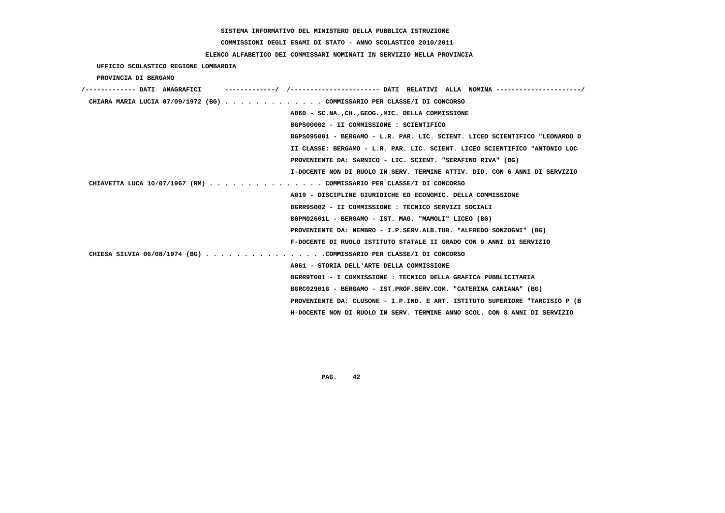# **COMMISSIONI DEGLI ESAMI DI STATO - ANNO SCOLASTICO 2010/2011**

## **ELENCO ALFABETICO DEI COMMISSARI NOMINATI IN SERVIZIO NELLA PROVINCIA**

 **UFFICIO SCOLASTICO REGIONE LOMBARDIA**

 **PROVINCIA DI BERGAMO**

| /------------- DATI ANAGRAFICI                                          |                                                                             |
|-------------------------------------------------------------------------|-----------------------------------------------------------------------------|
| CHIARA MARIA LUCIA 07/09/1972 (BG) COMMISSARIO PER CLASSE/I DI CONCORSO |                                                                             |
|                                                                         | A060 - SC.NA., CH., GEOG., MIC. DELLA COMMISSIONE                           |
|                                                                         | BGPS00002 - II COMMISSIONE : SCIENTIFICO                                    |
|                                                                         | BGPS095001 - BERGAMO - L.R. PAR. LIC. SCIENT. LICEO SCIENTIFICO "LEONARDO D |
|                                                                         | II CLASSE: BERGAMO - L.R. PAR. LIC. SCIENT. LICEO SCIENTIFICO "ANTONIO LOC  |
|                                                                         | PROVENIENTE DA: SARNICO - LIC. SCIENT. "SERAFINO RIVA" (BG)                 |
|                                                                         | I-DOCENTE NON DI RUOLO IN SERV. TERMINE ATTIV. DID. CON 6 ANNI DI SERVIZIO  |
| CHIAVETTA LUCA 10/07/1967 (RM) COMMISSARIO PER CLASSE/I DI CONCORSO     |                                                                             |
|                                                                         | A019 - DISCIPLINE GIURIDICHE ED ECONOMIC. DELLA COMMISSIONE                 |
|                                                                         | BGRR9S002 - II COMMISSIONE : TECNICO SERVIZI SOCIALI                        |
|                                                                         | BGPM02601L - BERGAMO - IST. MAG. "MAMOLI" LICEO (BG)                        |
|                                                                         | PROVENIENTE DA: NEMBRO - I.P.SERV.ALB.TUR. "ALFREDO SONZOGNI" (BG)          |
|                                                                         | F-DOCENTE DI RUOLO ISTITUTO STATALE II GRADO CON 9 ANNI DI SERVIZIO         |
| CHIESA SILVIA 06/08/1974 (BG) COMMISSARIO PER CLASSE/I DI CONCORSO      |                                                                             |
|                                                                         | A061 - STORIA DELL'ARTE DELLA COMMISSIONE                                   |
|                                                                         | BGRR9T001 - I COMMISSIONE : TECNICO DELLA GRAFICA PUBBLICITARIA             |
|                                                                         | BGRC02901G - BERGAMO - IST.PROF.SERV.COM. "CATERINA CANIANA" (BG)           |
|                                                                         | PROVENIENTE DA: CLUSONE - I.P.IND. E ART. ISTITUTO SUPERIORE "TARCISIO P (B |
|                                                                         | H-DOCENTE NON DI RUOLO IN SERV. TERMINE ANNO SCOL. CON 8 ANNI DI SERVIZIO   |
|                                                                         |                                                                             |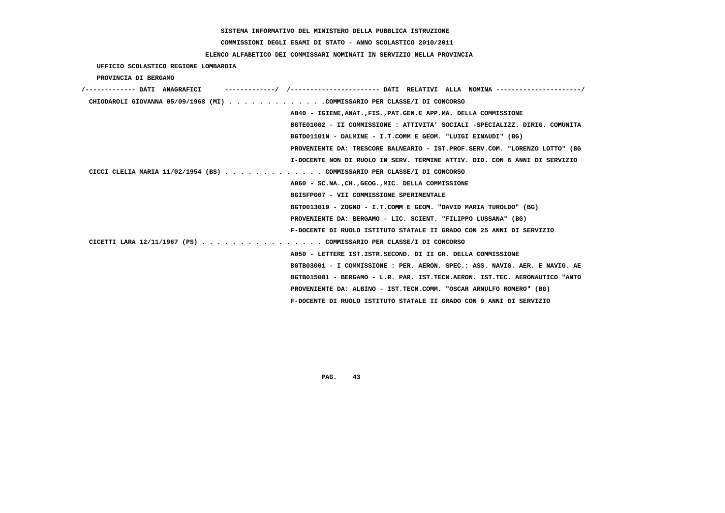# **COMMISSIONI DEGLI ESAMI DI STATO - ANNO SCOLASTICO 2010/2011**

### **ELENCO ALFABETICO DEI COMMISSARI NOMINATI IN SERVIZIO NELLA PROVINCIA**

 **UFFICIO SCOLASTICO REGIONE LOMBARDIA**

 **PROVINCIA DI BERGAMO**

| /------------- DATI ANAGRAFICI                                           |                                                                             |
|--------------------------------------------------------------------------|-----------------------------------------------------------------------------|
| CHIODAROLI GIOVANNA 05/09/1968 (MI) COMMISSARIO PER CLASSE/I DI CONCORSO |                                                                             |
|                                                                          | A040 - IGIENE, ANAT., FIS., PAT. GEN. E APP. MA. DELLA COMMISSIONE          |
|                                                                          | BGTE01002 - II COMMISSIONE : ATTIVITA' SOCIALI -SPECIALIZZ. DIRIG. COMUNITA |
|                                                                          | BGTD01101N - DALMINE - I.T.COMM E GEOM. "LUIGI EINAUDI" (BG)                |
|                                                                          | PROVENIENTE DA: TRESCORE BALNEARIO - IST.PROF.SERV.COM. "LORENZO LOTTO" (BG |
|                                                                          | I-DOCENTE NON DI RUOLO IN SERV. TERMINE ATTIV. DID. CON 6 ANNI DI SERVIZIO  |
| CICCI CLELIA MARIA 11/02/1954 (BS) COMMISSARIO PER CLASSE/I DI CONCORSO  |                                                                             |
|                                                                          | A060 - SC.NA., CH., GEOG., MIC. DELLA COMMISSIONE                           |
|                                                                          | BGISFP007 - VII COMMISSIONE SPERIMENTALE                                    |
|                                                                          | BGTD013019 - ZOGNO - I.T.COMM E GEOM. "DAVID MARIA TUROLDO" (BG)            |
|                                                                          | PROVENIENTE DA: BERGAMO - LIC. SCIENT. "FILIPPO LUSSANA" (BG)               |
|                                                                          | F-DOCENTE DI RUOLO ISTITUTO STATALE II GRADO CON 25 ANNI DI SERVIZIO        |
| CICETTI LARA 12/11/1967 (PS) COMMISSARIO PER CLASSE/I DI CONCORSO        |                                                                             |
|                                                                          | A050 - LETTERE IST. ISTR. SECOND. DI II GR. DELLA COMMISSIONE               |
|                                                                          | BGTB03001 - I COMMISSIONE : PER. AERON. SPEC.: ASS. NAVIG. AER. E NAVIG. AE |
|                                                                          | BGTB015001 - BERGAMO - L.R. PAR. IST.TECN.AERON. IST.TEC. AERONAUTICO "ANTO |
|                                                                          | PROVENIENTE DA: ALBINO - IST.TECN.COMM. "OSCAR ARNULFO ROMERO" (BG)         |
|                                                                          | F-DOCENTE DI RUOLO ISTITUTO STATALE II GRADO CON 9 ANNI DI SERVIZIO         |
|                                                                          |                                                                             |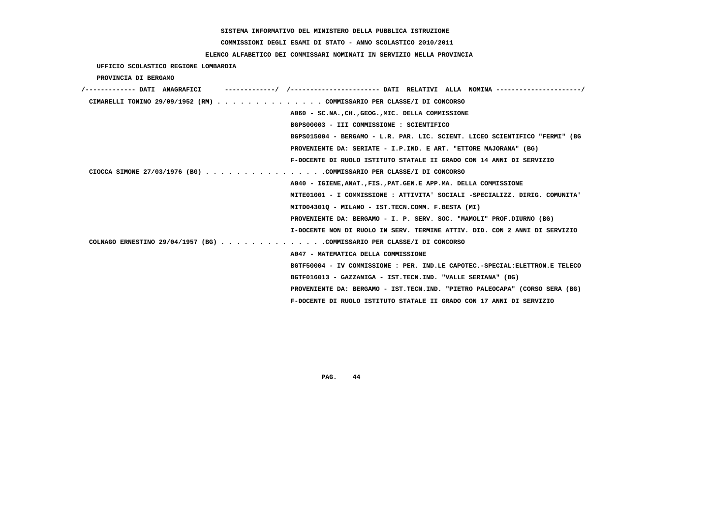# **COMMISSIONI DEGLI ESAMI DI STATO - ANNO SCOLASTICO 2010/2011**

## **ELENCO ALFABETICO DEI COMMISSARI NOMINATI IN SERVIZIO NELLA PROVINCIA**

 **UFFICIO SCOLASTICO REGIONE LOMBARDIA**

 **PROVINCIA DI BERGAMO**

| /------------- DATI ANAGRAFICI |                                                                             |
|--------------------------------|-----------------------------------------------------------------------------|
|                                | CIMARELLI TONINO 29/09/1952 (RM) COMMISSARIO PER CLASSE/I DI CONCORSO       |
|                                | A060 - SC.NA., CH., GEOG., MIC. DELLA COMMISSIONE                           |
|                                | BGPS00003 - III COMMISSIONE : SCIENTIFICO                                   |
|                                | BGPS015004 - BERGAMO - L.R. PAR. LIC. SCIENT. LICEO SCIENTIFICO "FERMI" (BG |
|                                | PROVENIENTE DA: SERIATE - I.P.IND. E ART. "ETTORE MAJORANA" (BG)            |
|                                | F-DOCENTE DI RUOLO ISTITUTO STATALE II GRADO CON 14 ANNI DI SERVIZIO        |
|                                | CIOCCA SIMONE 27/03/1976 (BG) COMMISSARIO PER CLASSE/I DI CONCORSO          |
|                                | A040 - IGIENE, ANAT., FIS., PAT. GEN. E APP. MA. DELLA COMMISSIONE          |
|                                | MITE01001 - I COMMISSIONE : ATTIVITA' SOCIALI -SPECIALIZZ. DIRIG. COMUNITA' |
|                                | MITD04301Q - MILANO - IST.TECN.COMM. F.BESTA (MI)                           |
|                                | PROVENIENTE DA: BERGAMO - I. P. SERV. SOC. "MAMOLI" PROF.DIURNO (BG)        |
|                                | I-DOCENTE NON DI RUOLO IN SERV. TERMINE ATTIV. DID. CON 2 ANNI DI SERVIZIO  |
|                                | COLNAGO ERNESTINO 29/04/1957 (BG) COMMISSARIO PER CLASSE/I DI CONCORSO      |
|                                | A047 - MATEMATICA DELLA COMMISSIONE                                         |
|                                | BGTF50004 - IV COMMISSIONE : PER. IND.LE CAPOTEC.-SPECIAL:ELETTRON.E TELECO |
|                                | BGTF016013 - GAZZANIGA - IST.TECN.IND. "VALLE SERIANA" (BG)                 |
|                                | PROVENIENTE DA: BERGAMO - IST.TECN.IND. "PIETRO PALEOCAPA" (CORSO SERA (BG) |
|                                | F-DOCENTE DI RUOLO ISTITUTO STATALE II GRADO CON 17 ANNI DI SERVIZIO        |
|                                |                                                                             |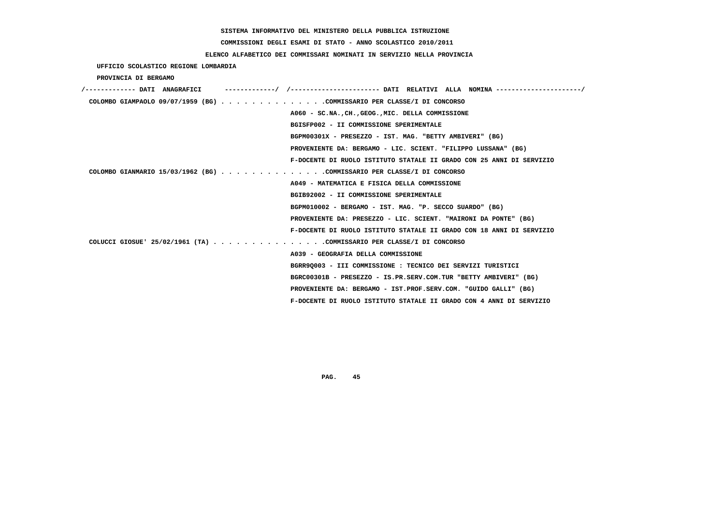# **COMMISSIONI DEGLI ESAMI DI STATO - ANNO SCOLASTICO 2010/2011**

## **ELENCO ALFABETICO DEI COMMISSARI NOMINATI IN SERVIZIO NELLA PROVINCIA**

 **UFFICIO SCOLASTICO REGIONE LOMBARDIA**

 **PROVINCIA DI BERGAMO**

| /------------- DATI ANAGRAFICI |  |                                                                         |
|--------------------------------|--|-------------------------------------------------------------------------|
|                                |  | COLOMBO GIAMPAOLO 09/07/1959 (BG) COMMISSARIO PER CLASSE/I DI CONCORSO  |
|                                |  | A060 - SC.NACHGEOGMIC. DELLA COMMISSIONE                                |
|                                |  | BGISFP002 - II COMMISSIONE SPERIMENTALE                                 |
|                                |  | BGPM00301X - PRESEZZO - IST. MAG. "BETTY AMBIVERI" (BG)                 |
|                                |  | PROVENIENTE DA: BERGAMO - LIC. SCIENT. "FILIPPO LUSSANA" (BG)           |
|                                |  | F-DOCENTE DI RUOLO ISTITUTO STATALE II GRADO CON 25 ANNI DI SERVIZIO    |
|                                |  | COLOMBO GIANMARIO 15/03/1962 (BG) COMMISSARIO PER CLASSE/I DI CONCORSO  |
|                                |  | A049 - MATEMATICA E FISICA DELLA COMMISSIONE                            |
|                                |  | BGIB92002 - II COMMISSIONE SPERIMENTALE                                 |
|                                |  | BGPM010002 - BERGAMO - IST. MAG. "P. SECCO SUARDO" (BG)                 |
|                                |  | PROVENIENTE DA: PRESEZZO - LIC. SCIENT. "MAIRONI DA PONTE" (BG)         |
|                                |  | F-DOCENTE DI RUOLO ISTITUTO STATALE II GRADO CON 18 ANNI DI SERVIZIO    |
|                                |  | COLUCCI GIOSUE ' $25/02/1961$ (TA) COMMISSARIO PER CLASSE/I DI CONCORSO |
|                                |  | A039 - GEOGRAFIA DELLA COMMISSIONE                                      |
|                                |  | BGRR90003 - III COMMISSIONE : TECNICO DEI SERVIZI TURISTICI             |
|                                |  | BGRC00301B - PRESEZZO - IS.PR.SERV.COM.TUR "BETTY AMBIVERI" (BG)        |
|                                |  | PROVENIENTE DA: BERGAMO - IST.PROF.SERV.COM. "GUIDO GALLI" (BG)         |
|                                |  | F-DOCENTE DI RUOLO ISTITUTO STATALE II GRADO CON 4 ANNI DI SERVIZIO     |
|                                |  |                                                                         |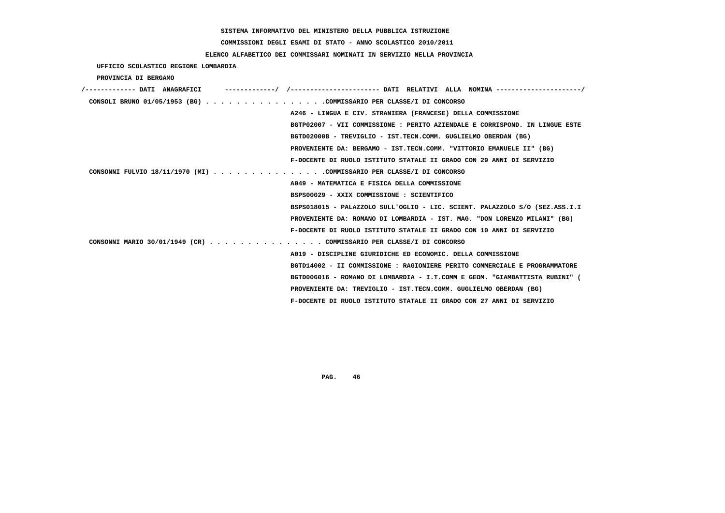# **COMMISSIONI DEGLI ESAMI DI STATO - ANNO SCOLASTICO 2010/2011**

## **ELENCO ALFABETICO DEI COMMISSARI NOMINATI IN SERVIZIO NELLA PROVINCIA**

 **UFFICIO SCOLASTICO REGIONE LOMBARDIA**

 **PROVINCIA DI BERGAMO**

| /------------- DATI ANAGRAFICI                                              |
|-----------------------------------------------------------------------------|
| CONSOLI BRUNO 01/05/1953 (BG) COMMISSARIO PER CLASSE/I DI CONCORSO          |
| A246 - LINGUA E CIV. STRANIERA (FRANCESE) DELLA COMMISSIONE                 |
| BGTP02007 - VII COMMISSIONE : PERITO AZIENDALE E CORRISPOND. IN LINGUE ESTE |
| BGTD02000B - TREVIGLIO - IST.TECN.COMM. GUGLIELMO OBERDAN (BG)              |
| PROVENIENTE DA: BERGAMO - IST.TECN.COMM. "VITTORIO EMANUELE II" (BG)        |
| F-DOCENTE DI RUOLO ISTITUTO STATALE II GRADO CON 29 ANNI DI SERVIZIO        |
| CONSONNI FULVIO 18/11/1970 (MI) COMMISSARIO PER CLASSE/I DI CONCORSO        |
| A049 - MATEMATICA E FISICA DELLA COMMISSIONE                                |
| BSPS00029 - XXIX COMMISSIONE : SCIENTIFICO                                  |
| BSPS018015 - PALAZZOLO SULL'OGLIO - LIC. SCIENT. PALAZZOLO S/O (SEZ.ASS.I.I |
| PROVENIENTE DA: ROMANO DI LOMBARDIA - IST. MAG. "DON LORENZO MILANI" (BG)   |
| F-DOCENTE DI RUOLO ISTITUTO STATALE II GRADO CON 10 ANNI DI SERVIZIO        |
| CONSONNI MARIO 30/01/1949 (CR) COMMISSARIO PER CLASSE/I DI CONCORSO         |
| A019 - DISCIPLINE GIURIDICHE ED ECONOMIC. DELLA COMMISSIONE                 |
| BGTD14002 - II COMMISSIONE : RAGIONIERE PERITO COMMERCIALE E PROGRAMMATORE  |
| BGTD006016 - ROMANO DI LOMBARDIA - I.T.COMM E GEOM. "GIAMBATTISTA RUBINI" ( |
| PROVENIENTE DA: TREVIGLIO - IST.TECN.COMM. GUGLIELMO OBERDAN (BG)           |
| F-DOCENTE DI RUOLO ISTITUTO STATALE II GRADO CON 27 ANNI DI SERVIZIO        |
|                                                                             |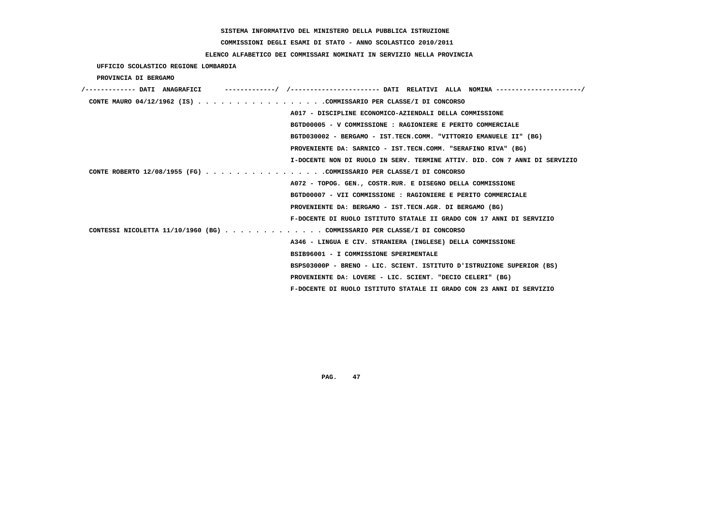# **COMMISSIONI DEGLI ESAMI DI STATO - ANNO SCOLASTICO 2010/2011**

## **ELENCO ALFABETICO DEI COMMISSARI NOMINATI IN SERVIZIO NELLA PROVINCIA**

 **UFFICIO SCOLASTICO REGIONE LOMBARDIA**

 **PROVINCIA DI BERGAMO**

| /------------- DATI ANAGRAFICI                                          |                                                                            |
|-------------------------------------------------------------------------|----------------------------------------------------------------------------|
| CONTE MAURO 04/12/1962 (IS) COMMISSARIO PER CLASSE/I DI CONCORSO        |                                                                            |
|                                                                         | A017 - DISCIPLINE ECONOMICO-AZIENDALI DELLA COMMISSIONE                    |
|                                                                         | BGTD00005 - V COMMISSIONE : RAGIONIERE E PERITO COMMERCIALE                |
|                                                                         | BGTD030002 - BERGAMO - IST.TECN.COMM. "VITTORIO EMANUELE II" (BG)          |
|                                                                         | PROVENIENTE DA: SARNICO - IST.TECN.COMM. "SERAFINO RIVA" (BG)              |
|                                                                         | I-DOCENTE NON DI RUOLO IN SERV. TERMINE ATTIV. DID. CON 7 ANNI DI SERVIZIO |
| CONTE ROBERTO 12/08/1955 (FG) COMMISSARIO PER CLASSE/I DI CONCORSO      |                                                                            |
|                                                                         | A072 - TOPOG. GEN., COSTR.RUR. E DISEGNO DELLA COMMISSIONE                 |
|                                                                         | BGTD00007 - VII COMMISSIONE : RAGIONIERE E PERITO COMMERCIALE              |
|                                                                         | PROVENIENTE DA: BERGAMO - IST.TECN.AGR. DI BERGAMO (BG)                    |
|                                                                         | F-DOCENTE DI RUOLO ISTITUTO STATALE II GRADO CON 17 ANNI DI SERVIZIO       |
| CONTESSI NICOLETTA 11/10/1960 (BG) COMMISSARIO PER CLASSE/I DI CONCORSO |                                                                            |
|                                                                         | A346 - LINGUA E CIV. STRANIERA (INGLESE) DELLA COMMISSIONE                 |
|                                                                         | BSIB96001 - I COMMISSIONE SPERIMENTALE                                     |
|                                                                         | BSPS03000P - BRENO - LIC. SCIENT. ISTITUTO D'ISTRUZIONE SUPERIOR (BS)      |
|                                                                         | PROVENIENTE DA: LOVERE - LIC. SCIENT. "DECIO CELERI" (BG)                  |
|                                                                         | F-DOCENTE DI RUOLO ISTITUTO STATALE II GRADO CON 23 ANNI DI SERVIZIO       |
|                                                                         |                                                                            |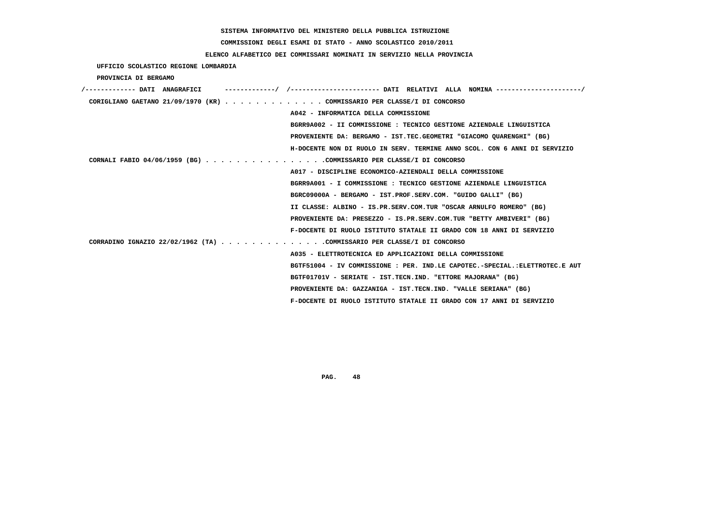**COMMISSIONI DEGLI ESAMI DI STATO - ANNO SCOLASTICO 2010/2011**

### **ELENCO ALFABETICO DEI COMMISSARI NOMINATI IN SERVIZIO NELLA PROVINCIA**

 **UFFICIO SCOLASTICO REGIONE LOMBARDIA**

 **PROVINCIA DI BERGAMO**

| ------------- DATI ANAGRAFICI                                           | -------/ /---------------------- DATI RELATIVI ALLA NOMINA ----------       |
|-------------------------------------------------------------------------|-----------------------------------------------------------------------------|
| CORIGLIANO GAETANO 21/09/1970 (KR) COMMISSARIO PER CLASSE/I DI CONCORSO |                                                                             |
|                                                                         | A042 - INFORMATICA DELLA COMMISSIONE                                        |
|                                                                         | BGRR9A002 - II COMMISSIONE : TECNICO GESTIONE AZIENDALE LINGUISTICA         |
|                                                                         | PROVENIENTE DA: BERGAMO - IST.TEC.GEOMETRI "GIACOMO OUARENGHI" (BG)         |
|                                                                         | H-DOCENTE NON DI RUOLO IN SERV. TERMINE ANNO SCOL. CON 6 ANNI DI SERVIZIO   |
| CORNALI FABIO 04/06/1959 (BG) COMMISSARIO PER CLASSE/I DI CONCORSO      |                                                                             |
|                                                                         | A017 - DISCIPLINE ECONOMICO-AZIENDALI DELLA COMMISSIONE                     |
|                                                                         | BGRR9A001 - I COMMISSIONE : TECNICO GESTIONE AZIENDALE LINGUISTICA          |
|                                                                         | BGRC09000A - BERGAMO - IST.PROF.SERV.COM. "GUIDO GALLI" (BG)                |
|                                                                         | II CLASSE: ALBINO - IS.PR.SERV.COM.TUR "OSCAR ARNULFO ROMERO" (BG)          |
|                                                                         | PROVENIENTE DA: PRESEZZO - IS.PR.SERV.COM.TUR "BETTY AMBIVERI" (BG)         |
|                                                                         | F-DOCENTE DI RUOLO ISTITUTO STATALE II GRADO CON 18 ANNI DI SERVIZIO        |
| CORRADINO IGNAZIO 22/02/1962 (TA) COMMISSARIO PER CLASSE/I DI CONCORSO  |                                                                             |
|                                                                         | A035 - ELETTROTECNICA ED APPLICAZIONI DELLA COMMISSIONE                     |
|                                                                         | BGTF51004 - IV COMMISSIONE : PER. IND.LE CAPOTEC.-SPECIAL.:ELETTROTEC.E AUT |
|                                                                         | BGTF01701V - SERIATE - IST.TECN.IND. "ETTORE MAJORANA" (BG)                 |
|                                                                         | PROVENIENTE DA: GAZZANIGA - IST.TECN.IND. "VALLE SERIANA" (BG)              |
|                                                                         | F-DOCENTE DI RUOLO ISTITUTO STATALE II GRADO CON 17 ANNI DI SERVIZIO        |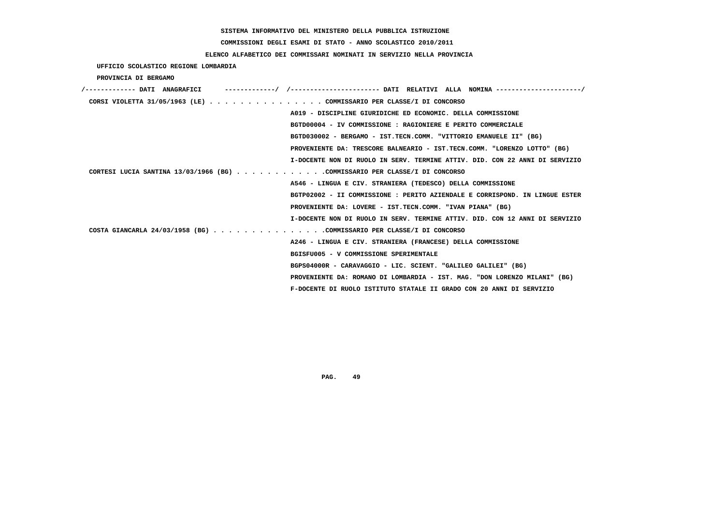# **COMMISSIONI DEGLI ESAMI DI STATO - ANNO SCOLASTICO 2010/2011**

## **ELENCO ALFABETICO DEI COMMISSARI NOMINATI IN SERVIZIO NELLA PROVINCIA**

 **UFFICIO SCOLASTICO REGIONE LOMBARDIA**

 **PROVINCIA DI BERGAMO**

| CORSI VIOLETTA 31/05/1963 (LE) COMMISSARIO PER CLASSE/I DI CONCORSO        |                                                                             |
|----------------------------------------------------------------------------|-----------------------------------------------------------------------------|
|                                                                            | A019 - DISCIPLINE GIURIDICHE ED ECONOMIC. DELLA COMMISSIONE                 |
|                                                                            | BGTD00004 - IV COMMISSIONE : RAGIONIERE E PERITO COMMERCIALE                |
|                                                                            | BGTD030002 - BERGAMO - IST.TECN.COMM. "VITTORIO EMANUELE II" (BG)           |
|                                                                            | PROVENIENTE DA: TRESCORE BALNEARIO - IST.TECN.COMM. "LORENZO LOTTO" (BG)    |
|                                                                            | I-DOCENTE NON DI RUOLO IN SERV, TERMINE ATTIV, DID, CON 22 ANNI DI SERVIZIO |
| CORTESI LUCIA SANTINA 13/03/1966 (BG) COMMISSARIO PER CLASSE/I DI CONCORSO |                                                                             |
|                                                                            | A546 - LINGUA E CIV. STRANIERA (TEDESCO) DELLA COMMISSIONE                  |
|                                                                            | BGTP02002 - II COMMISSIONE : PERITO AZIENDALE E CORRISPOND. IN LINGUE ESTER |
|                                                                            | PROVENIENTE DA: LOVERE - IST.TECN.COMM. "IVAN PIANA" (BG)                   |
|                                                                            | I-DOCENTE NON DI RUOLO IN SERV. TERMINE ATTIV. DID. CON 12 ANNI DI SERVIZIO |
| COSTA GIANCARLA 24/03/1958 (BG) COMMISSARIO PER CLASSE/I DI CONCORSO       |                                                                             |
|                                                                            | A246 - LINGUA E CIV. STRANIERA (FRANCESE) DELLA COMMISSIONE                 |
|                                                                            | BGISFU005 - V COMMISSIONE SPERIMENTALE                                      |
|                                                                            | BGPS04000R - CARAVAGGIO - LIC. SCIENT. "GALILEO GALILEI" (BG)               |
|                                                                            | PROVENIENTE DA: ROMANO DI LOMBARDIA - IST. MAG. "DON LORENZO MILANI" (BG)   |
|                                                                            | F-DOCENTE DI RUOLO ISTITUTO STATALE II GRADO CON 20 ANNI DI SERVIZIO        |
|                                                                            |                                                                             |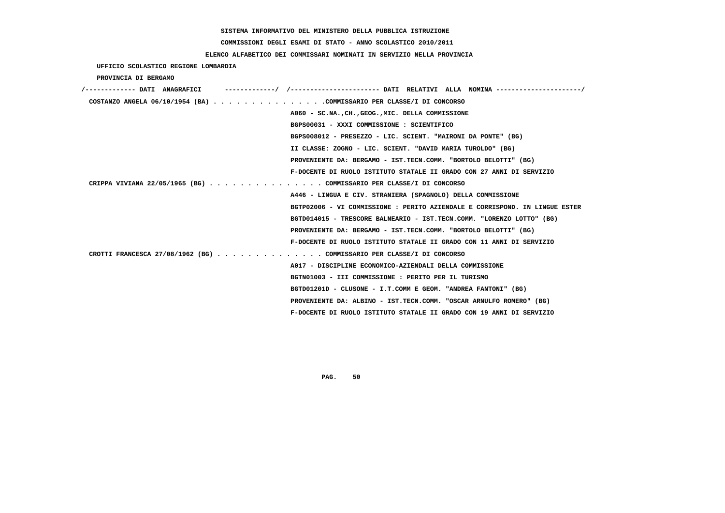# **COMMISSIONI DEGLI ESAMI DI STATO - ANNO SCOLASTICO 2010/2011**

## **ELENCO ALFABETICO DEI COMMISSARI NOMINATI IN SERVIZIO NELLA PROVINCIA**

|  | UFFICIO SCOLASTICO REGIONE LOMBARDIA |  |  |
|--|--------------------------------------|--|--|
|--|--------------------------------------|--|--|

 **PROVINCIA DI BERGAMO**

| /------------- DATI ANAGRAFICI                                              |
|-----------------------------------------------------------------------------|
| COSTANZO ANGELA $06/10/1954$ (BA) COMMISSARIO PER CLASSE/I DI CONCORSO      |
| A060 - SC.NACHGEOGMIC. DELLA COMMISSIONE                                    |
| BGPS00031 - XXXI COMMISSIONE : SCIENTIFICO                                  |
| BGPS008012 - PRESEZZO - LIC. SCIENT. "MAIRONI DA PONTE" (BG)                |
| II CLASSE: ZOGNO - LIC. SCIENT. "DAVID MARIA TUROLDO" (BG)                  |
| PROVENIENTE DA: BERGAMO - IST.TECN.COMM. "BORTOLO BELOTTI" (BG)             |
| F-DOCENTE DI RUOLO ISTITUTO STATALE II GRADO CON 27 ANNI DI SERVIZIO        |
| CRIPPA VIVIANA 22/05/1965 (BG) COMMISSARIO PER CLASSE/I DI CONCORSO         |
| A446 - LINGUA E CIV. STRANIERA (SPAGNOLO) DELLA COMMISSIONE                 |
| BGTP02006 - VI COMMISSIONE : PERITO AZIENDALE E CORRISPOND. IN LINGUE ESTER |
| BGTD014015 - TRESCORE BALNEARIO - IST.TECN.COMM. "LORENZO LOTTO" (BG)       |
| PROVENIENTE DA: BERGAMO - IST.TECN.COMM. "BORTOLO BELOTTI" (BG)             |
| F-DOCENTE DI RUOLO ISTITUTO STATALE II GRADO CON 11 ANNI DI SERVIZIO        |
| CROTTI FRANCESCA 27/08/1962 (BG) COMMISSARIO PER CLASSE/I DI CONCORSO       |
| A017 - DISCIPLINE ECONOMICO-AZIENDALI DELLA COMMISSIONE                     |
| BGTN01003 - III COMMISSIONE : PERITO PER IL TURISMO                         |
| BGTD01201D - CLUSONE - I.T.COMM E GEOM. "ANDREA FANTONI" (BG)               |
| PROVENIENTE DA: ALBINO - IST.TECN.COMM. "OSCAR ARNULFO ROMERO" (BG)         |
| F-DOCENTE DI RUOLO ISTITUTO STATALE II GRADO CON 19 ANNI DI SERVIZIO        |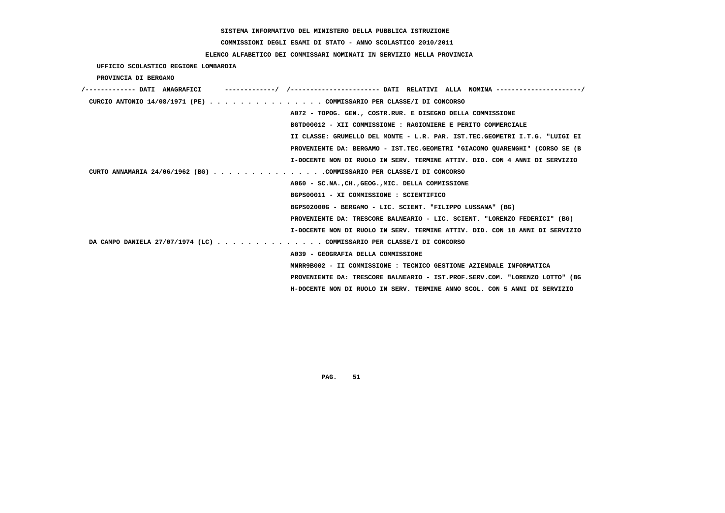# **COMMISSIONI DEGLI ESAMI DI STATO - ANNO SCOLASTICO 2010/2011**

### **ELENCO ALFABETICO DEI COMMISSARI NOMINATI IN SERVIZIO NELLA PROVINCIA**

 **UFFICIO SCOLASTICO REGIONE LOMBARDIA**

 **PROVINCIA DI BERGAMO**

| /------------- DATI ANAGRAFICI |                                                                             |
|--------------------------------|-----------------------------------------------------------------------------|
|                                | CURCIO ANTONIO 14/08/1971 (PE) COMMISSARIO PER CLASSE/I DI CONCORSO         |
|                                | A072 - TOPOG. GEN., COSTR.RUR. E DISEGNO DELLA COMMISSIONE                  |
|                                | BGTD00012 - XII COMMISSIONE : RAGIONIERE E PERITO COMMERCIALE               |
|                                | II CLASSE: GRUMELLO DEL MONTE - L.R. PAR. IST.TEC.GEOMETRI I.T.G. "LUIGI EI |
|                                | PROVENIENTE DA: BERGAMO - IST.TEC.GEOMETRI "GIACOMO OUARENGHI" (CORSO SE (B |
|                                | I-DOCENTE NON DI RUOLO IN SERV. TERMINE ATTIV. DID. CON 4 ANNI DI SERVIZIO  |
|                                | CURTO ANNAMARIA 24/06/1962 (BG) COMMISSARIO PER CLASSE/I DI CONCORSO        |
|                                | A060 - SC.NA., CH., GEOG., MIC. DELLA COMMISSIONE                           |
|                                | BGPS00011 - XI COMMISSIONE : SCIENTIFICO                                    |
|                                | BGPS02000G - BERGAMO - LIC. SCIENT. "FILIPPO LUSSANA" (BG)                  |
|                                | PROVENIENTE DA: TRESCORE BALNEARIO - LIC. SCIENT. "LORENZO FEDERICI" (BG)   |
|                                | I-DOCENTE NON DI RUOLO IN SERV. TERMINE ATTIV. DID. CON 18 ANNI DI SERVIZIO |
|                                | DA CAMPO DANIELA 27/07/1974 (LC) COMMISSARIO PER CLASSE/I DI CONCORSO       |
|                                | A039 - GEOGRAFIA DELLA COMMISSIONE                                          |
|                                | MNRR9B002 - II COMMISSIONE : TECNICO GESTIONE AZIENDALE INFORMATICA         |
|                                | PROVENIENTE DA: TRESCORE BALNEARIO - IST.PROF.SERV.COM. "LORENZO LOTTO" (BG |
|                                | H-DOCENTE NON DI RUOLO IN SERV. TERMINE ANNO SCOL. CON 5 ANNI DI SERVIZIO   |
|                                |                                                                             |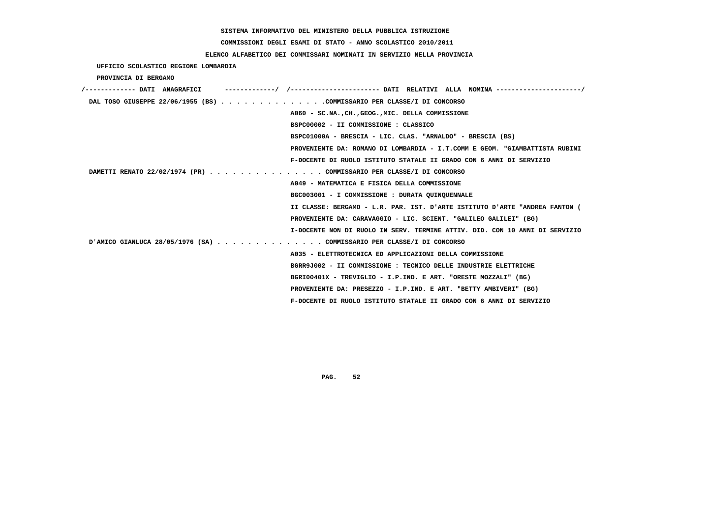# **COMMISSIONI DEGLI ESAMI DI STATO - ANNO SCOLASTICO 2010/2011**

## **ELENCO ALFABETICO DEI COMMISSARI NOMINATI IN SERVIZIO NELLA PROVINCIA**

 **UFFICIO SCOLASTICO REGIONE LOMBARDIA**

 **PROVINCIA DI BERGAMO**

| /------------- DATI ANAGRAFICI                                         |                                                                             |
|------------------------------------------------------------------------|-----------------------------------------------------------------------------|
| DAL TOSO GIUSEPPE 22/06/1955 (BS) COMMISSARIO PER CLASSE/I DI CONCORSO |                                                                             |
|                                                                        | A060 - SC.NA., CH., GEOG., MIC. DELLA COMMISSIONE                           |
|                                                                        | BSPC00002 - II COMMISSIONE : CLASSICO                                       |
|                                                                        | BSPC01000A - BRESCIA - LIC. CLAS. "ARNALDO" - BRESCIA (BS)                  |
|                                                                        | PROVENIENTE DA: ROMANO DI LOMBARDIA - I.T.COMM E GEOM. "GIAMBATTISTA RUBINI |
|                                                                        | F-DOCENTE DI RUOLO ISTITUTO STATALE II GRADO CON 6 ANNI DI SERVIZIO         |
| DAMETTI RENATO 22/02/1974 (PR) COMMISSARIO PER CLASSE/I DI CONCORSO    |                                                                             |
|                                                                        | A049 - MATEMATICA E FISICA DELLA COMMISSIONE                                |
|                                                                        | BGC003001 - I COMMISSIONE : DURATA QUINQUENNALE                             |
|                                                                        | II CLASSE: BERGAMO - L.R. PAR. IST. D'ARTE ISTITUTO D'ARTE "ANDREA FANTON ( |
|                                                                        | PROVENIENTE DA: CARAVAGGIO - LIC. SCIENT. "GALILEO GALILEI" (BG)            |
|                                                                        | I-DOCENTE NON DI RUOLO IN SERV. TERMINE ATTIV. DID. CON 10 ANNI DI SERVIZIO |
| D'AMICO GIANLUCA 28/05/1976 (SA) COMMISSARIO PER CLASSE/I DI CONCORSO  |                                                                             |
|                                                                        | A035 - ELETTROTECNICA ED APPLICAZIONI DELLA COMMISSIONE                     |
|                                                                        | BGRR9J002 - II COMMISSIONE : TECNICO DELLE INDUSTRIE ELETTRICHE             |
|                                                                        | BGRI00401X - TREVIGLIO - I.P.IND. E ART. "ORESTE MOZZALI" (BG)              |
|                                                                        | PROVENIENTE DA: PRESEZZO - I.P.IND. E ART. "BETTY AMBIVERI" (BG)            |
|                                                                        | F-DOCENTE DI RUOLO ISTITUTO STATALE II GRADO CON 6 ANNI DI SERVIZIO         |
|                                                                        |                                                                             |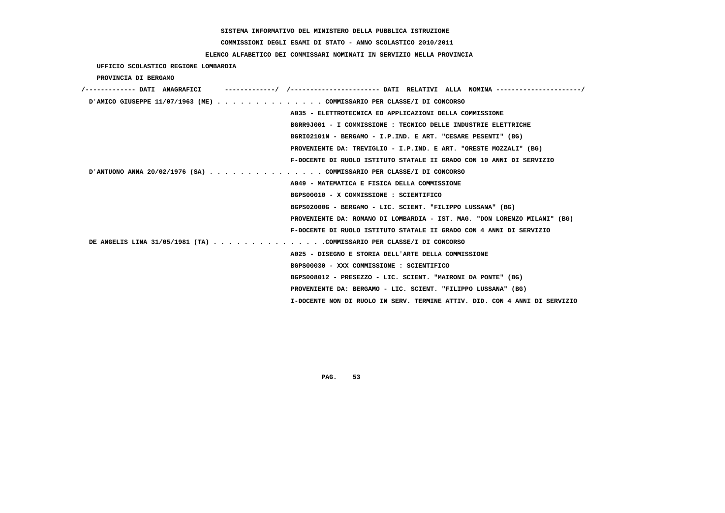**COMMISSIONI DEGLI ESAMI DI STATO - ANNO SCOLASTICO 2010/2011**

### **ELENCO ALFABETICO DEI COMMISSARI NOMINATI IN SERVIZIO NELLA PROVINCIA**

 **UFFICIO SCOLASTICO REGIONE LOMBARDIA**

 **PROVINCIA DI BERGAMO**

| /------------- DATI ANAGRAFICI                                       |                                                                            |
|----------------------------------------------------------------------|----------------------------------------------------------------------------|
| D'AMICO GIUSEPPE 11/07/1963 (ME)COMMISSARIO PER CLASSE/I DI CONCORSO |                                                                            |
|                                                                      | A035 - ELETTROTECNICA ED APPLICAZIONI DELLA COMMISSIONE                    |
|                                                                      | BGRR9J001 - I COMMISSIONE : TECNICO DELLE INDUSTRIE ELETTRICHE             |
|                                                                      | BGRI02101N - BERGAMO - I.P.IND. E ART. "CESARE PESENTI" (BG)               |
|                                                                      | PROVENIENTE DA: TREVIGLIO - I.P.IND. E ART. "ORESTE MOZZALI" (BG)          |
|                                                                      | F-DOCENTE DI RUOLO ISTITUTO STATALE II GRADO CON 10 ANNI DI SERVIZIO       |
| D'ANTUONO ANNA 20/02/1976 (SA) COMMISSARIO PER CLASSE/I DI CONCORSO  |                                                                            |
|                                                                      | A049 - MATEMATICA E FISICA DELLA COMMISSIONE                               |
|                                                                      | BGPS00010 - X COMMISSIONE : SCIENTIFICO                                    |
|                                                                      | BGPS02000G - BERGAMO - LIC. SCIENT. "FILIPPO LUSSANA" (BG)                 |
|                                                                      | PROVENIENTE DA: ROMANO DI LOMBARDIA - IST. MAG. "DON LORENZO MILANI" (BG)  |
|                                                                      | F-DOCENTE DI RUOLO ISTITUTO STATALE II GRADO CON 4 ANNI DI SERVIZIO        |
| DE ANGELIS LINA 31/05/1981 (TA) COMMISSARIO PER CLASSE/I DI CONCORSO |                                                                            |
|                                                                      | A025 - DISEGNO E STORIA DELL'ARTE DELLA COMMISSIONE                        |
|                                                                      | BGPS00030 - XXX COMMISSIONE : SCIENTIFICO                                  |
|                                                                      | BGPS008012 - PRESEZZO - LIC. SCIENT. "MAIRONI DA PONTE" (BG)               |
|                                                                      | PROVENIENTE DA: BERGAMO - LIC. SCIENT. "FILIPPO LUSSANA" (BG)              |
|                                                                      | I-DOCENTE NON DI RUOLO IN SERV. TERMINE ATTIV. DID. CON 4 ANNI DI SERVIZIO |
|                                                                      |                                                                            |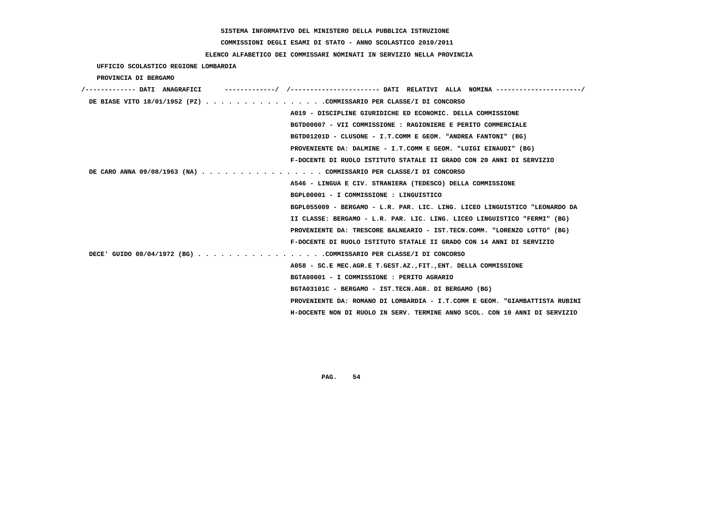# **COMMISSIONI DEGLI ESAMI DI STATO - ANNO SCOLASTICO 2010/2011**

## **ELENCO ALFABETICO DEI COMMISSARI NOMINATI IN SERVIZIO NELLA PROVINCIA**

 **UFFICIO SCOLASTICO REGIONE LOMBARDIA**

 **PROVINCIA DI BERGAMO**

| /------------- DATI ANAGRAFICI                                     |                                                                             |
|--------------------------------------------------------------------|-----------------------------------------------------------------------------|
| DE BIASE VITO 18/01/1952 (PZ) COMMISSARIO PER CLASSE/I DI CONCORSO |                                                                             |
|                                                                    | A019 - DISCIPLINE GIURIDICHE ED ECONOMIC. DELLA COMMISSIONE                 |
|                                                                    | BGTD00007 - VII COMMISSIONE : RAGIONIERE E PERITO COMMERCIALE               |
|                                                                    | BGTD01201D - CLUSONE - I.T.COMM E GEOM. "ANDREA FANTONI" (BG)               |
|                                                                    | PROVENIENTE DA: DALMINE - I.T.COMM E GEOM. "LUIGI EINAUDI" (BG)             |
|                                                                    | F-DOCENTE DI RUOLO ISTITUTO STATALE II GRADO CON 20 ANNI DI SERVIZIO        |
| DE CARO ANNA 09/08/1963 (NA) COMMISSARIO PER CLASSE/I DI CONCORSO  |                                                                             |
|                                                                    | A546 - LINGUA E CIV. STRANIERA (TEDESCO) DELLA COMMISSIONE                  |
|                                                                    | BGPL00001 - I COMMISSIONE : LINGUISTICO                                     |
|                                                                    | BGPL055009 - BERGAMO - L.R. PAR. LIC. LING. LICEO LINGUISTICO "LEONARDO DA  |
|                                                                    | II CLASSE: BERGAMO - L.R. PAR. LIC. LING. LICEO LINGUISTICO "FERMI" (BG)    |
|                                                                    | PROVENIENTE DA: TRESCORE BALNEARIO - IST.TECN.COMM. "LORENZO LOTTO" (BG)    |
|                                                                    | F-DOCENTE DI RUOLO ISTITUTO STATALE II GRADO CON 14 ANNI DI SERVIZIO        |
| DECE' GUIDO 08/04/1972 (BG) COMMISSARIO PER CLASSE/I DI CONCORSO   |                                                                             |
|                                                                    | A058 - SC.E MEC.AGR.E T.GEST.AZ., FIT., ENT. DELLA COMMISSIONE              |
|                                                                    | BGTA00001 - I COMMISSIONE : PERITO AGRARIO                                  |
|                                                                    | BGTA03101C - BERGAMO - IST.TECN.AGR. DI BERGAMO (BG)                        |
|                                                                    | PROVENIENTE DA: ROMANO DI LOMBARDIA - I.T.COMM E GEOM. "GIAMBATTISTA RUBINI |
|                                                                    | H-DOCENTE NON DI RUOLO IN SERV. TERMINE ANNO SCOL. CON 10 ANNI DI SERVIZIO  |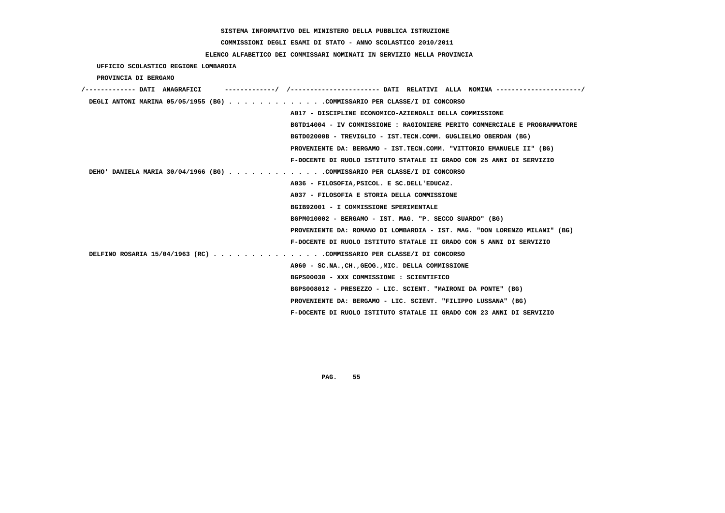# **COMMISSIONI DEGLI ESAMI DI STATO - ANNO SCOLASTICO 2010/2011**

## **ELENCO ALFABETICO DEI COMMISSARI NOMINATI IN SERVIZIO NELLA PROVINCIA**

 **UFFICIO SCOLASTICO REGIONE LOMBARDIA**

 **PROVINCIA DI BERGAMO**

| /------------- DATI ANAGRAFICI<br>------------/ /---------------------- DATT RRT.ATTVT AT.T.A NOMTNA ---------------------/ |
|-----------------------------------------------------------------------------------------------------------------------------|
| DEGLI ANTONI MARINA 05/05/1955 (BG) COMMISSARIO PER CLASSE/I DI CONCORSO                                                    |
| A017 - DISCIPLINE ECONOMICO-AZIENDALI DELLA COMMISSIONE                                                                     |
| BGTD14004 - IV COMMISSIONE : RAGIONIERE PERITO COMMERCIALE E PROGRAMMATORE                                                  |
| BGTD02000B - TREVIGLIO - IST.TECN.COMM. GUGLIELMO OBERDAN (BG)                                                              |
| PROVENIENTE DA: BERGAMO - IST.TECN.COMM. "VITTORIO EMANUELE II" (BG)                                                        |
| F-DOCENTE DI RUOLO ISTITUTO STATALE II GRADO CON 25 ANNI DI SERVIZIO                                                        |
| DEHO' DANIELA MARIA 30/04/1966 (BG) COMMISSARIO PER CLASSE/I DI CONCORSO                                                    |
| A036 - FILOSOFIA, PSICOL. E SC.DELL'EDUCAZ.                                                                                 |
| A037 - FILOSOFIA E STORIA DELLA COMMISSIONE                                                                                 |
| BGIB92001 - I COMMISSIONE SPERIMENTALE                                                                                      |
| BGPM010002 - BERGAMO - IST. MAG. "P. SECCO SUARDO" (BG)                                                                     |
| PROVENIENTE DA: ROMANO DI LOMBARDIA - IST. MAG. "DON LORENZO MILANI" (BG)                                                   |
| F-DOCENTE DI RUOLO ISTITUTO STATALE II GRADO CON 5 ANNI DI SERVIZIO                                                         |
| DELFINO ROSARIA 15/04/1963 (RC) COMMISSARIO PER CLASSE/I DI CONCORSO                                                        |
| A060 - SC.NA., CH., GEOG., MIC. DELLA COMMISSIONE                                                                           |
| BGPS00030 - XXX COMMISSIONE : SCIENTIFICO                                                                                   |
| BGPS008012 - PRESEZZO - LIC. SCIENT. "MAIRONI DA PONTE" (BG)                                                                |
| PROVENIENTE DA: BERGAMO - LIC. SCIENT. "FILIPPO LUSSANA" (BG)                                                               |
| F-DOCENTE DI RUOLO ISTITUTO STATALE II GRADO CON 23 ANNI DI SERVIZIO                                                        |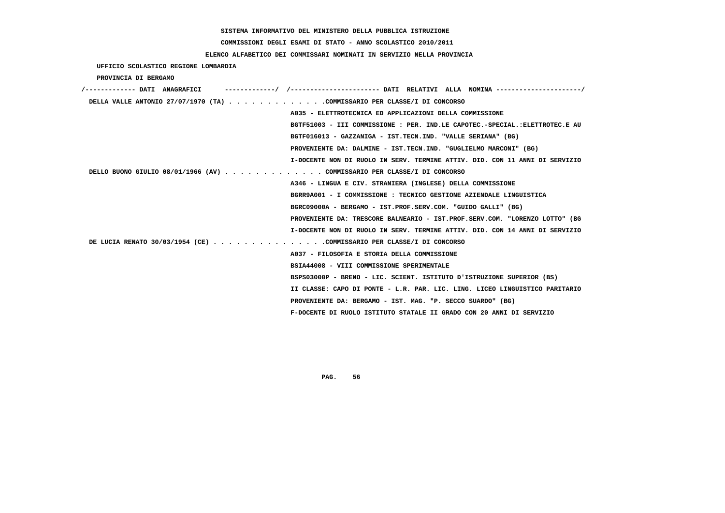# **COMMISSIONI DEGLI ESAMI DI STATO - ANNO SCOLASTICO 2010/2011**

## **ELENCO ALFABETICO DEI COMMISSARI NOMINATI IN SERVIZIO NELLA PROVINCIA**

 **UFFICIO SCOLASTICO REGIONE LOMBARDIA**

 **PROVINCIA DI BERGAMO**

| /------------- DATI ANAGRAFICI<br>-/ /----------------------    DATI RELATIVI ALLA NOMINA ---------------------/ |
|------------------------------------------------------------------------------------------------------------------|
| DELLA VALLE ANTONIO 27/07/1970 (TA) COMMISSARIO PER CLASSE/I DI CONCORSO                                         |
| A035 - ELETTROTECNICA ED APPLICAZIONI DELLA COMMISSIONE                                                          |
| BGTF51003 - III COMMISSIONE : PER. IND.LE CAPOTEC.-SPECIAL.:ELETTROTEC.E AU                                      |
| BGTF016013 - GAZZANIGA - IST.TECN.IND. "VALLE SERIANA" (BG)                                                      |
| PROVENIENTE DA: DALMINE - IST.TECN.IND. "GUGLIELMO MARCONI" (BG)                                                 |
| I-DOCENTE NON DI RUOLO IN SERV. TERMINE ATTIV. DID. CON 11 ANNI DI SERVIZIO                                      |
| DELLO BUONO GIULIO 08/01/1966 (AV) COMMISSARIO PER CLASSE/I DI CONCORSO                                          |
| A346 - LINGUA E CIV. STRANIERA (INGLESE) DELLA COMMISSIONE                                                       |
| BGRR9A001 - I COMMISSIONE : TECNICO GESTIONE AZIENDALE LINGUISTICA                                               |
| BGRC09000A - BERGAMO - IST.PROF.SERV.COM. "GUIDO GALLI" (BG)                                                     |
| PROVENIENTE DA: TRESCORE BALNEARIO - IST.PROF.SERV.COM. "LORENZO LOTTO" (BG                                      |
| I-DOCENTE NON DI RUOLO IN SERV. TERMINE ATTIV. DID. CON 14 ANNI DI SERVIZIO                                      |
| DE LUCIA RENATO 30/03/1954 (CE) COMMISSARIO PER CLASSE/I DI CONCORSO                                             |
| A037 - FILOSOFIA E STORIA DELLA COMMISSIONE                                                                      |
| BSIA44008 - VIII COMMISSIONE SPERIMENTALE                                                                        |
| BSPS03000P - BRENO - LIC. SCIENT. ISTITUTO D'ISTRUZIONE SUPERIOR (BS)                                            |
| II CLASSE: CAPO DI PONTE - L.R. PAR. LIC. LING. LICEO LINGUISTICO PARITARIO                                      |
| PROVENIENTE DA: BERGAMO - IST. MAG. "P. SECCO SUARDO" (BG)                                                       |
| F-DOCENTE DI RUOLO ISTITUTO STATALE II GRADO CON 20 ANNI DI SERVIZIO                                             |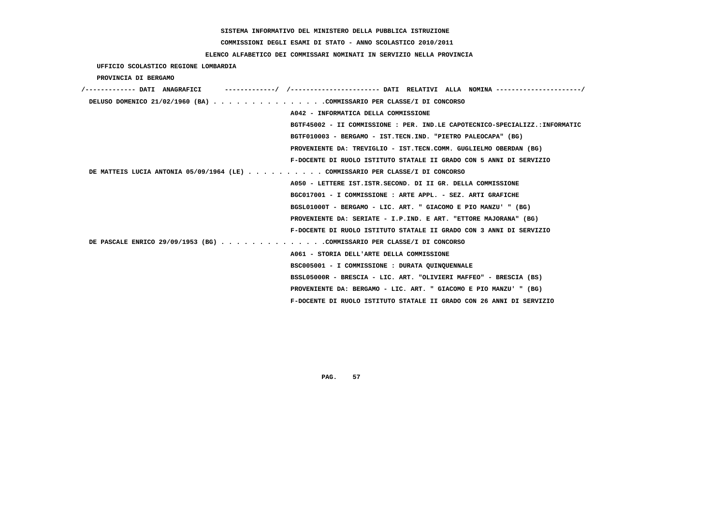# **COMMISSIONI DEGLI ESAMI DI STATO - ANNO SCOLASTICO 2010/2011**

## **ELENCO ALFABETICO DEI COMMISSARI NOMINATI IN SERVIZIO NELLA PROVINCIA**

 **UFFICIO SCOLASTICO REGIONE LOMBARDIA**

 **PROVINCIA DI BERGAMO**

| /------------- DATI ANAGRAFICI                                              | ----------/ /--------------------- DATI RELATIVI ALLA NOMINA--------------------/ |
|-----------------------------------------------------------------------------|-----------------------------------------------------------------------------------|
| DELUSO DOMENICO 21/02/1960 (BA) COMMISSARIO PER CLASSE/I DI CONCORSO        |                                                                                   |
|                                                                             | A042 - INFORMATICA DELLA COMMISSIONE                                              |
|                                                                             | BGTF45002 - II COMMISSIONE : PER. IND.LE CAPOTECNICO-SPECIALIZZ.:INFORMATIC       |
|                                                                             | BGTF010003 - BERGAMO - IST.TECN.IND. "PIETRO PALEOCAPA" (BG)                      |
|                                                                             | PROVENIENTE DA: TREVIGLIO - IST.TECN.COMM. GUGLIELMO OBERDAN (BG)                 |
|                                                                             | F-DOCENTE DI RUOLO ISTITUTO STATALE II GRADO CON 5 ANNI DI SERVIZIO               |
| DE MATTEIS LUCIA ANTONIA 05/09/1964 (LE)OMMISSARIO PER CLASSE/I DI CONCORSO |                                                                                   |
|                                                                             | A050 - LETTERE IST. ISTR. SECOND. DI II GR. DELLA COMMISSIONE                     |
|                                                                             | BGC017001 - I COMMISSIONE : ARTE APPL. - SEZ. ARTI GRAFICHE                       |
|                                                                             | BGSL01000T - BERGAMO - LIC. ART. " GIACOMO E PIO MANZU' " (BG)                    |
|                                                                             | PROVENIENTE DA: SERIATE - I.P.IND. E ART. "ETTORE MAJORANA" (BG)                  |
|                                                                             | F-DOCENTE DI RUOLO ISTITUTO STATALE II GRADO CON 3 ANNI DI SERVIZIO               |
| DE PASCALE ENRICO 29/09/1953 (BG) COMMISSARIO PER CLASSE/I DI CONCORSO      |                                                                                   |
|                                                                             | A061 - STORIA DELL'ARTE DELLA COMMISSIONE                                         |
|                                                                             | BSC005001 - I COMMISSIONE : DURATA QUINQUENNALE                                   |
|                                                                             | BSSL05000R - BRESCIA - LIC. ART. "OLIVIERI MAFFEO" - BRESCIA (BS)                 |
|                                                                             | PROVENIENTE DA: BERGAMO - LIC. ART. " GIACOMO E PIO MANZU' " (BG)                 |
|                                                                             | F-DOCENTE DI RUOLO ISTITUTO STATALE II GRADO CON 26 ANNI DI SERVIZIO              |
|                                                                             |                                                                                   |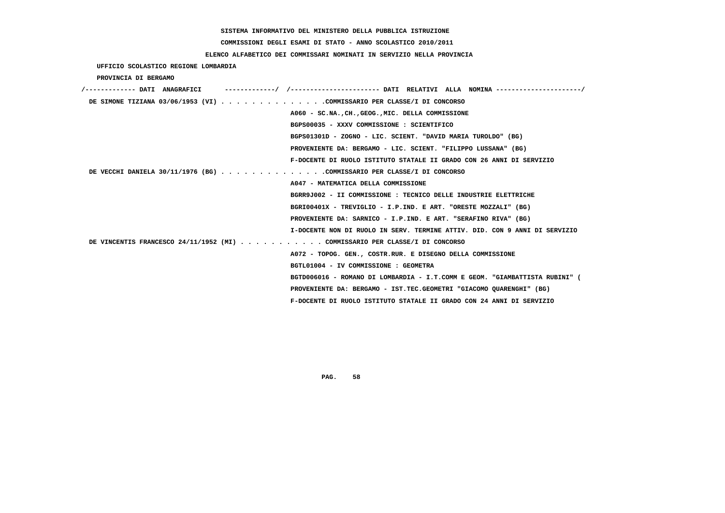# **COMMISSIONI DEGLI ESAMI DI STATO - ANNO SCOLASTICO 2010/2011**

## **ELENCO ALFABETICO DEI COMMISSARI NOMINATI IN SERVIZIO NELLA PROVINCIA**

 **UFFICIO SCOLASTICO REGIONE LOMBARDIA**

 **PROVINCIA DI BERGAMO**

| /------------- DATI ANAGRAFICI                                              |                                                                             |
|-----------------------------------------------------------------------------|-----------------------------------------------------------------------------|
| DE SIMONE TIZIANA 03/06/1953 (VI) COMMISSARIO PER CLASSE/I DI CONCORSO      |                                                                             |
|                                                                             | A060 - SC.NA., CH., GEOG., MIC. DELLA COMMISSIONE                           |
|                                                                             | BGPS00035 - XXXV COMMISSIONE : SCIENTIFICO                                  |
|                                                                             | BGPS01301D - ZOGNO - LIC. SCIENT. "DAVID MARIA TUROLDO" (BG)                |
|                                                                             | PROVENIENTE DA: BERGAMO - LIC. SCIENT. "FILIPPO LUSSANA" (BG)               |
|                                                                             | F-DOCENTE DI RUOLO ISTITUTO STATALE II GRADO CON 26 ANNI DI SERVIZIO        |
| DE VECCHI DANIELA 30/11/1976 (BG) COMMISSARIO PER CLASSE/I DI CONCORSO      |                                                                             |
|                                                                             | A047 - MATEMATICA DELLA COMMISSIONE                                         |
|                                                                             | BGRR9J002 - II COMMISSIONE : TECNICO DELLE INDUSTRIE ELETTRICHE             |
|                                                                             | BGRI00401X - TREVIGLIO - I.P.IND. E ART. "ORESTE MOZZALI" (BG)              |
|                                                                             | PROVENIENTE DA: SARNICO - I.P.IND. E ART. "SERAFINO RIVA" (BG)              |
|                                                                             | I-DOCENTE NON DI RUOLO IN SERV. TERMINE ATTIV. DID. CON 9 ANNI DI SERVIZIO  |
| DE VINCENTIS FRANCESCO 24/11/1952 (MI) COMMISSARIO PER CLASSE/I DI CONCORSO |                                                                             |
|                                                                             | A072 - TOPOG. GEN., COSTR.RUR. E DISEGNO DELLA COMMISSIONE                  |
|                                                                             | BGTL01004 - IV COMMISSIONE : GEOMETRA                                       |
|                                                                             | BGTD006016 - ROMANO DI LOMBARDIA - I.T.COMM E GEOM. "GIAMBATTISTA RUBINI" ( |
|                                                                             | PROVENIENTE DA: BERGAMO - IST.TEC.GEOMETRI "GIACOMO OUARENGHI" (BG)         |
|                                                                             | F-DOCENTE DI RUOLO ISTITUTO STATALE II GRADO CON 24 ANNI DI SERVIZIO        |
|                                                                             |                                                                             |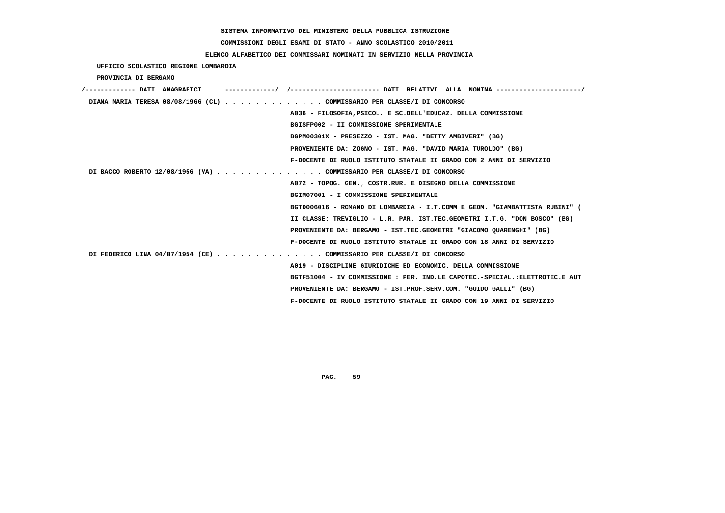**COMMISSIONI DEGLI ESAMI DI STATO - ANNO SCOLASTICO 2010/2011**

### **ELENCO ALFABETICO DEI COMMISSARI NOMINATI IN SERVIZIO NELLA PROVINCIA**

 **UFFICIO SCOLASTICO REGIONE LOMBARDIA**

 **PROVINCIA DI BERGAMO**

| /------------- DATI ANAGRAFICI | ----------/ /--------------------- DATI RELATIVI ALLA NOMINA--------------------/ |
|--------------------------------|-----------------------------------------------------------------------------------|
|                                | DIANA MARIA TERESA 08/08/1966 (CL) COMMISSARIO PER CLASSE/I DI CONCORSO           |
|                                | A036 - FILOSOFIA, PSICOL. E SC. DELL'EDUCAZ. DELLA COMMISSIONE                    |
|                                | BGISFP002 - II COMMISSIONE SPERIMENTALE                                           |
|                                | BGPM00301X - PRESEZZO - IST. MAG. "BETTY AMBIVERI" (BG)                           |
|                                | PROVENIENTE DA: ZOGNO - IST. MAG. "DAVID MARIA TUROLDO" (BG)                      |
|                                | F-DOCENTE DI RUOLO ISTITUTO STATALE II GRADO CON 2 ANNI DI SERVIZIO               |
|                                | DI BACCO ROBERTO 12/08/1956 (VA) COMMISSARIO PER CLASSE/I DI CONCORSO             |
|                                | A072 - TOPOG. GEN., COSTR.RUR. E DISEGNO DELLA COMMISSIONE                        |
|                                | BGIM07001 - I COMMISSIONE SPERIMENTALE                                            |
|                                | BGTD006016 - ROMANO DI LOMBARDIA - I.T.COMM E GEOM. "GIAMBATTISTA RUBINI" (       |
|                                | II CLASSE: TREVIGLIO - L.R. PAR. IST.TEC.GEOMETRI I.T.G. "DON BOSCO" (BG)         |
|                                | PROVENIENTE DA: BERGAMO - IST.TEC.GEOMETRI "GIACOMO OUARENGHI" (BG)               |
|                                | F-DOCENTE DI RUOLO ISTITUTO STATALE II GRADO CON 18 ANNI DI SERVIZIO              |
|                                | DI FEDERICO LINA 04/07/1954 (CE) COMMISSARIO PER CLASSE/I DI CONCORSO             |
|                                | A019 - DISCIPLINE GIURIDICHE ED ECONOMIC. DELLA COMMISSIONE                       |
|                                | BGTF51004 - IV COMMISSIONE : PER. IND.LE CAPOTEC.-SPECIAL.:ELETTROTEC.E AUT       |
|                                | PROVENIENTE DA: BERGAMO - IST.PROF.SERV.COM. "GUIDO GALLI" (BG)                   |
|                                | F-DOCENTE DI RUOLO ISTITUTO STATALE II GRADO CON 19 ANNI DI SERVIZIO              |
|                                |                                                                                   |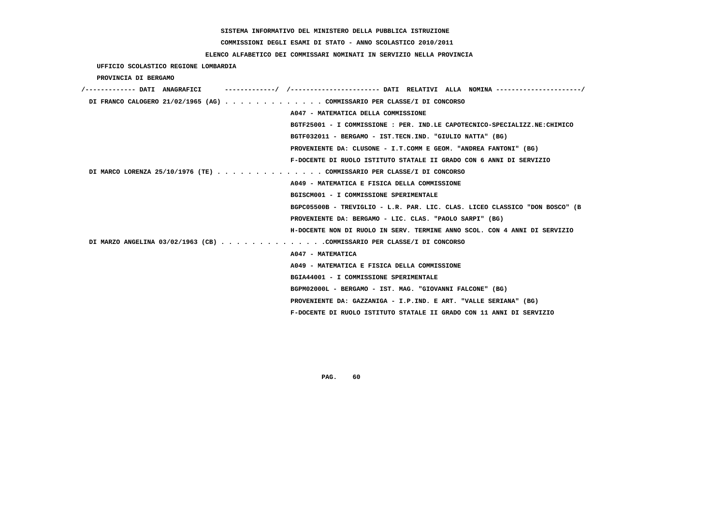# **COMMISSIONI DEGLI ESAMI DI STATO - ANNO SCOLASTICO 2010/2011**

## **ELENCO ALFABETICO DEI COMMISSARI NOMINATI IN SERVIZIO NELLA PROVINCIA**

 **UFFICIO SCOLASTICO REGIONE LOMBARDIA**

 **PROVINCIA DI BERGAMO**

| /------------- DATI ANAGRAFICI | -----------/ /----------------------- DATI RELATIVI ALLA NOMINA ---------------------/ |
|--------------------------------|----------------------------------------------------------------------------------------|
|                                | DI FRANCO CALOGERO 21/02/1965 (AG) COMMISSARIO PER CLASSE/I DI CONCORSO                |
|                                | A047 - MATEMATICA DELLA COMMISSIONE                                                    |
|                                | BGTF25001 - I COMMISSIONE : PER. IND.LE CAPOTECNICO-SPECIALIZZ.NE:CHIMICO              |
|                                | BGTF032011 - BERGAMO - IST.TECN.IND. "GIULIO NATTA" (BG)                               |
|                                | PROVENIENTE DA: CLUSONE - I.T.COMM E GEOM. "ANDREA FANTONI" (BG)                       |
|                                | F-DOCENTE DI RUOLO ISTITUTO STATALE II GRADO CON 6 ANNI DI SERVIZIO                    |
|                                | DI MARCO LORENZA 25/10/1976 (TE) COMMISSARIO PER CLASSE/I DI CONCORSO                  |
|                                | A049 - MATEMATICA E FISICA DELLA COMMISSIONE                                           |
|                                | BGISCM001 - I COMMISSIONE SPERIMENTALE                                                 |
|                                | BGPC05500B - TREVIGLIO - L.R. PAR. LIC. CLAS. LICEO CLASSICO "DON BOSCO" (B            |
|                                | PROVENIENTE DA: BERGAMO - LIC. CLAS. "PAOLO SARPI" (BG)                                |
|                                | H-DOCENTE NON DI RUOLO IN SERV. TERMINE ANNO SCOL. CON 4 ANNI DI SERVIZIO              |
|                                | DI MARZO ANGELINA 03/02/1963 (CB) COMMISSARIO PER CLASSE/I DI CONCORSO                 |
|                                | A047 - MATEMATICA                                                                      |
|                                | A049 - MATEMATICA E FISICA DELLA COMMISSIONE                                           |
|                                | BGIA44001 - I COMMISSIONE SPERIMENTALE                                                 |
|                                | BGPM02000L - BERGAMO - IST. MAG. "GIOVANNI FALCONE" (BG)                               |
|                                | PROVENIENTE DA: GAZZANIGA - I.P.IND. E ART. "VALLE SERIANA" (BG)                       |
|                                | F-DOCENTE DI RUOLO ISTITUTO STATALE II GRADO CON 11 ANNI DI SERVIZIO                   |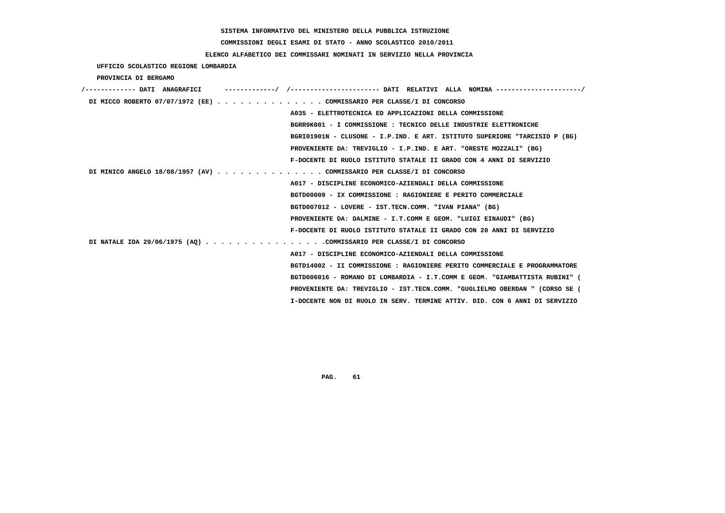**COMMISSIONI DEGLI ESAMI DI STATO - ANNO SCOLASTICO 2010/2011**

## **ELENCO ALFABETICO DEI COMMISSARI NOMINATI IN SERVIZIO NELLA PROVINCIA**

 **UFFICIO SCOLASTICO REGIONE LOMBARDIA**

 **PROVINCIA DI BERGAMO**

| /------------- DATI ANAGRAFICI |                                                                             |
|--------------------------------|-----------------------------------------------------------------------------|
|                                | DI MICCO ROBERTO 07/07/1972 (EE) COMMISSARIO PER CLASSE/I DI CONCORSO       |
|                                | A035 - ELETTROTECNICA ED APPLICAZIONI DELLA COMMISSIONE                     |
|                                | BGRR9K001 - I COMMISSIONE : TECNICO DELLE INDUSTRIE ELETTRONICHE            |
|                                | BGRI01901N - CLUSONE - I.P.IND. E ART. ISTITUTO SUPERIORE "TARCISIO P (BG)  |
|                                | PROVENIENTE DA: TREVIGLIO - I.P.IND. E ART. "ORESTE MOZZALI" (BG)           |
|                                | F-DOCENTE DI RUOLO ISTITUTO STATALE II GRADO CON 4 ANNI DI SERVIZIO         |
|                                | DI MINICO ANGELO 18/08/1957 (AV) COMMISSARIO PER CLASSE/I DI CONCORSO       |
|                                | A017 - DISCIPLINE ECONOMICO-AZIENDALI DELLA COMMISSIONE                     |
|                                | BGTD00009 - IX COMMISSIONE : RAGIONIERE E PERITO COMMERCIALE                |
|                                | BGTD007012 - LOVERE - IST.TECN.COMM. "IVAN PIANA" (BG)                      |
|                                | PROVENIENTE DA: DALMINE - I.T.COMM E GEOM. "LUIGI EINAUDI" (BG)             |
|                                | F-DOCENTE DI RUOLO ISTITUTO STATALE II GRADO CON 20 ANNI DI SERVIZIO        |
|                                | DI NATALE IDA 29/06/1975 (AQ) COMMISSARIO PER CLASSE/I DI CONCORSO          |
|                                | A017 - DISCIPLINE ECONOMICO-AZIENDALI DELLA COMMISSIONE                     |
|                                | BGTD14002 - II COMMISSIONE : RAGIONIERE PERITO COMMERCIALE E PROGRAMMATORE  |
|                                | BGTD006016 - ROMANO DI LOMBARDIA - I.T.COMM E GEOM. "GIAMBATTISTA RUBINI" ( |
|                                | PROVENIENTE DA: TREVIGLIO - IST.TECN.COMM. "GUGLIELMO OBERDAN " (CORSO SE ( |
|                                | I-DOCENTE NON DI RUOLO IN SERV. TERMINE ATTIV. DID. CON 6 ANNI DI SERVIZIO  |
|                                |                                                                             |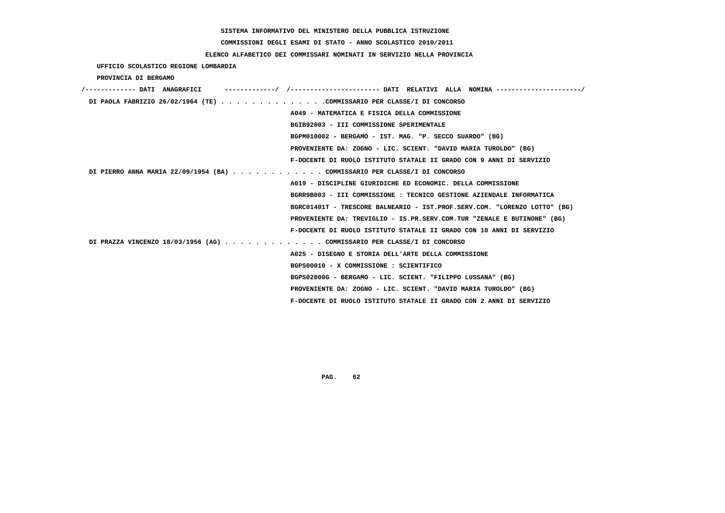# **COMMISSIONI DEGLI ESAMI DI STATO - ANNO SCOLASTICO 2010/2011**

## **ELENCO ALFABETICO DEI COMMISSARI NOMINATI IN SERVIZIO NELLA PROVINCIA**

 **UFFICIO SCOLASTICO REGIONE LOMBARDIA**

 **PROVINCIA DI BERGAMO**

| /------------- DATI ANAGRAFICI                                            |
|---------------------------------------------------------------------------|
| DI PAOLA FABRIZIO 26/02/1964 (TE) COMMISSARIO PER CLASSE/I DI CONCORSO    |
| A049 - MATEMATICA E FISICA DELLA COMMISSIONE                              |
| BGIB92003 - III COMMISSIONE SPERIMENTALE                                  |
| BGPM010002 - BERGAMO - IST. MAG. "P. SECCO SUARDO" (BG)                   |
| PROVENIENTE DA: ZOGNO - LIC. SCIENT. "DAVID MARIA TUROLDO" (BG)           |
| F-DOCENTE DI RUOLO ISTITUTO STATALE II GRADO CON 9 ANNI DI SERVIZIO       |
| DI PIERRO ANNA MARIA 22/09/1954 (BA) COMMISSARIO PER CLASSE/I DI CONCORSO |
| A019 - DISCIPLINE GIURIDICHE ED ECONOMIC. DELLA COMMISSIONE               |
| BGRR9B003 - III COMMISSIONE : TECNICO GESTIONE AZIENDALE INFORMATICA      |
| BGRC01401T - TRESCORE BALNEARIO - IST.PROF.SERV.COM. "LORENZO LOTTO" (BG) |
| PROVENIENTE DA: TREVIGLIO - IS.PR.SERV.COM.TUR "ZENALE E BUTINONE" (BG)   |
| F-DOCENTE DI RUOLO ISTITUTO STATALE II GRADO CON 10 ANNI DI SERVIZIO      |
| DI PRAZZA VINCENZO 18/03/1956 (AG) COMMISSARIO PER CLASSE/I DI CONCORSO   |
| A025 - DISEGNO E STORIA DELL'ARTE DELLA COMMISSIONE                       |
| BGPS00010 - X COMMISSIONE : SCIENTIFICO                                   |
| BGPS02000G - BERGAMO - LIC. SCIENT. "FILIPPO LUSSANA" (BG)                |
| PROVENIENTE DA: ZOGNO - LIC. SCIENT. "DAVID MARIA TUROLDO" (BG)           |
| F-DOCENTE DI RUOLO ISTITUTO STATALE II GRADO CON 2 ANNI DI SERVIZIO       |
|                                                                           |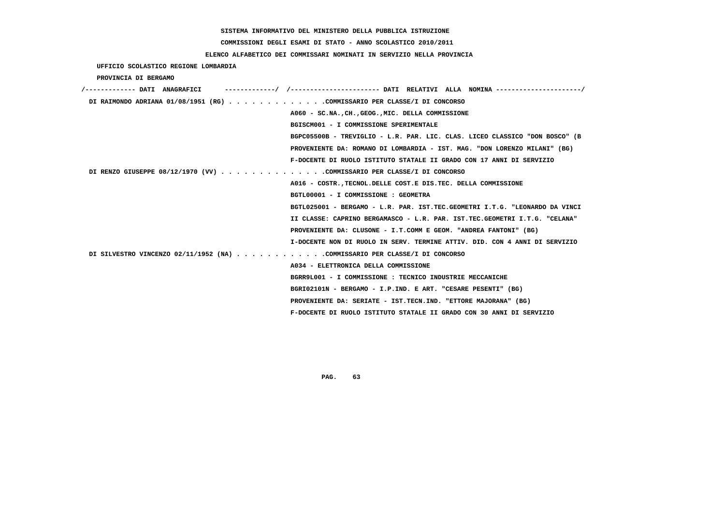# **COMMISSIONI DEGLI ESAMI DI STATO - ANNO SCOLASTICO 2010/2011**

## **ELENCO ALFABETICO DEI COMMISSARI NOMINATI IN SERVIZIO NELLA PROVINCIA**

 **UFFICIO SCOLASTICO REGIONE LOMBARDIA**

 **PROVINCIA DI BERGAMO**

| /------------- DATI ANAGRAFICI                                             |                                                                             |
|----------------------------------------------------------------------------|-----------------------------------------------------------------------------|
| DI RAIMONDO ADRIANA 01/08/1951 (RG) COMMISSARIO PER CLASSE/I DI CONCORSO   |                                                                             |
|                                                                            | A060 - SC.NACHGEOGMIC. DELLA COMMISSIONE                                    |
|                                                                            | BGISCM001 - I COMMISSIONE SPERIMENTALE                                      |
|                                                                            | BGPC05500B - TREVIGLIO - L.R. PAR. LIC. CLAS. LICEO CLASSICO "DON BOSCO" (B |
|                                                                            | PROVENIENTE DA: ROMANO DI LOMBARDIA - IST. MAG. "DON LORENZO MILANI" (BG)   |
|                                                                            | F-DOCENTE DI RUOLO ISTITUTO STATALE II GRADO CON 17 ANNI DI SERVIZIO        |
| DI RENZO GIUSEPPE 08/12/1970 (VV) COMMISSARIO PER CLASSE/I DI CONCORSO     |                                                                             |
|                                                                            | A016 - COSTR., TECNOL. DELLE COST. E DIS. TEC. DELLA COMMISSIONE            |
|                                                                            | BGTL00001 - I COMMISSIONE : GEOMETRA                                        |
|                                                                            | BGTL025001 - BERGAMO - L.R. PAR. IST.TEC.GEOMETRI I.T.G. "LEONARDO DA VINCI |
|                                                                            | II CLASSE: CAPRINO BERGAMASCO - L.R. PAR. IST.TEC.GEOMETRI I.T.G. "CELANA"  |
|                                                                            | PROVENIENTE DA: CLUSONE - I.T.COMM E GEOM. "ANDREA FANTONI" (BG)            |
|                                                                            | I-DOCENTE NON DI RUOLO IN SERV. TERMINE ATTIV. DID. CON 4 ANNI DI SERVIZIO  |
| DI SILVESTRO VINCENZO 02/11/1952 (NA) COMMISSARIO PER CLASSE/I DI CONCORSO |                                                                             |
|                                                                            | A034 - ELETTRONICA DELLA COMMISSIONE                                        |
|                                                                            | BGRR9L001 - I COMMISSIONE : TECNICO INDUSTRIE MECCANICHE                    |
|                                                                            | BGRI02101N - BERGAMO - I.P.IND. E ART. "CESARE PESENTI" (BG)                |
|                                                                            | PROVENIENTE DA: SERIATE - IST.TECN.IND. "ETTORE MAJORANA" (BG)              |
|                                                                            | F-DOCENTE DI RUOLO ISTITUTO STATALE II GRADO CON 30 ANNI DI SERVIZIO        |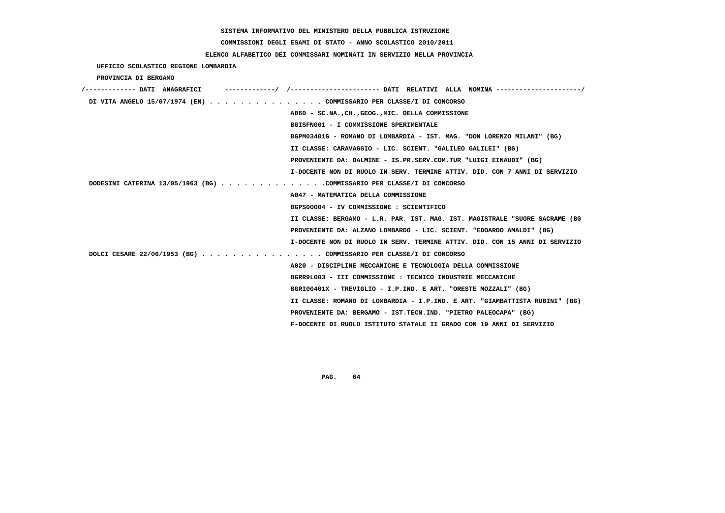#### **COMMISSIONI DEGLI ESAMI DI STATO - ANNO SCOLASTICO 2010/2011**

#### **ELENCO ALFABETICO DEI COMMISSARI NOMINATI IN SERVIZIO NELLA PROVINCIA**

 **UFFICIO SCOLASTICO REGIONE LOMBARDIA PROVINCIA DI BERGAMO /------------- DATI ANAGRAFICI -------------/ /----------------------- DATI RELATIVI ALLA NOMINA ----------------------/ DI VITA ANGELO 15/07/1974 (EN) . . . . . . . . . . . . . . . COMMISSARIO PER CLASSE/I DI CONCORSO A060 - SC.NA.,CH.,GEOG.,MIC. DELLA COMMISSIONE BGISFN001 - I COMMISSIONE SPERIMENTALE BGPM03401G - ROMANO DI LOMBARDIA - IST. MAG. "DON LORENZO MILANI" (BG) II CLASSE: CARAVAGGIO - LIC. SCIENT. "GALILEO GALILEI" (BG) PROVENIENTE DA: DALMINE - IS.PR.SERV.COM.TUR "LUIGI EINAUDI" (BG) I-DOCENTE NON DI RUOLO IN SERV. TERMINE ATTIV. DID. CON 7 ANNI DI SERVIZIO DODESINI CATERINA 13/05/1963 (BG) . . . . . . . . . . . . . .COMMISSARIO PER CLASSE/I DI CONCORSO A047 - MATEMATICA DELLA COMMISSIONE BGPS00004 - IV COMMISSIONE : SCIENTIFICO II CLASSE: BERGAMO - L.R. PAR. IST. MAG. IST. MAGISTRALE "SUORE SACRAME (BG PROVENIENTE DA: ALZANO LOMBARDO - LIC. SCIENT. "EDOARDO AMALDI" (BG) I-DOCENTE NON DI RUOLO IN SERV. TERMINE ATTIV. DID. CON 15 ANNI DI SERVIZIO DOLCI CESARE 22/06/1953 (BG) . . . . . . . . . . . . . . . . COMMISSARIO PER CLASSE/I DI CONCORSO A020 - DISCIPLINE MECCANICHE E TECNOLOGIA DELLA COMMISSIONE BGRR9L003 - III COMMISSIONE : TECNICO INDUSTRIE MECCANICHE BGRI00401X - TREVIGLIO - I.P.IND. E ART. "ORESTE MOZZALI" (BG) II CLASSE: ROMANO DI LOMBARDIA - I.P.IND. E ART. "GIAMBATTISTA RUBINI" (BG) PROVENIENTE DA: BERGAMO - IST.TECN.IND. "PIETRO PALEOCAPA" (BG) F-DOCENTE DI RUOLO ISTITUTO STATALE II GRADO CON 19 ANNI DI SERVIZIO**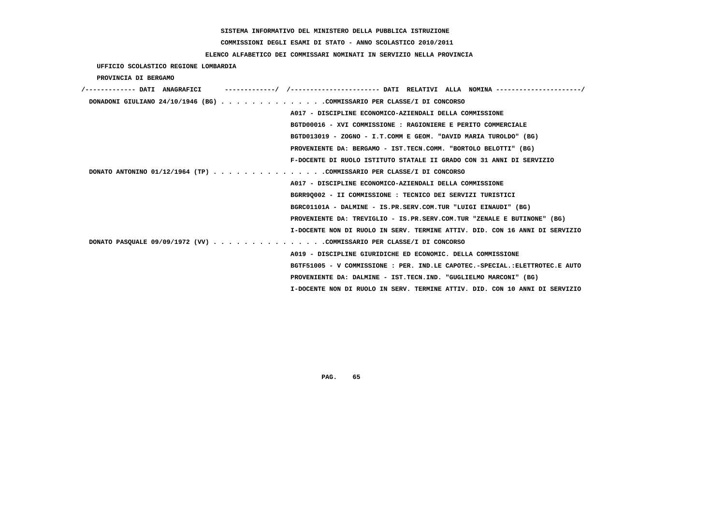**COMMISSIONI DEGLI ESAMI DI STATO - ANNO SCOLASTICO 2010/2011**

### **ELENCO ALFABETICO DEI COMMISSARI NOMINATI IN SERVIZIO NELLA PROVINCIA**

 **UFFICIO SCOLASTICO REGIONE LOMBARDIA**

 **PROVINCIA DI BERGAMO**

| DONADONI GIULIANO 24/10/1946 (BG) COMMISSARIO PER CLASSE/I DI CONCORSO |                                                                             |
|------------------------------------------------------------------------|-----------------------------------------------------------------------------|
|                                                                        | A017 - DISCIPLINE ECONOMICO-AZIENDALI DELLA COMMISSIONE                     |
|                                                                        | BGTD00016 - XVI COMMISSIONE : RAGIONIERE E PERITO COMMERCIALE               |
|                                                                        | BGTD013019 - ZOGNO - I.T.COMM E GEOM. "DAVID MARIA TUROLDO" (BG)            |
|                                                                        | PROVENIENTE DA: BERGAMO - IST.TECN.COMM. "BORTOLO BELOTTI" (BG)             |
|                                                                        | F-DOCENTE DI RUOLO ISTITUTO STATALE II GRADO CON 31 ANNI DI SERVIZIO        |
| DONATO ANTONINO 01/12/1964 (TP) COMMISSARIO PER CLASSE/I DI CONCORSO   |                                                                             |
|                                                                        | A017 - DISCIPLINE ECONOMICO-AZIENDALI DELLA COMMISSIONE                     |
|                                                                        | BGRR90002 - II COMMISSIONE : TECNICO DEI SERVIZI TURISTICI                  |
|                                                                        | BGRC01101A - DALMINE - IS.PR.SERV.COM.TUR "LUIGI EINAUDI" (BG)              |
|                                                                        | PROVENIENTE DA: TREVIGLIO - IS.PR.SERV.COM.TUR "ZENALE E BUTINONE" (BG)     |
|                                                                        | I-DOCENTE NON DI RUOLO IN SERV. TERMINE ATTIV. DID. CON 16 ANNI DI SERVIZIO |
| DONATO PASQUALE 09/09/1972 (VV) COMMISSARIO PER CLASSE/I DI CONCORSO   |                                                                             |
|                                                                        | A019 - DISCIPLINE GIURIDICHE ED ECONOMIC. DELLA COMMISSIONE                 |
|                                                                        | BGTF51005 - V COMMISSIONE : PER. IND.LE CAPOTEC.-SPECIAL.:ELETTROTEC.E AUTO |
|                                                                        | PROVENIENTE DA: DALMINE - IST.TECN.IND. "GUGLIELMO MARCONI" (BG)            |
|                                                                        | I-DOCENTE NON DI RUOLO IN SERV. TERMINE ATTIV. DID. CON 10 ANNI DI SERVIZIO |
|                                                                        |                                                                             |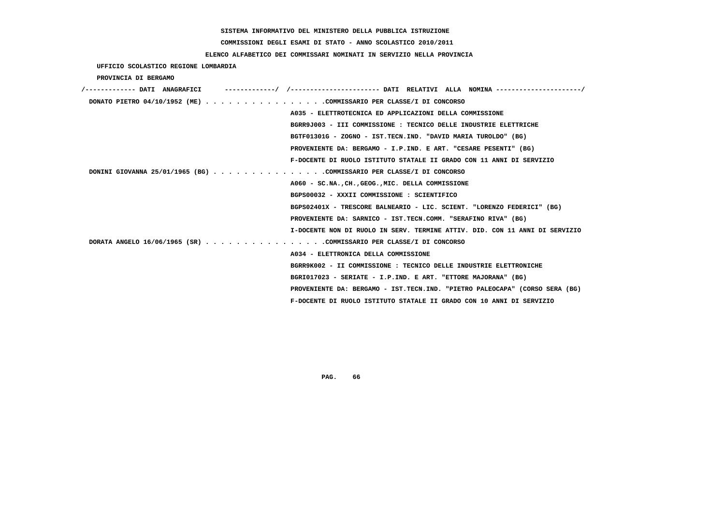# **COMMISSIONI DEGLI ESAMI DI STATO - ANNO SCOLASTICO 2010/2011**

## **ELENCO ALFABETICO DEI COMMISSARI NOMINATI IN SERVIZIO NELLA PROVINCIA**

 **UFFICIO SCOLASTICO REGIONE LOMBARDIA**

 **PROVINCIA DI BERGAMO**

| /------------- DATI ANAGRAFICI                                       |                                                                             |
|----------------------------------------------------------------------|-----------------------------------------------------------------------------|
| DONATO PIETRO 04/10/1952 (ME) COMMISSARIO PER CLASSE/I DI CONCORSO   |                                                                             |
|                                                                      | A035 - ELETTROTECNICA ED APPLICAZIONI DELLA COMMISSIONE                     |
|                                                                      | BGRR9J003 - III COMMISSIONE : TECNICO DELLE INDUSTRIE ELETTRICHE            |
|                                                                      | BGTF01301G - ZOGNO - IST.TECN.IND. "DAVID MARIA TUROLDO" (BG)               |
|                                                                      | PROVENIENTE DA: BERGAMO - I.P.IND. E ART. "CESARE PESENTI" (BG)             |
|                                                                      | F-DOCENTE DI RUOLO ISTITUTO STATALE II GRADO CON 11 ANNI DI SERVIZIO        |
| DONINI GIOVANNA 25/01/1965 (BG) COMMISSARIO PER CLASSE/I DI CONCORSO |                                                                             |
|                                                                      | A060 - SC.NA., CH., GEOG., MIC. DELLA COMMISSIONE                           |
|                                                                      | BGPS00032 - XXXII COMMISSIONE : SCIENTIFICO                                 |
|                                                                      | BGPS02401X - TRESCORE BALNEARIO - LIC. SCIENT. "LORENZO FEDERICI" (BG)      |
|                                                                      | PROVENIENTE DA: SARNICO - IST.TECN.COMM. "SERAFINO RIVA" (BG)               |
|                                                                      | I-DOCENTE NON DI RUOLO IN SERV. TERMINE ATTIV. DID. CON 11 ANNI DI SERVIZIO |
| DORATA ANGELO 16/06/1965 (SR) COMMISSARIO PER CLASSE/I DI CONCORSO   |                                                                             |
|                                                                      | A034 - ELETTRONICA DELLA COMMISSIONE                                        |
|                                                                      | BGRR9K002 - II COMMISSIONE : TECNICO DELLE INDUSTRIE ELETTRONICHE           |
|                                                                      | BGRI017023 - SERIATE - I.P.IND. E ART. "ETTORE MAJORANA" (BG)               |
|                                                                      | PROVENIENTE DA: BERGAMO - IST.TECN.IND. "PIETRO PALEOCAPA" (CORSO SERA (BG) |
|                                                                      | F-DOCENTE DI RUOLO ISTITUTO STATALE II GRADO CON 10 ANNI DI SERVIZIO        |
|                                                                      |                                                                             |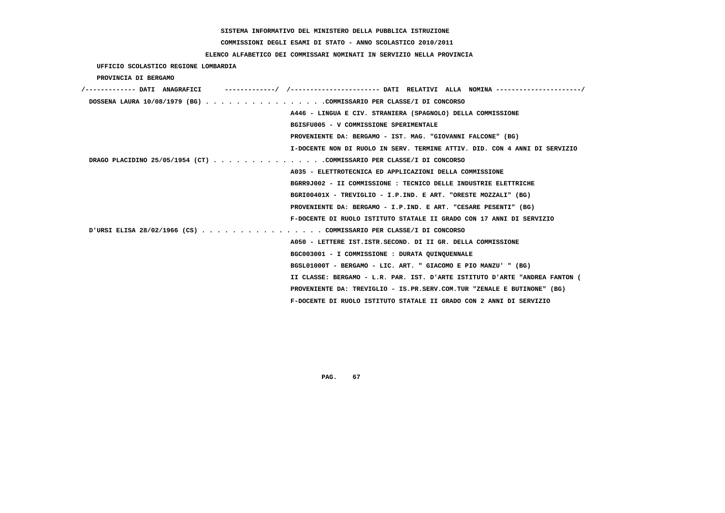# **COMMISSIONI DEGLI ESAMI DI STATO - ANNO SCOLASTICO 2010/2011**

## **ELENCO ALFABETICO DEI COMMISSARI NOMINATI IN SERVIZIO NELLA PROVINCIA**

 **UFFICIO SCOLASTICO REGIONE LOMBARDIA**

 **PROVINCIA DI BERGAMO**

| -------/ /----------------------- DATI RELATIVI ALLA NOMINA ---------------------/<br>'------------- DATI ANAGRAFICI |
|----------------------------------------------------------------------------------------------------------------------|
| DOSSENA LAURA 10/08/1979 (BG) COMMISSARIO PER CLASSE/I DI CONCORSO                                                   |
| A446 - LINGUA E CIV. STRANIERA (SPAGNOLO) DELLA COMMISSIONE                                                          |
| BGISFU005 - V COMMISSIONE SPERIMENTALE                                                                               |
| PROVENIENTE DA: BERGAMO - IST. MAG. "GIOVANNI FALCONE" (BG)                                                          |
| I-DOCENTE NON DI RUOLO IN SERV. TERMINE ATTIV. DID. CON 4 ANNI DI SERVIZIO                                           |
| DRAGO PLACIDINO 25/05/1954 (CT) COMMISSARIO PER CLASSE/I DI CONCORSO                                                 |
| A035 - ELETTROTECNICA ED APPLICAZIONI DELLA COMMISSIONE                                                              |
| BGRR9J002 - II COMMISSIONE : TECNICO DELLE INDUSTRIE ELETTRICHE                                                      |
| BGRI00401X - TREVIGLIO - I.P.IND. E ART. "ORESTE MOZZALI" (BG)                                                       |
| PROVENIENTE DA: BERGAMO - I.P.IND. E ART. "CESARE PESENTI" (BG)                                                      |
| F-DOCENTE DI RUOLO ISTITUTO STATALE II GRADO CON 17 ANNI DI SERVIZIO                                                 |
| URSI ELISA 28/02/1966 (CS) COMMISSARIO PER CLASSE/I DI CONCORSO                                                      |
| A050 - LETTERE IST.ISTR.SECOND. DI II GR. DELLA COMMISSIONE                                                          |
| BGC003001 - I COMMISSIONE : DURATA QUINQUENNALE                                                                      |
| BGSL01000T - BERGAMO - LIC. ART. " GIACOMO E PIO MANZU' " (BG)                                                       |
| II CLASSE: BERGAMO - L.R. PAR. IST. D'ARTE ISTITUTO D'ARTE "ANDREA FANTON (                                          |
| PROVENIENTE DA: TREVIGLIO - IS.PR.SERV.COM.TUR "ZENALE E BUTINONE" (BG)                                              |
| F-DOCENTE DI RUOLO ISTITUTO STATALE II GRADO CON 2 ANNI DI SERVIZIO                                                  |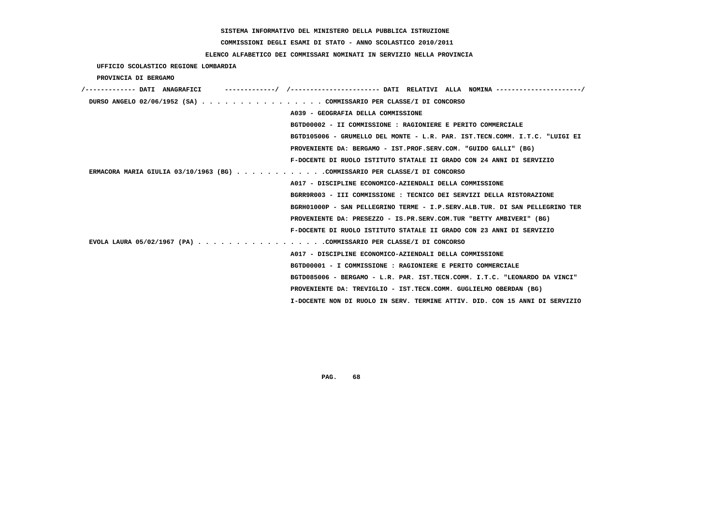**COMMISSIONI DEGLI ESAMI DI STATO - ANNO SCOLASTICO 2010/2011**

### **ELENCO ALFABETICO DEI COMMISSARI NOMINATI IN SERVIZIO NELLA PROVINCIA**

 **UFFICIO SCOLASTICO REGIONE LOMBARDIA**

 **PROVINCIA DI BERGAMO**

| /------------- DATI ANAGRAFICI                                             | ---------/ /---------------------- DATI RELATIVI ALLA NOMINA --------------------/ |
|----------------------------------------------------------------------------|------------------------------------------------------------------------------------|
| DURSO ANGELO 02/06/1952 (SA) COMMISSARIO PER CLASSE/I DI CONCORSO          |                                                                                    |
|                                                                            | A039 - GEOGRAFIA DELLA COMMISSIONE                                                 |
|                                                                            | BGTD00002 - II COMMISSIONE : RAGIONIERE E PERITO COMMERCIALE                       |
|                                                                            | BGTD105006 - GRUMELLO DEL MONTE - L.R. PAR. IST.TECN.COMM. I.T.C. "LUIGI EI        |
|                                                                            | PROVENIENTE DA: BERGAMO - IST.PROF.SERV.COM. "GUIDO GALLI" (BG)                    |
|                                                                            | F-DOCENTE DI RUOLO ISTITUTO STATALE II GRADO CON 24 ANNI DI SERVIZIO               |
| ERMACORA MARIA GIULIA 03/10/1963 (BG) COMMISSARIO PER CLASSE/I DI CONCORSO |                                                                                    |
|                                                                            | A017 - DISCIPLINE ECONOMICO-AZIENDALI DELLA COMMISSIONE                            |
|                                                                            | BGRR9R003 - III COMMISSIONE : TECNICO DEI SERVIZI DELLA RISTORAZIONE               |
|                                                                            | BGRH01000P - SAN PELLEGRINO TERME - I.P.SERV.ALB.TUR. DI SAN PELLEGRINO TER        |
|                                                                            | PROVENIENTE DA: PRESEZZO - IS.PR.SERV.COM.TUR "BETTY AMBIVERI" (BG)                |
|                                                                            | F-DOCENTE DI RUOLO ISTITUTO STATALE II GRADO CON 23 ANNI DI SERVIZIO               |
| EVOLA LAURA 05/02/1967 (PA) COMMISSARIO PER CLASSE/I DI CONCORSO           |                                                                                    |
|                                                                            | A017 - DISCIPLINE ECONOMICO-AZIENDALI DELLA COMMISSIONE                            |
|                                                                            | BGTD00001 - I COMMISSIONE : RAGIONIERE E PERITO COMMERCIALE                        |
|                                                                            | BGTD085006 - BERGAMO - L.R. PAR. IST.TECN.COMM. I.T.C. "LEONARDO DA VINCI"         |
|                                                                            | PROVENIENTE DA: TREVIGLIO - IST.TECN.COMM. GUGLIELMO OBERDAN (BG)                  |
|                                                                            | I-DOCENTE NON DI RUOLO IN SERV. TERMINE ATTIV. DID. CON 15 ANNI DI SERVIZIO        |
|                                                                            |                                                                                    |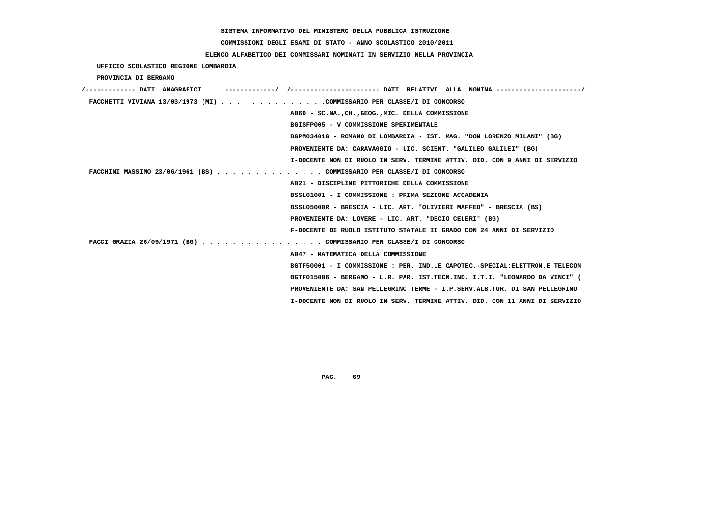# **COMMISSIONI DEGLI ESAMI DI STATO - ANNO SCOLASTICO 2010/2011**

### **ELENCO ALFABETICO DEI COMMISSARI NOMINATI IN SERVIZIO NELLA PROVINCIA**

 **UFFICIO SCOLASTICO REGIONE LOMBARDIA**

 **PROVINCIA DI BERGAMO**

| /------------- DATI ANAGRAFICI |                                                                             |  |
|--------------------------------|-----------------------------------------------------------------------------|--|
|                                | FACCHETTI VIVIANA 13/03/1973 (MI) COMMISSARIO PER CLASSE/I DI CONCORSO      |  |
|                                | A060 - SC.NA., CH., GEOG., MIC. DELLA COMMISSIONE                           |  |
|                                | BGISFP005 - V COMMISSIONE SPERIMENTALE                                      |  |
|                                | BGPM03401G - ROMANO DI LOMBARDIA - IST. MAG. "DON LORENZO MILANI" (BG)      |  |
|                                | PROVENIENTE DA: CARAVAGGIO - LIC. SCIENT. "GALILEO GALILEI" (BG)            |  |
|                                | I-DOCENTE NON DI RUOLO IN SERV. TERMINE ATTIV. DID. CON 9 ANNI DI SERVIZIO  |  |
|                                | FACCHINI MASSIMO 23/06/1961 (BS) COMMISSARIO PER CLASSE/I DI CONCORSO       |  |
|                                | A021 - DISCIPLINE PITTORICHE DELLA COMMISSIONE                              |  |
|                                | BSSL01001 - I COMMISSIONE : PRIMA SEZIONE ACCADEMIA                         |  |
|                                | BSSL05000R - BRESCIA - LIC. ART. "OLIVIERI MAFFEO" - BRESCIA (BS)           |  |
|                                | PROVENIENTE DA: LOVERE - LIC. ART. "DECIO CELERI" (BG)                      |  |
|                                | F-DOCENTE DI RUOLO ISTITUTO STATALE II GRADO CON 24 ANNI DI SERVIZIO        |  |
|                                | FACCI GRAZIA 26/09/1971 (BG) COMMISSARIO PER CLASSE/I DI CONCORSO           |  |
|                                | A047 - MATEMATICA DELLA COMMISSIONE                                         |  |
|                                | BGTF50001 - I COMMISSIONE : PER. IND.LE CAPOTEC.-SPECIAL:ELETTRON.E TELECOM |  |
|                                | BGTF015006 - BERGAMO - L.R. PAR. IST.TECN.IND. I.T.I. "LEONARDO DA VINCI" ( |  |
|                                | PROVENIENTE DA: SAN PELLEGRINO TERME - I.P.SERV.ALB.TUR. DI SAN PELLEGRINO  |  |
|                                | I-DOCENTE NON DI RUOLO IN SERV. TERMINE ATTIV. DID. CON 11 ANNI DI SERVIZIO |  |
|                                |                                                                             |  |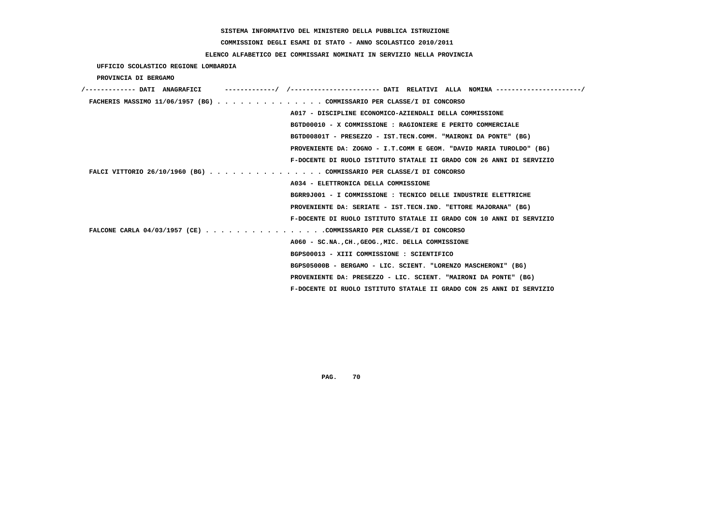**COMMISSIONI DEGLI ESAMI DI STATO - ANNO SCOLASTICO 2010/2011**

### **ELENCO ALFABETICO DEI COMMISSARI NOMINATI IN SERVIZIO NELLA PROVINCIA**

 **UFFICIO SCOLASTICO REGIONE LOMBARDIA**

 **PROVINCIA DI BERGAMO**

| /------------- DATI ANAGRAFICI                                        |                                                                      |
|-----------------------------------------------------------------------|----------------------------------------------------------------------|
| FACHERIS MASSIMO 11/06/1957 (BG) COMMISSARIO PER CLASSE/I DI CONCORSO |                                                                      |
|                                                                       | A017 - DISCIPLINE ECONOMICO-AZIENDALI DELLA COMMISSIONE              |
|                                                                       | BGTD00010 - X COMMISSIONE : RAGIONIERE E PERITO COMMERCIALE          |
|                                                                       | BGTD00801T - PRESEZZO - IST.TECN.COMM. "MAIRONI DA PONTE" (BG)       |
|                                                                       | PROVENIENTE DA: ZOGNO - I.T.COMM E GEOM. "DAVID MARIA TUROLDO" (BG)  |
|                                                                       | F-DOCENTE DI RUOLO ISTITUTO STATALE II GRADO CON 26 ANNI DI SERVIZIO |
| FALCI VITTORIO 26/10/1960 (BG) COMMISSARIO PER CLASSE/I DI CONCORSO   |                                                                      |
|                                                                       | A034 - ELETTRONICA DELLA COMMISSIONE                                 |
|                                                                       | BGRR9J001 - I COMMISSIONE : TECNICO DELLE INDUSTRIE ELETTRICHE       |
|                                                                       | PROVENIENTE DA: SERIATE - IST.TECN.IND. "ETTORE MAJORANA" (BG)       |
|                                                                       | F-DOCENTE DI RUOLO ISTITUTO STATALE II GRADO CON 10 ANNI DI SERVIZIO |
| FALCONE CARLA $04/03/1957$ (CE) COMMISSARIO PER CLASSE/I DI CONCORSO  |                                                                      |
|                                                                       | A060 - SC.NA., CH., GEOG., MIC. DELLA COMMISSIONE                    |
|                                                                       | BGPS00013 - XIII COMMISSIONE : SCIENTIFICO                           |
|                                                                       | BGPS05000B - BERGAMO - LIC. SCIENT. "LORENZO MASCHERONI" (BG)        |
|                                                                       | PROVENIENTE DA: PRESEZZO - LIC. SCIENT. "MAIRONI DA PONTE" (BG)      |
|                                                                       | F-DOCENTE DI RUOLO ISTITUTO STATALE II GRADO CON 25 ANNI DI SERVIZIO |
|                                                                       |                                                                      |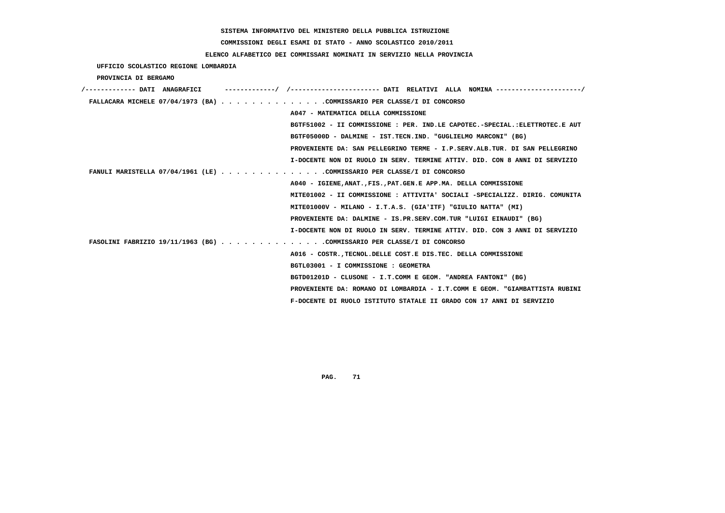# **COMMISSIONI DEGLI ESAMI DI STATO - ANNO SCOLASTICO 2010/2011**

## **ELENCO ALFABETICO DEI COMMISSARI NOMINATI IN SERVIZIO NELLA PROVINCIA**

 **UFFICIO SCOLASTICO REGIONE LOMBARDIA**

 **PROVINCIA DI BERGAMO**

| /------------- DATI ANAGRAFICI | -----------/ /---------------------- DATI RELATIVI ALLA NOMINA ---------------------/ |
|--------------------------------|---------------------------------------------------------------------------------------|
|                                | FALLACARA MICHELE 07/04/1973 (BA) COMMISSARIO PER CLASSE/I DI CONCORSO                |
|                                | A047 - MATEMATICA DELLA COMMISSIONE                                                   |
|                                | BGTF51002 - II COMMISSIONE : PER. IND.LE CAPOTEC.-SPECIAL.:ELETTROTEC.E AUT           |
|                                | BGTF05000D - DALMINE - IST.TECN.IND. "GUGLIELMO MARCONI" (BG)                         |
|                                | PROVENIENTE DA: SAN PELLEGRINO TERME - I.P.SERV.ALB.TUR. DI SAN PELLEGRINO            |
|                                | I-DOCENTE NON DI RUOLO IN SERV. TERMINE ATTIV. DID. CON 8 ANNI DI SERVIZIO            |
|                                | FANULI MARISTELLA 07/04/1961 (LE) COMMISSARIO PER CLASSE/I DI CONCORSO                |
|                                | A040 - IGIENE, ANAT., FIS., PAT. GEN. E APP. MA. DELLA COMMISSIONE                    |
|                                | MITE01002 - II COMMISSIONE : ATTIVITA' SOCIALI -SPECIALIZZ. DIRIG. COMUNITA           |
|                                | MITE01000V - MILANO - I.T.A.S. (GIA'ITF) "GIULIO NATTA" (MI)                          |
|                                | PROVENIENTE DA: DALMINE - IS.PR.SERV.COM.TUR "LUIGI EINAUDI" (BG)                     |
|                                | I-DOCENTE NON DI RUOLO IN SERV. TERMINE ATTIV. DID. CON 3 ANNI DI SERVIZIO            |
|                                | FASOLINI FABRIZIO 19/11/1963 (BG) COMMISSARIO PER CLASSE/I DI CONCORSO                |
|                                | A016 - COSTR. TECNOL. DELLE COST. E DIS. TEC. DELLA COMMISSIONE                       |
|                                | BGTL03001 - I COMMISSIONE : GEOMETRA                                                  |
|                                | BGTD01201D - CLUSONE - I.T.COMM E GEOM. "ANDREA FANTONI" (BG)                         |
|                                | PROVENIENTE DA: ROMANO DI LOMBARDIA - I.T.COMM E GEOM. "GIAMBATTISTA RUBINI           |
|                                | F-DOCENTE DI RUOLO ISTITUTO STATALE II GRADO CON 17 ANNI DI SERVIZIO                  |
|                                |                                                                                       |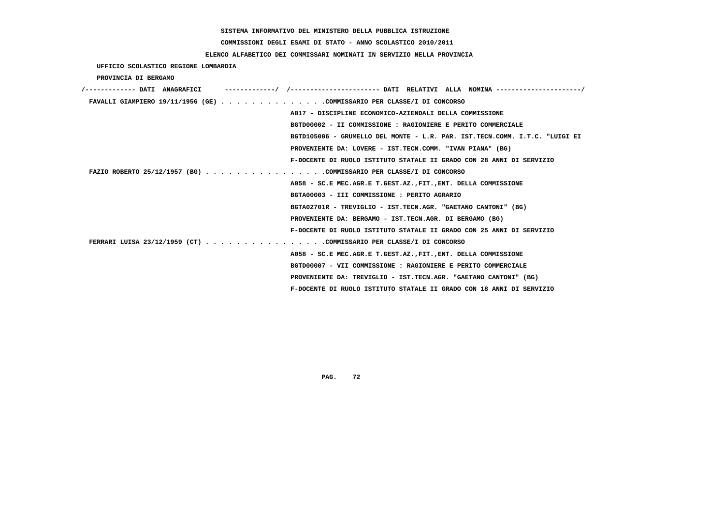# **COMMISSIONI DEGLI ESAMI DI STATO - ANNO SCOLASTICO 2010/2011**

## **ELENCO ALFABETICO DEI COMMISSARI NOMINATI IN SERVIZIO NELLA PROVINCIA**

 **UFFICIO SCOLASTICO REGIONE LOMBARDIA**

 **PROVINCIA DI BERGAMO**

| /------------- DATI ANAGRAFICI |                                                                             |
|--------------------------------|-----------------------------------------------------------------------------|
|                                | FAVALLI GIAMPIERO 19/11/1956 (GE) COMMISSARIO PER CLASSE/I DI CONCORSO      |
|                                | A017 - DISCIPLINE ECONOMICO-AZIENDALI DELLA COMMISSIONE                     |
|                                | BGTD00002 - II COMMISSIONE : RAGIONIERE E PERITO COMMERCIALE                |
|                                | BGTD105006 - GRUMELLO DEL MONTE - L.R. PAR. IST.TECN.COMM. I.T.C. "LUIGI EI |
|                                | PROVENIENTE DA: LOVERE - IST.TECN.COMM. "IVAN PIANA" (BG)                   |
|                                | F-DOCENTE DI RUOLO ISTITUTO STATALE II GRADO CON 28 ANNI DI SERVIZIO        |
|                                | FAZIO ROBERTO 25/12/1957 (BG) COMMISSARIO PER CLASSE/I DI CONCORSO          |
|                                | A058 - SC.E MEC.AGR.E T.GEST.AZ., FIT., ENT. DELLA COMMISSIONE              |
|                                | BGTA00003 - III COMMISSIONE : PERITO AGRARIO                                |
|                                | BGTA02701R - TREVIGLIO - IST.TECN.AGR. "GAETANO CANTONI" (BG)               |
|                                | PROVENIENTE DA: BERGAMO - IST.TECN.AGR. DI BERGAMO (BG)                     |
|                                | F-DOCENTE DI RUOLO ISTITUTO STATALE II GRADO CON 25 ANNI DI SERVIZIO        |
|                                | FERRARI LUISA 23/12/1959 (CT) COMMISSARIO PER CLASSE/I DI CONCORSO          |
|                                | A058 - SC.E MEC.AGR.E T.GEST.AZ., FIT., ENT. DELLA COMMISSIONE              |
|                                | BGTD00007 - VII COMMISSIONE : RAGIONIERE E PERITO COMMERCIALE               |
|                                | PROVENIENTE DA: TREVIGLIO - IST.TECN.AGR. "GAETANO CANTONI" (BG)            |
|                                | F-DOCENTE DI RUOLO ISTITUTO STATALE II GRADO CON 18 ANNI DI SERVIZIO        |
|                                |                                                                             |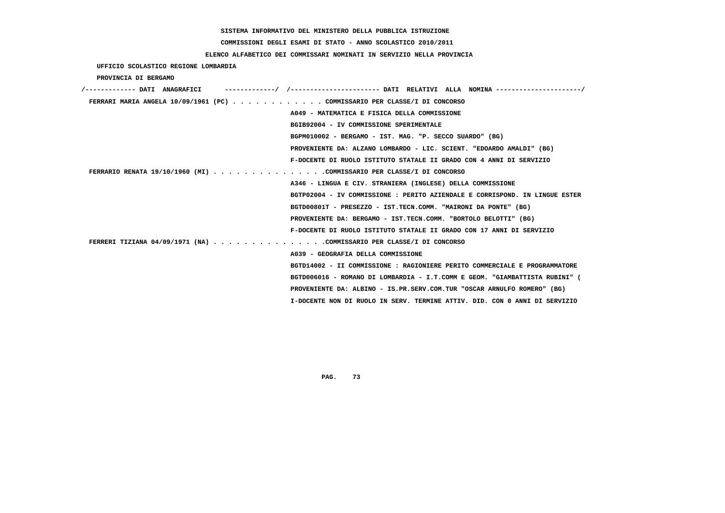# **COMMISSIONI DEGLI ESAMI DI STATO - ANNO SCOLASTICO 2010/2011**

## **ELENCO ALFABETICO DEI COMMISSARI NOMINATI IN SERVIZIO NELLA PROVINCIA**

 **UFFICIO SCOLASTICO REGIONE LOMBARDIA**

 **PROVINCIA DI BERGAMO**

| /------------- DATI ANAGRAFICI                                              |
|-----------------------------------------------------------------------------|
| FERRARI MARIA ANGELA 10/09/1961 (PC) COMMISSARIO PER CLASSE/I DI CONCORSO   |
| A049 - MATEMATICA E FISICA DELLA COMMISSIONE                                |
| BGIB92004 - IV COMMISSIONE SPERIMENTALE                                     |
| BGPM010002 - BERGAMO - IST. MAG. "P. SECCO SUARDO" (BG)                     |
| PROVENIENTE DA: ALZANO LOMBARDO - LIC. SCIENT. "EDOARDO AMALDI" (BG)        |
| F-DOCENTE DI RUOLO ISTITUTO STATALE II GRADO CON 4 ANNI DI SERVIZIO         |
| FERRARIO RENATA 19/10/1960 (MI) COMMISSARIO PER CLASSE/I DI CONCORSO        |
| A346 - LINGUA E CIV. STRANIERA (INGLESE) DELLA COMMISSIONE                  |
| BGTP02004 - IV COMMISSIONE : PERITO AZIENDALE E CORRISPOND. IN LINGUE ESTER |
| BGTD00801T - PRESEZZO - IST.TECN.COMM. "MAIRONI DA PONTE" (BG)              |
| PROVENIENTE DA: BERGAMO - IST.TECN.COMM. "BORTOLO BELOTTI" (BG)             |
| F-DOCENTE DI RUOLO ISTITUTO STATALE II GRADO CON 17 ANNI DI SERVIZIO        |
| FERRERI TIZIANA 04/09/1971 (NA) COMMISSARIO PER CLASSE/I DI CONCORSO        |
| A039 - GEOGRAFIA DELLA COMMISSIONE                                          |
| BGTD14002 - II COMMISSIONE : RAGIONIERE PERITO COMMERCIALE E PROGRAMMATORE  |
| BGTD006016 - ROMANO DI LOMBARDIA - I.T.COMM E GEOM. "GIAMBATTISTA RUBINI" ( |
| PROVENIENTE DA: ALBINO - IS.PR.SERV.COM.TUR "OSCAR ARNULFO ROMERO" (BG)     |
| I-DOCENTE NON DI RUOLO IN SERV. TERMINE ATTIV. DID. CON 0 ANNI DI SERVIZIO  |
|                                                                             |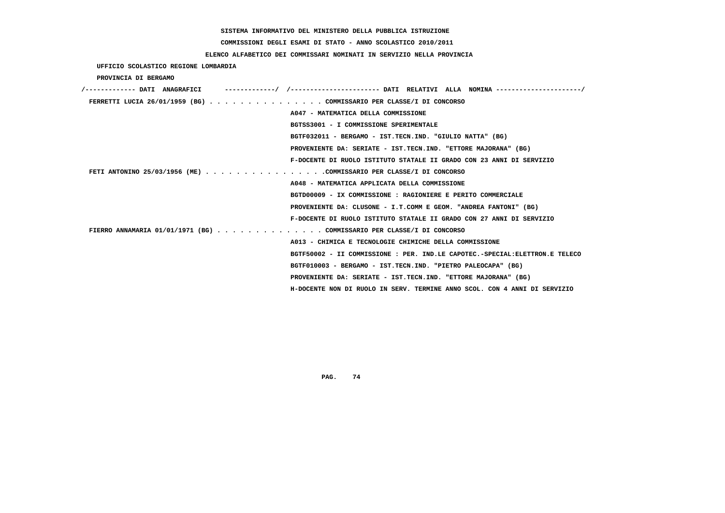# **COMMISSIONI DEGLI ESAMI DI STATO - ANNO SCOLASTICO 2010/2011**

## **ELENCO ALFABETICO DEI COMMISSARI NOMINATI IN SERVIZIO NELLA PROVINCIA**

 **UFFICIO SCOLASTICO REGIONE LOMBARDIA**

 **PROVINCIA DI BERGAMO**

| /------------- DATI ANAGRAFICI                                        |                                                                             |
|-----------------------------------------------------------------------|-----------------------------------------------------------------------------|
| FERRETTI LUCIA 26/01/1959 (BG) COMMISSARIO PER CLASSE/I DI CONCORSO   |                                                                             |
|                                                                       | A047 - MATEMATICA DELLA COMMISSIONE                                         |
|                                                                       | BGTSS3001 - I COMMISSIONE SPERIMENTALE                                      |
|                                                                       | BGTF032011 - BERGAMO - IST.TECN.IND. "GIULIO NATTA" (BG)                    |
|                                                                       | PROVENIENTE DA: SERIATE - IST.TECN.IND. "ETTORE MAJORANA" (BG)              |
|                                                                       | F-DOCENTE DI RUOLO ISTITUTO STATALE II GRADO CON 23 ANNI DI SERVIZIO        |
| FETI ANTONINO 25/03/1956 (ME) COMMISSARIO PER CLASSE/I DI CONCORSO    |                                                                             |
|                                                                       | A048 - MATEMATICA APPLICATA DELLA COMMISSIONE                               |
|                                                                       | BGTD00009 - IX COMMISSIONE : RAGIONIERE E PERITO COMMERCIALE                |
|                                                                       | PROVENIENTE DA: CLUSONE - I.T.COMM E GEOM. "ANDREA FANTONI" (BG)            |
|                                                                       | F-DOCENTE DI RUOLO ISTITUTO STATALE II GRADO CON 27 ANNI DI SERVIZIO        |
| FIERRO ANNAMARIA 01/01/1971 (BG) COMMISSARIO PER CLASSE/I DI CONCORSO |                                                                             |
|                                                                       | A013 - CHIMICA E TECNOLOGIE CHIMICHE DELLA COMMISSIONE                      |
|                                                                       | BGTF50002 - II COMMISSIONE : PER. IND.LE CAPOTEC.-SPECIAL:ELETTRON.E TELECO |
|                                                                       | BGTF010003 - BERGAMO - IST.TECN.IND. "PIETRO PALEOCAPA" (BG)                |
|                                                                       | PROVENIENTE DA: SERIATE - IST.TECN.IND. "ETTORE MAJORANA" (BG)              |
|                                                                       | H-DOCENTE NON DI RUOLO IN SERV. TERMINE ANNO SCOL. CON 4 ANNI DI SERVIZIO   |
|                                                                       |                                                                             |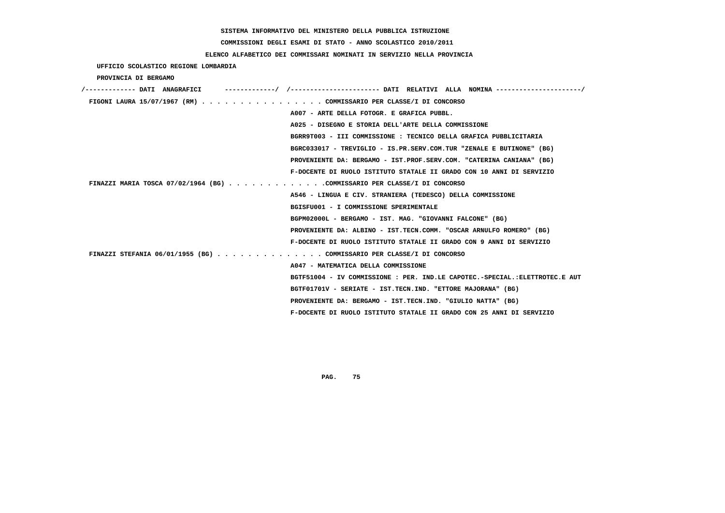**COMMISSIONI DEGLI ESAMI DI STATO - ANNO SCOLASTICO 2010/2011**

## **ELENCO ALFABETICO DEI COMMISSARI NOMINATI IN SERVIZIO NELLA PROVINCIA**

|  | UFFICIO SCOLASTICO REGIONE LOMBARDIA |  |  |  |
|--|--------------------------------------|--|--|--|
|--|--------------------------------------|--|--|--|

 **PROVINCIA DI BERGAMO**

| /------------- DATI ANAGRAFICI                                           | ---------/ /--------------------- DATI RELATIVI ALLA NOMINA--------------------/ |
|--------------------------------------------------------------------------|----------------------------------------------------------------------------------|
| FIGONI LAURA 15/07/1967 (RM) COMMISSARIO PER CLASSE/I DI CONCORSO        |                                                                                  |
|                                                                          | A007 - ARTE DELLA FOTOGR. E GRAFICA PUBBL.                                       |
|                                                                          | A025 - DISEGNO E STORIA DELL'ARTE DELLA COMMISSIONE                              |
|                                                                          | BGRR9T003 - III COMMISSIONE : TECNICO DELLA GRAFICA PUBBLICITARIA                |
|                                                                          | BGRC033017 - TREVIGLIO - IS.PR.SERV.COM.TUR "ZENALE E BUTINONE" (BG)             |
|                                                                          | PROVENIENTE DA: BERGAMO - IST.PROF.SERV.COM. "CATERINA CANIANA" (BG)             |
|                                                                          | F-DOCENTE DI RUOLO ISTITUTO STATALE II GRADO CON 10 ANNI DI SERVIZIO             |
| FINAZZI MARIA TOSCA 07/02/1964 (BG) COMMISSARIO PER CLASSE/I DI CONCORSO |                                                                                  |
|                                                                          | A546 - LINGUA E CIV. STRANIERA (TEDESCO) DELLA COMMISSIONE                       |
|                                                                          | BGISFU001 - I COMMISSIONE SPERIMENTALE                                           |
|                                                                          | BGPM02000L - BERGAMO - IST. MAG. "GIOVANNI FALCONE" (BG)                         |
|                                                                          | PROVENIENTE DA: ALBINO - IST.TECN.COMM. "OSCAR ARNULFO ROMERO" (BG)              |
|                                                                          | F-DOCENTE DI RUOLO ISTITUTO STATALE II GRADO CON 9 ANNI DI SERVIZIO              |
| FINAZZI STEFANIA 06/01/1955 (BG) COMMISSARIO PER CLASSE/I DI CONCORSO    |                                                                                  |
|                                                                          | A047 - MATEMATICA DELLA COMMISSIONE                                              |
|                                                                          | BGTF51004 - IV COMMISSIONE : PER. IND.LE CAPOTEC.-SPECIAL.:ELETTROTEC.E AUT      |
|                                                                          | BGTF01701V - SERIATE - IST.TECN.IND. "ETTORE MAJORANA" (BG)                      |
|                                                                          | PROVENIENTE DA: BERGAMO - IST.TECN.IND. "GIULIO NATTA" (BG)                      |
|                                                                          | F-DOCENTE DI RUOLO ISTITUTO STATALE II GRADO CON 25 ANNI DI SERVIZIO             |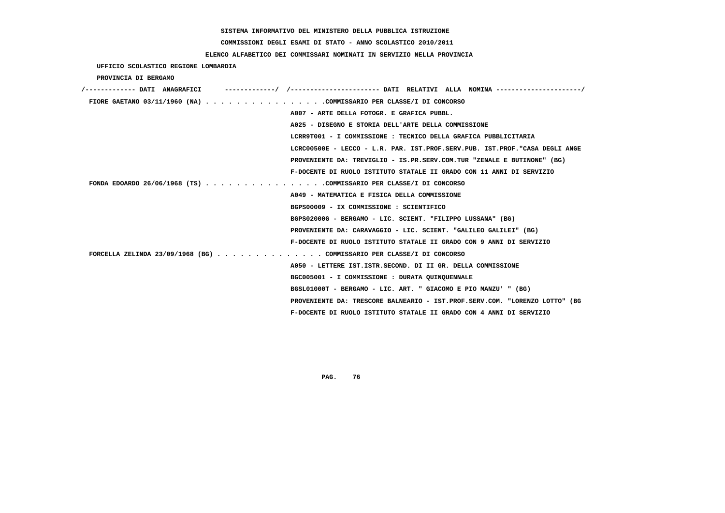**COMMISSIONI DEGLI ESAMI DI STATO - ANNO SCOLASTICO 2010/2011**

## **ELENCO ALFABETICO DEI COMMISSARI NOMINATI IN SERVIZIO NELLA PROVINCIA**

| UFFICIO SCOLASTICO REGIONE LOMBARDIA                                  |                                                                             |
|-----------------------------------------------------------------------|-----------------------------------------------------------------------------|
| PROVINCIA DI BERGAMO                                                  |                                                                             |
| /------------- DATI ANAGRAFICI                                        |                                                                             |
| FIORE GAETANO 03/11/1960 (NA) COMMISSARIO PER CLASSE/I DI CONCORSO    |                                                                             |
|                                                                       | A007 - ARTE DELLA FOTOGR. E GRAFICA PUBBL.                                  |
|                                                                       | A025 - DISEGNO E STORIA DELL'ARTE DELLA COMMISSIONE                         |
|                                                                       | LCRR9T001 - I COMMISSIONE : TECNICO DELLA GRAFICA PUBBLICITARIA             |
|                                                                       | LCRC00500E - LECCO - L.R. PAR. IST.PROF.SERV.PUB. IST.PROF."CASA DEGLI ANGE |
|                                                                       | PROVENIENTE DA: TREVIGLIO - IS.PR.SERV.COM.TUR "ZENALE E BUTINONE" (BG)     |
|                                                                       | F-DOCENTE DI RUOLO ISTITUTO STATALE II GRADO CON 11 ANNI DI SERVIZIO        |
| FONDA EDOARDO 26/06/1968 (TS) COMMISSARIO PER CLASSE/I DI CONCORSO    |                                                                             |
|                                                                       | A049 - MATEMATICA E FISICA DELLA COMMISSIONE                                |
|                                                                       | BGPS00009 - IX COMMISSIONE : SCIENTIFICO                                    |
|                                                                       | BGPS02000G - BERGAMO - LIC. SCIENT. "FILIPPO LUSSANA" (BG)                  |
|                                                                       | PROVENIENTE DA: CARAVAGGIO - LIC. SCIENT. "GALILEO GALILEI" (BG)            |
|                                                                       | F-DOCENTE DI RUOLO ISTITUTO STATALE II GRADO CON 9 ANNI DI SERVIZIO         |
| FORCELLA ZELINDA 23/09/1968 (BG) COMMISSARIO PER CLASSE/I DI CONCORSO |                                                                             |
|                                                                       | A050 - LETTERE IST. ISTR. SECOND. DI II GR. DELLA COMMISSIONE               |
|                                                                       | BGC005001 - I COMMISSIONE : DURATA QUINQUENNALE                             |
|                                                                       | BGSL01000T - BERGAMO - LIC. ART. " GIACOMO E PIO MANZU' " (BG)              |
|                                                                       | PROVENIENTE DA: TRESCORE BALNEARIO - IST.PROF.SERV.COM. "LORENZO LOTTO" (BG |
|                                                                       | F-DOCENTE DI RUOLO ISTITUTO STATALE II GRADO CON 4 ANNI DI SERVIZIO         |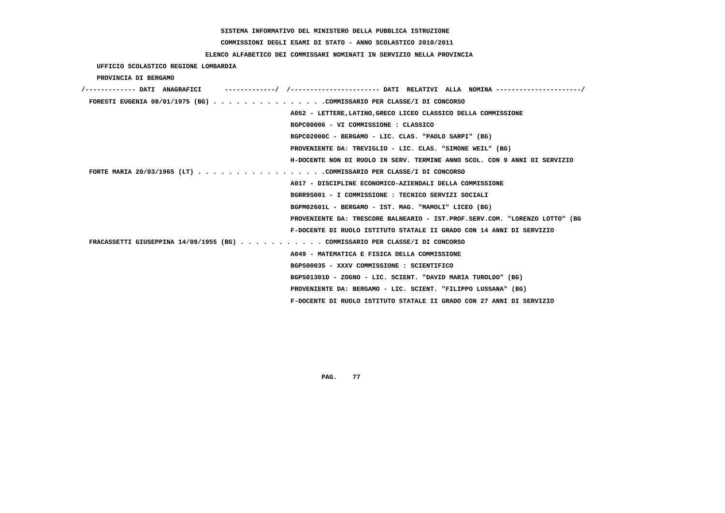# **COMMISSIONI DEGLI ESAMI DI STATO - ANNO SCOLASTICO 2010/2011**

## **ELENCO ALFABETICO DEI COMMISSARI NOMINATI IN SERVIZIO NELLA PROVINCIA**

 **UFFICIO SCOLASTICO REGIONE LOMBARDIA**

 **PROVINCIA DI BERGAMO**

| /------------- DATI ANAGRAFICI                                              |                                                                             |
|-----------------------------------------------------------------------------|-----------------------------------------------------------------------------|
| FORESTI EUGENIA 08/01/1975 (BG) COMMISSARIO PER CLASSE/I DI CONCORSO        |                                                                             |
|                                                                             | A052 - LETTERE, LATINO, GRECO LICEO CLASSICO DELLA COMMISSIONE              |
|                                                                             | BGPC00006 - VI COMMISSIONE : CLASSICO                                       |
|                                                                             | BGPC02000C - BERGAMO - LIC. CLAS. "PAOLO SARPI" (BG)                        |
|                                                                             | PROVENIENTE DA: TREVIGLIO - LIC. CLAS. "SIMONE WEIL" (BG)                   |
|                                                                             | H-DOCENTE NON DI RUOLO IN SERV. TERMINE ANNO SCOL. CON 9 ANNI DI SERVIZIO   |
| FORTE MARIA 20/03/1965 (LT) COMMISSARIO PER CLASSE/I DI CONCORSO            |                                                                             |
|                                                                             | A017 - DISCIPLINE ECONOMICO-AZIENDALI DELLA COMMISSIONE                     |
|                                                                             | BGRR9S001 - I COMMISSIONE : TECNICO SERVIZI SOCIALI                         |
|                                                                             | BGPM02601L - BERGAMO - IST. MAG. "MAMOLI" LICEO (BG)                        |
|                                                                             | PROVENIENTE DA: TRESCORE BALNEARIO - IST.PROF.SERV.COM. "LORENZO LOTTO" (BG |
|                                                                             | F-DOCENTE DI RUOLO ISTITUTO STATALE II GRADO CON 14 ANNI DI SERVIZIO        |
| FRACASSETTI GIUSEPPINA 14/09/1955 (BG) COMMISSARIO PER CLASSE/I DI CONCORSO |                                                                             |
|                                                                             | A049 - MATEMATICA E FISICA DELLA COMMISSIONE                                |
|                                                                             | BGPS00035 - XXXV COMMISSIONE : SCIENTIFICO                                  |
|                                                                             | BGPS01301D - ZOGNO - LIC. SCIENT. "DAVID MARIA TUROLDO" (BG)                |
|                                                                             | PROVENIENTE DA: BERGAMO - LIC. SCIENT. "FILIPPO LUSSANA" (BG)               |
|                                                                             | F-DOCENTE DI RUOLO ISTITUTO STATALE II GRADO CON 27 ANNI DI SERVIZIO        |
|                                                                             |                                                                             |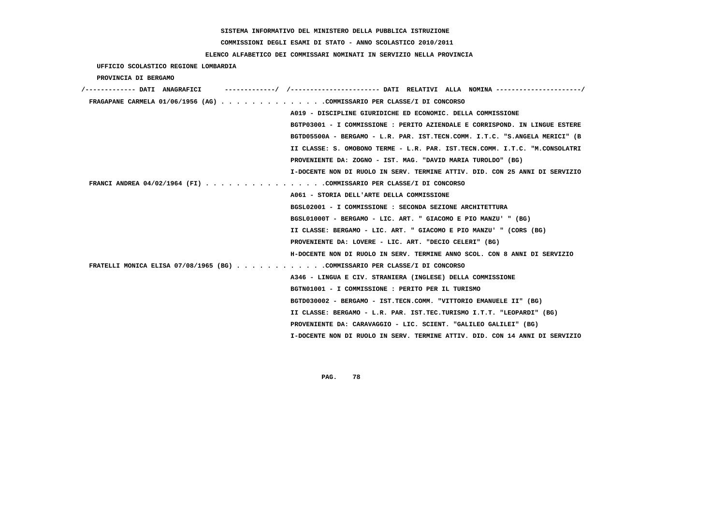# **COMMISSIONI DEGLI ESAMI DI STATO - ANNO SCOLASTICO 2010/2011**

## **ELENCO ALFABETICO DEI COMMISSARI NOMINATI IN SERVIZIO NELLA PROVINCIA**

 **UFFICIO SCOLASTICO REGIONE LOMBARDIA PROVINCIA DI BERGAMO**

| -------------------- DATI RELATIVI ALLA NOMINA --------------------/<br>/------------- DATI ANAGRAFICI |
|--------------------------------------------------------------------------------------------------------|
| FRAGAPANE CARMELA 01/06/1956 (AG) COMMISSARIO PER CLASSE/I DI CONCORSO                                 |
| A019 - DISCIPLINE GIURIDICHE ED ECONOMIC. DELLA COMMISSIONE                                            |
| BGTP03001 - I COMMISSIONE : PERITO AZIENDALE E CORRISPOND. IN LINGUE ESTERE                            |
| BGTD05500A - BERGAMO - L.R. PAR. IST.TECN.COMM. I.T.C. "S.ANGELA MERICI" (B                            |
| II CLASSE: S. OMOBONO TERME - L.R. PAR. IST.TECN.COMM. I.T.C. "M.CONSOLATRI                            |
| PROVENIENTE DA: ZOGNO - IST. MAG. "DAVID MARIA TUROLDO" (BG)                                           |
| I-DOCENTE NON DI RUOLO IN SERV. TERMINE ATTIV. DID. CON 25 ANNI DI SERVIZIO                            |
| FRANCI ANDREA 04/02/1964 (FI) COMMISSARIO PER CLASSE/I DI CONCORSO                                     |
| A061 - STORIA DELL'ARTE DELLA COMMISSIONE                                                              |
| BGSL02001 - I COMMISSIONE : SECONDA SEZIONE ARCHITETTURA                                               |
| BGSL01000T - BERGAMO - LIC. ART. " GIACOMO E PIO MANZU' " (BG)                                         |
| II CLASSE: BERGAMO - LIC. ART. " GIACOMO E PIO MANZU' " (CORS (BG)                                     |
| PROVENIENTE DA: LOVERE - LIC. ART. "DECIO CELERI" (BG)                                                 |
| H-DOCENTE NON DI RUOLO IN SERV. TERMINE ANNO SCOL. CON 8 ANNI DI SERVIZIO                              |
| FRATELLI MONICA ELISA 07/08/1965 (BG) COMMISSARIO PER CLASSE/I DI CONCORSO                             |
| A346 - LINGUA E CIV. STRANIERA (INGLESE) DELLA COMMISSIONE                                             |
| BGTN01001 - I COMMISSIONE : PERITO PER IL TURISMO                                                      |
| BGTD030002 - BERGAMO - IST.TECN.COMM. "VITTORIO EMANUELE II" (BG)                                      |
| II CLASSE: BERGAMO - L.R. PAR. IST.TEC.TURISMO I.T.T. "LEOPARDI" (BG)                                  |
| PROVENIENTE DA: CARAVAGGIO - LIC. SCIENT. "GALILEO GALILEI" (BG)                                       |
| I-DOCENTE NON DI RUOLO IN SERV. TERMINE ATTIV. DID. CON 14 ANNI DI SERVIZIO                            |
|                                                                                                        |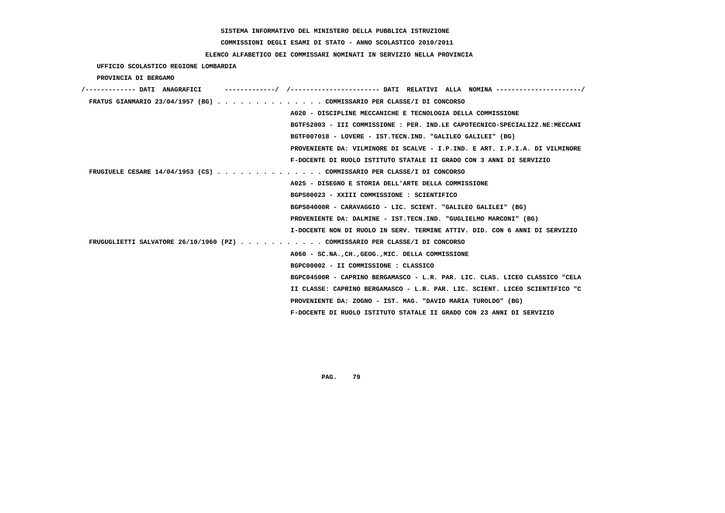# **COMMISSIONI DEGLI ESAMI DI STATO - ANNO SCOLASTICO 2010/2011**

## **ELENCO ALFABETICO DEI COMMISSARI NOMINATI IN SERVIZIO NELLA PROVINCIA**

 **UFFICIO SCOLASTICO REGIONE LOMBARDIA**

 **PROVINCIA DI BERGAMO**

| /------------- DATI ANAGRAFICI | -----------/ /---------------------- DATI RELATIVI ALLA NOMINA --------------------/ |
|--------------------------------|--------------------------------------------------------------------------------------|
|                                | FRATUS GIANMARIO 23/04/1957 (BG) COMMISSARIO PER CLASSE/I DI CONCORSO                |
|                                | A020 - DISCIPLINE MECCANICHE E TECNOLOGIA DELLA COMMISSIONE                          |
|                                | BGTF52003 - III COMMISSIONE : PER. IND.LE CAPOTECNICO-SPECIALIZZ.NE:MECCANI          |
|                                | BGTF007018 - LOVERE - IST.TECN.IND. "GALILEO GALILEI" (BG)                           |
|                                | PROVENIENTE DA: VILMINORE DI SCALVE - I.P.IND. E ART. I.P.I.A. DI VILMINORE          |
|                                | F-DOCENTE DI RUOLO ISTITUTO STATALE II GRADO CON 3 ANNI DI SERVIZIO                  |
|                                | FRUGIUELE CESARE $14/04/1953$ (CS) COMMISSARIO PER CLASSE/I DI CONCORSO              |
|                                | A025 - DISEGNO E STORIA DELL'ARTE DELLA COMMISSIONE                                  |
|                                | BGPS00023 - XXIII COMMISSIONE : SCIENTIFICO                                          |
|                                | BGPS04000R - CARAVAGGIO - LIC. SCIENT. "GALILEO GALILEI" (BG)                        |
|                                | PROVENIENTE DA: DALMINE - IST.TECN.IND. "GUGLIELMO MARCONI" (BG)                     |
|                                | I-DOCENTE NON DI RUOLO IN SERV. TERMINE ATTIV. DID. CON 6 ANNI DI SERVIZIO           |
|                                | FRUGUGLIETTI SALVATORE 26/10/1960 (PZ) COMMISSARIO PER CLASSE/I DI CONCORSO          |
|                                | A060 - SC.NA., CH., GEOG., MIC. DELLA COMMISSIONE                                    |
|                                | BGPC00002 - II COMMISSIONE : CLASSICO                                                |
|                                | BGPC04500R - CAPRINO BERGAMASCO - L.R. PAR. LIC. CLAS. LICEO CLASSICO "CELA          |
|                                | II CLASSE: CAPRINO BERGAMASCO - L.R. PAR. LIC. SCIENT. LICEO SCIENTIFICO "C          |
|                                | PROVENIENTE DA: ZOGNO - IST. MAG. "DAVID MARIA TUROLDO" (BG)                         |
|                                | F-DOCENTE DI RUOLO ISTITUTO STATALE II GRADO CON 23 ANNI DI SERVIZIO                 |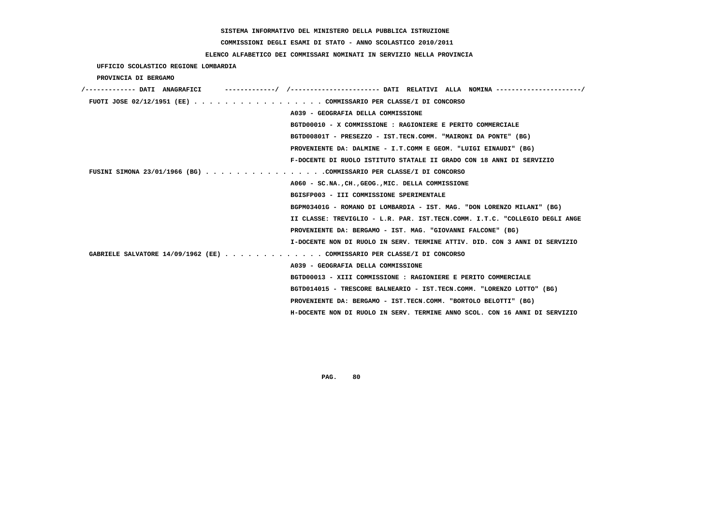**COMMISSIONI DEGLI ESAMI DI STATO - ANNO SCOLASTICO 2010/2011**

## **ELENCO ALFABETICO DEI COMMISSARI NOMINATI IN SERVIZIO NELLA PROVINCIA**

 **UFFICIO SCOLASTICO REGIONE LOMBARDIA**

 **PROVINCIA DI BERGAMO**

| /------------- DATI ANAGRAFICI                                          | -/ /----------------------- DATI RELATIVI ALLA NOMINA ---------------------/ |
|-------------------------------------------------------------------------|------------------------------------------------------------------------------|
| FUOTI JOSE 02/12/1951 (EE) COMMISSARIO PER CLASSE/I DI CONCORSO         |                                                                              |
|                                                                         | A039 - GEOGRAFIA DELLA COMMISSIONE                                           |
|                                                                         | BGTD00010 - X COMMISSIONE : RAGIONIERE E PERITO COMMERCIALE                  |
|                                                                         | BGTD00801T - PRESEZZO - IST.TECN.COMM. "MAIRONI DA PONTE" (BG)               |
|                                                                         | PROVENIENTE DA: DALMINE - I.T.COMM E GEOM. "LUIGI EINAUDI" (BG)              |
|                                                                         | F-DOCENTE DI RUOLO ISTITUTO STATALE II GRADO CON 18 ANNI DI SERVIZIO         |
| FUSINI SIMONA 23/01/1966 (BG) COMMISSARIO PER CLASSE/I DI CONCORSO      |                                                                              |
|                                                                         | A060 - SC.NA., CH., GEOG., MIC. DELLA COMMISSIONE                            |
|                                                                         | BGISFP003 - III COMMISSIONE SPERIMENTALE                                     |
|                                                                         | BGPM03401G - ROMANO DI LOMBARDIA - IST. MAG. "DON LORENZO MILANI" (BG)       |
|                                                                         | II CLASSE: TREVIGLIO - L.R. PAR. IST.TECN.COMM. I.T.C. "COLLEGIO DEGLI ANGE  |
|                                                                         | PROVENIENTE DA: BERGAMO - IST. MAG. "GIOVANNI FALCONE" (BG)                  |
|                                                                         | I-DOCENTE NON DI RUOLO IN SERV. TERMINE ATTIV. DID. CON 3 ANNI DI SERVIZIO   |
| GABRIELE SALVATORE 14/09/1962 (EE) COMMISSARIO PER CLASSE/I DI CONCORSO |                                                                              |
|                                                                         | A039 - GEOGRAFIA DELLA COMMISSIONE                                           |
|                                                                         | BGTD00013 - XIII COMMISSIONE : RAGIONIERE E PERITO COMMERCIALE               |
|                                                                         | BGTD014015 - TRESCORE BALNEARIO - IST.TECN.COMM. "LORENZO LOTTO" (BG)        |
|                                                                         | PROVENIENTE DA: BERGAMO - IST.TECN.COMM. "BORTOLO BELOTTI" (BG)              |
|                                                                         | H-DOCENTE NON DI RUOLO IN SERV. TERMINE ANNO SCOL. CON 16 ANNI DI SERVIZIO   |
|                                                                         |                                                                              |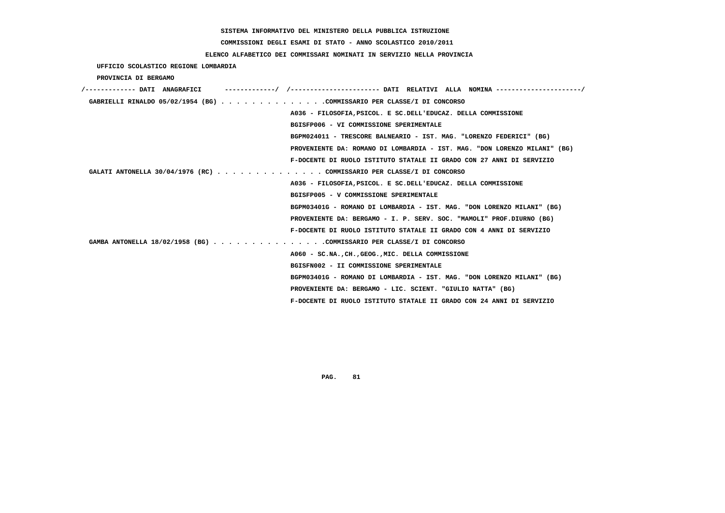# **COMMISSIONI DEGLI ESAMI DI STATO - ANNO SCOLASTICO 2010/2011**

## **ELENCO ALFABETICO DEI COMMISSARI NOMINATI IN SERVIZIO NELLA PROVINCIA**

 **UFFICIO SCOLASTICO REGIONE LOMBARDIA**

 **PROVINCIA DI BERGAMO**

| /------------- DATI ANAGRAFICI | -----------/ /--------------------- DATI RELATIVI ALLA NOMINA--------------------/ |
|--------------------------------|------------------------------------------------------------------------------------|
|                                | GABRIELLI RINALDO 05/02/1954 (BG) COMMISSARIO PER CLASSE/I DI CONCORSO             |
|                                | A036 - FILOSOFIA, PSICOL. E SC. DELL'EDUCAZ. DELLA COMMISSIONE                     |
|                                | BGISFP006 - VI COMMISSIONE SPERIMENTALE                                            |
|                                | BGPM024011 - TRESCORE BALNEARIO - IST. MAG. "LORENZO FEDERICI" (BG)                |
|                                | PROVENIENTE DA: ROMANO DI LOMBARDIA - IST. MAG. "DON LORENZO MILANI" (BG)          |
|                                | F-DOCENTE DI RUOLO ISTITUTO STATALE II GRADO CON 27 ANNI DI SERVIZIO               |
|                                | GALATI ANTONELLA 30/04/1976 (RC) COMMISSARIO PER CLASSE/I DI CONCORSO              |
|                                | A036 - FILOSOFIA, PSICOL. E SC. DELL'EDUCAZ. DELLA COMMISSIONE                     |
|                                | BGISFP005 - V COMMISSIONE SPERIMENTALE                                             |
|                                | BGPM03401G - ROMANO DI LOMBARDIA - IST. MAG. "DON LORENZO MILANI" (BG)             |
|                                | PROVENIENTE DA: BERGAMO - I. P. SERV. SOC. "MAMOLI" PROF.DIURNO (BG)               |
|                                | F-DOCENTE DI RUOLO ISTITUTO STATALE II GRADO CON 4 ANNI DI SERVIZIO                |
|                                | GAMBA ANTONELLA 18/02/1958 (BG) COMMISSARIO PER CLASSE/I DI CONCORSO               |
|                                | A060 - SC.NA., CH., GEOG., MIC. DELLA COMMISSIONE                                  |
|                                | BGISFN002 - II COMMISSIONE SPERIMENTALE                                            |
|                                | BGPM03401G - ROMANO DI LOMBARDIA - IST. MAG. "DON LORENZO MILANI" (BG)             |
|                                | PROVENIENTE DA: BERGAMO - LIC. SCIENT. "GIULIO NATTA" (BG)                         |
|                                | F-DOCENTE DI RUOLO ISTITUTO STATALE II GRADO CON 24 ANNI DI SERVIZIO               |
|                                |                                                                                    |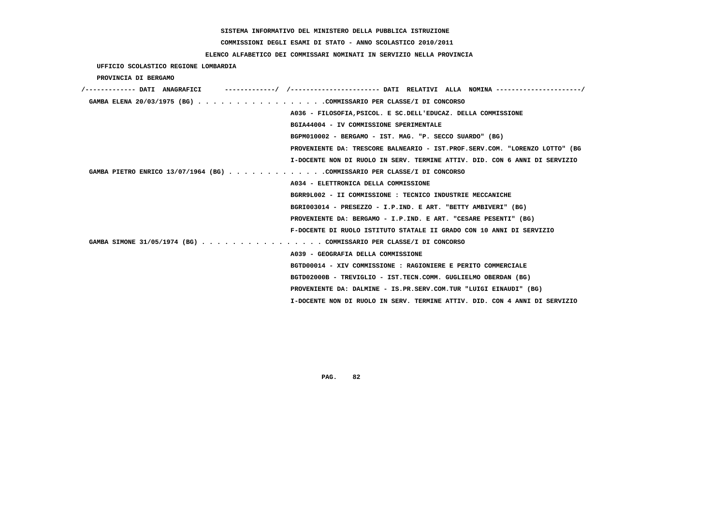# **COMMISSIONI DEGLI ESAMI DI STATO - ANNO SCOLASTICO 2010/2011**

## **ELENCO ALFABETICO DEI COMMISSARI NOMINATI IN SERVIZIO NELLA PROVINCIA**

 **UFFICIO SCOLASTICO REGIONE LOMBARDIA**

 **PROVINCIA DI BERGAMO**

| /------------- DATI ANAGRAFICI                                              |
|-----------------------------------------------------------------------------|
| GAMBA ELENA 20/03/1975 (BG) COMMISSARIO PER CLASSE/I DI CONCORSO            |
| A036 - FILOSOFIA, PSICOL. E SC. DELL'EDUCAZ. DELLA COMMISSIONE              |
| BGIA44004 - IV COMMISSIONE SPERIMENTALE                                     |
| BGPM010002 - BERGAMO - IST. MAG. "P. SECCO SUARDO" (BG)                     |
| PROVENIENTE DA: TRESCORE BALNEARIO - IST.PROF.SERV.COM. "LORENZO LOTTO" (BG |
| I-DOCENTE NON DI RUOLO IN SERV. TERMINE ATTIV. DID. CON 6 ANNI DI SERVIZIO  |
| GAMBA PIETRO ENRICO 13/07/1964 (BG) COMMISSARIO PER CLASSE/I DI CONCORSO    |
| A034 - ELETTRONICA DELLA COMMISSIONE                                        |
| BGRR9L002 - II COMMISSIONE : TECNICO INDUSTRIE MECCANICHE                   |
| BGRI003014 - PRESEZZO - I.P.IND. E ART. "BETTY AMBIVERI" (BG)               |
| PROVENIENTE DA: BERGAMO - I.P.IND. E ART. "CESARE PESENTI" (BG)             |
| F-DOCENTE DI RUOLO ISTITUTO STATALE II GRADO CON 10 ANNI DI SERVIZIO        |
| GAMBA SIMONE 31/05/1974 (BG) COMMISSARIO PER CLASSE/I DI CONCORSO           |
| A039 - GEOGRAFIA DELLA COMMISSIONE                                          |
| BGTD00014 - XIV COMMISSIONE : RAGIONIERE E PERITO COMMERCIALE               |
| BGTD02000B - TREVIGLIO - IST.TECN.COMM. GUGLIELMO OBERDAN (BG)              |
| PROVENIENTE DA: DALMINE - IS.PR.SERV.COM.TUR "LUIGI EINAUDI" (BG)           |
| I-DOCENTE NON DI RUOLO IN SERV. TERMINE ATTIV. DID. CON 4 ANNI DI SERVIZIO  |
|                                                                             |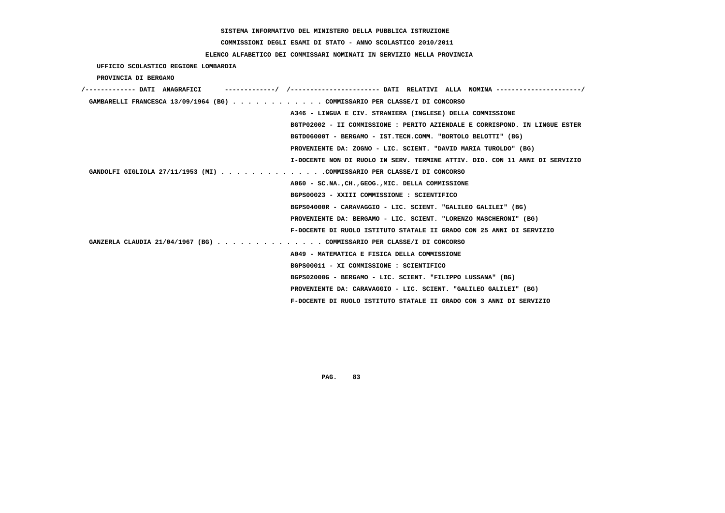**COMMISSIONI DEGLI ESAMI DI STATO - ANNO SCOLASTICO 2010/2011**

 **ELENCO ALFABETICO DEI COMMISSARI NOMINATI IN SERVIZIO NELLA PROVINCIA**

 **UFFICIO SCOLASTICO REGIONE LOMBARDIA**

 **PROVINCIA DI BERGAMO**

| /------------- DATI ANAGRAFICI                                              |
|-----------------------------------------------------------------------------|
| GAMBARELLI FRANCESCA 13/09/1964 (BG) COMMISSARIO PER CLASSE/I DI CONCORSO   |
| A346 - LINGUA E CIV. STRANIERA (INGLESE) DELLA COMMISSIONE                  |
| BGTP02002 - II COMMISSIONE : PERITO AZIENDALE E CORRISPOND. IN LINGUE ESTER |
| BGTD06000T - BERGAMO - IST.TECN.COMM. "BORTOLO BELOTTI" (BG)                |
| PROVENIENTE DA: ZOGNO - LIC. SCIENT. "DAVID MARIA TUROLDO" (BG)             |
| I-DOCENTE NON DI RUOLO IN SERV. TERMINE ATTIV. DID. CON 11 ANNI DI SERVIZIO |
| GANDOLFI GIGLIOLA 27/11/1953 (MI) COMMISSARIO PER CLASSE/I DI CONCORSO      |
| A060 - SC.NA., CH., GEOG., MIC. DELLA COMMISSIONE                           |
| BGPS00023 - XXIII COMMISSIONE : SCIENTIFICO                                 |
| BGPS04000R - CARAVAGGIO - LIC. SCIENT. "GALILEO GALILEI" (BG)               |
| PROVENIENTE DA: BERGAMO - LIC. SCIENT. "LORENZO MASCHERONI" (BG)            |
| F-DOCENTE DI RUOLO ISTITUTO STATALE II GRADO CON 25 ANNI DI SERVIZIO        |
| GANZERLA CLAUDIA 21/04/1967 (BG) COMMISSARIO PER CLASSE/I DI CONCORSO       |
| A049 - MATEMATICA E FISICA DELLA COMMISSIONE                                |
| BGPS00011 - XI COMMISSIONE : SCIENTIFICO                                    |
| BGPS02000G - BERGAMO - LIC. SCIENT. "FILIPPO LUSSANA" (BG)                  |
| PROVENIENTE DA: CARAVAGGIO - LIC. SCIENT. "GALILEO GALILEI" (BG)            |
| F-DOCENTE DI RUOLO ISTITUTO STATALE II GRADO CON 3 ANNI DI SERVIZIO         |
|                                                                             |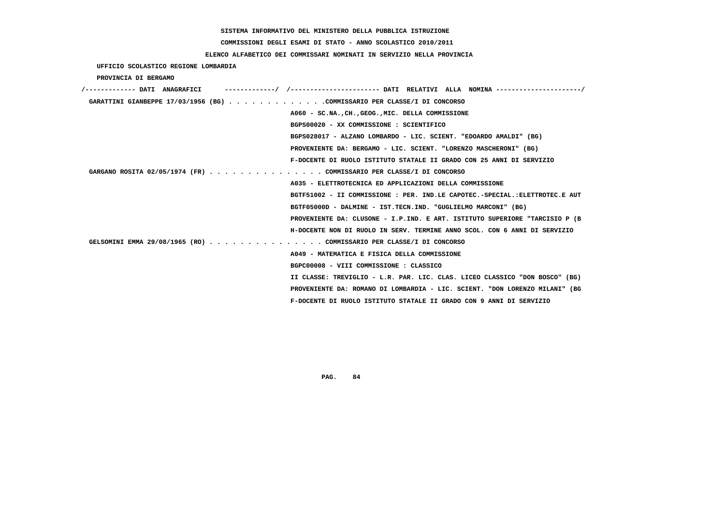# **COMMISSIONI DEGLI ESAMI DI STATO - ANNO SCOLASTICO 2010/2011**

## **ELENCO ALFABETICO DEI COMMISSARI NOMINATI IN SERVIZIO NELLA PROVINCIA**

 **UFFICIO SCOLASTICO REGIONE LOMBARDIA**

 **PROVINCIA DI BERGAMO**

| /------------- DATI ANAGRAFICI                                              |  |
|-----------------------------------------------------------------------------|--|
| GARATTINI GIANBEPPE 17/03/1956 (BG) COMMISSARIO PER CLASSE/I DI CONCORSO    |  |
| A060 - SC.NA., CH., GEOG., MIC. DELLA COMMISSIONE                           |  |
| BGPS00020 - XX COMMISSIONE : SCIENTIFICO                                    |  |
| BGPS028017 - ALZANO LOMBARDO - LIC. SCIENT. "EDOARDO AMALDI" (BG)           |  |
| PROVENIENTE DA: BERGAMO - LIC. SCIENT. "LORENZO MASCHERONI" (BG)            |  |
| F-DOCENTE DI RUOLO ISTITUTO STATALE II GRADO CON 25 ANNI DI SERVIZIO        |  |
| GARGANO ROSITA 02/05/1974 (FR) COMMISSARIO PER CLASSE/I DI CONCORSO         |  |
| A035 - ELETTROTECNICA ED APPLICAZIONI DELLA COMMISSIONE                     |  |
| BGTF51002 - II COMMISSIONE : PER. IND.LE CAPOTEC.-SPECIAL.:ELETTROTEC.E AUT |  |
| BGTF05000D - DALMINE - IST.TECN.IND. "GUGLIELMO MARCONI" (BG)               |  |
| PROVENIENTE DA: CLUSONE - I.P.IND. E ART. ISTITUTO SUPERIORE "TARCISIO P (B |  |
| H-DOCENTE NON DI RUOLO IN SERV. TERMINE ANNO SCOL. CON 6 ANNI DI SERVIZIO   |  |
| GELSOMINI EMMA 29/08/1965 (RO) COMMISSARIO PER CLASSE/I DI CONCORSO         |  |
| A049 - MATEMATICA E FISICA DELLA COMMISSIONE                                |  |
| BGPC00008 - VIII COMMISSIONE : CLASSICO                                     |  |
| II CLASSE: TREVIGLIO - L.R. PAR. LIC. CLAS. LICEO CLASSICO "DON BOSCO" (BG) |  |
| PROVENIENTE DA: ROMANO DI LOMBARDIA - LIC. SCIENT. "DON LORENZO MILANI" (BG |  |
| F-DOCENTE DI RUOLO ISTITUTO STATALE II GRADO CON 9 ANNI DI SERVIZIO         |  |
|                                                                             |  |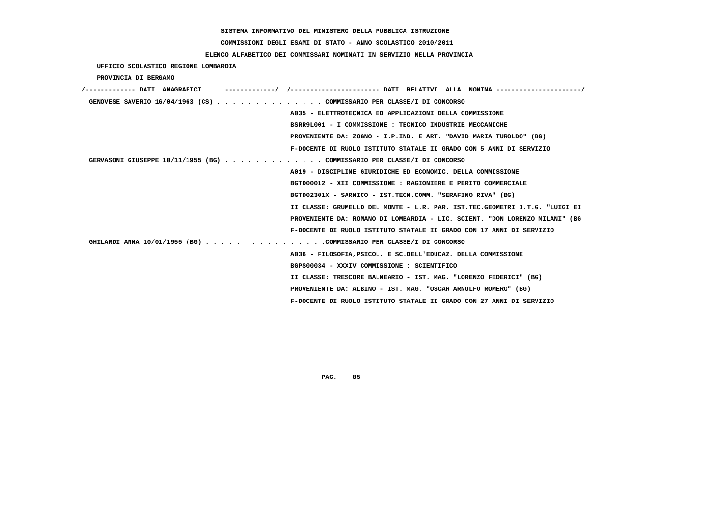**COMMISSIONI DEGLI ESAMI DI STATO - ANNO SCOLASTICO 2010/2011**

## **ELENCO ALFABETICO DEI COMMISSARI NOMINATI IN SERVIZIO NELLA PROVINCIA**

 **UFFICIO SCOLASTICO REGIONE LOMBARDIA**

 **PROVINCIA DI BERGAMO**

| /------------- DATI ANAGRAFICI |                                                                             |
|--------------------------------|-----------------------------------------------------------------------------|
|                                | GENOVESE SAVERIO 16/04/1963 (CS) COMMISSARIO PER CLASSE/I DI CONCORSO       |
|                                | A035 - ELETTROTECNICA ED APPLICAZIONI DELLA COMMISSIONE                     |
|                                | BSRR9L001 - I COMMISSIONE : TECNICO INDUSTRIE MECCANICHE                    |
|                                | PROVENIENTE DA: ZOGNO - I.P.IND. E ART. "DAVID MARIA TUROLDO" (BG)          |
|                                | F-DOCENTE DI RUOLO ISTITUTO STATALE II GRADO CON 5 ANNI DI SERVIZIO         |
|                                | GERVASONI GIUSEPPE 10/11/1955 (BG) COMMISSARIO PER CLASSE/I DI CONCORSO     |
|                                | A019 - DISCIPLINE GIURIDICHE ED ECONOMIC. DELLA COMMISSIONE                 |
|                                | BGTD00012 - XII COMMISSIONE : RAGIONIERE E PERITO COMMERCIALE               |
|                                | BGTD02301X - SARNICO - IST.TECN.COMM. "SERAFINO RIVA" (BG)                  |
|                                | II CLASSE: GRUMELLO DEL MONTE - L.R. PAR. IST.TEC.GEOMETRI I.T.G. "LUIGI EI |
|                                | PROVENIENTE DA: ROMANO DI LOMBARDIA - LIC. SCIENT. "DON LORENZO MILANI" (BG |
|                                | F-DOCENTE DI RUOLO ISTITUTO STATALE II GRADO CON 17 ANNI DI SERVIZIO        |
|                                | GHILARDI ANNA 10/01/1955 (BG) COMMISSARIO PER CLASSE/I DI CONCORSO          |
|                                | A036 - FILOSOFIA, PSICOL. E SC. DELL'EDUCAZ. DELLA COMMISSIONE              |
|                                | BGPS00034 - XXXIV COMMISSIONE: SCIENTIFICO                                  |
|                                | II CLASSE: TRESCORE BALNEARIO - IST. MAG. "LORENZO FEDERICI" (BG)           |
|                                | PROVENIENTE DA: ALBINO - IST. MAG. "OSCAR ARNULFO ROMERO" (BG)              |
|                                | F-DOCENTE DI RUOLO ISTITUTO STATALE II GRADO CON 27 ANNI DI SERVIZIO        |
|                                |                                                                             |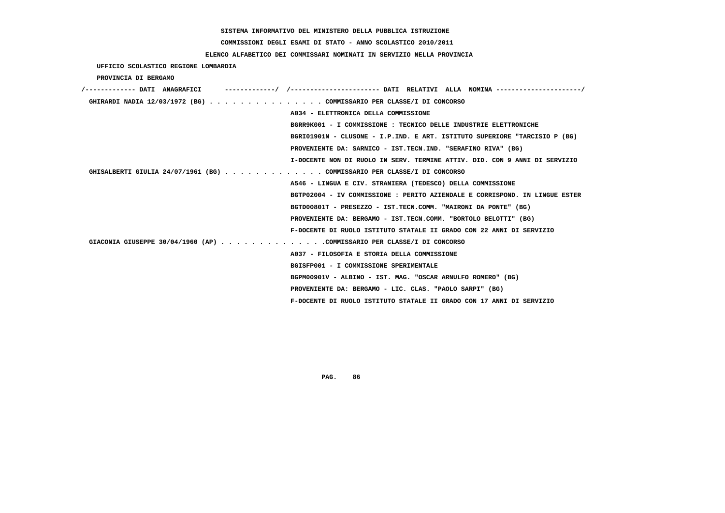**COMMISSIONI DEGLI ESAMI DI STATO - ANNO SCOLASTICO 2010/2011**

## **ELENCO ALFABETICO DEI COMMISSARI NOMINATI IN SERVIZIO NELLA PROVINCIA**

 **UFFICIO SCOLASTICO REGIONE LOMBARDIA**

 **PROVINCIA DI BERGAMO**

| /------------- DATI ANAGRAFICI | ----------/ /---------------------- DATI RELATIVI ALLA NOMINA---------------------/ |
|--------------------------------|-------------------------------------------------------------------------------------|
|                                | GHIRARDI NADIA 12/03/1972 (BG) COMMISSARIO PER CLASSE/I DI CONCORSO                 |
|                                | A034 - ELETTRONICA DELLA COMMISSIONE                                                |
|                                | BGRR9K001 - I COMMISSIONE : TECNICO DELLE INDUSTRIE ELETTRONICHE                    |
|                                | BGRI01901N - CLUSONE - I.P.IND. E ART. ISTITUTO SUPERIORE "TARCISIO P (BG)          |
|                                | PROVENIENTE DA: SARNICO - IST.TECN.IND. "SERAFINO RIVA" (BG)                        |
|                                | I-DOCENTE NON DI RUOLO IN SERV. TERMINE ATTIV. DID. CON 9 ANNI DI SERVIZIO          |
|                                | GHISALBERTI GIULIA 24/07/1961 (BG) COMMISSARIO PER CLASSE/I DI CONCORSO             |
|                                | A546 - LINGUA E CIV. STRANIERA (TEDESCO) DELLA COMMISSIONE                          |
|                                | BGTP02004 - IV COMMISSIONE : PERITO AZIENDALE E CORRISPOND. IN LINGUE ESTER         |
|                                | BGTD00801T - PRESEZZO - IST.TECN.COMM. "MAIRONI DA PONTE" (BG)                      |
|                                | PROVENIENTE DA: BERGAMO - IST.TECN.COMM. "BORTOLO BELOTTI" (BG)                     |
|                                | F-DOCENTE DI RUOLO ISTITUTO STATALE II GRADO CON 22 ANNI DI SERVIZIO                |
|                                | GIACONIA GIUSEPPE 30/04/1960 (AP) COMMISSARIO PER CLASSE/I DI CONCORSO              |
|                                | A037 - FILOSOFIA E STORIA DELLA COMMISSIONE                                         |
|                                | BGISFP001 - I COMMISSIONE SPERIMENTALE                                              |
|                                | BGPM00901V - ALBINO - IST. MAG. "OSCAR ARNULFO ROMERO" (BG)                         |
|                                | PROVENIENTE DA: BERGAMO - LIC. CLAS. "PAOLO SARPI" (BG)                             |
|                                | F-DOCENTE DI RUOLO ISTITUTO STATALE II GRADO CON 17 ANNI DI SERVIZIO                |
|                                |                                                                                     |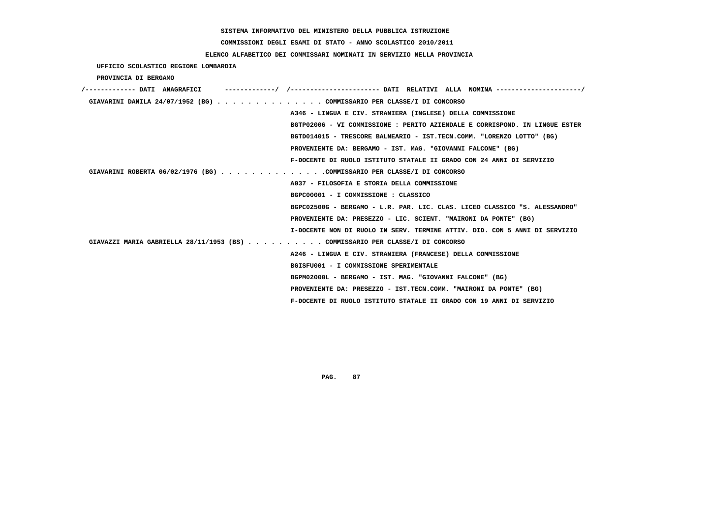**COMMISSIONI DEGLI ESAMI DI STATO - ANNO SCOLASTICO 2010/2011**

 **ELENCO ALFABETICO DEI COMMISSARI NOMINATI IN SERVIZIO NELLA PROVINCIA**

 **UFFICIO SCOLASTICO REGIONE LOMBARDIA**

 **PROVINCIA DI BERGAMO**

| /------------- DATI ANAGRAFICI |                                                                               |
|--------------------------------|-------------------------------------------------------------------------------|
|                                | GIAVARINI DANILA 24/07/1952 (BG) COMMISSARIO PER CLASSE/I DI CONCORSO         |
|                                | A346 - LINGUA E CIV. STRANIERA (INGLESE) DELLA COMMISSIONE                    |
|                                | BGTP02006 - VI COMMISSIONE : PERITO AZIENDALE E CORRISPOND. IN LINGUE ESTER   |
|                                | BGTD014015 - TRESCORE BALNEARIO - IST.TECN.COMM. "LORENZO LOTTO" (BG)         |
|                                | PROVENIENTE DA: BERGAMO - IST. MAG. "GIOVANNI FALCONE" (BG)                   |
|                                | F-DOCENTE DI RUOLO ISTITUTO STATALE II GRADO CON 24 ANNI DI SERVIZIO          |
|                                | GIAVARINI ROBERTA 06/02/1976 (BG) COMMISSARIO PER CLASSE/I DI CONCORSO        |
|                                | A037 - FILOSOFIA E STORIA DELLA COMMISSIONE                                   |
|                                | BGPC00001 - I COMMISSIONE : CLASSICO                                          |
|                                | BGPC02500G - BERGAMO - L.R. PAR. LIC. CLAS. LICEO CLASSICO "S. ALESSANDRO"    |
|                                | PROVENIENTE DA: PRESEZZO - LIC. SCIENT. "MAIRONI DA PONTE" (BG)               |
|                                | I-DOCENTE NON DI RUOLO IN SERV. TERMINE ATTIV. DID. CON 5 ANNI DI SERVIZIO    |
|                                | GIAVAZZI MARIA GABRIELLA 28/11/1953 (BS) COMMISSARIO PER CLASSE/I DI CONCORSO |
|                                | A246 - LINGUA E CIV. STRANIERA (FRANCESE) DELLA COMMISSIONE                   |
|                                | BGISFU001 - I COMMISSIONE SPERIMENTALE                                        |
|                                | BGPM02000L - BERGAMO - IST. MAG. "GIOVANNI FALCONE" (BG)                      |
|                                | PROVENIENTE DA: PRESEZZO - IST.TECN.COMM. "MAIRONI DA PONTE" (BG)             |
|                                | F-DOCENTE DI RUOLO ISTITUTO STATALE II GRADO CON 19 ANNI DI SERVIZIO          |
|                                |                                                                               |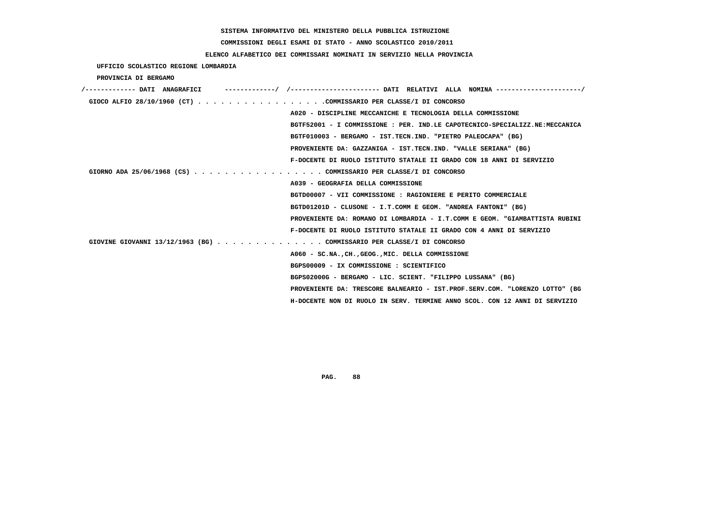# **COMMISSIONI DEGLI ESAMI DI STATO - ANNO SCOLASTICO 2010/2011**

## **ELENCO ALFABETICO DEI COMMISSARI NOMINATI IN SERVIZIO NELLA PROVINCIA**

 **UFFICIO SCOLASTICO REGIONE LOMBARDIA**

 **PROVINCIA DI BERGAMO**

| /------------- DATI ANAGRAFICI                                        |                                                                             |
|-----------------------------------------------------------------------|-----------------------------------------------------------------------------|
| GIOCO ALFIO 28/10/1960 (CT) COMMISSARIO PER CLASSE/I DI CONCORSO      |                                                                             |
|                                                                       | A020 - DISCIPLINE MECCANICHE E TECNOLOGIA DELLA COMMISSIONE                 |
|                                                                       | BGTF52001 - I COMMISSIONE : PER. IND.LE CAPOTECNICO-SPECIALIZZ.NE:MECCANICA |
|                                                                       | BGTF010003 - BERGAMO - IST.TECN.IND. "PIETRO PALEOCAPA" (BG)                |
|                                                                       | PROVENIENTE DA: GAZZANIGA - IST. TECN. IND. "VALLE SERIANA" (BG)            |
|                                                                       | F-DOCENTE DI RUOLO ISTITUTO STATALE II GRADO CON 18 ANNI DI SERVIZIO        |
| GIORNO ADA 25/06/1968 (CS) COMMISSARIO PER CLASSE/I DI CONCORSO       |                                                                             |
| A039 - GEOGRAFIA DELLA COMMISSIONE                                    |                                                                             |
|                                                                       | BGTD00007 - VII COMMISSIONE : RAGIONIERE E PERITO COMMERCIALE               |
|                                                                       | BGTD01201D - CLUSONE - I.T.COMM E GEOM. "ANDREA FANTONI" (BG)               |
|                                                                       | PROVENIENTE DA: ROMANO DI LOMBARDIA - I.T.COMM E GEOM. "GIAMBATTISTA RUBINI |
|                                                                       | F-DOCENTE DI RUOLO ISTITUTO STATALE II GRADO CON 4 ANNI DI SERVIZIO         |
| GIOVINE GIOVANNI 13/12/1963 (BG) COMMISSARIO PER CLASSE/I DI CONCORSO |                                                                             |
|                                                                       | A060 - SC.NACHGEOGMIC. DELLA COMMISSIONE                                    |
| BGPS00009 - IX COMMISSIONE : SCIENTIFICO                              |                                                                             |
|                                                                       | BGPS02000G - BERGAMO - LIC. SCIENT. "FILIPPO LUSSANA" (BG)                  |
|                                                                       | PROVENIENTE DA: TRESCORE BALNEARIO - IST.PROF.SERV.COM. "LORENZO LOTTO" (BG |
|                                                                       | H-DOCENTE NON DI RUOLO IN SERV. TERMINE ANNO SCOL. CON 12 ANNI DI SERVIZIO  |
|                                                                       |                                                                             |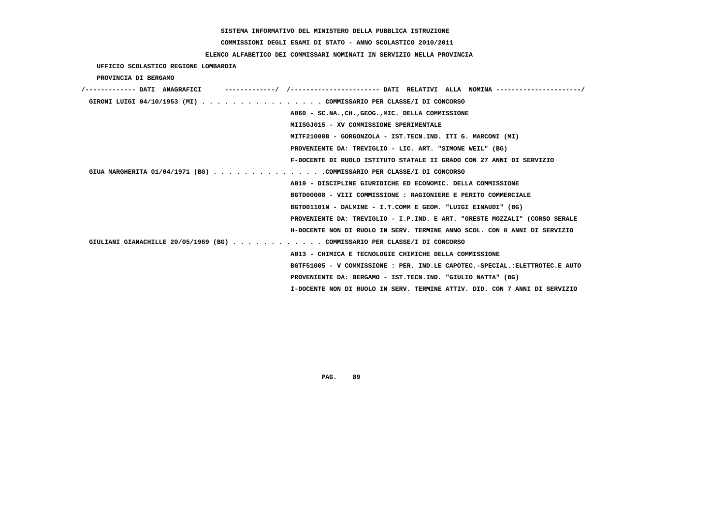# **COMMISSIONI DEGLI ESAMI DI STATO - ANNO SCOLASTICO 2010/2011**

## **ELENCO ALFABETICO DEI COMMISSARI NOMINATI IN SERVIZIO NELLA PROVINCIA**

 **UFFICIO SCOLASTICO REGIONE LOMBARDIA**

 **PROVINCIA DI BERGAMO**

| /------------- DATI ANAGRAFICI                                            |                                                                             |
|---------------------------------------------------------------------------|-----------------------------------------------------------------------------|
| GIRONI LUIGI 04/10/1953 (MI) COMMISSARIO PER CLASSE/I DI CONCORSO         |                                                                             |
|                                                                           | A060 - SC.NA., CH., GEOG., MIC. DELLA COMMISSIONE                           |
|                                                                           | MIISGJ015 - XV COMMISSIONE SPERIMENTALE                                     |
|                                                                           | MITF21000B - GORGONZOLA - IST.TECN.IND. ITI G. MARCONI (MI)                 |
|                                                                           | PROVENIENTE DA: TREVIGLIO - LIC. ART. "SIMONE WEIL" (BG)                    |
|                                                                           | F-DOCENTE DI RUOLO ISTITUTO STATALE II GRADO CON 27 ANNI DI SERVIZIO        |
| GIUA MARGHERITA 01/04/1971 (BG) COMMISSARIO PER CLASSE/I DI CONCORSO      |                                                                             |
|                                                                           | A019 - DISCIPLINE GIURIDICHE ED ECONOMIC. DELLA COMMISSIONE                 |
|                                                                           | BGTD00008 - VIII COMMISSIONE : RAGIONIERE E PERITO COMMERCIALE              |
|                                                                           | BGTD01101N - DALMINE - I.T.COMM E GEOM. "LUIGI EINAUDI" (BG)                |
|                                                                           | PROVENIENTE DA: TREVIGLIO - I.P.IND. E ART. "ORESTE MOZZALI" (CORSO SERALE  |
|                                                                           | H-DOCENTE NON DI RUOLO IN SERV. TERMINE ANNO SCOL. CON 0 ANNI DI SERVIZIO   |
| GIULIANI GIANACHILLE 20/05/1969 (BG) COMMISSARIO PER CLASSE/I DI CONCORSO |                                                                             |
|                                                                           | A013 - CHIMICA E TECNOLOGIE CHIMICHE DELLA COMMISSIONE                      |
|                                                                           | BGTF51005 - V COMMISSIONE : PER. IND.LE CAPOTEC.-SPECIAL.:ELETTROTEC.E AUTO |
|                                                                           | PROVENIENTE DA: BERGAMO - IST.TECN.IND. "GIULIO NATTA" (BG)                 |
|                                                                           | I-DOCENTE NON DI RUOLO IN SERV. TERMINE ATTIV. DID. CON 7 ANNI DI SERVIZIO  |
|                                                                           |                                                                             |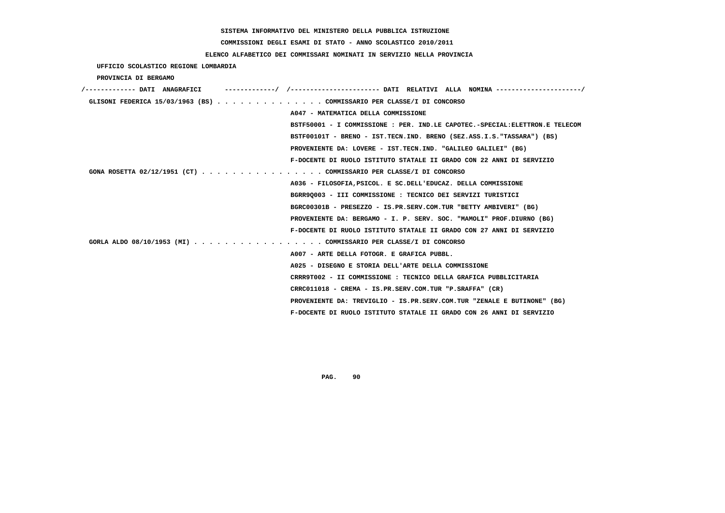**COMMISSIONI DEGLI ESAMI DI STATO - ANNO SCOLASTICO 2010/2011**

## **ELENCO ALFABETICO DEI COMMISSARI NOMINATI IN SERVIZIO NELLA PROVINCIA**

 **UFFICIO SCOLASTICO REGIONE LOMBARDIA**

 **PROVINCIA DI BERGAMO**

| /------------- DATI ANAGRAFICI                                        |                                                                             |
|-----------------------------------------------------------------------|-----------------------------------------------------------------------------|
| GLISONI FEDERICA 15/03/1963 (BS) COMMISSARIO PER CLASSE/I DI CONCORSO |                                                                             |
|                                                                       | A047 - MATEMATICA DELLA COMMISSIONE                                         |
|                                                                       | BSTF50001 - I COMMISSIONE : PER. IND.LE CAPOTEC.-SPECIAL:ELETTRON.E TELECOM |
|                                                                       | BSTF00101T - BRENO - IST.TECN.IND. BRENO (SEZ.ASS.I.S."TASSARA") (BS)       |
|                                                                       | PROVENIENTE DA: LOVERE - IST.TECN.IND. "GALILEO GALILEI" (BG)               |
|                                                                       | F-DOCENTE DI RUOLO ISTITUTO STATALE II GRADO CON 22 ANNI DI SERVIZIO        |
| GONA ROSETTA 02/12/1951 (CT) COMMISSARIO PER CLASSE/I DI CONCORSO     |                                                                             |
|                                                                       | A036 - FILOSOFIA, PSICOL, E SC. DELL'EDUCAZ. DELLA COMMISSIONE              |
|                                                                       | BGRR90003 - III COMMISSIONE : TECNICO DEI SERVIZI TURISTICI                 |
|                                                                       | BGRC00301B - PRESEZZO - IS.PR.SERV.COM.TUR "BETTY AMBIVERI" (BG)            |
|                                                                       | PROVENIENTE DA: BERGAMO - I. P. SERV. SOC. "MAMOLI" PROF.DIURNO (BG)        |
|                                                                       | F-DOCENTE DI RUOLO ISTITUTO STATALE II GRADO CON 27 ANNI DI SERVIZIO        |
| GORLA ALDO 08/10/1953 (MI) COMMISSARIO PER CLASSE/I DI CONCORSO       |                                                                             |
|                                                                       | A007 - ARTE DELLA FOTOGR. E GRAFICA PUBBL.                                  |
|                                                                       | A025 - DISEGNO E STORIA DELL'ARTE DELLA COMMISSIONE                         |
|                                                                       | CRRR9T002 - II COMMISSIONE : TECNICO DELLA GRAFICA PUBBLICITARIA            |
|                                                                       | $CRRC011018$ - $CREMA$ - $IS.PR.SERV.COM.TUR$ "P. $SRAFFA"$ (CR)            |
|                                                                       | PROVENIENTE DA: TREVIGLIO - IS.PR.SERV.COM.TUR "ZENALE E BUTINONE" (BG)     |
|                                                                       | F-DOCENTE DI RUOLO ISTITUTO STATALE II GRADO CON 26 ANNI DI SERVIZIO        |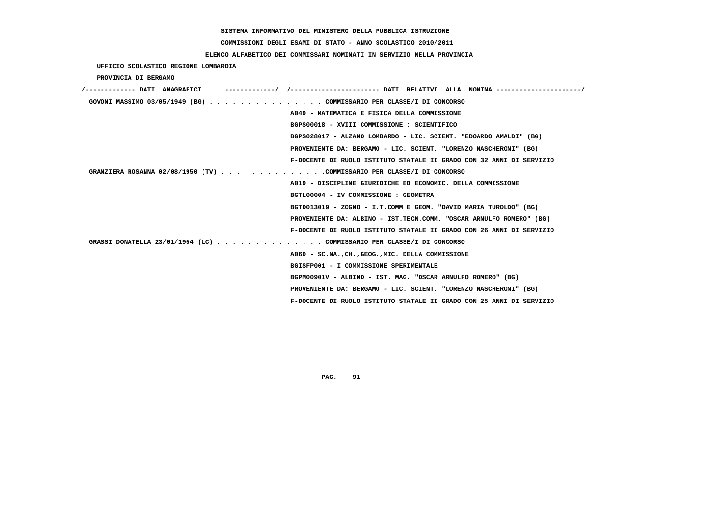# **COMMISSIONI DEGLI ESAMI DI STATO - ANNO SCOLASTICO 2010/2011**

## **ELENCO ALFABETICO DEI COMMISSARI NOMINATI IN SERVIZIO NELLA PROVINCIA**

 **UFFICIO SCOLASTICO REGIONE LOMBARDIA**

 **PROVINCIA DI BERGAMO**

| /------------- DATI ANAGRAFICI |  |                                                                        |
|--------------------------------|--|------------------------------------------------------------------------|
|                                |  | GOVONI MASSIMO 03/05/1949 (BG) COMMISSARIO PER CLASSE/I DI CONCORSO    |
|                                |  | A049 - MATEMATICA E FISICA DELLA COMMISSIONE                           |
|                                |  | BGPS00018 - XVIII COMMISSIONE : SCIENTIFICO                            |
|                                |  | BGPS028017 - ALZANO LOMBARDO - LIC. SCIENT. "EDOARDO AMALDI" (BG)      |
|                                |  | PROVENIENTE DA: BERGAMO - LIC. SCIENT. "LORENZO MASCHERONI" (BG)       |
|                                |  | F-DOCENTE DI RUOLO ISTITUTO STATALE II GRADO CON 32 ANNI DI SERVIZIO   |
|                                |  | GRANZIERA ROSANNA 02/08/1950 (TV) COMMISSARIO PER CLASSE/I DI CONCORSO |
|                                |  | A019 - DISCIPLINE GIURIDICHE ED ECONOMIC. DELLA COMMISSIONE            |
|                                |  | BGTL00004 - IV COMMISSIONE : GEOMETRA                                  |
|                                |  | BGTD013019 - ZOGNO - I.T.COMM E GEOM. "DAVID MARIA TUROLDO" (BG)       |
|                                |  | PROVENIENTE DA: ALBINO - IST.TECN.COMM. "OSCAR ARNULFO ROMERO" (BG)    |
|                                |  | F-DOCENTE DI RUOLO ISTITUTO STATALE II GRADO CON 26 ANNI DI SERVIZIO   |
|                                |  | GRASSI DONATELLA 23/01/1954 (LC) COMMISSARIO PER CLASSE/I DI CONCORSO  |
|                                |  | A060 - SC.NACHGEOGMIC. DELLA COMMISSIONE                               |
|                                |  | BGISFP001 - I COMMISSIONE SPERIMENTALE                                 |
|                                |  | BGPM00901V - ALBINO - IST. MAG. "OSCAR ARNULFO ROMERO" (BG)            |
|                                |  | PROVENIENTE DA: BERGAMO - LIC. SCIENT. "LORENZO MASCHERONI" (BG)       |
|                                |  | F-DOCENTE DI RUOLO ISTITUTO STATALE II GRADO CON 25 ANNI DI SERVIZIO   |
|                                |  |                                                                        |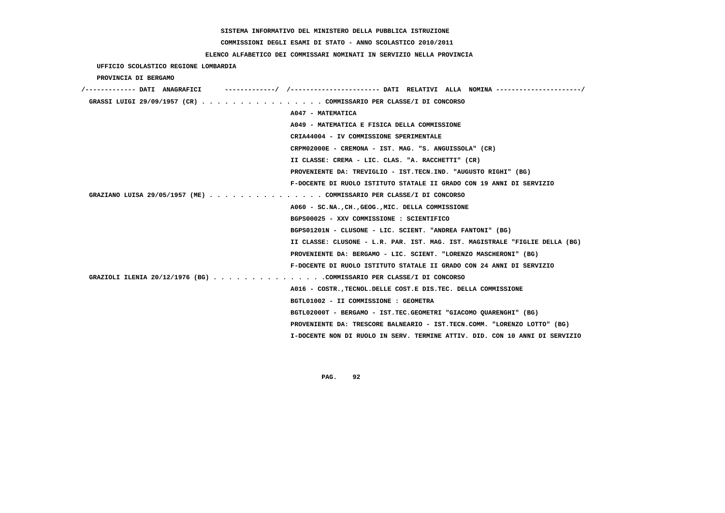**COMMISSIONI DEGLI ESAMI DI STATO - ANNO SCOLASTICO 2010/2011**

 **ELENCO ALFABETICO DEI COMMISSARI NOMINATI IN SERVIZIO NELLA PROVINCIA**

| UFFICIO SCOLASTICO REGIONE LOMBARDIA                                 |                                                                             |
|----------------------------------------------------------------------|-----------------------------------------------------------------------------|
| PROVINCIA DI BERGAMO                                                 |                                                                             |
|                                                                      |                                                                             |
| GRASSI LUIGI 29/09/1957 (CR) COMMISSARIO PER CLASSE/I DI CONCORSO    |                                                                             |
|                                                                      | A047 - MATEMATICA                                                           |
|                                                                      | A049 - MATEMATICA E FISICA DELLA COMMISSIONE                                |
|                                                                      | CRIA44004 - IV COMMISSIONE SPERIMENTALE                                     |
|                                                                      | CRPM02000E - CREMONA - IST. MAG. "S. ANGUISSOLA" (CR)                       |
|                                                                      | II CLASSE: CREMA - LIC. CLAS. "A. RACCHETTI" (CR)                           |
|                                                                      | PROVENIENTE DA: TREVIGLIO - IST.TECN.IND. "AUGUSTO RIGHI" (BG)              |
|                                                                      | F-DOCENTE DI RUOLO ISTITUTO STATALE II GRADO CON 19 ANNI DI SERVIZIO        |
| GRAZIANO LUISA 29/05/1957 (ME) COMMISSARIO PER CLASSE/I DI CONCORSO  |                                                                             |
|                                                                      | A060 - SC.NA., CH., GEOG., MIC. DELLA COMMISSIONE                           |
|                                                                      | BGPS00025 - XXV COMMISSIONE : SCIENTIFICO                                   |
|                                                                      | BGPS01201N - CLUSONE - LIC. SCIENT. "ANDREA FANTONI" (BG)                   |
|                                                                      | II CLASSE: CLUSONE - L.R. PAR. IST. MAG. IST. MAGISTRALE "FIGLIE DELLA (BG) |
|                                                                      | PROVENIENTE DA: BERGAMO - LIC. SCIENT. "LORENZO MASCHERONI" (BG)            |
|                                                                      | F-DOCENTE DI RUOLO ISTITUTO STATALE II GRADO CON 24 ANNI DI SERVIZIO        |
| GRAZIOLI ILENIA 20/12/1976 (BG) COMMISSARIO PER CLASSE/I DI CONCORSO |                                                                             |
|                                                                      | A016 - COSTR., TECNOL. DELLE COST. E DIS. TEC. DELLA COMMISSIONE            |
|                                                                      | BGTL01002 - II COMMISSIONE : GEOMETRA                                       |
|                                                                      | BGTL02000T - BERGAMO - IST.TEC.GEOMETRI "GIACOMO QUARENGHI" (BG)            |
|                                                                      | PROVENIENTE DA: TRESCORE BALNEARIO - IST.TECN.COMM. "LORENZO LOTTO" (BG)    |
|                                                                      | I-DOCENTE NON DI RUOLO IN SERV. TERMINE ATTIV. DID. CON 10 ANNI DI SERVIZIO |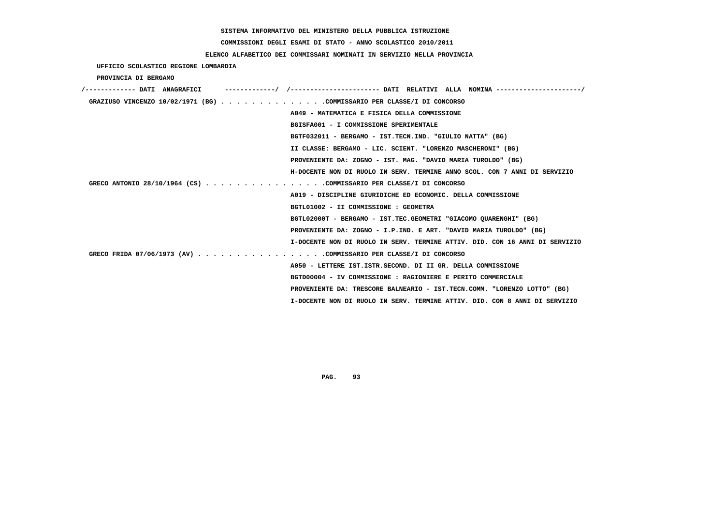# **COMMISSIONI DEGLI ESAMI DI STATO - ANNO SCOLASTICO 2010/2011**

## **ELENCO ALFABETICO DEI COMMISSARI NOMINATI IN SERVIZIO NELLA PROVINCIA**

 **UFFICIO SCOLASTICO REGIONE LOMBARDIA**

 **PROVINCIA DI BERGAMO**

| /------------- DATI ANAGRAFICI                                         | -------------/ /--------------------- DATI RELATIVI ALLA NOMINA--------------------/ |
|------------------------------------------------------------------------|--------------------------------------------------------------------------------------|
| GRAZIUSO VINCENZO 10/02/1971 (BG) COMMISSARIO PER CLASSE/I DI CONCORSO |                                                                                      |
|                                                                        | A049 - MATEMATICA E FISICA DELLA COMMISSIONE                                         |
|                                                                        | BGISFA001 - I COMMISSIONE SPERIMENTALE                                               |
|                                                                        | BGTF032011 - BERGAMO - IST.TECN.IND. "GIULIO NATTA" (BG)                             |
|                                                                        | II CLASSE: BERGAMO - LIC. SCIENT. "LORENZO MASCHERONI" (BG)                          |
|                                                                        | PROVENIENTE DA: ZOGNO - IST. MAG. "DAVID MARIA TUROLDO" (BG)                         |
|                                                                        | H-DOCENTE NON DI RUOLO IN SERV. TERMINE ANNO SCOL. CON 7 ANNI DI SERVIZIO            |
| GRECO ANTONIO 28/10/1964 (CS) COMMISSARIO PER CLASSE/I DI CONCORSO     |                                                                                      |
|                                                                        | A019 - DISCIPLINE GIURIDICHE ED ECONOMIC. DELLA COMMISSIONE                          |
|                                                                        | BGTL01002 - II COMMISSIONE : GEOMETRA                                                |
|                                                                        | BGTL02000T - BERGAMO - IST.TEC.GEOMETRI "GIACOMO OUARENGHI" (BG)                     |
|                                                                        | PROVENIENTE DA: ZOGNO - I.P.IND. E ART. "DAVID MARIA TUROLDO" (BG)                   |
|                                                                        | I-DOCENTE NON DI RUOLO IN SERV. TERMINE ATTIV. DID. CON 16 ANNI DI SERVIZIO          |
| GRECO FRIDA 07/06/1973 (AV) COMMISSARIO PER CLASSE/I DI CONCORSO       |                                                                                      |
|                                                                        | A050 - LETTERE IST.ISTR.SECOND. DI II GR. DELLA COMMISSIONE                          |
|                                                                        | BGTD00004 - IV COMMISSIONE : RAGIONIERE E PERITO COMMERCIALE                         |
|                                                                        | PROVENIENTE DA: TRESCORE BALNEARIO - IST.TECN.COMM. "LORENZO LOTTO" (BG)             |
|                                                                        | I-DOCENTE NON DI RUOLO IN SERV. TERMINE ATTIV. DID. CON 8 ANNI DI SERVIZIO           |
|                                                                        |                                                                                      |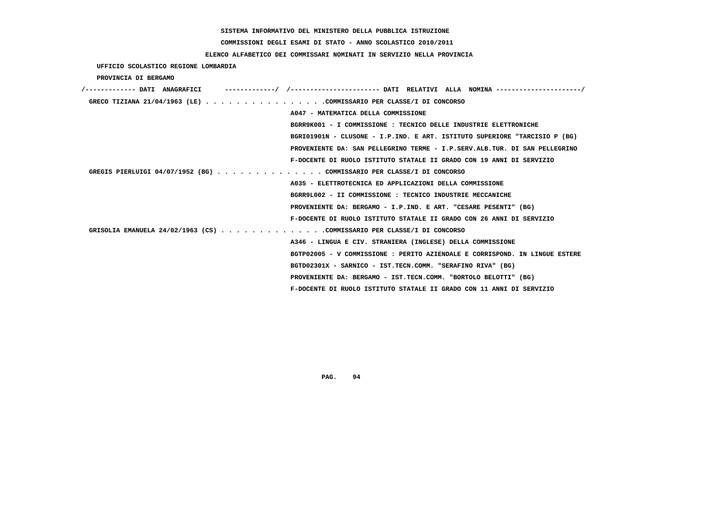# **COMMISSIONI DEGLI ESAMI DI STATO - ANNO SCOLASTICO 2010/2011**

## **ELENCO ALFABETICO DEI COMMISSARI NOMINATI IN SERVIZIO NELLA PROVINCIA**

 **UFFICIO SCOLASTICO REGIONE LOMBARDIA**

 **PROVINCIA DI BERGAMO**

| /------------- DATI ANAGRAFICI                                         |                                                                             |
|------------------------------------------------------------------------|-----------------------------------------------------------------------------|
| GRECO TIZIANA 21/04/1963 (LE) COMMISSARIO PER CLASSE/I DI CONCORSO     |                                                                             |
|                                                                        | A047 - MATEMATICA DELLA COMMISSIONE                                         |
|                                                                        | BGRR9K001 - I COMMISSIONE : TECNICO DELLE INDUSTRIE ELETTRONICHE            |
|                                                                        | BGRI01901N - CLUSONE - I.P.IND. E ART. ISTITUTO SUPERIORE "TARCISIO P (BG)  |
|                                                                        | PROVENIENTE DA: SAN PELLEGRINO TERME - I.P.SERV.ALB.TUR. DI SAN PELLEGRINO  |
|                                                                        | F-DOCENTE DI RUOLO ISTITUTO STATALE II GRADO CON 19 ANNI DI SERVIZIO        |
| GREGIS PIERLUIGI 04/07/1952 (BG) COMMISSARIO PER CLASSE/I DI CONCORSO  |                                                                             |
|                                                                        | A035 - ELETTROTECNICA ED APPLICAZIONI DELLA COMMISSIONE                     |
|                                                                        | BGRR9L002 - II COMMISSIONE : TECNICO INDUSTRIE MECCANICHE                   |
|                                                                        | PROVENIENTE DA: BERGAMO - I.P.IND. E ART. "CESARE PESENTI" (BG)             |
|                                                                        | F-DOCENTE DI RUOLO ISTITUTO STATALE II GRADO CON 26 ANNI DI SERVIZIO        |
| GRISOLIA EMANUELA 24/02/1963 (CS) COMMISSARIO PER CLASSE/I DI CONCORSO |                                                                             |
|                                                                        | A346 - LINGUA E CIV. STRANIERA (INGLESE) DELLA COMMISSIONE                  |
|                                                                        | BGTP02005 - V COMMISSIONE : PERITO AZIENDALE E CORRISPOND. IN LINGUE ESTERE |
|                                                                        | BGTD02301X - SARNICO - IST.TECN.COMM. "SERAFINO RIVA" (BG)                  |
|                                                                        | PROVENIENTE DA: BERGAMO - IST.TECN.COMM. "BORTOLO BELOTTI" (BG)             |
|                                                                        | F-DOCENTE DI RUOLO ISTITUTO STATALE II GRADO CON 11 ANNI DI SERVIZIO        |
|                                                                        |                                                                             |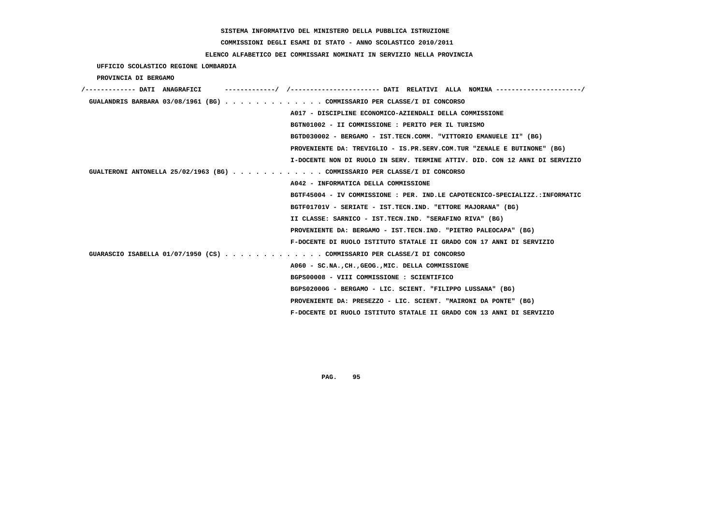# **COMMISSIONI DEGLI ESAMI DI STATO - ANNO SCOLASTICO 2010/2011**

## **ELENCO ALFABETICO DEI COMMISSARI NOMINATI IN SERVIZIO NELLA PROVINCIA**

 **UFFICIO SCOLASTICO REGIONE LOMBARDIA**

 **PROVINCIA DI BERGAMO**

| GUALANDRIS BARBARA 03/08/1961 (BG) COMMISSARIO PER CLASSE/I DI CONCORSO     |
|-----------------------------------------------------------------------------|
| A017 - DISCIPLINE ECONOMICO-AZIENDALI DELLA COMMISSIONE                     |
| BGTN01002 - II COMMISSIONE : PERITO PER IL TURISMO                          |
| BGTD030002 - BERGAMO - IST.TECN.COMM. "VITTORIO EMANUELE II" (BG)           |
| PROVENIENTE DA: TREVIGLIO - IS.PR.SERV.COM.TUR "ZENALE E BUTINONE" (BG)     |
| I-DOCENTE NON DI RUOLO IN SERV. TERMINE ATTIV. DID. CON 12 ANNI DI SERVIZIO |
| GUALTERONI ANTONELLA 25/02/1963 (BG) COMMISSARIO PER CLASSE/I DI CONCORSO   |
| A042 - INFORMATICA DELLA COMMISSIONE                                        |
| BGTF45004 - IV COMMISSIONE : PER. IND.LE CAPOTECNICO-SPECIALIZZ.:INFORMATIC |
| BGTF01701V - SERIATE - IST.TECN.IND. "ETTORE MAJORANA" (BG)                 |
| II CLASSE: SARNICO - IST.TECN.IND. "SERAFINO RIVA" (BG)                     |
| PROVENIENTE DA: BERGAMO - IST.TECN.IND. "PIETRO PALEOCAPA" (BG)             |
| F-DOCENTE DI RUOLO ISTITUTO STATALE II GRADO CON 17 ANNI DI SERVIZIO        |
| GUARASCIO ISABELLA 01/07/1950 (CS) COMMISSARIO PER CLASSE/I DI CONCORSO     |
| A060 - SC.NA., CH., GEOG., MIC. DELLA COMMISSIONE                           |
| BGPS00008 - VIII COMMISSIONE : SCIENTIFICO                                  |
| BGPS02000G - BERGAMO - LIC. SCIENT. "FILIPPO LUSSANA" (BG)                  |
| PROVENIENTE DA: PRESEZZO - LIC. SCIENT. "MAIRONI DA PONTE" (BG)             |
| F-DOCENTE DI RUOLO ISTITUTO STATALE II GRADO CON 13 ANNI DI SERVIZIO        |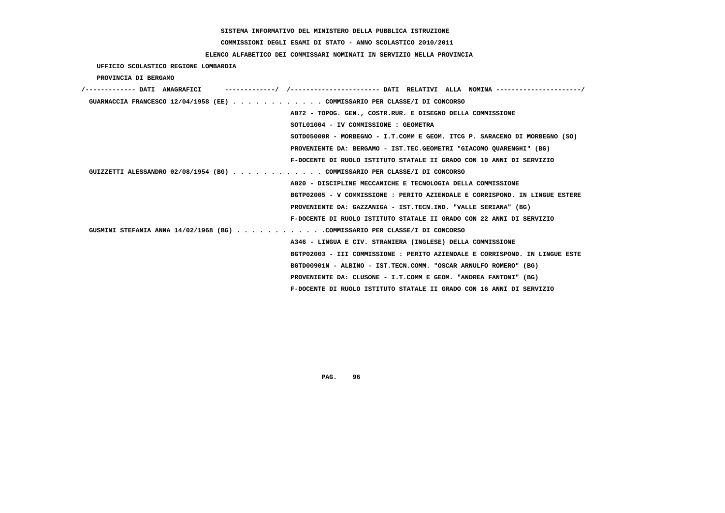# **COMMISSIONI DEGLI ESAMI DI STATO - ANNO SCOLASTICO 2010/2011**

## **ELENCO ALFABETICO DEI COMMISSARI NOMINATI IN SERVIZIO NELLA PROVINCIA**

 **UFFICIO SCOLASTICO REGIONE LOMBARDIA**

 **PROVINCIA DI BERGAMO**

| /------------- DATI ANAGRAFICI |                                                                                                  |
|--------------------------------|--------------------------------------------------------------------------------------------------|
|                                | GUARNACCIA FRANCESCO 12/04/1958 (EE) COMMISSARIO PER CLASSE/I DI CONCORSO                        |
|                                | A072 - TOPOG. GEN., COSTR.RUR. E DISEGNO DELLA COMMISSIONE                                       |
|                                | SOTL01004 - IV COMMISSIONE : GEOMETRA                                                            |
|                                | SOTD05000R - MORBEGNO - I.T.COMM E GEOM. ITCG P. SARACENO DI MORBEGNO (SO)                       |
|                                | PROVENIENTE DA: BERGAMO - IST.TEC.GEOMETRI "GIACOMO OUARENGHI" (BG)                              |
|                                | F-DOCENTE DI RUOLO ISTITUTO STATALE II GRADO CON 10 ANNI DI SERVIZIO                             |
|                                | GUIZZETTI ALESSANDRO 02/08/1954 (BG) COMMISSARIO PER CLASSE/I DI CONCORSO                        |
|                                | A020 - DISCIPLINE MECCANICHE E TECNOLOGIA DELLA COMMISSIONE                                      |
|                                | BGTP02005 - V COMMISSIONE : PERITO AZIENDALE E CORRISPOND. IN LINGUE ESTERE                      |
|                                | PROVENIENTE DA: GAZZANIGA - IST.TECN.IND. "VALLE SERIANA" (BG)                                   |
|                                | F-DOCENTE DI RUOLO ISTITUTO STATALE II GRADO CON 22 ANNI DI SERVIZIO                             |
|                                | GUSMINI STEFANIA ANNA $14/02/1968$ (BG) $\ldots$ ,,,,,,,,,,,COMMISSARIO PER CLASSE/I DI CONCORSO |
|                                | A346 - LINGUA E CIV. STRANIERA (INGLESE) DELLA COMMISSIONE                                       |
|                                | BGTP02003 - III COMMISSIONE : PERITO AZIENDALE E CORRISPOND. IN LINGUE ESTE                      |
|                                | BGTD00901N - ALBINO - IST.TECN.COMM. "OSCAR ARNULFO ROMERO" (BG)                                 |
|                                | PROVENIENTE DA: CLUSONE - I.T.COMM E GEOM. "ANDREA FANTONI" (BG)                                 |
|                                | F-DOCENTE DI RUOLO ISTITUTO STATALE II GRADO CON 16 ANNI DI SERVIZIO                             |
|                                |                                                                                                  |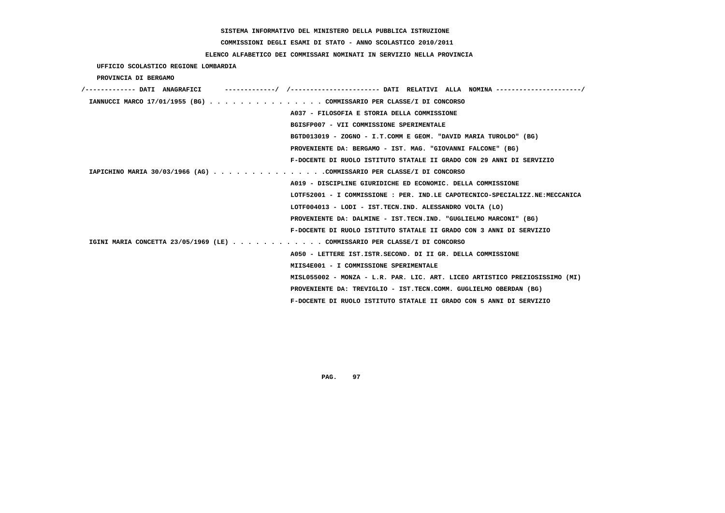# **COMMISSIONI DEGLI ESAMI DI STATO - ANNO SCOLASTICO 2010/2011**

## **ELENCO ALFABETICO DEI COMMISSARI NOMINATI IN SERVIZIO NELLA PROVINCIA**

 **UFFICIO SCOLASTICO REGIONE LOMBARDIA**

 **PROVINCIA DI BERGAMO**

| /------------- DATI ANAGRAFICI | ---------/ /---------------------- DATI RELATIVI ALLA NOMINA --------------------/ |
|--------------------------------|------------------------------------------------------------------------------------|
|                                | IANNUCCI MARCO 17/01/1955 (BG) COMMISSARIO PER CLASSE/I DI CONCORSO                |
|                                | A037 - FILOSOFIA E STORIA DELLA COMMISSIONE                                        |
|                                | BGISFP007 - VII COMMISSIONE SPERIMENTALE                                           |
|                                | BGTD013019 - ZOGNO - I.T.COMM E GEOM. "DAVID MARIA TUROLDO" (BG)                   |
|                                | PROVENIENTE DA: BERGAMO - IST. MAG. "GIOVANNI FALCONE" (BG)                        |
|                                | F-DOCENTE DI RUOLO ISTITUTO STATALE II GRADO CON 29 ANNI DI SERVIZIO               |
|                                | IAPICHINO MARIA 30/03/1966 (AG) COMMISSARIO PER CLASSE/I DI CONCORSO               |
|                                | A019 - DISCIPLINE GIURIDICHE ED ECONOMIC. DELLA COMMISSIONE                        |
|                                | LOTF52001 - I COMMISSIONE : PER. IND.LE CAPOTECNICO-SPECIALIZZ.NE:MECCANICA        |
|                                | LOTF004013 - LODI - IST.TECN.IND. ALESSANDRO VOLTA (LO)                            |
|                                | PROVENIENTE DA: DALMINE - IST.TECN.IND. "GUGLIELMO MARCONI" (BG)                   |
|                                | F-DOCENTE DI RUOLO ISTITUTO STATALE II GRADO CON 3 ANNI DI SERVIZIO                |
|                                | IGINI MARIA CONCETTA 23/05/1969 (LE) COMMISSARIO PER CLASSE/I DI CONCORSO          |
|                                | A050 - LETTERE IST.ISTR.SECOND. DI II GR. DELLA COMMISSIONE                        |
|                                | MIIS4E001 - I COMMISSIONE SPERIMENTALE                                             |
|                                | MISL055002 - MONZA - L.R. PAR. LIC. ART. LICEO ARTISTICO PREZIOSISSIMO (MI)        |
|                                | PROVENIENTE DA: TREVIGLIO - IST.TECN.COMM. GUGLIELMO OBERDAN (BG)                  |
|                                | F-DOCENTE DI RUOLO ISTITUTO STATALE II GRADO CON 5 ANNI DI SERVIZIO                |
|                                |                                                                                    |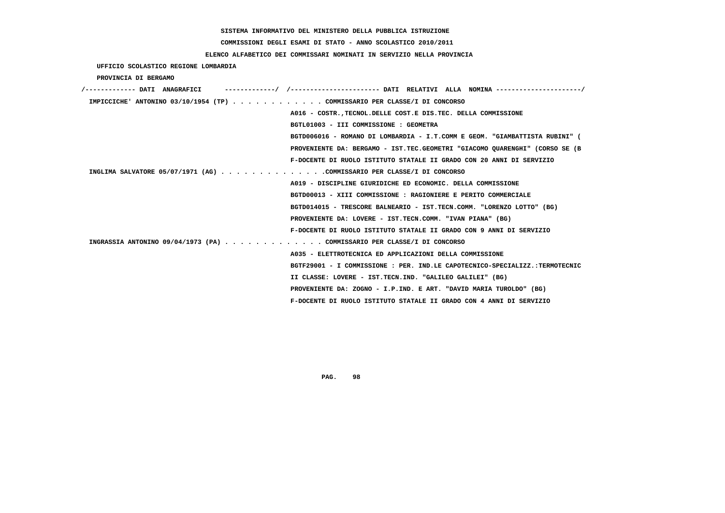**COMMISSIONI DEGLI ESAMI DI STATO - ANNO SCOLASTICO 2010/2011**

## **ELENCO ALFABETICO DEI COMMISSARI NOMINATI IN SERVIZIO NELLA PROVINCIA**

 **UFFICIO SCOLASTICO REGIONE LOMBARDIA**

 **PROVINCIA DI BERGAMO**

| /------------- DATI ANAGRAFICI |                                                                             |
|--------------------------------|-----------------------------------------------------------------------------|
|                                | IMPICCICHE' ANTONINO 03/10/1954 (TP) COMMISSARIO PER CLASSE/I DI CONCORSO   |
|                                | A016 - COSTR., TECNOL. DELLE COST. E DIS. TEC. DELLA COMMISSIONE            |
|                                | BGTL01003 - III COMMISSIONE : GEOMETRA                                      |
|                                | BGTD006016 - ROMANO DI LOMBARDIA - I.T.COMM E GEOM. "GIAMBATTISTA RUBINI" ( |
|                                | PROVENIENTE DA: BERGAMO - IST.TEC.GEOMETRI "GIACOMO QUARENGHI" (CORSO SE (B |
|                                | F-DOCENTE DI RUOLO ISTITUTO STATALE II GRADO CON 20 ANNI DI SERVIZIO        |
|                                | INGLIMA SALVATORE 05/07/1971 (AG) COMMISSARIO PER CLASSE/I DI CONCORSO      |
|                                | A019 - DISCIPLINE GIURIDICHE ED ECONOMIC. DELLA COMMISSIONE                 |
|                                | BGTD00013 - XIII COMMISSIONE : RAGIONIERE E PERITO COMMERCIALE              |
|                                | BGTD014015 - TRESCORE BALNEARIO - IST.TECN.COMM. "LORENZO LOTTO" (BG)       |
|                                | PROVENIENTE DA: LOVERE - IST.TECN.COMM. "IVAN PIANA" (BG)                   |
|                                | F-DOCENTE DI RUOLO ISTITUTO STATALE II GRADO CON 9 ANNI DI SERVIZIO         |
|                                | INGRASSIA ANTONINO 09/04/1973 (PA) COMMISSARIO PER CLASSE/I DI CONCORSO     |
|                                | A035 - ELETTROTECNICA ED APPLICAZIONI DELLA COMMISSIONE                     |
|                                | BGTF29001 - I COMMISSIONE : PER. IND.LE CAPOTECNICO-SPECIALIZZ.:TERMOTECNIC |
|                                | II CLASSE: LOVERE - IST.TECN.IND. "GALILEO GALILEI" (BG)                    |
|                                | PROVENIENTE DA: ZOGNO - I.P.IND. E ART. "DAVID MARIA TUROLDO" (BG)          |
|                                | F-DOCENTE DI RUOLO ISTITUTO STATALE II GRADO CON 4 ANNI DI SERVIZIO         |
|                                |                                                                             |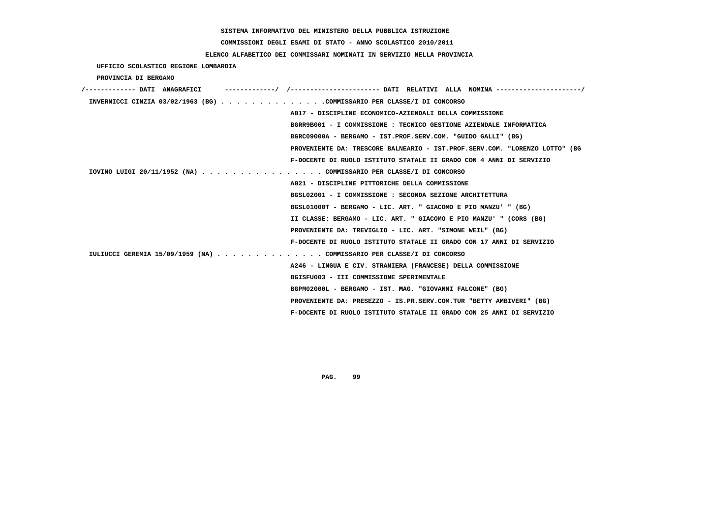# **COMMISSIONI DEGLI ESAMI DI STATO - ANNO SCOLASTICO 2010/2011**

## **ELENCO ALFABETICO DEI COMMISSARI NOMINATI IN SERVIZIO NELLA PROVINCIA**

 **UFFICIO SCOLASTICO REGIONE LOMBARDIA**

 **PROVINCIA DI BERGAMO**

| /------------- DATI ANAGRAFICI                                         |                                                                             |
|------------------------------------------------------------------------|-----------------------------------------------------------------------------|
| INVERNICCI CINZIA 03/02/1963 (BG) COMMISSARIO PER CLASSE/I DI CONCORSO |                                                                             |
|                                                                        | A017 - DISCIPLINE ECONOMICO-AZIENDALI DELLA COMMISSIONE                     |
|                                                                        | BGRR9B001 - I COMMISSIONE : TECNICO GESTIONE AZIENDALE INFORMATICA          |
|                                                                        | BGRC09000A - BERGAMO - IST.PROF.SERV.COM. "GUIDO GALLI" (BG)                |
|                                                                        | PROVENIENTE DA: TRESCORE BALNEARIO - IST.PROF.SERV.COM. "LORENZO LOTTO" (BG |
|                                                                        | F-DOCENTE DI RUOLO ISTITUTO STATALE II GRADO CON 4 ANNI DI SERVIZIO         |
| IOVINO LUIGI 20/11/1952 (NA) COMMISSARIO PER CLASSE/I DI CONCORSO      |                                                                             |
|                                                                        | A021 - DISCIPLINE PITTORICHE DELLA COMMISSIONE                              |
|                                                                        | BGSL02001 - I COMMISSIONE : SECONDA SEZIONE ARCHITETTURA                    |
|                                                                        | BGSL01000T - BERGAMO - LIC. ART. " GIACOMO E PIO MANZU' " (BG)              |
|                                                                        | II CLASSE: BERGAMO - LIC. ART. " GIACOMO E PIO MANZU' " (CORS (BG)          |
|                                                                        | PROVENIENTE DA: TREVIGLIO - LIC. ART. "SIMONE WEIL" (BG)                    |
|                                                                        | F-DOCENTE DI RUOLO ISTITUTO STATALE II GRADO CON 17 ANNI DI SERVIZIO        |
| IULIUCCI GEREMIA 15/09/1959 (NA) COMMISSARIO PER CLASSE/I DI CONCORSO  |                                                                             |
|                                                                        | A246 - LINGUA E CIV. STRANIERA (FRANCESE) DELLA COMMISSIONE                 |
|                                                                        | BGISFU003 - III COMMISSIONE SPERIMENTALE                                    |
|                                                                        | BGPM02000L - BERGAMO - IST. MAG. "GIOVANNI FALCONE" (BG)                    |
|                                                                        | PROVENIENTE DA: PRESEZZO - IS.PR.SERV.COM.TUR "BETTY AMBIVERI" (BG)         |
|                                                                        | F-DOCENTE DI RUOLO ISTITUTO STATALE II GRADO CON 25 ANNI DI SERVIZIO        |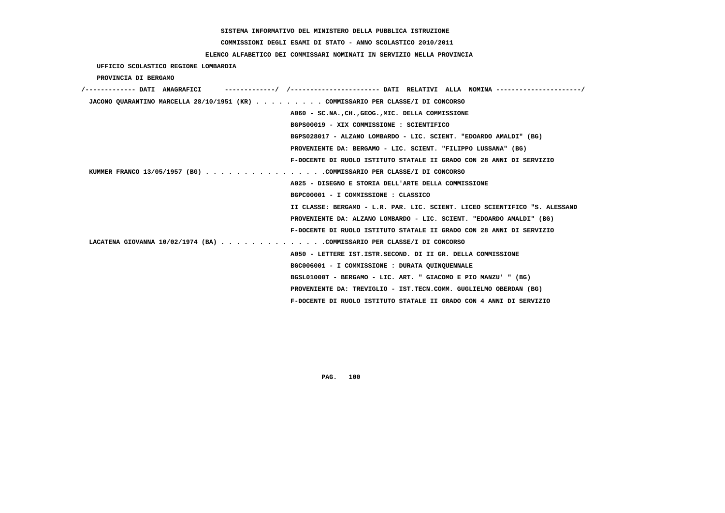# **COMMISSIONI DEGLI ESAMI DI STATO - ANNO SCOLASTICO 2010/2011**

## **ELENCO ALFABETICO DEI COMMISSARI NOMINATI IN SERVIZIO NELLA PROVINCIA**

 **UFFICIO SCOLASTICO REGIONE LOMBARDIA**

 **PROVINCIA DI BERGAMO**

| /------------- DATI ANAGRAFICI                                                  |                                                                            |
|---------------------------------------------------------------------------------|----------------------------------------------------------------------------|
| JACONO QUARANTINO MARCELLA 28/10/1951 (KR) COMMISSARIO PER CLASSE/I DI CONCORSO |                                                                            |
|                                                                                 | A060 - SC.NA., CH., GEOG., MIC. DELLA COMMISSIONE                          |
|                                                                                 | BGPS00019 - XIX COMMISSIONE : SCIENTIFICO                                  |
|                                                                                 | BGPS028017 - ALZANO LOMBARDO - LIC. SCIENT. "EDOARDO AMALDI" (BG)          |
|                                                                                 | PROVENIENTE DA: BERGAMO - LIC. SCIENT. "FILIPPO LUSSANA" (BG)              |
|                                                                                 | F-DOCENTE DI RUOLO ISTITUTO STATALE II GRADO CON 28 ANNI DI SERVIZIO       |
| KUMMER FRANCO 13/05/1957 (BG) COMMISSARIO PER CLASSE/I DI CONCORSO              |                                                                            |
|                                                                                 | A025 - DISEGNO E STORIA DELL'ARTE DELLA COMMISSIONE                        |
|                                                                                 | BGPC00001 - I COMMISSIONE : CLASSICO                                       |
|                                                                                 | II CLASSE: BERGAMO - L.R. PAR. LIC. SCIENT. LICEO SCIENTIFICO "S. ALESSAND |
|                                                                                 | PROVENIENTE DA: ALZANO LOMBARDO - LIC. SCIENT. "EDOARDO AMALDI" (BG)       |
|                                                                                 | F-DOCENTE DI RUOLO ISTITUTO STATALE II GRADO CON 28 ANNI DI SERVIZIO       |
| LACATENA GIOVANNA 10/02/1974 (BA) COMMISSARIO PER CLASSE/I DI CONCORSO          |                                                                            |
|                                                                                 | A050 - LETTERE IST. ISTR. SECOND. DI II GR. DELLA COMMISSIONE              |
|                                                                                 | BGC006001 - I COMMISSIONE : DURATA QUINQUENNALE                            |
|                                                                                 | BGSL01000T - BERGAMO - LIC. ART. " GIACOMO E PIO MANZU' " (BG)             |
|                                                                                 | PROVENIENTE DA: TREVIGLIO - IST.TECN.COMM. GUGLIELMO OBERDAN (BG)          |
|                                                                                 | F-DOCENTE DI RUOLO ISTITUTO STATALE II GRADO CON 4 ANNI DI SERVIZIO        |
|                                                                                 |                                                                            |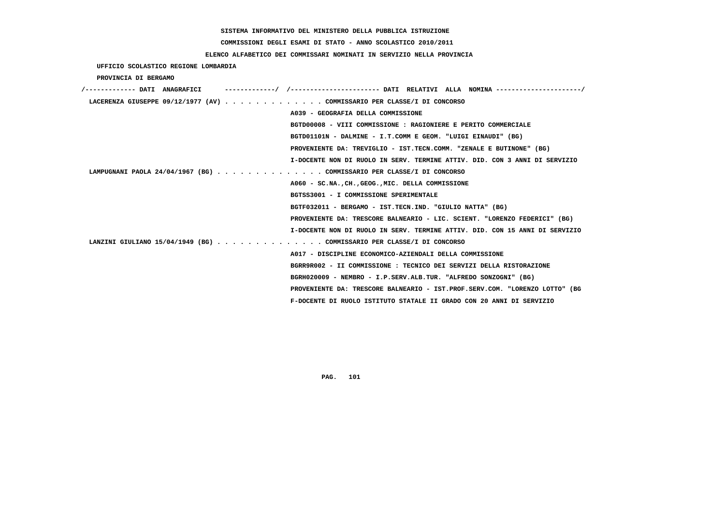**COMMISSIONI DEGLI ESAMI DI STATO - ANNO SCOLASTICO 2010/2011**

## **ELENCO ALFABETICO DEI COMMISSARI NOMINATI IN SERVIZIO NELLA PROVINCIA**

 **UFFICIO SCOLASTICO REGIONE LOMBARDIA**

 **PROVINCIA DI BERGAMO**

| /------------- DATI ANAGRAFICI |                                                                             |
|--------------------------------|-----------------------------------------------------------------------------|
|                                | LACERENZA GIUSEPPE 09/12/1977 (AV) COMMISSARIO PER CLASSE/I DI CONCORSO     |
|                                | A039 - GEOGRAFIA DELLA COMMISSIONE                                          |
|                                | BGTD00008 - VIII COMMISSIONE : RAGIONIERE E PERITO COMMERCIALE              |
|                                | BGTD01101N - DALMINE - I.T.COMM E GEOM. "LUIGI EINAUDI" (BG)                |
|                                | PROVENIENTE DA: TREVIGLIO - IST.TECN.COMM. "ZENALE E BUTINONE" (BG)         |
|                                | I-DOCENTE NON DI RUOLO IN SERV. TERMINE ATTIV. DID. CON 3 ANNI DI SERVIZIO  |
|                                | LAMPUGNANI PAOLA 24/04/1967 (BG) COMMISSARIO PER CLASSE/I DI CONCORSO       |
|                                | A060 - SC.NA., CH., GEOG., MIC. DELLA COMMISSIONE                           |
|                                | BGTSS3001 - I COMMISSIONE SPERIMENTALE                                      |
|                                | BGTF032011 - BERGAMO - IST.TECN.IND. "GIULIO NATTA" (BG)                    |
|                                | PROVENIENTE DA: TRESCORE BALNEARIO - LIC. SCIENT. "LORENZO FEDERICI" (BG)   |
|                                | I-DOCENTE NON DI RUOLO IN SERV. TERMINE ATTIV. DID. CON 15 ANNI DI SERVIZIO |
|                                | LANZINI GIULIANO 15/04/1949 (BG) COMMISSARIO PER CLASSE/I DI CONCORSO       |
|                                | A017 - DISCIPLINE ECONOMICO-AZIENDALI DELLA COMMISSIONE                     |
|                                | BGRR9R002 - II COMMISSIONE : TECNICO DEI SERVIZI DELLA RISTORAZIONE         |
|                                | BGRH020009 - NEMBRO - I.P.SERV.ALB.TUR. "ALFREDO SONZOGNI" (BG)             |
|                                | PROVENIENTE DA: TRESCORE BALNEARIO - IST.PROF.SERV.COM. "LORENZO LOTTO" (BG |
|                                | F-DOCENTE DI RUOLO ISTITUTO STATALE II GRADO CON 20 ANNI DI SERVIZIO        |
|                                |                                                                             |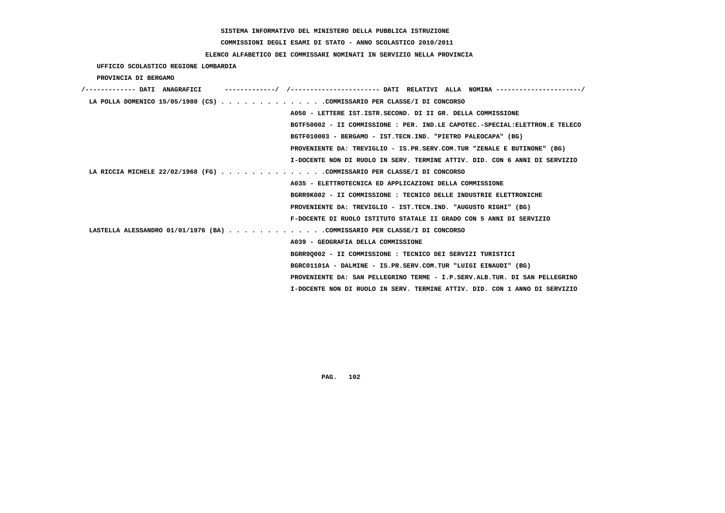# **COMMISSIONI DEGLI ESAMI DI STATO - ANNO SCOLASTICO 2010/2011**

## **ELENCO ALFABETICO DEI COMMISSARI NOMINATI IN SERVIZIO NELLA PROVINCIA**

 **UFFICIO SCOLASTICO REGIONE LOMBARDIA**

 **PROVINCIA DI BERGAMO**

| LA POLLA DOMENICO 15/05/1980 (CS) COMMISSARIO PER CLASSE/I DI CONCORSO   |                                                                              |
|--------------------------------------------------------------------------|------------------------------------------------------------------------------|
|                                                                          | A050 - LETTERE IST.ISTR.SECOND. DI II GR. DELLA COMMISSIONE                  |
|                                                                          | BGTF50002 - II COMMISSIONE : PER. IND.LE CAPOTEC.-SPECIAL: ELETTRON.E TELECO |
|                                                                          | BGTF010003 - BERGAMO - IST.TECN.IND. "PIETRO PALEOCAPA" (BG)                 |
|                                                                          | PROVENIENTE DA: TREVIGLIO - IS.PR.SERV.COM.TUR "ZENALE E BUTINONE" (BG)      |
|                                                                          | I-DOCENTE NON DI RUOLO IN SERV. TERMINE ATTIV. DID. CON 6 ANNI DI SERVIZIO   |
| LA RICCIA MICHELE 22/02/1968 (FG) COMMISSARIO PER CLASSE/I DI CONCORSO   |                                                                              |
|                                                                          | A035 - ELETTROTECNICA ED APPLICAZIONI DELLA COMMISSIONE                      |
|                                                                          | BGRR9K002 - II COMMISSIONE : TECNICO DELLE INDUSTRIE ELETTRONICHE            |
|                                                                          | PROVENIENTE DA: TREVIGLIO - IST.TECN.IND. "AUGUSTO RIGHI" (BG)               |
|                                                                          | F-DOCENTE DI RUOLO ISTITUTO STATALE II GRADO CON 5 ANNI DI SERVIZIO          |
| LASTELLA ALESSANDRO 01/01/1976 (BA) COMMISSARIO PER CLASSE/I DI CONCORSO |                                                                              |
|                                                                          | A039 - GEOGRAFIA DELLA COMMISSIONE                                           |
|                                                                          | BGRR90002 - II COMMISSIONE : TECNICO DEI SERVIZI TURISTICI                   |
|                                                                          | BGRC01101A - DALMINE - IS.PR.SERV.COM.TUR "LUIGI EINAUDI" (BG)               |
|                                                                          | PROVENIENTE DA: SAN PELLEGRINO TERME - I.P.SERV.ALB.TUR. DI SAN PELLEGRINO   |
|                                                                          | I-DOCENTE NON DI RUOLO IN SERV. TERMINE ATTIV. DID. CON 1 ANNO DI SERVIZIO   |
|                                                                          |                                                                              |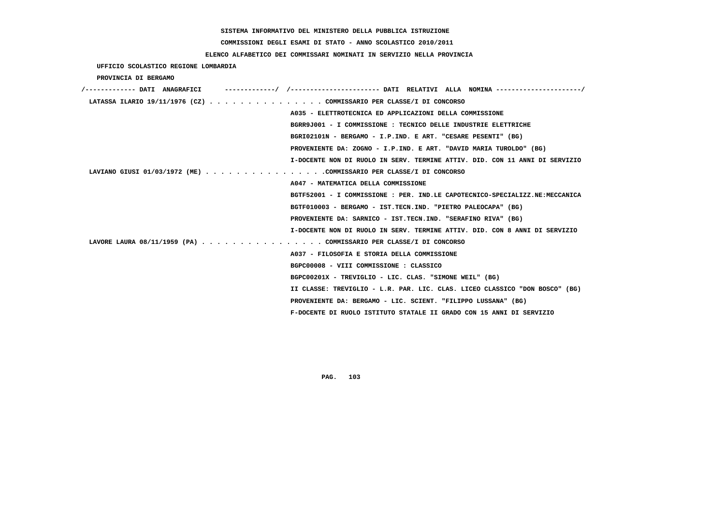**COMMISSIONI DEGLI ESAMI DI STATO - ANNO SCOLASTICO 2010/2011**

 **ELENCO ALFABETICO DEI COMMISSARI NOMINATI IN SERVIZIO NELLA PROVINCIA**

 **UFFICIO SCOLASTICO REGIONE LOMBARDIA**

 **PROVINCIA DI BERGAMO**

| /------------- DATI ANAGRAFICI | -/ /----------------------- DATI RELATIVI ALLA NOMINA ---------------------/ |
|--------------------------------|------------------------------------------------------------------------------|
|                                | LATASSA ILARIO 19/11/1976 (CZ) COMMISSARIO PER CLASSE/I DI CONCORSO          |
|                                | A035 - ELETTROTECNICA ED APPLICAZIONI DELLA COMMISSIONE                      |
|                                | BGRR9J001 - I COMMISSIONE : TECNICO DELLE INDUSTRIE ELETTRICHE               |
|                                | BGRI02101N - BERGAMO - I.P.IND. E ART. "CESARE PESENTI" (BG)                 |
|                                | PROVENIENTE DA: ZOGNO - I.P.IND. E ART. "DAVID MARIA TUROLDO" (BG)           |
|                                | I-DOCENTE NON DI RUOLO IN SERV. TERMINE ATTIV. DID. CON 11 ANNI DI SERVIZIO  |
|                                | LAVIANO GIUSI 01/03/1972 (ME) COMMISSARIO PER CLASSE/I DI CONCORSO           |
|                                | A047 - MATEMATICA DELLA COMMISSIONE                                          |
|                                | BGTF52001 - I COMMISSIONE : PER. IND.LE CAPOTECNICO-SPECIALIZZ.NE:MECCANICA  |
|                                | BGTF010003 - BERGAMO - IST.TECN.IND. "PIETRO PALEOCAPA" (BG)                 |
|                                | PROVENIENTE DA: SARNICO - IST.TECN.IND. "SERAFINO RIVA" (BG)                 |
|                                | I-DOCENTE NON DI RUOLO IN SERV. TERMINE ATTIV. DID. CON 8 ANNI DI SERVIZIO   |
|                                | LAVORE LAURA 08/11/1959 (PA) COMMISSARIO PER CLASSE/I DI CONCORSO            |
|                                | A037 - FILOSOFIA E STORIA DELLA COMMISSIONE                                  |
|                                | BGPC00008 - VIII COMMISSIONE : CLASSICO                                      |
|                                | BGPC00201X - TREVIGLIO - LIC. CLAS. "SIMONE WEIL" (BG)                       |
|                                | II CLASSE: TREVIGLIO - L.R. PAR. LIC. CLAS. LICEO CLASSICO "DON BOSCO" (BG)  |
|                                | PROVENIENTE DA: BERGAMO - LIC. SCIENT. "FILIPPO LUSSANA" (BG)                |
|                                | F-DOCENTE DI RUOLO ISTITUTO STATALE II GRADO CON 15 ANNI DI SERVIZIO         |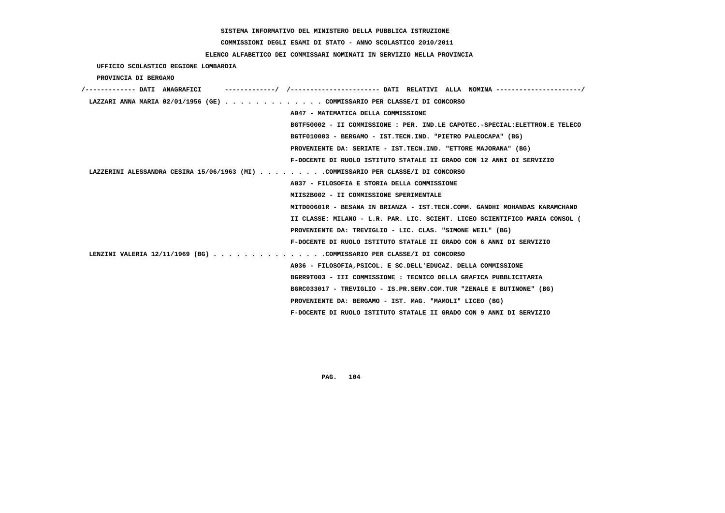**COMMISSIONI DEGLI ESAMI DI STATO - ANNO SCOLASTICO 2010/2011**

## **ELENCO ALFABETICO DEI COMMISSARI NOMINATI IN SERVIZIO NELLA PROVINCIA**

 **UFFICIO SCOLASTICO REGIONE LOMBARDIA**

 **PROVINCIA DI BERGAMO**

| /------------- DATI ANAGRAFICI                                                   |                                                                             |
|----------------------------------------------------------------------------------|-----------------------------------------------------------------------------|
| LAZZARI ANNA MARIA 02/01/1956 (GE) COMMISSARIO PER CLASSE/I DI CONCORSO          |                                                                             |
|                                                                                  | A047 - MATEMATICA DELLA COMMISSIONE                                         |
|                                                                                  | BGTF50002 - II COMMISSIONE : PER. IND.LE CAPOTEC.-SPECIAL:ELETTRON.E TELECO |
|                                                                                  | BGTF010003 - BERGAMO - IST.TECN.IND. "PIETRO PALEOCAPA" (BG)                |
|                                                                                  | PROVENIENTE DA: SERIATE - IST.TECN.IND. "ETTORE MAJORANA" (BG)              |
|                                                                                  | F-DOCENTE DI RUOLO ISTITUTO STATALE II GRADO CON 12 ANNI DI SERVIZIO        |
| LAZZERINI ALESSANDRA CESIRA 15/06/1963 (MI) COMMISSARIO PER CLASSE/I DI CONCORSO |                                                                             |
|                                                                                  | A037 - FILOSOFIA E STORIA DELLA COMMISSIONE                                 |
|                                                                                  | MIIS2B002 - II COMMISSIONE SPERIMENTALE                                     |
|                                                                                  | MITD00601R - BESANA IN BRIANZA - IST.TECN.COMM. GANDHI MOHANDAS KARAMCHAND  |
|                                                                                  | II CLASSE: MILANO - L.R. PAR. LIC. SCIENT. LICEO SCIENTIFICO MARIA CONSOL ( |
|                                                                                  | PROVENIENTE DA: TREVIGLIO - LIC. CLAS. "SIMONE WEIL" (BG)                   |
|                                                                                  | F-DOCENTE DI RUOLO ISTITUTO STATALE II GRADO CON 6 ANNI DI SERVIZIO         |
| LENZINI VALERIA 12/11/1969 (BG) COMMISSARIO PER CLASSE/I DI CONCORSO             |                                                                             |
|                                                                                  | A036 - FILOSOFIA, PSICOL, E SC. DELL'EDUCAZ. DELLA COMMISSIONE              |
|                                                                                  | BGRR9T003 - III COMMISSIONE : TECNICO DELLA GRAFICA PUBBLICITARIA           |
|                                                                                  | BGRC033017 - TREVIGLIO - IS.PR.SERV.COM.TUR "ZENALE E BUTINONE" (BG)        |
|                                                                                  | PROVENIENTE DA: BERGAMO - IST. MAG. "MAMOLI" LICEO (BG)                     |
|                                                                                  | F-DOCENTE DI RUOLO ISTITUTO STATALE II GRADO CON 9 ANNI DI SERVIZIO         |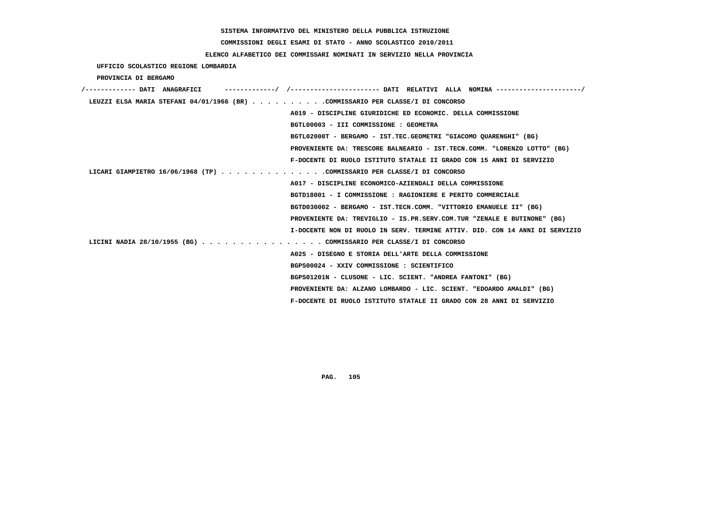# **COMMISSIONI DEGLI ESAMI DI STATO - ANNO SCOLASTICO 2010/2011**

## **ELENCO ALFABETICO DEI COMMISSARI NOMINATI IN SERVIZIO NELLA PROVINCIA**

 **UFFICIO SCOLASTICO REGIONE LOMBARDIA**

 **PROVINCIA DI BERGAMO**

| -----------/ /---------------------- DATI RELATIVI ALLA NOMINA ---------------------/<br>/------------- DATI ANAGRAFICI |
|-------------------------------------------------------------------------------------------------------------------------|
| LEUZZI ELSA MARIA STEFANI 04/01/1966 (BR) COMMISSARIO PER CLASSE/I DI CONCORSO                                          |
| A019 - DISCIPLINE GIURIDICHE ED ECONOMIC. DELLA COMMISSIONE                                                             |
| BGTL00003 - III COMMISSIONE : GEOMETRA                                                                                  |
| BGTL02000T - BERGAMO - IST.TEC.GEOMETRI "GIACOMO OUARENGHI" (BG)                                                        |
| PROVENIENTE DA: TRESCORE BALNEARIO - IST.TECN.COMM. "LORENZO LOTTO" (BG)                                                |
| F-DOCENTE DI RUOLO ISTITUTO STATALE II GRADO CON 15 ANNI DI SERVIZIO                                                    |
| LICARI GIAMPIETRO 16/06/1968 (TP) COMMISSARIO PER CLASSE/I DI CONCORSO                                                  |
| A017 - DISCIPLINE ECONOMICO-AZIENDALI DELLA COMMISSIONE                                                                 |
| BGTD18001 - I COMMISSIONE : RAGIONIERE E PERITO COMMERCIALE                                                             |
| BGTD030002 - BERGAMO - IST.TECN.COMM. "VITTORIO EMANUELE II" (BG)                                                       |
| PROVENIENTE DA: TREVIGLIO - IS.PR.SERV.COM.TUR "ZENALE E BUTINONE" (BG)                                                 |
| I-DOCENTE NON DI RUOLO IN SERV. TERMINE ATTIV. DID. CON 14 ANNI DI SERVIZIO                                             |
| LICINI NADIA 28/10/1955 (BG) COMMISSARIO PER CLASSE/I DI CONCORSO                                                       |
| A025 - DISEGNO E STORIA DELL'ARTE DELLA COMMISSIONE                                                                     |
| BGPS00024 - XXIV COMMISSIONE : SCIENTIFICO                                                                              |
| BGPS01201N - CLUSONE - LIC. SCIENT. "ANDREA FANTONI" (BG)                                                               |
| PROVENIENTE DA: ALZANO LOMBARDO - LIC. SCIENT. "EDOARDO AMALDI" (BG)                                                    |
| F-DOCENTE DI RUOLO ISTITUTO STATALE II GRADO CON 28 ANNI DI SERVIZIO                                                    |
|                                                                                                                         |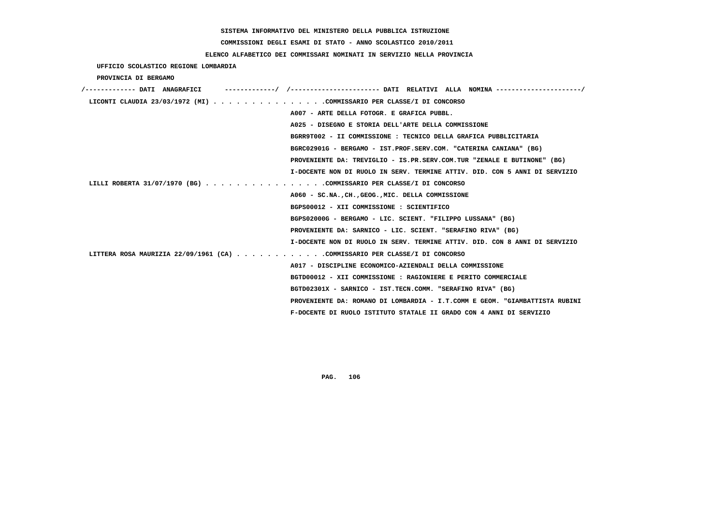**COMMISSIONI DEGLI ESAMI DI STATO - ANNO SCOLASTICO 2010/2011**

## **ELENCO ALFABETICO DEI COMMISSARI NOMINATI IN SERVIZIO NELLA PROVINCIA**

 **UFFICIO SCOLASTICO REGIONE LOMBARDIA**

 **PROVINCIA DI BERGAMO**

| /------------- DATI ANAGRAFICI                                             | -/ /----------------------- DATI RELATIVI ALLA NOMINA ---------------------/ |
|----------------------------------------------------------------------------|------------------------------------------------------------------------------|
| LICONTI CLAUDIA 23/03/1972 (MI) COMMISSARIO PER CLASSE/I DI CONCORSO       |                                                                              |
|                                                                            | A007 - ARTE DELLA FOTOGR. E GRAFICA PUBBL.                                   |
|                                                                            | A025 - DISEGNO E STORIA DELL'ARTE DELLA COMMISSIONE                          |
|                                                                            | BGRR9T002 - II COMMISSIONE : TECNICO DELLA GRAFICA PUBBLICITARIA             |
|                                                                            | BGRC02901G - BERGAMO - IST.PROF.SERV.COM. "CATERINA CANIANA" (BG)            |
|                                                                            | PROVENIENTE DA: TREVIGLIO - IS.PR.SERV.COM.TUR "ZENALE E BUTINONE" (BG)      |
|                                                                            | I-DOCENTE NON DI RUOLO IN SERV. TERMINE ATTIV. DID. CON 5 ANNI DI SERVIZIO   |
| LILLI ROBERTA 31/07/1970 (BG) COMMISSARIO PER CLASSE/I DI CONCORSO         |                                                                              |
|                                                                            | A060 - SC.NA., CH., GEOG., MIC. DELLA COMMISSIONE                            |
|                                                                            | BGPS00012 - XII COMMISSIONE : SCIENTIFICO                                    |
|                                                                            | BGPS02000G - BERGAMO - LIC. SCIENT. "FILIPPO LUSSANA" (BG)                   |
|                                                                            | PROVENIENTE DA: SARNICO - LIC. SCIENT. "SERAFINO RIVA" (BG)                  |
|                                                                            | I-DOCENTE NON DI RUOLO IN SERV. TERMINE ATTIV. DID. CON 8 ANNI DI SERVIZIO   |
| LITTERA ROSA MAURIZIA 22/09/1961 (CA) COMMISSARIO PER CLASSE/I DI CONCORSO |                                                                              |
|                                                                            | A017 - DISCIPLINE ECONOMICO-AZIENDALI DELLA COMMISSIONE                      |
|                                                                            | BGTD00012 - XII COMMISSIONE : RAGIONIERE E PERITO COMMERCIALE                |
|                                                                            | BGTD02301X - SARNICO - IST.TECN.COMM. "SERAFINO RIVA" (BG)                   |
|                                                                            | PROVENIENTE DA: ROMANO DI LOMBARDIA - I.T.COMM E GEOM. "GIAMBATTISTA RUBINI  |
|                                                                            | F-DOCENTE DI RUOLO ISTITUTO STATALE II GRADO CON 4 ANNI DI SERVIZIO          |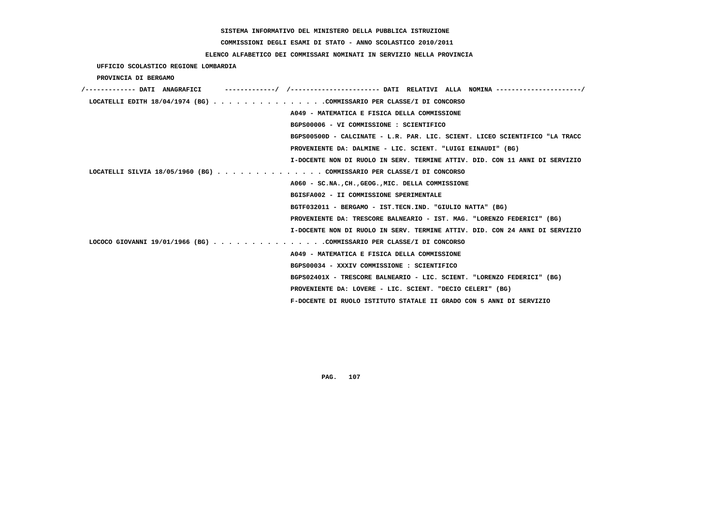# **COMMISSIONI DEGLI ESAMI DI STATO - ANNO SCOLASTICO 2010/2011**

## **ELENCO ALFABETICO DEI COMMISSARI NOMINATI IN SERVIZIO NELLA PROVINCIA**

 **UFFICIO SCOLASTICO REGIONE LOMBARDIA**

 **PROVINCIA DI BERGAMO**

| /------------- DATI ANAGRAFICI                                         |                                                                             |
|------------------------------------------------------------------------|-----------------------------------------------------------------------------|
| LOCATELLI EDITH $18/04/1974$ (BG) COMMISSARIO PER CLASSE/I DI CONCORSO |                                                                             |
|                                                                        | A049 - MATEMATICA E FISICA DELLA COMMISSIONE                                |
|                                                                        | BGPS00006 - VI COMMISSIONE : SCIENTIFICO                                    |
|                                                                        | BGPS00500D - CALCINATE - L.R. PAR. LIC. SCIENT. LICEO SCIENTIFICO "LA TRACC |
|                                                                        | PROVENIENTE DA: DALMINE - LIC. SCIENT. "LUIGI EINAUDI" (BG)                 |
|                                                                        | I-DOCENTE NON DI RUOLO IN SERV. TERMINE ATTIV. DID. CON 11 ANNI DI SERVIZIO |
| LOCATELLI SILVIA 18/05/1960 (BG) COMMISSARIO PER CLASSE/I DI CONCORSO  |                                                                             |
|                                                                        | A060 - SC.NA., CH., GEOG., MIC. DELLA COMMISSIONE                           |
|                                                                        | BGISFA002 - II COMMISSIONE SPERIMENTALE                                     |
|                                                                        | BGTF032011 - BERGAMO - IST.TECN.IND. "GIULIO NATTA" (BG)                    |
|                                                                        | PROVENIENTE DA: TRESCORE BALNEARIO - IST. MAG. "LORENZO FEDERICI" (BG)      |
|                                                                        | I-DOCENTE NON DI RUOLO IN SERV. TERMINE ATTIV. DID. CON 24 ANNI DI SERVIZIO |
| LOCOCO GIOVANNI 19/01/1966 (BG) COMMISSARIO PER CLASSE/I DI CONCORSO   |                                                                             |
|                                                                        | A049 - MATEMATICA E FISICA DELLA COMMISSIONE                                |
|                                                                        | BGPS00034 - XXXIV COMMISSIONE : SCIENTIFICO                                 |
|                                                                        | BGPS02401X - TRESCORE BALNEARIO - LIC. SCIENT. "LORENZO FEDERICI" (BG)      |
|                                                                        | PROVENIENTE DA: LOVERE - LIC. SCIENT. "DECIO CELERI" (BG)                   |
|                                                                        | F-DOCENTE DI RUOLO ISTITUTO STATALE II GRADO CON 5 ANNI DI SERVIZIO         |
|                                                                        |                                                                             |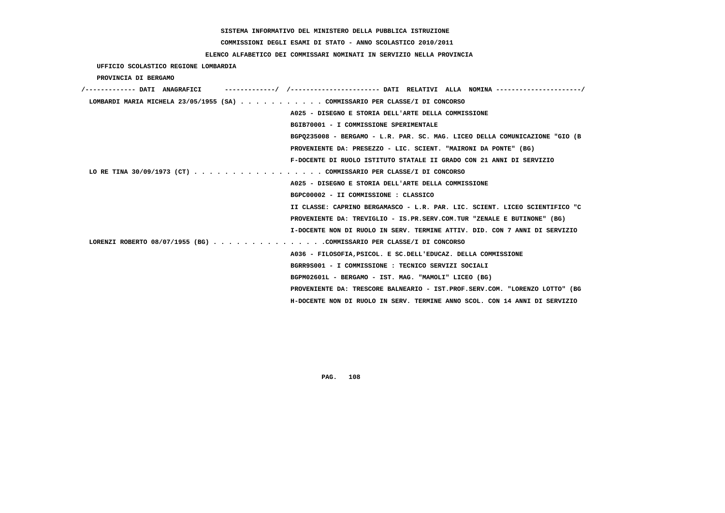# **COMMISSIONI DEGLI ESAMI DI STATO - ANNO SCOLASTICO 2010/2011**

## **ELENCO ALFABETICO DEI COMMISSARI NOMINATI IN SERVIZIO NELLA PROVINCIA**

 **UFFICIO SCOLASTICO REGIONE LOMBARDIA**

 **PROVINCIA DI BERGAMO**

| /------------- DATI ANAGRAFICI                                              |                                                                             |
|-----------------------------------------------------------------------------|-----------------------------------------------------------------------------|
| LOMBARDI MARIA MICHELA 23/05/1955 (SA) COMMISSARIO PER CLASSE/I DI CONCORSO |                                                                             |
|                                                                             | A025 - DISEGNO E STORIA DELL'ARTE DELLA COMMISSIONE                         |
|                                                                             | BGIB70001 - I COMMISSIONE SPERIMENTALE                                      |
|                                                                             | BGP0235008 - BERGAMO - L.R. PAR. SC. MAG. LICEO DELLA COMUNICAZIONE "GIO (B |
|                                                                             | PROVENIENTE DA: PRESEZZO - LIC. SCIENT. "MAIRONI DA PONTE" (BG)             |
|                                                                             | F-DOCENTE DI RUOLO ISTITUTO STATALE II GRADO CON 21 ANNI DI SERVIZIO        |
| LO RE TINA 30/09/1973 (CT) COMMISSARIO PER CLASSE/I DI CONCORSO             |                                                                             |
|                                                                             | A025 - DISEGNO E STORIA DELL'ARTE DELLA COMMISSIONE                         |
|                                                                             | BGPC00002 - II COMMISSIONE : CLASSICO                                       |
|                                                                             | II CLASSE: CAPRINO BERGAMASCO - L.R. PAR. LIC. SCIENT. LICEO SCIENTIFICO "C |
|                                                                             | PROVENIENTE DA: TREVIGLIO - IS.PR.SERV.COM.TUR "ZENALE E BUTINONE" (BG)     |
|                                                                             | I-DOCENTE NON DI RUOLO IN SERV. TERMINE ATTIV. DID. CON 7 ANNI DI SERVIZIO  |
| LORENZI ROBERTO 08/07/1955 (BG) COMMISSARIO PER CLASSE/I DI CONCORSO        |                                                                             |
|                                                                             | A036 - FILOSOFIA, PSICOL. E SC. DELL'EDUCAZ. DELLA COMMISSIONE              |
|                                                                             | BGRR9S001 - I COMMISSIONE : TECNICO SERVIZI SOCIALI                         |
|                                                                             | BGPM02601L - BERGAMO - IST. MAG. "MAMOLI" LICEO (BG)                        |
|                                                                             | PROVENIENTE DA: TRESCORE BALNEARIO - IST.PROF.SERV.COM. "LORENZO LOTTO" (BG |
|                                                                             | H-DOCENTE NON DI RUOLO IN SERV. TERMINE ANNO SCOL. CON 14 ANNI DI SERVIZIO  |
|                                                                             |                                                                             |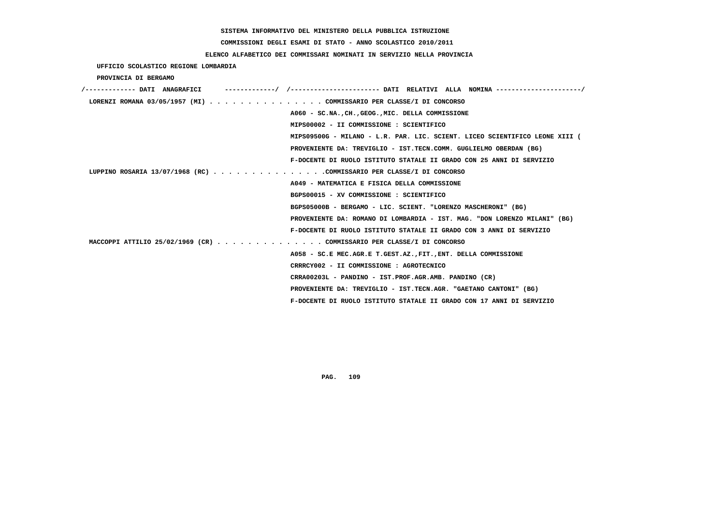# **COMMISSIONI DEGLI ESAMI DI STATO - ANNO SCOLASTICO 2010/2011**

### **ELENCO ALFABETICO DEI COMMISSARI NOMINATI IN SERVIZIO NELLA PROVINCIA**

 **UFFICIO SCOLASTICO REGIONE LOMBARDIA**

 **PROVINCIA DI BERGAMO**

| /------------- DATI ANAGRAFICI |                                                                             |
|--------------------------------|-----------------------------------------------------------------------------|
|                                | LORENZI ROMANA 03/05/1957 (MI) COMMISSARIO PER CLASSE/I DI CONCORSO         |
|                                | A060 - SC.NA., CH., GEOG., MIC. DELLA COMMISSIONE                           |
|                                | MIPS00002 - II COMMISSIONE : SCIENTIFICO                                    |
|                                | MIPS09500G - MILANO - L.R. PAR. LIC. SCIENT. LICEO SCIENTIFICO LEONE XIII ( |
|                                | PROVENIENTE DA: TREVIGLIO - IST.TECN.COMM. GUGLIELMO OBERDAN (BG)           |
|                                | F-DOCENTE DI RUOLO ISTITUTO STATALE II GRADO CON 25 ANNI DI SERVIZIO        |
|                                | LUPPINO ROSARIA 13/07/1968 (RC) COMMISSARIO PER CLASSE/I DI CONCORSO        |
|                                | A049 - MATEMATICA E FISICA DELLA COMMISSIONE                                |
|                                | BGPS00015 - XV COMMISSIONE : SCIENTIFICO                                    |
|                                | BGPS05000B - BERGAMO - LIC. SCIENT. "LORENZO MASCHERONI" (BG)               |
|                                | PROVENIENTE DA: ROMANO DI LOMBARDIA - IST. MAG. "DON LORENZO MILANI" (BG)   |
|                                | F-DOCENTE DI RUOLO ISTITUTO STATALE II GRADO CON 3 ANNI DI SERVIZIO         |
|                                | MACCOPPI ATTILIO 25/02/1969 (CR) COMMISSARIO PER CLASSE/I DI CONCORSO       |
|                                | A058 - SC.E MEC.AGR.E T.GEST.AZ., FIT., ENT. DELLA COMMISSIONE              |
|                                | CRRRCY002 - II COMMISSIONE : AGROTECNICO                                    |
|                                | CRRA00203L - PANDINO - IST.PROF.AGR.AMB. PANDINO (CR)                       |
|                                | PROVENIENTE DA: TREVIGLIO - IST.TECN.AGR. "GAETANO CANTONI" (BG)            |
|                                | F-DOCENTE DI RUOLO ISTITUTO STATALE II GRADO CON 17 ANNI DI SERVIZIO        |
|                                |                                                                             |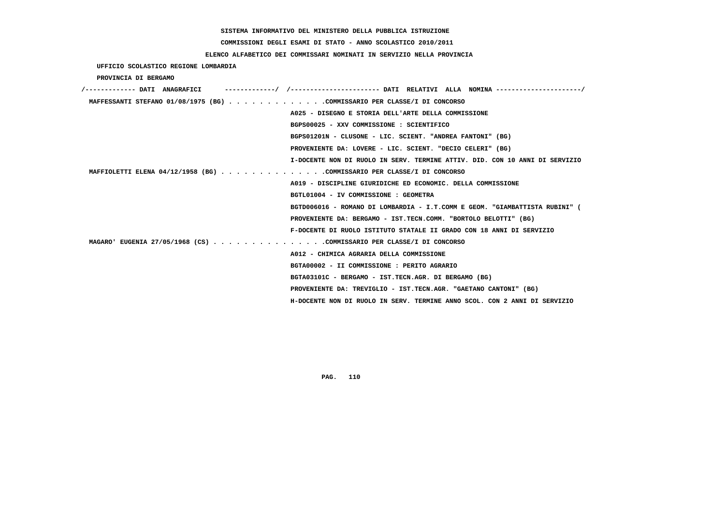# **COMMISSIONI DEGLI ESAMI DI STATO - ANNO SCOLASTICO 2010/2011**

### **ELENCO ALFABETICO DEI COMMISSARI NOMINATI IN SERVIZIO NELLA PROVINCIA**

 **UFFICIO SCOLASTICO REGIONE LOMBARDIA**

 **PROVINCIA DI BERGAMO**

| /------------- DATI ANAGRAFICI                                              |
|-----------------------------------------------------------------------------|
| MAFFESSANTI STEFANO 01/08/1975 (BG) COMMISSARIO PER CLASSE/I DI CONCORSO    |
| A025 - DISEGNO E STORIA DELL'ARTE DELLA COMMISSIONE                         |
| BGPS00025 - XXV COMMISSIONE : SCIENTIFICO                                   |
| BGPS01201N - CLUSONE - LIC. SCIENT. "ANDREA FANTONI" (BG)                   |
| PROVENIENTE DA: LOVERE - LIC. SCIENT. "DECIO CELERI" (BG)                   |
| I-DOCENTE NON DI RUOLO IN SERV. TERMINE ATTIV. DID. CON 10 ANNI DI SERVIZIO |
| MAFFIOLETTI ELENA 04/12/1958 (BG) COMMISSARIO PER CLASSE/I DI CONCORSO      |
| A019 - DISCIPLINE GIURIDICHE ED ECONOMIC. DELLA COMMISSIONE                 |
| BGTL01004 - IV COMMISSIONE : GEOMETRA                                       |
| BGTD006016 - ROMANO DI LOMBARDIA - I.T.COMM E GEOM. "GIAMBATTISTA RUBINI" ( |
| PROVENIENTE DA: BERGAMO - IST.TECN.COMM. "BORTOLO BELOTTI" (BG)             |
| F-DOCENTE DI RUOLO ISTITUTO STATALE II GRADO CON 18 ANNI DI SERVIZIO        |
| MAGARO' EUGENIA 27/05/1968 (CS) COMMISSARIO PER CLASSE/I DI CONCORSO        |
| A012 - CHIMICA AGRARIA DELLA COMMISSIONE                                    |
| BGTA00002 - II COMMISSIONE : PERITO AGRARIO                                 |
| BGTA03101C - BERGAMO - IST.TECN.AGR. DI BERGAMO (BG)                        |
| PROVENIENTE DA: TREVIGLIO - IST.TECN.AGR. "GAETANO CANTONI" (BG)            |
| H-DOCENTE NON DI RUOLO IN SERV. TERMINE ANNO SCOL. CON 2 ANNI DI SERVIZIO   |
|                                                                             |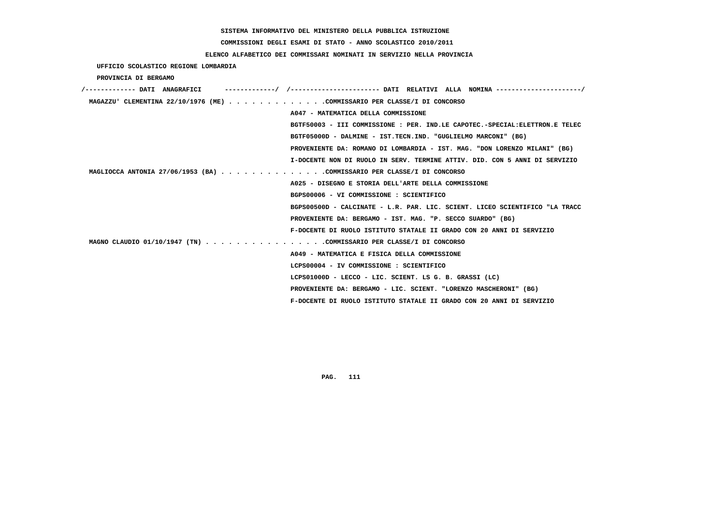# **COMMISSIONI DEGLI ESAMI DI STATO - ANNO SCOLASTICO 2010/2011**

### **ELENCO ALFABETICO DEI COMMISSARI NOMINATI IN SERVIZIO NELLA PROVINCIA**

 **UFFICIO SCOLASTICO REGIONE LOMBARDIA**

 **PROVINCIA DI BERGAMO**

| ---------/ /--------------------- DATI RELATIVI ALLA NOMINA --------------------/<br>/------------- DATI ANAGRAFICI |
|---------------------------------------------------------------------------------------------------------------------|
| MAGAZZU' CLEMENTINA 22/10/1976 (ME) COMMISSARIO PER CLASSE/I DI CONCORSO                                            |
| A047 - MATEMATICA DELLA COMMISSIONE                                                                                 |
| BGTF50003 - III COMMISSIONE : PER. IND.LE CAPOTEC.-SPECIAL:ELETTRON.E TELEC                                         |
| BGTF05000D - DALMINE - IST.TECN.IND. "GUGLIELMO MARCONI" (BG)                                                       |
| PROVENIENTE DA: ROMANO DI LOMBARDIA - IST. MAG. "DON LORENZO MILANI" (BG)                                           |
| I-DOCENTE NON DI RUOLO IN SERV. TERMINE ATTIV. DID. CON 5 ANNI DI SERVIZIO                                          |
| MAGLIOCCA ANTONIA 27/06/1953 (BA) COMMISSARIO PER CLASSE/I DI CONCORSO                                              |
| A025 - DISEGNO E STORIA DELL'ARTE DELLA COMMISSIONE                                                                 |
| BGPS00006 - VI COMMISSIONE : SCIENTIFICO                                                                            |
| BGPS00500D - CALCINATE - L.R. PAR. LIC. SCIENT. LICEO SCIENTIFICO "LA TRACC                                         |
| PROVENIENTE DA: BERGAMO - IST. MAG. "P. SECCO SUARDO" (BG)                                                          |
| F-DOCENTE DI RUOLO ISTITUTO STATALE II GRADO CON 20 ANNI DI SERVIZIO                                                |
| MAGNO CLAUDIO 01/10/1947 (TN) COMMISSARIO PER CLASSE/I DI CONCORSO                                                  |
| A049 - MATEMATICA E FISICA DELLA COMMISSIONE                                                                        |
| LCPS00004 - IV COMMISSIONE : SCIENTIFICO                                                                            |
| LCPS01000D - LECCO - LIC. SCIENT. LS G. B. GRASSI (LC)                                                              |
| PROVENIENTE DA: BERGAMO - LIC. SCIENT. "LORENZO MASCHERONI" (BG)                                                    |
| F-DOCENTE DI RUOLO ISTITUTO STATALE II GRADO CON 20 ANNI DI SERVIZIO                                                |
|                                                                                                                     |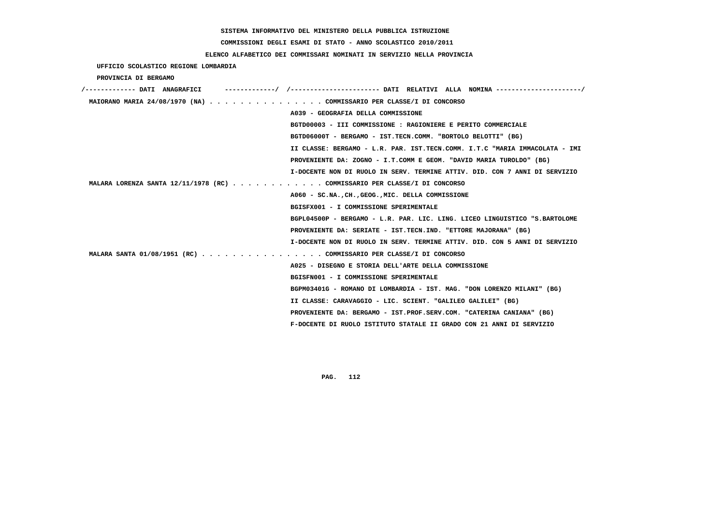# **COMMISSIONI DEGLI ESAMI DI STATO - ANNO SCOLASTICO 2010/2011**

### **ELENCO ALFABETICO DEI COMMISSARI NOMINATI IN SERVIZIO NELLA PROVINCIA**

 **UFFICIO SCOLASTICO REGIONE LOMBARDIA**

 **PROVINCIA DI BERGAMO**

| /------------- DATI ANAGRAFICI                                            | ------------------- DATI RELATIVI ALLA NOMINA ---------------------/        |
|---------------------------------------------------------------------------|-----------------------------------------------------------------------------|
| MAIORANO MARIA 24/08/1970 (NA) COMMISSARIO PER CLASSE/I DI CONCORSO       |                                                                             |
|                                                                           | A039 - GEOGRAFIA DELLA COMMISSIONE                                          |
|                                                                           | BGTD00003 - III COMMISSIONE : RAGIONIERE E PERITO COMMERCIALE               |
|                                                                           | BGTD06000T - BERGAMO - IST.TECN.COMM. "BORTOLO BELOTTI" (BG)                |
|                                                                           | II CLASSE: BERGAMO - L.R. PAR. IST.TECN.COMM. I.T.C "MARIA IMMACOLATA - IMI |
|                                                                           | PROVENIENTE DA: ZOGNO - I.T.COMM E GEOM. "DAVID MARIA TUROLDO" (BG)         |
|                                                                           | I-DOCENTE NON DI RUOLO IN SERV. TERMINE ATTIV. DID. CON 7 ANNI DI SERVIZIO  |
| MALARA LORENZA SANTA 12/11/1978 (RC) COMMISSARIO PER CLASSE/I DI CONCORSO |                                                                             |
|                                                                           | A060 - SC.NA., CH., GEOG., MIC. DELLA COMMISSIONE                           |
|                                                                           | BGISFX001 - I COMMISSIONE SPERIMENTALE                                      |
|                                                                           | BGPL04500P - BERGAMO - L.R. PAR. LIC. LING. LICEO LINGUISTICO "S.BARTOLOME  |
|                                                                           | PROVENIENTE DA: SERIATE - IST.TECN.IND. "ETTORE MAJORANA" (BG)              |
|                                                                           | I-DOCENTE NON DI RUOLO IN SERV. TERMINE ATTIV. DID. CON 5 ANNI DI SERVIZIO  |
| MALARA SANTA 01/08/1951 (RC) COMMISSARIO PER CLASSE/I DI CONCORSO         |                                                                             |
|                                                                           | A025 - DISEGNO E STORIA DELL'ARTE DELLA COMMISSIONE                         |
|                                                                           | BGISFN001 - I COMMISSIONE SPERIMENTALE                                      |
|                                                                           | BGPM03401G - ROMANO DI LOMBARDIA - IST. MAG. "DON LORENZO MILANI" (BG)      |
|                                                                           | II CLASSE: CARAVAGGIO - LIC. SCIENT. "GALILEO GALILEI" (BG)                 |
|                                                                           | PROVENIENTE DA: BERGAMO - IST.PROF.SERV.COM. "CATERINA CANIANA" (BG)        |
|                                                                           | F-DOCENTE DI RUOLO ISTITUTO STATALE II GRADO CON 21 ANNI DI SERVIZIO        |
|                                                                           |                                                                             |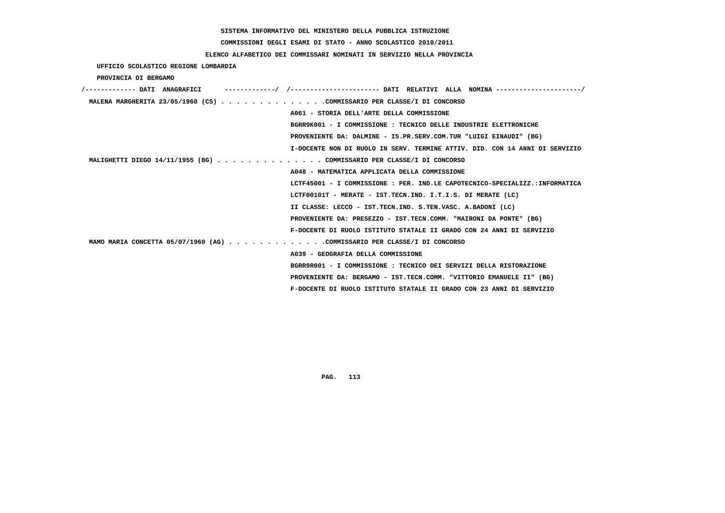# **COMMISSIONI DEGLI ESAMI DI STATO - ANNO SCOLASTICO 2010/2011**

### **ELENCO ALFABETICO DEI COMMISSARI NOMINATI IN SERVIZIO NELLA PROVINCIA**

 **UFFICIO SCOLASTICO REGIONE LOMBARDIA**

 **PROVINCIA DI BERGAMO**

| /------------- DATI ANAGRAFICI<br>------------/ /---------------------- DATI RELATIVI ALLA NOMINA ---------------------/ |
|--------------------------------------------------------------------------------------------------------------------------|
| MALENA MARGHERITA 23/05/1960 (CS) COMMISSARIO PER CLASSE/I DI CONCORSO                                                   |
| A061 - STORIA DELL'ARTE DELLA COMMISSIONE                                                                                |
| BGRR9K001 - I COMMISSIONE : TECNICO DELLE INDUSTRIE ELETTRONICHE                                                         |
| PROVENIENTE DA: DALMINE - IS.PR.SERV.COM.TUR "LUIGI EINAUDI" (BG)                                                        |
| I-DOCENTE NON DI RUOLO IN SERV. TERMINE ATTIV. DID. CON 14 ANNI DI SERVIZIO                                              |
| MALIGHETTI DIEGO 14/11/1955 (BG) COMMISSARIO PER CLASSE/I DI CONCORSO                                                    |
| A048 - MATEMATICA APPLICATA DELLA COMMISSIONE                                                                            |
| LCTF45001 - I COMMISSIONE : PER. IND.LE CAPOTECNICO-SPECIALIZZ.:INFORMATICA                                              |
| LCTF00101T - MERATE - IST.TECN.IND. I.T.I.S. DI MERATE (LC)                                                              |
| II CLASSE: LECCO - IST.TECN.IND. S.TEN.VASC. A.BADONI (LC)                                                               |
| PROVENIENTE DA: PRESEZZO - IST.TECN.COMM. "MAIRONI DA PONTE" (BG)                                                        |
| F-DOCENTE DI RUOLO ISTITUTO STATALE II GRADO CON 24 ANNI DI SERVIZIO                                                     |
| MAMO MARIA CONCETTA 05/07/1960 (AG) COMMISSARIO PER CLASSE/I DI CONCORSO                                                 |
| A039 - GEOGRAFIA DELLA COMMISSIONE                                                                                       |
| BGRR9R001 - I COMMISSIONE : TECNICO DEI SERVIZI DELLA RISTORAZIONE                                                       |
| PROVENIENTE DA: BERGAMO - IST.TECN.COMM. "VITTORIO EMANUELE II" (BG)                                                     |
| F-DOCENTE DI RUOLO ISTITUTO STATALE II GRADO CON 23 ANNI DI SERVIZIO                                                     |
|                                                                                                                          |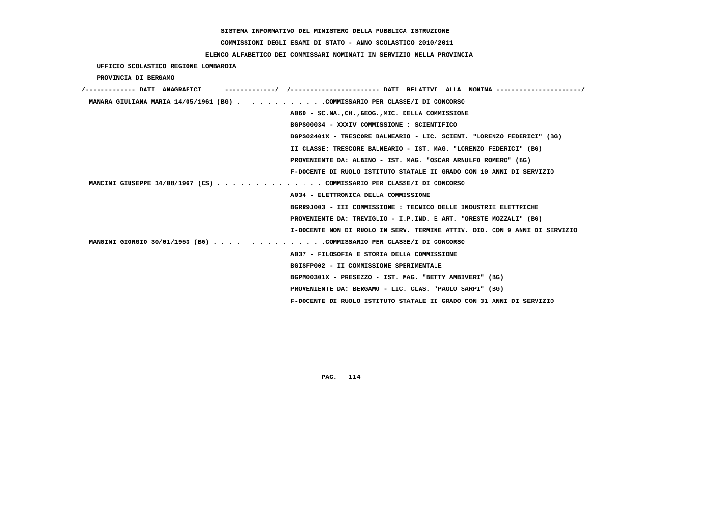# **COMMISSIONI DEGLI ESAMI DI STATO - ANNO SCOLASTICO 2010/2011**

## **ELENCO ALFABETICO DEI COMMISSARI NOMINATI IN SERVIZIO NELLA PROVINCIA**

 **UFFICIO SCOLASTICO REGIONE LOMBARDIA**

 **PROVINCIA DI BERGAMO**

| /------------- DATI ANAGRAFICI                                             |
|----------------------------------------------------------------------------|
| MANARA GIULIANA MARIA 14/05/1961 (BG) COMMISSARIO PER CLASSE/I DI CONCORSO |
| A060 - SC.NA., CH., GEOG., MIC. DELLA COMMISSIONE                          |
| BGPS00034 - XXXIV COMMISSIONE : SCIENTIFICO                                |
| BGPS02401X - TRESCORE BALNEARIO - LIC. SCIENT. "LORENZO FEDERICI" (BG)     |
| II CLASSE: TRESCORE BALNEARIO - IST. MAG. "LORENZO FEDERICI" (BG)          |
| PROVENIENTE DA: ALBINO - IST. MAG. "OSCAR ARNULFO ROMERO" (BG)             |
| F-DOCENTE DI RUOLO ISTITUTO STATALE II GRADO CON 10 ANNI DI SERVIZIO       |
| MANCINI GIUSEPPE 14/08/1967 (CS) COMMISSARIO PER CLASSE/I DI CONCORSO      |
| A034 - ELETTRONICA DELLA COMMISSIONE                                       |
| BGRR9J003 - III COMMISSIONE : TECNICO DELLE INDUSTRIE ELETTRICHE           |
| PROVENIENTE DA: TREVIGLIO - I.P.IND. E ART. "ORESTE MOZZALI" (BG)          |
| I-DOCENTE NON DI RUOLO IN SERV. TERMINE ATTIV. DID. CON 9 ANNI DI SERVIZIO |
| MANGINI GIORGIO 30/01/1953 (BG) COMMISSARIO PER CLASSE/I DI CONCORSO       |
| A037 - FILOSOFIA E STORIA DELLA COMMISSIONE                                |
| BGISFP002 - II COMMISSIONE SPERIMENTALE                                    |
| BGPM00301X - PRESEZZO - IST. MAG. "BETTY AMBIVERI" (BG)                    |
| PROVENIENTE DA: BERGAMO - LIC. CLAS. "PAOLO SARPI" (BG)                    |
| F-DOCENTE DI RUOLO ISTITUTO STATALE II GRADO CON 31 ANNI DI SERVIZIO       |
|                                                                            |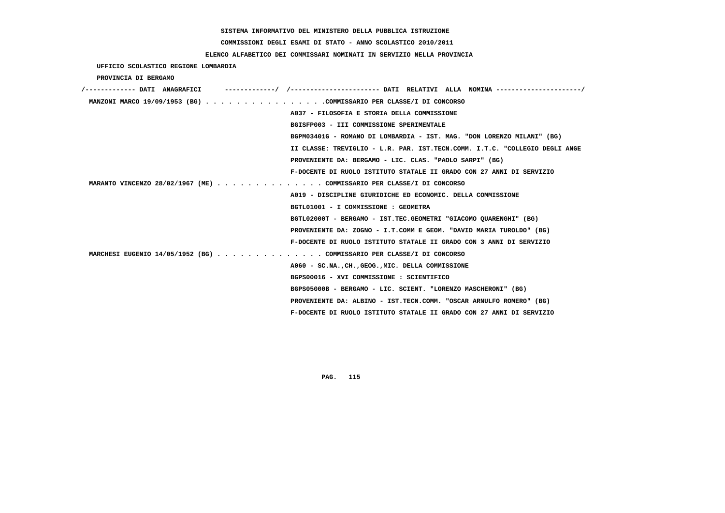# **COMMISSIONI DEGLI ESAMI DI STATO - ANNO SCOLASTICO 2010/2011**

### **ELENCO ALFABETICO DEI COMMISSARI NOMINATI IN SERVIZIO NELLA PROVINCIA**

 **UFFICIO SCOLASTICO REGIONE LOMBARDIA**

 **PROVINCIA DI BERGAMO**

| /------------- DATI ANAGRAFICI                                        | -------------------- DATI RELATIVI ALLA NOMINA ---------------------/       |
|-----------------------------------------------------------------------|-----------------------------------------------------------------------------|
| MANZONI MARCO 19/09/1953 (BG) COMMISSARIO PER CLASSE/I DI CONCORSO    |                                                                             |
|                                                                       | A037 - FILOSOFIA E STORIA DELLA COMMISSIONE                                 |
|                                                                       | BGISFP003 - III COMMISSIONE SPERIMENTALE                                    |
|                                                                       | BGPM03401G - ROMANO DI LOMBARDIA - IST. MAG. "DON LORENZO MILANI" (BG)      |
|                                                                       | II CLASSE: TREVIGLIO - L.R. PAR. IST.TECN.COMM. I.T.C. "COLLEGIO DEGLI ANGE |
|                                                                       | PROVENIENTE DA: BERGAMO - LIC. CLAS. "PAOLO SARPI" (BG)                     |
|                                                                       | F-DOCENTE DI RUOLO ISTITUTO STATALE II GRADO CON 27 ANNI DI SERVIZIO        |
| MARANTO VINCENZO 28/02/1967 (ME) COMMISSARIO PER CLASSE/I DI CONCORSO |                                                                             |
|                                                                       | A019 - DISCIPLINE GIURIDICHE ED ECONOMIC. DELLA COMMISSIONE                 |
|                                                                       | BGTL01001 - I COMMISSIONE : GEOMETRA                                        |
|                                                                       | BGTL02000T - BERGAMO - IST.TEC.GEOMETRI "GIACOMO QUARENGHI" (BG)            |
|                                                                       | PROVENIENTE DA: ZOGNO - I.T.COMM E GEOM. "DAVID MARIA TUROLDO" (BG)         |
|                                                                       | F-DOCENTE DI RUOLO ISTITUTO STATALE II GRADO CON 3 ANNI DI SERVIZIO         |
| MARCHESI EUGENIO 14/05/1952 (BG) COMMISSARIO PER CLASSE/I DI CONCORSO |                                                                             |
|                                                                       | A060 - SC.NA., CH., GEOG., MIC. DELLA COMMISSIONE                           |
|                                                                       | BGPS00016 - XVI COMMISSIONE : SCIENTIFICO                                   |
|                                                                       | BGPS05000B - BERGAMO - LIC. SCIENT. "LORENZO MASCHERONI" (BG)               |
|                                                                       | PROVENIENTE DA: ALBINO - IST.TECN.COMM. "OSCAR ARNULFO ROMERO" (BG)         |
|                                                                       | F-DOCENTE DI RUOLO ISTITUTO STATALE II GRADO CON 27 ANNI DI SERVIZIO        |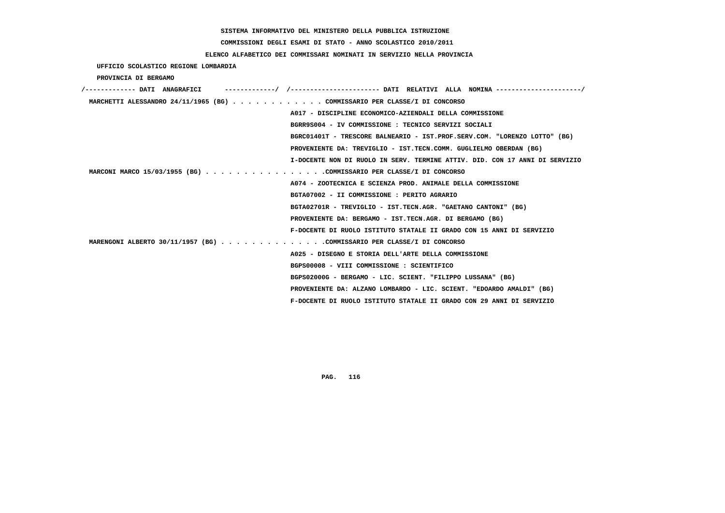# **COMMISSIONI DEGLI ESAMI DI STATO - ANNO SCOLASTICO 2010/2011**

### **ELENCO ALFABETICO DEI COMMISSARI NOMINATI IN SERVIZIO NELLA PROVINCIA**

 **UFFICIO SCOLASTICO REGIONE LOMBARDIA**

 **PROVINCIA DI BERGAMO**

| /------------- DATI ANAGRAFICI                                              |  |
|-----------------------------------------------------------------------------|--|
| MARCHETTI ALESSANDRO 24/11/1965 (BG) COMMISSARIO PER CLASSE/I DI CONCORSO   |  |
| A017 - DISCIPLINE ECONOMICO-AZIENDALI DELLA COMMISSIONE                     |  |
| BGRR9S004 - IV COMMISSIONE : TECNICO SERVIZI SOCIALI                        |  |
| BGRC01401T - TRESCORE BALNEARIO - IST.PROF.SERV.COM. "LORENZO LOTTO" (BG)   |  |
| PROVENIENTE DA: TREVIGLIO - IST.TECN.COMM. GUGLIELMO OBERDAN (BG)           |  |
| I-DOCENTE NON DI RUOLO IN SERV. TERMINE ATTIV. DID. CON 17 ANNI DI SERVIZIO |  |
| MARCONI MARCO 15/03/1955 (BG) COMMISSARIO PER CLASSE/I DI CONCORSO          |  |
| A074 - ZOOTECNICA E SCIENZA PROD. ANIMALE DELLA COMMISSIONE                 |  |
| BGTA07002 - II COMMISSIONE : PERITO AGRARIO                                 |  |
| BGTA02701R - TREVIGLIO - IST.TECN.AGR. "GAETANO CANTONI" (BG)               |  |
| PROVENIENTE DA: BERGAMO - IST.TECN.AGR. DI BERGAMO (BG)                     |  |
| F-DOCENTE DI RUOLO ISTITUTO STATALE II GRADO CON 15 ANNI DI SERVIZIO        |  |
| MARENGONI ALBERTO 30/11/1957 (BG) COMMISSARIO PER CLASSE/I DI CONCORSO      |  |
| A025 - DISEGNO E STORIA DELL'ARTE DELLA COMMISSIONE                         |  |
| BGPS00008 - VIII COMMISSIONE : SCIENTIFICO                                  |  |
| BGPS02000G - BERGAMO - LIC. SCIENT. "FILIPPO LUSSANA" (BG)                  |  |
| PROVENIENTE DA: ALZANO LOMBARDO - LIC. SCIENT. "EDOARDO AMALDI" (BG)        |  |
| F-DOCENTE DI RUOLO ISTITUTO STATALE II GRADO CON 29 ANNI DI SERVIZIO        |  |
|                                                                             |  |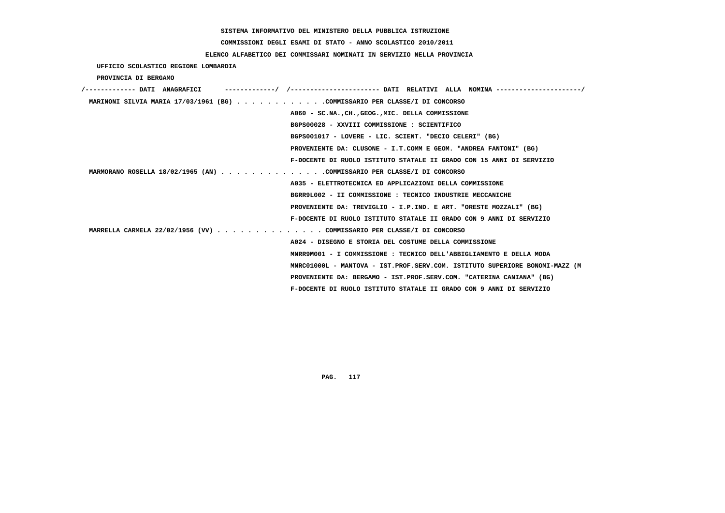# **COMMISSIONI DEGLI ESAMI DI STATO - ANNO SCOLASTICO 2010/2011**

## **ELENCO ALFABETICO DEI COMMISSARI NOMINATI IN SERVIZIO NELLA PROVINCIA**

 **UFFICIO SCOLASTICO REGIONE LOMBARDIA**

 **PROVINCIA DI BERGAMO**

| /------------- DATI ANAGRAFICI                                             |                                                                             |
|----------------------------------------------------------------------------|-----------------------------------------------------------------------------|
| MARINONI SILVIA MARIA 17/03/1961 (BG) COMMISSARIO PER CLASSE/I DI CONCORSO |                                                                             |
|                                                                            | A060 - SC.NA., CH., GEOG., MIC. DELLA COMMISSIONE                           |
|                                                                            | BGPS00028 - XXVIII COMMISSIONE : SCIENTIFICO                                |
|                                                                            | BGPS001017 - LOVERE - LIC. SCIENT. "DECIO CELERI" (BG)                      |
|                                                                            | PROVENIENTE DA: CLUSONE - I.T.COMM E GEOM. "ANDREA FANTONI" (BG)            |
|                                                                            | F-DOCENTE DI RUOLO ISTITUTO STATALE II GRADO CON 15 ANNI DI SERVIZIO        |
| MARMORANO ROSELLA 18/02/1965 (AN) COMMISSARIO PER CLASSE/I DI CONCORSO     |                                                                             |
|                                                                            | A035 - ELETTROTECNICA ED APPLICAZIONI DELLA COMMISSIONE                     |
|                                                                            | BGRR9L002 - II COMMISSIONE : TECNICO INDUSTRIE MECCANICHE                   |
|                                                                            | PROVENIENTE DA: TREVIGLIO - I.P.IND. E ART. "ORESTE MOZZALI" (BG)           |
|                                                                            | F-DOCENTE DI RUOLO ISTITUTO STATALE II GRADO CON 9 ANNI DI SERVIZIO         |
| MARRELLA CARMELA 22/02/1956 (VV) COMMISSARIO PER CLASSE/I DI CONCORSO      |                                                                             |
|                                                                            | A024 - DISEGNO E STORIA DEL COSTUME DELLA COMMISSIONE                       |
|                                                                            | MNRR9M001 - I COMMISSIONE : TECNICO DELL'ABBIGLIAMENTO E DELLA MODA         |
|                                                                            | MNRC01000L - MANTOVA - IST.PROF.SERV.COM. ISTITUTO SUPERIORE BONOMI-MAZZ (M |
|                                                                            | PROVENIENTE DA: BERGAMO - IST.PROF.SERV.COM. "CATERINA CANIANA" (BG)        |
|                                                                            | F-DOCENTE DI RUOLO ISTITUTO STATALE II GRADO CON 9 ANNI DI SERVIZIO         |
|                                                                            |                                                                             |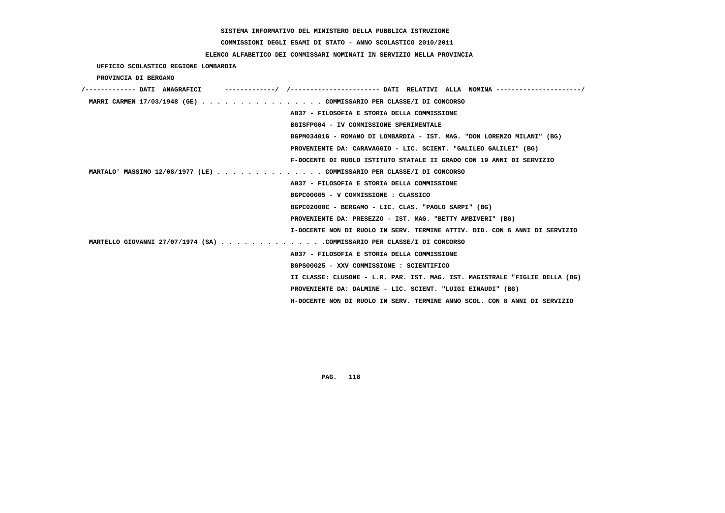# **COMMISSIONI DEGLI ESAMI DI STATO - ANNO SCOLASTICO 2010/2011**

## **ELENCO ALFABETICO DEI COMMISSARI NOMINATI IN SERVIZIO NELLA PROVINCIA**

 **UFFICIO SCOLASTICO REGIONE LOMBARDIA**

 **PROVINCIA DI BERGAMO**

| /------------- DATI ANAGRAFICI |                                                                             |
|--------------------------------|-----------------------------------------------------------------------------|
|                                | MARRI CARMEN 17/03/1948 (GE) COMMISSARIO PER CLASSE/I DI CONCORSO           |
|                                | A037 - FILOSOFIA E STORIA DELLA COMMISSIONE                                 |
|                                | BGISFP004 - IV COMMISSIONE SPERIMENTALE                                     |
|                                | BGPM03401G - ROMANO DI LOMBARDIA - IST. MAG. "DON LORENZO MILANI" (BG)      |
|                                | PROVENIENTE DA: CARAVAGGIO - LIC. SCIENT. "GALILEO GALILEI" (BG)            |
|                                | F-DOCENTE DI RUOLO ISTITUTO STATALE II GRADO CON 19 ANNI DI SERVIZIO        |
|                                | MARTALO' MASSIMO 12/08/1977 (LE) COMMISSARIO PER CLASSE/I DI CONCORSO       |
|                                | A037 - FILOSOFIA E STORIA DELLA COMMISSIONE                                 |
|                                | BGPC00005 - V COMMISSIONE : CLASSICO                                        |
|                                | BGPC02000C - BERGAMO - LIC. CLAS. "PAOLO SARPI" (BG)                        |
|                                | PROVENIENTE DA: PRESEZZO - IST. MAG. "BETTY AMBIVERI" (BG)                  |
|                                | I-DOCENTE NON DI RUOLO IN SERV. TERMINE ATTIV. DID. CON 6 ANNI DI SERVIZIO  |
|                                | MARTELLO GIOVANNI 27/07/1974 (SA) COMMISSARIO PER CLASSE/I DI CONCORSO      |
|                                | A037 - FILOSOFIA E STORIA DELLA COMMISSIONE                                 |
|                                | BGPS00025 - XXV COMMISSIONE : SCIENTIFICO                                   |
|                                | II CLASSE: CLUSONE - L.R. PAR. IST. MAG. IST. MAGISTRALE "FIGLIE DELLA (BG) |
|                                | PROVENIENTE DA: DALMINE - LIC. SCIENT. "LUIGI EINAUDI" (BG)                 |
|                                | H-DOCENTE NON DI RUOLO IN SERV. TERMINE ANNO SCOL. CON 8 ANNI DI SERVIZIO   |
|                                |                                                                             |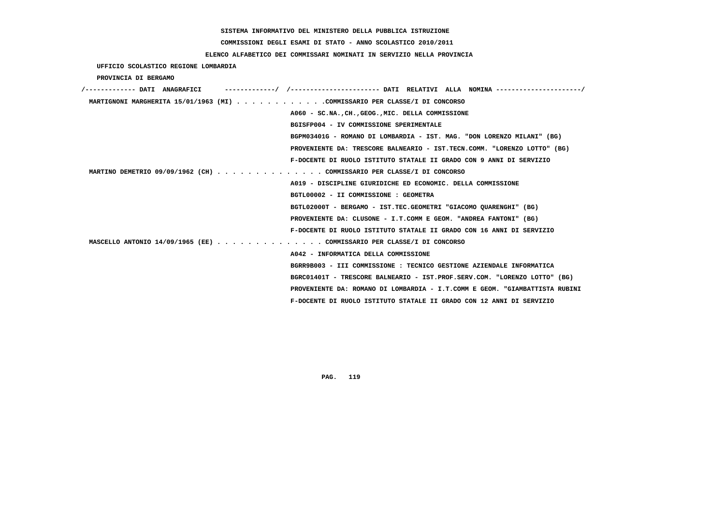# **COMMISSIONI DEGLI ESAMI DI STATO - ANNO SCOLASTICO 2010/2011**

### **ELENCO ALFABETICO DEI COMMISSARI NOMINATI IN SERVIZIO NELLA PROVINCIA**

 **UFFICIO SCOLASTICO REGIONE LOMBARDIA**

 **PROVINCIA DI BERGAMO**

| /------------- DATI ANAGRAFICI                                             | -----------/ /---------------------- DATI RELATIVI ALLA NOMINA ---------------------/ |
|----------------------------------------------------------------------------|---------------------------------------------------------------------------------------|
| MARTIGNONI MARGHERITA 15/01/1963 (MI) COMMISSARIO PER CLASSE/I DI CONCORSO |                                                                                       |
|                                                                            | A060 - SC.NA., CH., GEOG., MIC. DELLA COMMISSIONE                                     |
|                                                                            | BGISFP004 - IV COMMISSIONE SPERIMENTALE                                               |
|                                                                            | BGPM03401G - ROMANO DI LOMBARDIA - IST. MAG. "DON LORENZO MILANI" (BG)                |
|                                                                            | PROVENIENTE DA: TRESCORE BALNEARIO - IST.TECN.COMM. "LORENZO LOTTO" (BG)              |
|                                                                            | F-DOCENTE DI RUOLO ISTITUTO STATALE II GRADO CON 9 ANNI DI SERVIZIO                   |
| MARTINO DEMETRIO 09/09/1962 (CH) COMMISSARIO PER CLASSE/I DI CONCORSO      |                                                                                       |
|                                                                            | A019 - DISCIPLINE GIURIDICHE ED ECONOMIC. DELLA COMMISSIONE                           |
|                                                                            | BGTL00002 - II COMMISSIONE : GEOMETRA                                                 |
|                                                                            | BGTL02000T - BERGAMO - IST.TEC.GEOMETRI "GIACOMO OUARENGHI" (BG)                      |
|                                                                            | PROVENIENTE DA: CLUSONE - I.T.COMM E GEOM. "ANDREA FANTONI" (BG)                      |
|                                                                            | F-DOCENTE DI RUOLO ISTITUTO STATALE II GRADO CON 16 ANNI DI SERVIZIO                  |
| MASCELLO ANTONIO 14/09/1965 (EE) COMMISSARIO PER CLASSE/I DI CONCORSO      |                                                                                       |
|                                                                            | A042 - INFORMATICA DELLA COMMISSIONE                                                  |
|                                                                            | BGRR9B003 - III COMMISSIONE : TECNICO GESTIONE AZIENDALE INFORMATICA                  |
|                                                                            | BGRC01401T - TRESCORE BALNEARIO - IST.PROF.SERV.COM. "LORENZO LOTTO" (BG)             |
|                                                                            | PROVENIENTE DA: ROMANO DI LOMBARDIA - I.T.COMM E GEOM. "GIAMBATTISTA RUBINI           |
|                                                                            | F-DOCENTE DI RUOLO ISTITUTO STATALE II GRADO CON 12 ANNI DI SERVIZIO                  |
|                                                                            |                                                                                       |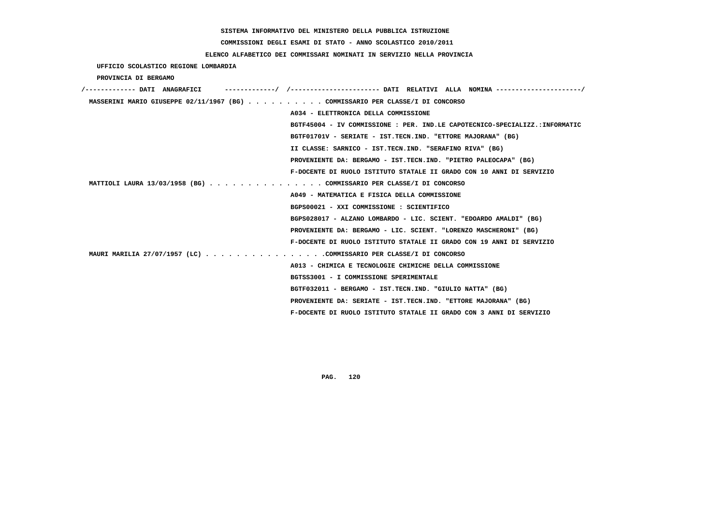**COMMISSIONI DEGLI ESAMI DI STATO - ANNO SCOLASTICO 2010/2011**

### **ELENCO ALFABETICO DEI COMMISSARI NOMINATI IN SERVIZIO NELLA PROVINCIA**

 **UFFICIO SCOLASTICO REGIONE LOMBARDIA**

 **PROVINCIA DI BERGAMO**

| /------------- DATI ANAGRAFICI |                                                                               |
|--------------------------------|-------------------------------------------------------------------------------|
|                                | MASSERINI MARIO GIUSEPPE 02/11/1967 (BG) COMMISSARIO PER CLASSE/I DI CONCORSO |
|                                | A034 - ELETTRONICA DELLA COMMISSIONE                                          |
|                                | BGTF45004 - IV COMMISSIONE : PER. IND.LE CAPOTECNICO-SPECIALIZZ.:INFORMATIC   |
|                                | BGTF01701V - SERIATE - IST.TECN.IND. "ETTORE MAJORANA" (BG)                   |
|                                | II CLASSE: SARNICO - IST.TECN.IND. "SERAFINO RIVA" (BG)                       |
|                                | PROVENIENTE DA: BERGAMO - IST.TECN.IND. "PIETRO PALEOCAPA" (BG)               |
|                                | F-DOCENTE DI RUOLO ISTITUTO STATALE II GRADO CON 10 ANNI DI SERVIZIO          |
|                                | MATTIOLI LAURA 13/03/1958 (BG) COMMISSARIO PER CLASSE/I DI CONCORSO           |
|                                | A049 - MATEMATICA E FISICA DELLA COMMISSIONE                                  |
|                                | BGPS00021 - XXI COMMISSIONE : SCIENTIFICO                                     |
|                                | BGPS028017 - ALZANO LOMBARDO - LIC. SCIENT. "EDOARDO AMALDI" (BG)             |
|                                | PROVENIENTE DA: BERGAMO - LIC. SCIENT. "LORENZO MASCHERONI" (BG)              |
|                                | F-DOCENTE DI RUOLO ISTITUTO STATALE II GRADO CON 19 ANNI DI SERVIZIO          |
|                                | MAURI MARILIA 27/07/1957 (LC) COMMISSARIO PER CLASSE/I DI CONCORSO            |
|                                | A013 - CHIMICA E TECNOLOGIE CHIMICHE DELLA COMMISSIONE                        |
|                                | BGTSS3001 - I COMMISSIONE SPERIMENTALE                                        |
|                                | BGTF032011 - BERGAMO - IST.TECN.IND. "GIULIO NATTA" (BG)                      |
|                                | PROVENIENTE DA: SERIATE - IST.TECN.IND. "ETTORE MAJORANA" (BG)                |
|                                | F-DOCENTE DI RUOLO ISTITUTO STATALE II GRADO CON 3 ANNI DI SERVIZIO           |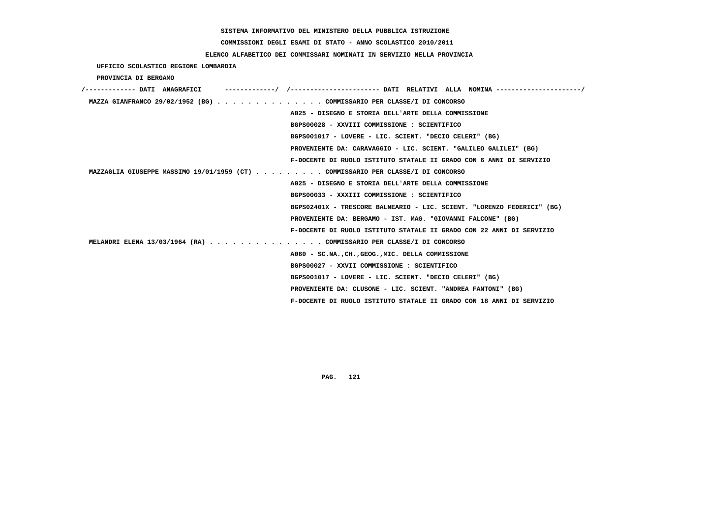**COMMISSIONI DEGLI ESAMI DI STATO - ANNO SCOLASTICO 2010/2011**

### **ELENCO ALFABETICO DEI COMMISSARI NOMINATI IN SERVIZIO NELLA PROVINCIA**

 **UFFICIO SCOLASTICO REGIONE LOMBARDIA**

 **PROVINCIA DI BERGAMO**

| /------------- DATI ANAGRAFICI                                                  |
|---------------------------------------------------------------------------------|
| MAZZA GIANFRANCO 29/02/1952 (BG) COMMISSARIO PER CLASSE/I DI CONCORSO           |
| A025 - DISEGNO E STORIA DELL'ARTE DELLA COMMISSIONE                             |
| BGPS00028 - XXVIII COMMISSIONE : SCIENTIFICO                                    |
| BGPS001017 - LOVERE - LIC. SCIENT. "DECIO CELERI" (BG)                          |
| PROVENIENTE DA: CARAVAGGIO - LIC. SCIENT. "GALILEO GALILEI" (BG)                |
| F-DOCENTE DI RUOLO ISTITUTO STATALE II GRADO CON 6 ANNI DI SERVIZIO             |
| MAZZAGLIA GIUSEPPE MASSIMO 19/01/1959 (CT) COMMISSARIO PER CLASSE/I DI CONCORSO |
| A025 - DISEGNO E STORIA DELL'ARTE DELLA COMMISSIONE                             |
| BGPS00033 - XXXIII COMMISSIONE : SCIENTIFICO                                    |
| BGPS02401X - TRESCORE BALNEARIO - LIC. SCIENT. "LORENZO FEDERICI" (BG)          |
| PROVENIENTE DA: BERGAMO - IST. MAG. "GIOVANNI FALCONE" (BG)                     |
| F-DOCENTE DI RUOLO ISTITUTO STATALE II GRADO CON 22 ANNI DI SERVIZIO            |
| MELANDRI ELENA 13/03/1964 (RA) COMMISSARIO PER CLASSE/I DI CONCORSO             |
| A060 - SC.NA., CH., GEOG., MIC. DELLA COMMISSIONE                               |
| BGPS00027 - XXVII COMMISSIONE : SCIENTIFICO                                     |
| BGPS001017 - LOVERE - LIC. SCIENT. "DECIO CELERI" (BG)                          |
| PROVENIENTE DA: CLUSONE - LIC. SCIENT. "ANDREA FANTONI" (BG)                    |
| F-DOCENTE DI RUOLO ISTITUTO STATALE II GRADO CON 18 ANNI DI SERVIZIO            |
|                                                                                 |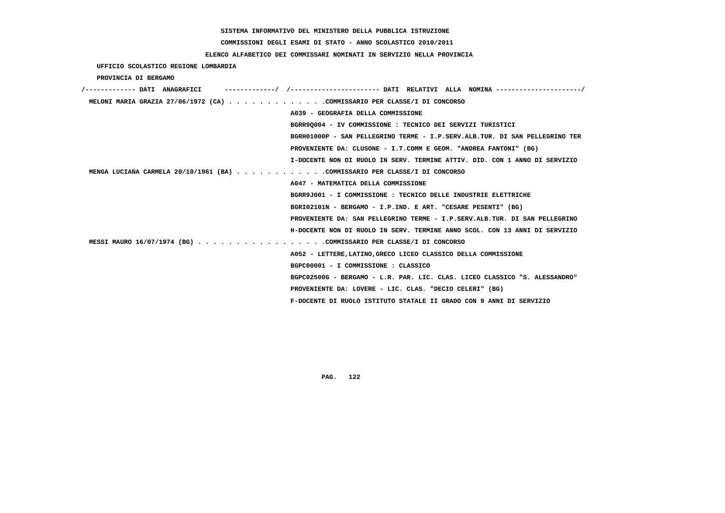# **COMMISSIONI DEGLI ESAMI DI STATO - ANNO SCOLASTICO 2010/2011**

### **ELENCO ALFABETICO DEI COMMISSARI NOMINATI IN SERVIZIO NELLA PROVINCIA**

 **UFFICIO SCOLASTICO REGIONE LOMBARDIA**

 **PROVINCIA DI BERGAMO**

| /------------- DATI ANAGRAFICI                                             | ---------/ /--------------------- DATI RELATIVI ALLA NOMINA---------------------/ |
|----------------------------------------------------------------------------|-----------------------------------------------------------------------------------|
| MELONI MARIA GRAZIA 27/06/1972 (CA) COMMISSARIO PER CLASSE/I DI CONCORSO   |                                                                                   |
|                                                                            | A039 - GEOGRAFIA DELLA COMMISSIONE                                                |
|                                                                            | BGRR9Q004 - IV COMMISSIONE : TECNICO DEI SERVIZI TURISTICI                        |
|                                                                            | BGRH01000P - SAN PELLEGRINO TERME - I.P.SERV.ALB.TUR. DI SAN PELLEGRINO TER       |
|                                                                            | PROVENIENTE DA: CLUSONE - I.T.COMM E GEOM. "ANDREA FANTONI" (BG)                  |
|                                                                            | I-DOCENTE NON DI RUOLO IN SERV. TERMINE ATTIV. DID. CON 1 ANNO DI SERVIZIO        |
| MENGA LUCIANA CARMELA 20/10/1961 (BA) COMMISSARIO PER CLASSE/I DI CONCORSO |                                                                                   |
|                                                                            | A047 - MATEMATICA DELLA COMMISSIONE                                               |
|                                                                            | BGRR9J001 - I COMMISSIONE : TECNICO DELLE INDUSTRIE ELETTRICHE                    |
|                                                                            | BGRI02101N - BERGAMO - I.P.IND. E ART. "CESARE PESENTI" (BG)                      |
|                                                                            | PROVENIENTE DA: SAN PELLEGRINO TERME - I.P.SERV.ALB.TUR. DI SAN PELLEGRINO        |
|                                                                            | H-DOCENTE NON DI RUOLO IN SERV. TERMINE ANNO SCOL. CON 13 ANNI DI SERVIZIO        |
| MESSI MAURO 16/07/1974 (BG) COMMISSARIO PER CLASSE/I DI CONCORSO           |                                                                                   |
|                                                                            | A052 - LETTERE, LATINO, GRECO LICEO CLASSICO DELLA COMMISSIONE                    |
|                                                                            | BGPC00001 - I COMMISSIONE : CLASSICO                                              |
|                                                                            | BGPC02500G - BERGAMO - L.R. PAR. LIC. CLAS. LICEO CLASSICO "S. ALESSANDRO"        |
|                                                                            | PROVENIENTE DA: LOVERE - LIC. CLAS. "DECIO CELERI" (BG)                           |
|                                                                            | F-DOCENTE DI RUOLO ISTITUTO STATALE II GRADO CON 9 ANNI DI SERVIZIO               |
|                                                                            |                                                                                   |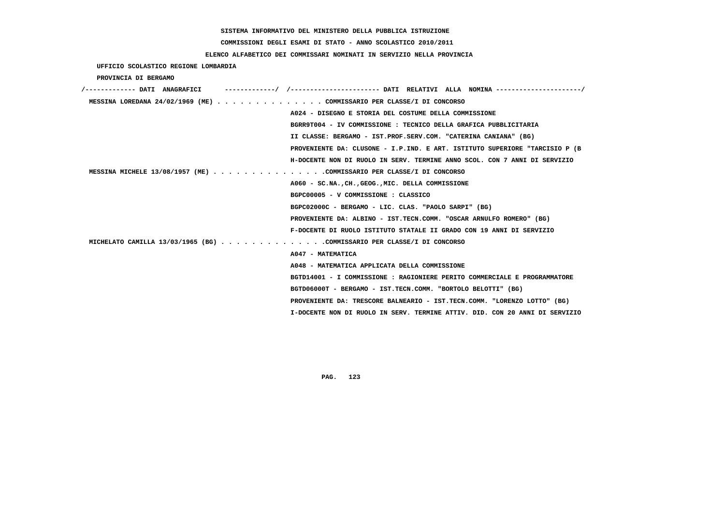# **COMMISSIONI DEGLI ESAMI DI STATO - ANNO SCOLASTICO 2010/2011**

### **ELENCO ALFABETICO DEI COMMISSARI NOMINATI IN SERVIZIO NELLA PROVINCIA**

 **UFFICIO SCOLASTICO REGIONE LOMBARDIA**

 **PROVINCIA DI BERGAMO**

| /------------- DATI ANAGRAFICI | -/ /----------------------    DATI RELATIVI ALLA NOMINA ----------------------/ |
|--------------------------------|---------------------------------------------------------------------------------|
|                                | MESSINA LOREDANA 24/02/1969 (ME) COMMISSARIO PER CLASSE/I DI CONCORSO           |
|                                | A024 - DISEGNO E STORIA DEL COSTUME DELLA COMMISSIONE                           |
|                                | BGRR9T004 - IV COMMISSIONE : TECNICO DELLA GRAFICA PUBBLICITARIA                |
|                                | II CLASSE: BERGAMO - IST.PROF.SERV.COM. "CATERINA CANIANA" (BG)                 |
|                                | PROVENIENTE DA: CLUSONE - I.P.IND. E ART. ISTITUTO SUPERIORE "TARCISIO P (B     |
|                                | H-DOCENTE NON DI RUOLO IN SERV. TERMINE ANNO SCOL. CON 7 ANNI DI SERVIZIO       |
|                                | MESSINA MICHELE 13/08/1957 (ME) COMMISSARIO PER CLASSE/I DI CONCORSO            |
|                                | A060 - SC.NA., CH., GEOG., MIC. DELLA COMMISSIONE                               |
|                                | BGPC00005 - V COMMISSIONE : CLASSICO                                            |
|                                | BGPC02000C - BERGAMO - LIC. CLAS. "PAOLO SARPI" (BG)                            |
|                                | PROVENIENTE DA: ALBINO - IST.TECN.COMM. "OSCAR ARNULFO ROMERO" (BG)             |
|                                | F-DOCENTE DI RUOLO ISTITUTO STATALE II GRADO CON 19 ANNI DI SERVIZIO            |
|                                | MICHELATO CAMILLA 13/03/1965 (BG) COMMISSARIO PER CLASSE/I DI CONCORSO          |
|                                | A047 - MATEMATICA                                                               |
|                                | A048 - MATEMATICA APPLICATA DELLA COMMISSIONE                                   |
|                                | BGTD14001 - I COMMISSIONE : RAGIONIERE PERITO COMMERCIALE E PROGRAMMATORE       |
|                                | BGTD06000T - BERGAMO - IST.TECN.COMM. "BORTOLO BELOTTI" (BG)                    |
|                                | PROVENIENTE DA: TRESCORE BALNEARIO - IST.TECN.COMM. "LORENZO LOTTO" (BG)        |
|                                | I-DOCENTE NON DI RUOLO IN SERV. TERMINE ATTIV. DID. CON 20 ANNI DI SERVIZIO     |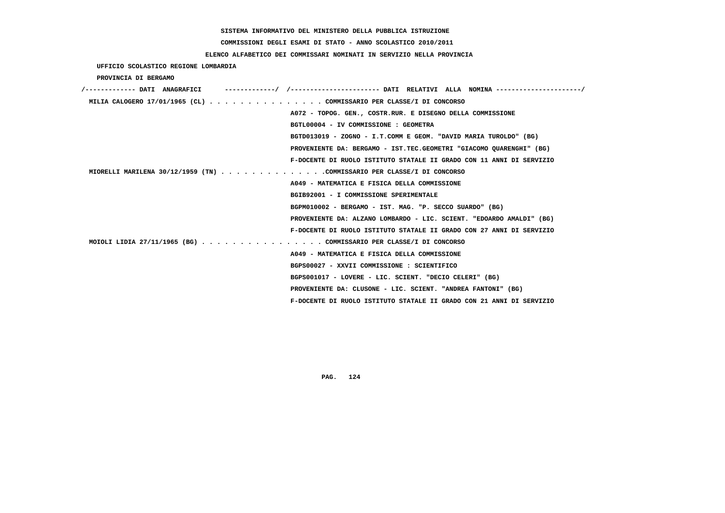# **COMMISSIONI DEGLI ESAMI DI STATO - ANNO SCOLASTICO 2010/2011**

### **ELENCO ALFABETICO DEI COMMISSARI NOMINATI IN SERVIZIO NELLA PROVINCIA**

 **UFFICIO SCOLASTICO REGIONE LOMBARDIA**

 **PROVINCIA DI BERGAMO**

| /------------- DATI ANAGRAFICI |  | ----------/ /--------------------- DATI RELATIVI ALLA NOMINA --------------------/ |
|--------------------------------|--|------------------------------------------------------------------------------------|
|                                |  | MILIA CALOGERO 17/01/1965 (CL) COMMISSARIO PER CLASSE/I DI CONCORSO                |
|                                |  | A072 - TOPOG. GEN., COSTR.RUR. E DISEGNO DELLA COMMISSIONE                         |
|                                |  | BGTL00004 - IV COMMISSIONE : GEOMETRA                                              |
|                                |  | BGTD013019 - ZOGNO - I.T.COMM E GEOM. "DAVID MARIA TUROLDO" (BG)                   |
|                                |  | PROVENIENTE DA: BERGAMO - IST.TEC.GEOMETRI "GIACOMO OUARENGHI" (BG)                |
|                                |  | F-DOCENTE DI RUOLO ISTITUTO STATALE II GRADO CON 11 ANNI DI SERVIZIO               |
|                                |  | MIORELLI MARILENA 30/12/1959 (TN) COMMISSARIO PER CLASSE/I DI CONCORSO             |
|                                |  | A049 - MATEMATICA E FISICA DELLA COMMISSIONE                                       |
|                                |  | BGIB92001 - I COMMISSIONE SPERIMENTALE                                             |
|                                |  | BGPM010002 - BERGAMO - IST. MAG. "P. SECCO SUARDO" (BG)                            |
|                                |  | PROVENIENTE DA: ALZANO LOMBARDO - LIC. SCIENT. "EDOARDO AMALDI" (BG)               |
|                                |  | F-DOCENTE DI RUOLO ISTITUTO STATALE II GRADO CON 27 ANNI DI SERVIZIO               |
|                                |  | MOIOLI LIDIA 27/11/1965 (BG) COMMISSARIO PER CLASSE/I DI CONCORSO                  |
|                                |  | A049 - MATEMATICA E FISICA DELLA COMMISSIONE                                       |
|                                |  | BGPS00027 - XXVII COMMISSIONE : SCIENTIFICO                                        |
|                                |  | BGPS001017 - LOVERE - LIC. SCIENT. "DECIO CELERI" (BG)                             |
|                                |  | PROVENIENTE DA: CLUSONE - LIC. SCIENT. "ANDREA FANTONI" (BG)                       |
|                                |  | F-DOCENTE DI RUOLO ISTITUTO STATALE II GRADO CON 21 ANNI DI SERVIZIO               |
|                                |  |                                                                                    |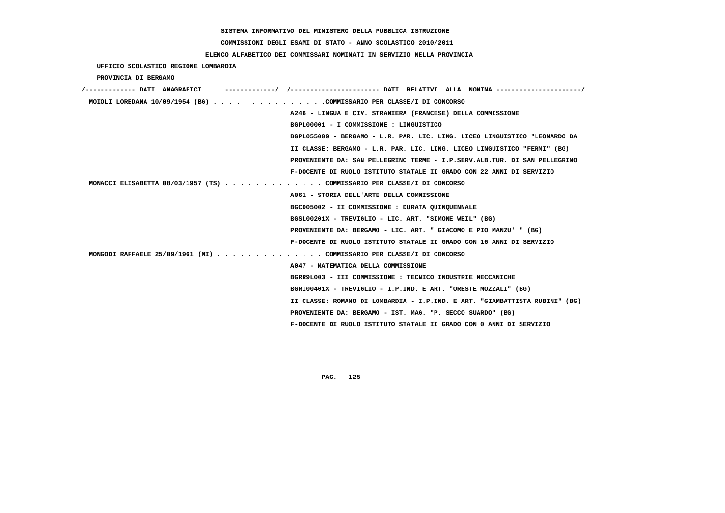# **COMMISSIONI DEGLI ESAMI DI STATO - ANNO SCOLASTICO 2010/2011**

### **ELENCO ALFABETICO DEI COMMISSARI NOMINATI IN SERVIZIO NELLA PROVINCIA**

|  | UFFICIO SCOLASTICO REGIONE LOMBARDIA |  |  |
|--|--------------------------------------|--|--|
|--|--------------------------------------|--|--|

 **PROVINCIA DI BERGAMO**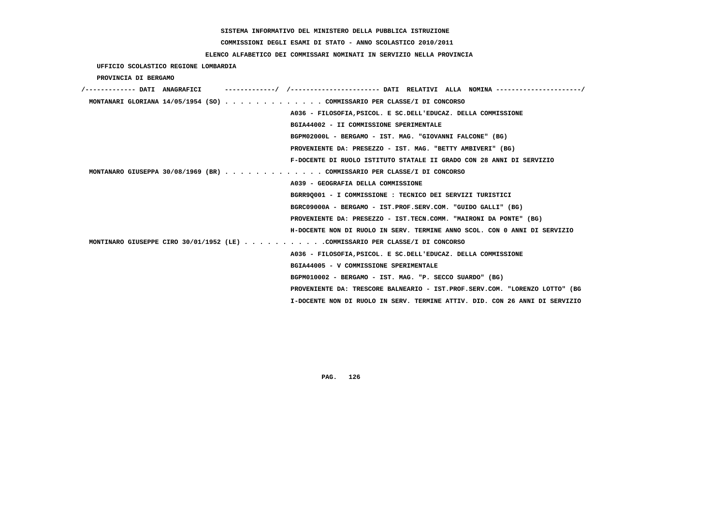# **COMMISSIONI DEGLI ESAMI DI STATO - ANNO SCOLASTICO 2010/2011**

### **ELENCO ALFABETICO DEI COMMISSARI NOMINATI IN SERVIZIO NELLA PROVINCIA**

 **UFFICIO SCOLASTICO REGIONE LOMBARDIA**

 **PROVINCIA DI BERGAMO**

|  | MONTANARI GLORIANA $14/05/1954$ (SO) COMMISSARIO PER CLASSE/I DI CONCORSO    |
|--|------------------------------------------------------------------------------|
|  | A036 - FILOSOFIA, PSICOL. E SC. DELL'EDUCAZ. DELLA COMMISSIONE               |
|  | BGIA44002 - II COMMISSIONE SPERIMENTALE                                      |
|  | BGPM02000L - BERGAMO - IST. MAG. "GIOVANNI FALCONE" (BG)                     |
|  | PROVENIENTE DA: PRESEZZO - IST. MAG. "BETTY AMBIVERI" (BG)                   |
|  | F-DOCENTE DI RUOLO ISTITUTO STATALE II GRADO CON 28 ANNI DI SERVIZIO         |
|  | MONTANARO GIUSEPPA 30/08/1969 (BR) COMMISSARIO PER CLASSE/I DI CONCORSO      |
|  | A039 - GEOGRAFIA DELLA COMMISSIONE                                           |
|  | BGRR9Q001 - I COMMISSIONE : TECNICO DEI SERVIZI TURISTICI                    |
|  | BGRC09000A - BERGAMO - IST.PROF.SERV.COM. "GUIDO GALLI" (BG)                 |
|  | PROVENIENTE DA: PRESEZZO - IST.TECN.COMM. "MAIRONI DA PONTE" (BG)            |
|  | H-DOCENTE NON DI RUOLO IN SERV. TERMINE ANNO SCOL. CON 0 ANNI DI SERVIZIO    |
|  | MONTINARO GIUSEPPE CIRO 30/01/1952 (LE) COMMISSARIO PER CLASSE/I DI CONCORSO |
|  | A036 - FILOSOFIA, PSICOL. E SC. DELL'EDUCAZ. DELLA COMMISSIONE               |
|  | BGIA44005 - V COMMISSIONE SPERIMENTALE                                       |
|  | BGPM010002 - BERGAMO - IST. MAG. "P. SECCO SUARDO" (BG)                      |
|  | PROVENIENTE DA: TRESCORE BALNEARIO - IST.PROF.SERV.COM. "LORENZO LOTTO" (BG  |
|  | I-DOCENTE NON DI RUOLO IN SERV. TERMINE ATTIV. DID. CON 26 ANNI DI SERVIZIO  |
|  |                                                                              |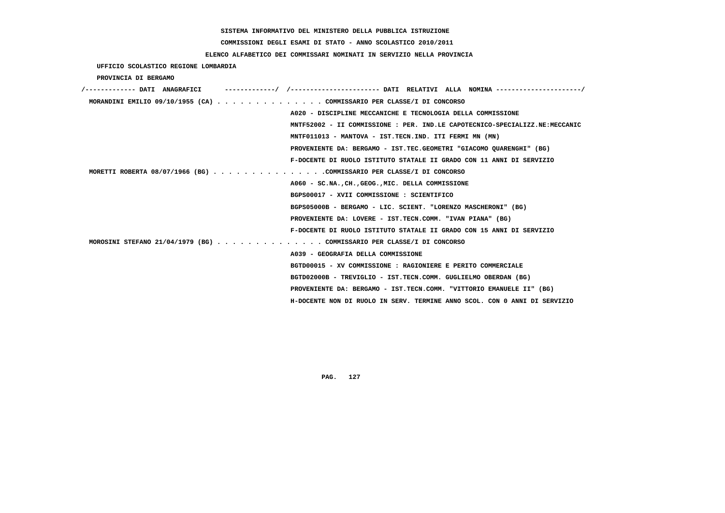**COMMISSIONI DEGLI ESAMI DI STATO - ANNO SCOLASTICO 2010/2011**

 **ELENCO ALFABETICO DEI COMMISSARI NOMINATI IN SERVIZIO NELLA PROVINCIA**

 **UFFICIO SCOLASTICO REGIONE LOMBARDIA**

 **PROVINCIA DI BERGAMO**

| /------------- DATI ANAGRAFICI | -----------/ /--------------------- DATI RELATIVI ALLA NOMINA --------------------/ |
|--------------------------------|-------------------------------------------------------------------------------------|
|                                | MORANDINI EMILIO 09/10/1955 (CA) COMMISSARIO PER CLASSE/I DI CONCORSO               |
|                                | A020 - DISCIPLINE MECCANICHE E TECNOLOGIA DELLA COMMISSIONE                         |
|                                | MNTF52002 - II COMMISSIONE : PER. IND.LE CAPOTECNICO-SPECIALIZZ.NE:MECCANIC         |
|                                | MNTF011013 - MANTOVA - IST.TECN.IND. ITI FERMI MN (MN)                              |
|                                | PROVENIENTE DA: BERGAMO - IST.TEC.GEOMETRI "GIACOMO OUARENGHI" (BG)                 |
|                                | F-DOCENTE DI RUOLO ISTITUTO STATALE II GRADO CON 11 ANNI DI SERVIZIO                |
|                                | MORETTI ROBERTA 08/07/1966 (BG) COMMISSARIO PER CLASSE/I DI CONCORSO                |
|                                | A060 - SC.NA., CH., GEOG., MIC. DELLA COMMISSIONE                                   |
|                                | BGPS00017 - XVII COMMISSIONE : SCIENTIFICO                                          |
|                                | BGPS05000B - BERGAMO - LIC. SCIENT. "LORENZO MASCHERONI" (BG)                       |
|                                | PROVENIENTE DA: LOVERE - IST.TECN.COMM. "IVAN PIANA" (BG)                           |
|                                | F-DOCENTE DI RUOLO ISTITUTO STATALE II GRADO CON 15 ANNI DI SERVIZIO                |
|                                | MOROSINI STEFANO 21/04/1979 (BG) COMMISSARIO PER CLASSE/I DI CONCORSO               |
|                                | A039 - GEOGRAFIA DELLA COMMISSIONE                                                  |
|                                | BGTD00015 - XV COMMISSIONE : RAGIONIERE E PERITO COMMERCIALE                        |
|                                | BGTD02000B - TREVIGLIO - IST.TECN.COMM. GUGLIELMO OBERDAN (BG)                      |
|                                | PROVENIENTE DA: BERGAMO - IST.TECN.COMM. "VITTORIO EMANUELE II" (BG)                |
|                                | H-DOCENTE NON DI RUOLO IN SERV. TERMINE ANNO SCOL. CON 0 ANNI DI SERVIZIO           |
|                                |                                                                                     |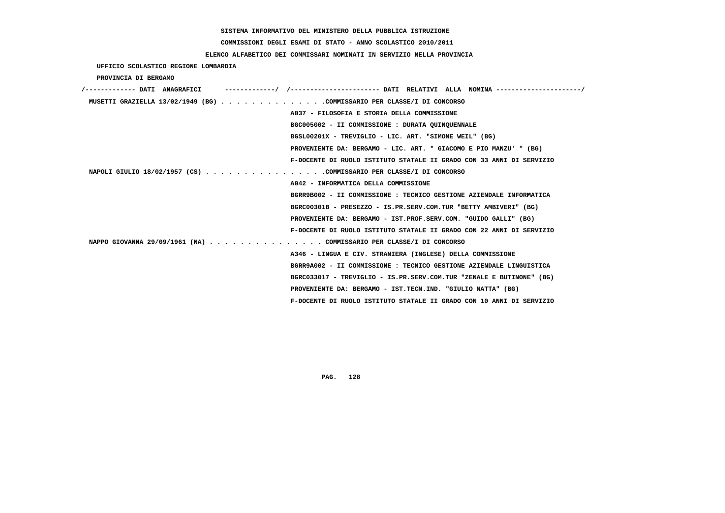# **COMMISSIONI DEGLI ESAMI DI STATO - ANNO SCOLASTICO 2010/2011**

### **ELENCO ALFABETICO DEI COMMISSARI NOMINATI IN SERVIZIO NELLA PROVINCIA**

 **UFFICIO SCOLASTICO REGIONE LOMBARDIA**

 **PROVINCIA DI BERGAMO**

| /------------- DATI ANAGRAFICI |                                                                        |
|--------------------------------|------------------------------------------------------------------------|
|                                | MUSETTI GRAZIELLA 13/02/1949 (BG) COMMISSARIO PER CLASSE/I DI CONCORSO |
|                                | A037 - FILOSOFIA E STORIA DELLA COMMISSIONE                            |
|                                | BGC005002 - II COMMISSIONE : DURATA QUINQUENNALE                       |
|                                | BGSL00201X - TREVIGLIO - LIC. ART. "SIMONE WEIL" (BG)                  |
|                                | PROVENIENTE DA: BERGAMO - LIC. ART. " GIACOMO E PIO MANZU' " (BG)      |
|                                | F-DOCENTE DI RUOLO ISTITUTO STATALE II GRADO CON 33 ANNI DI SERVIZIO   |
|                                | NAPOLI GIULIO 18/02/1957 (CS) COMMISSARIO PER CLASSE/I DI CONCORSO     |
|                                | A042 - INFORMATICA DELLA COMMISSIONE                                   |
|                                | BGRR9B002 - II COMMISSIONE : TECNICO GESTIONE AZIENDALE INFORMATICA    |
|                                | BGRC00301B - PRESEZZO - IS.PR.SERV.COM.TUR "BETTY AMBIVERI" (BG)       |
|                                | PROVENIENTE DA: BERGAMO - IST.PROF.SERV.COM. "GUIDO GALLI" (BG)        |
|                                | F-DOCENTE DI RUOLO ISTITUTO STATALE II GRADO CON 22 ANNI DI SERVIZIO   |
|                                | NAPPO GIOVANNA 29/09/1961 (NA) COMMISSARIO PER CLASSE/I DI CONCORSO    |
|                                | A346 - LINGUA E CIV. STRANIERA (INGLESE) DELLA COMMISSIONE             |
|                                | BGRR9A002 - II COMMISSIONE : TECNICO GESTIONE AZIENDALE LINGUISTICA    |
|                                | BGRC033017 - TREVIGLIO - IS.PR.SERV.COM.TUR "ZENALE E BUTINONE" (BG)   |
|                                | PROVENIENTE DA: BERGAMO - IST.TECN.IND. "GIULIO NATTA" (BG)            |
|                                | F-DOCENTE DI RUOLO ISTITUTO STATALE II GRADO CON 10 ANNI DI SERVIZIO   |
|                                |                                                                        |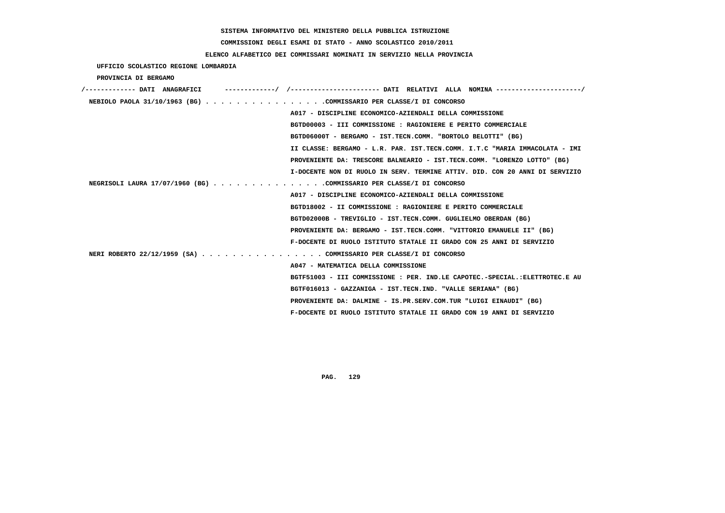# **COMMISSIONI DEGLI ESAMI DI STATO - ANNO SCOLASTICO 2010/2011**

 **UFFICIO SCOLASTICO REGIONE LOMBARDIA**

### **ELENCO ALFABETICO DEI COMMISSARI NOMINATI IN SERVIZIO NELLA PROVINCIA**

| PROVINCIA DI BERGAMO |                                                                             |
|----------------------|-----------------------------------------------------------------------------|
|                      |                                                                             |
|                      | NEBIOLO PAOLA 31/10/1963 (BG) COMMISSARIO PER CLASSE/I DI CONCORSO          |
|                      | A017 - DISCIPLINE ECONOMICO-AZIENDALI DELLA COMMISSIONE                     |
|                      | BGTD00003 - III COMMISSIONE : RAGIONIERE E PERITO COMMERCIALE               |
|                      | BGTD06000T - BERGAMO - IST.TECN.COMM. "BORTOLO BELOTTI" (BG)                |
|                      | II CLASSE: BERGAMO - L.R. PAR. IST.TECN.COMM. I.T.C "MARIA IMMACOLATA - IMI |
|                      | PROVENIENTE DA: TRESCORE BALNEARIO - IST.TECN.COMM. "LORENZO LOTTO" (BG)    |
|                      | I-DOCENTE NON DI RUOLO IN SERV. TERMINE ATTIV. DID. CON 20 ANNI DI SERVIZIO |
|                      | NEGRISOLI LAURA 17/07/1960 (BG) COMMISSARIO PER CLASSE/I DI CONCORSO        |
|                      | A017 - DISCIPLINE ECONOMICO-AZIENDALI DELLA COMMISSIONE                     |
|                      | BGTD18002 - II COMMISSIONE : RAGIONIERE E PERITO COMMERCIALE                |
|                      | BGTD02000B - TREVIGLIO - IST.TECN.COMM. GUGLIELMO OBERDAN (BG)              |
|                      | PROVENIENTE DA: BERGAMO - IST.TECN.COMM. "VITTORIO EMANUELE II" (BG)        |
|                      | F-DOCENTE DI RUOLO ISTITUTO STATALE II GRADO CON 25 ANNI DI SERVIZIO        |
|                      | NERI ROBERTO 22/12/1959 (SA) COMMISSARIO PER CLASSE/I DI CONCORSO           |
|                      | A047 - MATEMATICA DELLA COMMISSIONE                                         |
|                      | BGTF51003 - III COMMISSIONE : PER. IND.LE CAPOTEC.-SPECIAL.:ELETTROTEC.E AU |
|                      | BGTF016013 - GAZZANIGA - IST.TECN.IND. "VALLE SERIANA" (BG)                 |
|                      | PROVENIENTE DA: DALMINE - IS.PR.SERV.COM.TUR "LUIGI EINAUDI" (BG)           |
|                      | F-DOCENTE DI RUOLO ISTITUTO STATALE II GRADO CON 19 ANNI DI SERVIZIO        |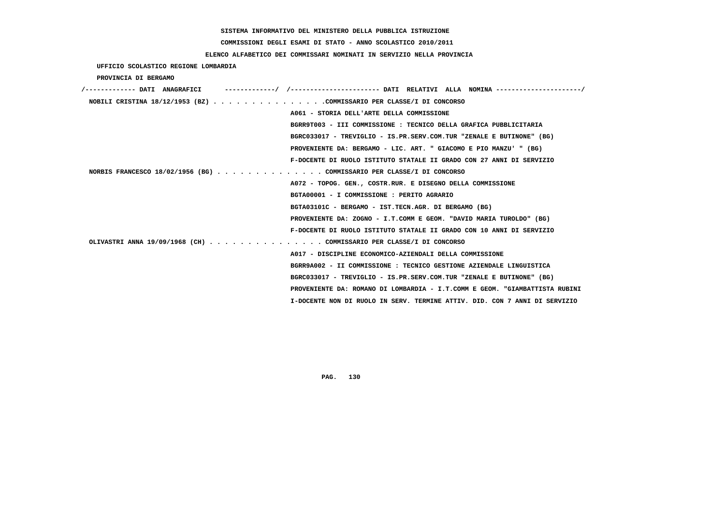# **COMMISSIONI DEGLI ESAMI DI STATO - ANNO SCOLASTICO 2010/2011**

## **ELENCO ALFABETICO DEI COMMISSARI NOMINATI IN SERVIZIO NELLA PROVINCIA**

 **UFFICIO SCOLASTICO REGIONE LOMBARDIA**

 **PROVINCIA DI BERGAMO**

| /------------- DATI ANAGRAFICI                                              |
|-----------------------------------------------------------------------------|
| NOBILI CRISTINA 18/12/1953 (BZ) COMMISSARIO PER CLASSE/I DI CONCORSO        |
| A061 - STORIA DELL'ARTE DELLA COMMISSIONE                                   |
| BGRR9T003 - III COMMISSIONE : TECNICO DELLA GRAFICA PUBBLICITARIA           |
| BGRC033017 - TREVIGLIO - IS.PR.SERV.COM.TUR "ZENALE E BUTINONE" (BG)        |
| PROVENIENTE DA: BERGAMO - LIC. ART. " GIACOMO E PIO MANZU' " (BG)           |
| F-DOCENTE DI RUOLO ISTITUTO STATALE II GRADO CON 27 ANNI DI SERVIZIO        |
| NORBIS FRANCESCO 18/02/1956 (BG) COMMISSARIO PER CLASSE/I DI CONCORSO       |
| A072 - TOPOG. GEN., COSTR.RUR. E DISEGNO DELLA COMMISSIONE                  |
| BGTA00001 - I COMMISSIONE : PERITO AGRARIO                                  |
| BGTA03101C - BERGAMO - IST.TECN.AGR. DI BERGAMO (BG)                        |
| PROVENIENTE DA: ZOGNO - I.T.COMM E GEOM. "DAVID MARIA TUROLDO" (BG)         |
| F-DOCENTE DI RUOLO ISTITUTO STATALE II GRADO CON 10 ANNI DI SERVIZIO        |
| OLIVASTRI ANNA 19/09/1968 (CH) COMMISSARIO PER CLASSE/I DI CONCORSO         |
| A017 - DISCIPLINE ECONOMICO-AZIENDALI DELLA COMMISSIONE                     |
| BGRR9A002 - II COMMISSIONE : TECNICO GESTIONE AZIENDALE LINGUISTICA         |
| BGRC033017 - TREVIGLIO - IS.PR.SERV.COM.TUR "ZENALE E BUTINONE" (BG)        |
| PROVENIENTE DA: ROMANO DI LOMBARDIA - I.T.COMM E GEOM. "GIAMBATTISTA RUBINI |
| I-DOCENTE NON DI RUOLO IN SERV. TERMINE ATTIV. DID. CON 7 ANNI DI SERVIZIO  |
|                                                                             |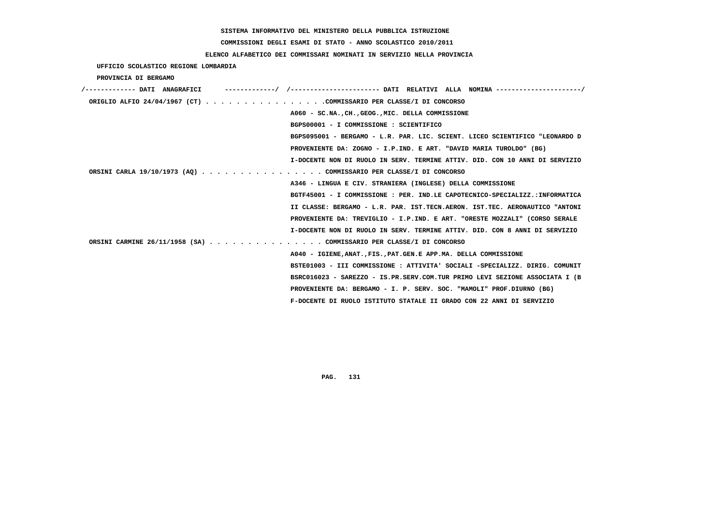# **COMMISSIONI DEGLI ESAMI DI STATO - ANNO SCOLASTICO 2010/2011**

## **ELENCO ALFABETICO DEI COMMISSARI NOMINATI IN SERVIZIO NELLA PROVINCIA**

 **UFFICIO SCOLASTICO REGIONE LOMBARDIA**

 **PROVINCIA DI BERGAMO**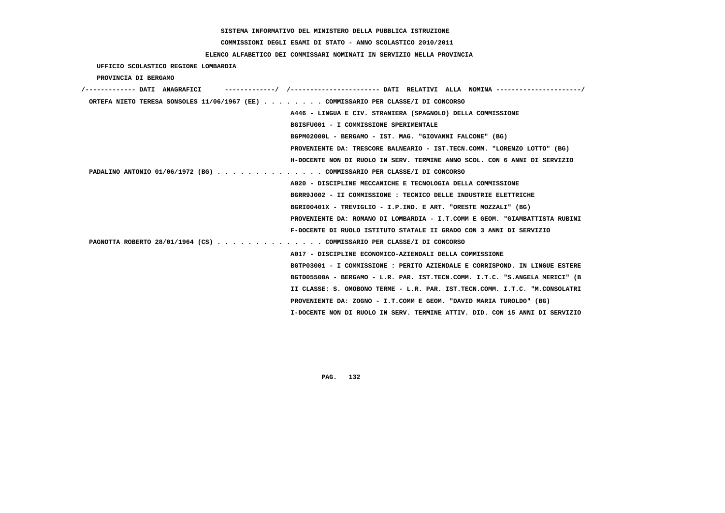**COMMISSIONI DEGLI ESAMI DI STATO - ANNO SCOLASTICO 2010/2011**

#### **ELENCO ALFABETICO DEI COMMISSARI NOMINATI IN SERVIZIO NELLA PROVINCIA**

 **UFFICIO SCOLASTICO REGIONE LOMBARDIA**

 **PROVINCIA DI BERGAMO**

| /------------- DATI ANAGRAFICI |                                                                                   |
|--------------------------------|-----------------------------------------------------------------------------------|
|                                | ORTEFA NIETO TERESA SONSOLES 11/06/1967 (EE) COMMISSARIO PER CLASSE/I DI CONCORSO |
|                                | A446 - LINGUA E CIV. STRANIERA (SPAGNOLO) DELLA COMMISSIONE                       |
|                                | BGISFU001 - I COMMISSIONE SPERIMENTALE                                            |
|                                | BGPM02000L - BERGAMO - IST. MAG. "GIOVANNI FALCONE" (BG)                          |
|                                | PROVENIENTE DA: TRESCORE BALNEARIO - IST.TECN.COMM. "LORENZO LOTTO" (BG)          |
|                                | H-DOCENTE NON DI RUOLO IN SERV. TERMINE ANNO SCOL. CON 6 ANNI DI SERVIZIO         |
|                                | PADALINO ANTONIO 01/06/1972 (BG) COMMISSARIO PER CLASSE/I DI CONCORSO             |
|                                | A020 - DISCIPLINE MECCANICHE E TECNOLOGIA DELLA COMMISSIONE                       |
|                                | BGRR9J002 - II COMMISSIONE : TECNICO DELLE INDUSTRIE ELETTRICHE                   |
|                                | BGRI00401X - TREVIGLIO - I.P.IND. E ART. "ORESTE MOZZALI" (BG)                    |
|                                | PROVENIENTE DA: ROMANO DI LOMBARDIA - I.T.COMM E GEOM. "GIAMBATTISTA RUBINI       |
|                                | F-DOCENTE DI RUOLO ISTITUTO STATALE II GRADO CON 3 ANNI DI SERVIZIO               |
|                                | PAGNOTTA ROBERTO 28/01/1964 (CS) COMMISSARIO PER CLASSE/I DI CONCORSO             |
|                                | A017 - DISCIPLINE ECONOMICO-AZIENDALI DELLA COMMISSIONE                           |
|                                | BGTP03001 - I COMMISSIONE : PERITO AZIENDALE E CORRISPOND. IN LINGUE ESTERE       |
|                                | BGTD05500A - BERGAMO - L.R. PAR. IST.TECN.COMM. I.T.C. "S.ANGELA MERICI" (B       |
|                                | II CLASSE: S. OMOBONO TERME - L.R. PAR. IST.TECN.COMM. I.T.C. "M.CONSOLATRI       |
|                                | PROVENIENTE DA: ZOGNO - I.T.COMM E GEOM. "DAVID MARIA TUROLDO" (BG)               |
|                                | I-DOCENTE NON DI RUOLO IN SERV. TERMINE ATTIV. DID. CON 15 ANNI DI SERVIZIO       |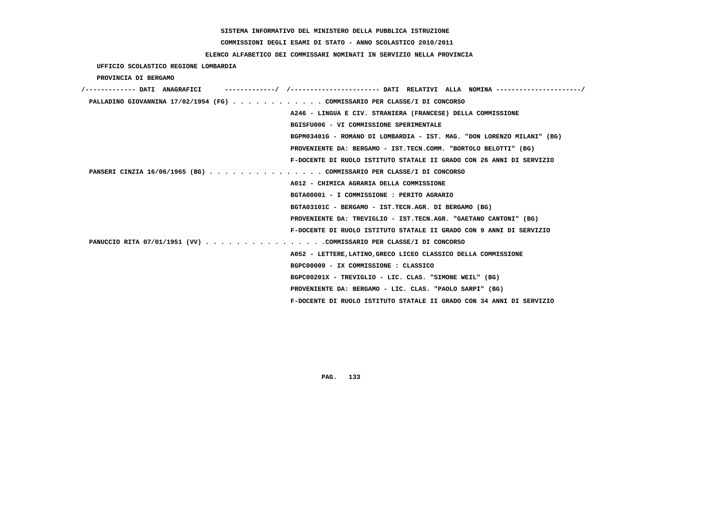**COMMISSIONI DEGLI ESAMI DI STATO - ANNO SCOLASTICO 2010/2011**

### **ELENCO ALFABETICO DEI COMMISSARI NOMINATI IN SERVIZIO NELLA PROVINCIA**

 **UFFICIO SCOLASTICO REGIONE LOMBARDIA**

 **PROVINCIA DI BERGAMO**

| /------------- DATI ANAGRAFICI                                            |
|---------------------------------------------------------------------------|
| PALLADINO GIOVANNINA 17/02/1954 (FG) COMMISSARIO PER CLASSE/I DI CONCORSO |
| A246 - LINGUA E CIV. STRANIERA (FRANCESE) DELLA COMMISSIONE               |
| BGISFU006 - VI COMMISSIONE SPERIMENTALE                                   |
| BGPM03401G - ROMANO DI LOMBARDIA - IST. MAG. "DON LORENZO MILANI" (BG)    |
| PROVENIENTE DA: BERGAMO - IST.TECN.COMM. "BORTOLO BELOTTI" (BG)           |
| F-DOCENTE DI RUOLO ISTITUTO STATALE II GRADO CON 26 ANNI DI SERVIZIO      |
| PANSERI CINZIA 16/06/1965 (BG) COMMISSARIO PER CLASSE/I DI CONCORSO       |
| A012 - CHIMICA AGRARIA DELLA COMMISSIONE                                  |
| BGTA00001 - I COMMISSIONE : PERITO AGRARIO                                |
| BGTA03101C - BERGAMO - IST.TECN.AGR. DI BERGAMO (BG)                      |
| PROVENIENTE DA: TREVIGLIO - IST.TECN.AGR. "GAETANO CANTONI" (BG)          |
| F-DOCENTE DI RUOLO ISTITUTO STATALE II GRADO CON 9 ANNI DI SERVIZIO       |
| PANUCCIO RITA 07/01/1951 (VV) COMMISSARIO PER CLASSE/I DI CONCORSO        |
| A052 - LETTERE, LATINO, GRECO LICEO CLASSICO DELLA COMMISSIONE            |
| BGPC00009 - IX COMMISSIONE : CLASSICO                                     |
| BGPC00201X - TREVIGLIO - LIC. CLAS. "SIMONE WEIL" (BG)                    |
| PROVENIENTE DA: BERGAMO - LIC. CLAS. "PAOLO SARPI" (BG)                   |
| F-DOCENTE DI RUOLO ISTITUTO STATALE II GRADO CON 34 ANNI DI SERVIZIO      |
|                                                                           |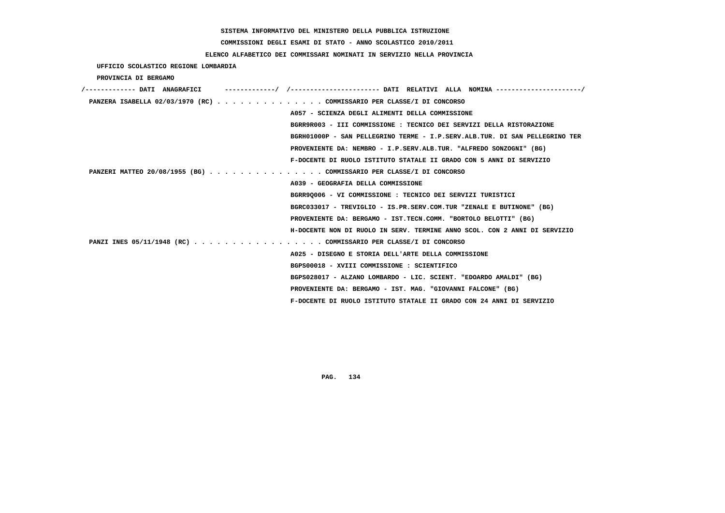**COMMISSIONI DEGLI ESAMI DI STATO - ANNO SCOLASTICO 2010/2011**

### **ELENCO ALFABETICO DEI COMMISSARI NOMINATI IN SERVIZIO NELLA PROVINCIA**

 **UFFICIO SCOLASTICO REGIONE LOMBARDIA**

 **PROVINCIA DI BERGAMO**

| /------------- DATI ANAGRAFICI |                                                                             |
|--------------------------------|-----------------------------------------------------------------------------|
|                                | PANZERA ISABELLA 02/03/1970 (RC) COMMISSARIO PER CLASSE/I DI CONCORSO       |
|                                | A057 - SCIENZA DEGLI ALIMENTI DELLA COMMISSIONE                             |
|                                | BGRR9R003 - III COMMISSIONE : TECNICO DEI SERVIZI DELLA RISTORAZIONE        |
|                                | BGRH01000P - SAN PELLEGRINO TERME - I.P.SERV.ALB.TUR. DI SAN PELLEGRINO TER |
|                                | PROVENIENTE DA: NEMBRO - I.P.SERV.ALB.TUR. "ALFREDO SONZOGNI" (BG)          |
|                                | F-DOCENTE DI RUOLO ISTITUTO STATALE II GRADO CON 5 ANNI DI SERVIZIO         |
|                                | PANZERI MATTEO 20/08/1955 (BG) COMMISSARIO PER CLASSE/I DI CONCORSO         |
|                                | A039 - GEOGRAFIA DELLA COMMISSIONE                                          |
|                                | BGRR90006 - VI COMMISSIONE : TECNICO DEI SERVIZI TURISTICI                  |
|                                | BGRC033017 - TREVIGLIO - IS.PR.SERV.COM.TUR "ZENALE E BUTINONE" (BG)        |
|                                | PROVENIENTE DA: BERGAMO - IST.TECN.COMM. "BORTOLO BELOTTI" (BG)             |
|                                | H-DOCENTE NON DI RUOLO IN SERV. TERMINE ANNO SCOL. CON 2 ANNI DI SERVIZIO   |
|                                | PANZI INES 05/11/1948 (RC) COMMISSARIO PER CLASSE/I DI CONCORSO             |
|                                | A025 - DISEGNO E STORIA DELL'ARTE DELLA COMMISSIONE                         |
|                                | BGPS00018 - XVIII COMMISSIONE : SCIENTIFICO                                 |
|                                | BGPS028017 - ALZANO LOMBARDO - LIC. SCIENT. "EDOARDO AMALDI" (BG)           |
|                                | PROVENIENTE DA: BERGAMO - IST. MAG. "GIOVANNI FALCONE" (BG)                 |
|                                | F-DOCENTE DI RUOLO ISTITUTO STATALE II GRADO CON 24 ANNI DI SERVIZIO        |
|                                |                                                                             |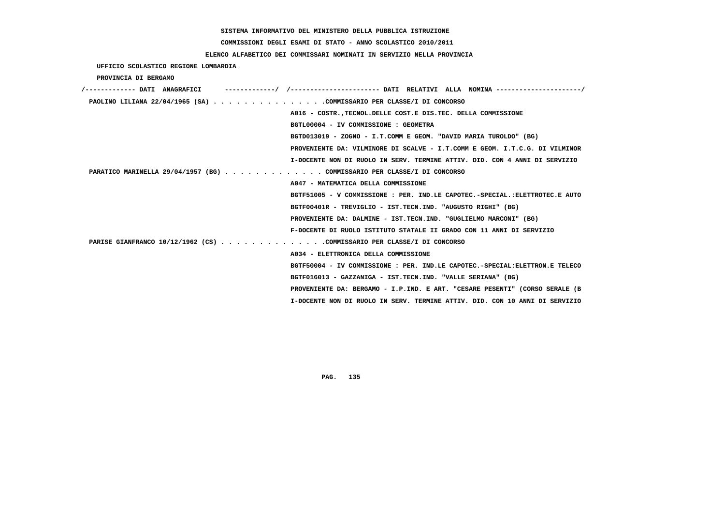# **COMMISSIONI DEGLI ESAMI DI STATO - ANNO SCOLASTICO 2010/2011**

### **ELENCO ALFABETICO DEI COMMISSARI NOMINATI IN SERVIZIO NELLA PROVINCIA**

 **UFFICIO SCOLASTICO REGIONE LOMBARDIA**

 **PROVINCIA DI BERGAMO**

| /------------- DATI ANAGRAFICI                                          | ---------/ /--------------------- DATI RELATIVI ALLA NOMINA--------------------/ |
|-------------------------------------------------------------------------|----------------------------------------------------------------------------------|
| PAOLINO LILIANA 22/04/1965 (SA) COMMISSARIO PER CLASSE/I DI CONCORSO    |                                                                                  |
|                                                                         | A016 - COSTR. TECNOL. DELLE COST. E DIS. TEC. DELLA COMMISSIONE                  |
|                                                                         | BGTL00004 - IV COMMISSIONE : GEOMETRA                                            |
|                                                                         | BGTD013019 - ZOGNO - I.T.COMM E GEOM. "DAVID MARIA TUROLDO" (BG)                 |
|                                                                         | PROVENIENTE DA: VILMINORE DI SCALVE - I.T.COMM E GEOM. I.T.C.G. DI VILMINOR      |
|                                                                         | I-DOCENTE NON DI RUOLO IN SERV. TERMINE ATTIV. DID. CON 4 ANNI DI SERVIZIO       |
| PARATICO MARINELLA 29/04/1957 (BG) COMMISSARIO PER CLASSE/I DI CONCORSO |                                                                                  |
|                                                                         | A047 - MATEMATICA DELLA COMMISSIONE                                              |
|                                                                         | BGTF51005 - V COMMISSIONE : PER. IND.LE CAPOTEC.-SPECIAL.:ELETTROTEC.E AUTO      |
|                                                                         | BGTF00401R - TREVIGLIO - IST.TECN.IND. "AUGUSTO RIGHI" (BG)                      |
|                                                                         | PROVENIENTE DA: DALMINE - IST.TECN.IND. "GUGLIELMO MARCONI" (BG)                 |
|                                                                         | F-DOCENTE DI RUOLO ISTITUTO STATALE II GRADO CON 11 ANNI DI SERVIZIO             |
| PARISE GIANFRANCO 10/12/1962 (CS) COMMISSARIO PER CLASSE/I DI CONCORSO  |                                                                                  |
|                                                                         | A034 - ELETTRONICA DELLA COMMISSIONE                                             |
|                                                                         | BGTF50004 - IV COMMISSIONE : PER. IND.LE CAPOTEC.-SPECIAL:ELETTRON.E TELECO      |
|                                                                         | BGTF016013 - GAZZANIGA - IST.TECN.IND. "VALLE SERIANA" (BG)                      |
|                                                                         | PROVENIENTE DA: BERGAMO - I.P.IND. E ART. "CESARE PESENTI" (CORSO SERALE (B      |
|                                                                         | I-DOCENTE NON DI RUOLO IN SERV. TERMINE ATTIV. DID. CON 10 ANNI DI SERVIZIO      |
|                                                                         |                                                                                  |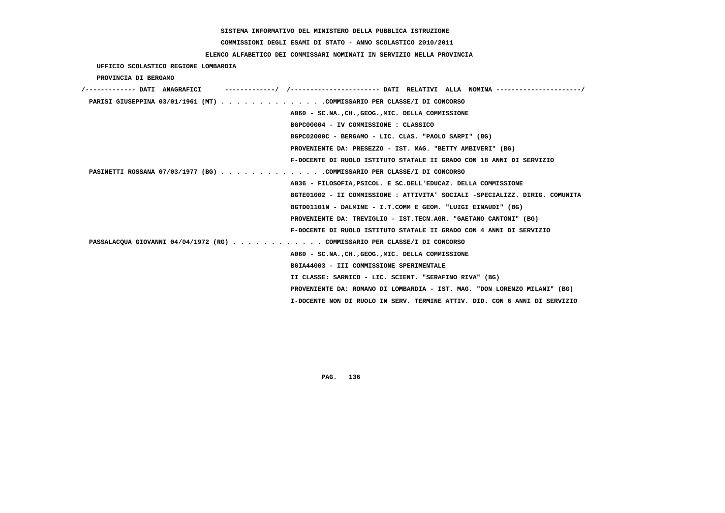# **COMMISSIONI DEGLI ESAMI DI STATO - ANNO SCOLASTICO 2010/2011**

### **ELENCO ALFABETICO DEI COMMISSARI NOMINATI IN SERVIZIO NELLA PROVINCIA**

 **UFFICIO SCOLASTICO REGIONE LOMBARDIA**

 **PROVINCIA DI BERGAMO**

| /------------- DATI ANAGRAFICI                                            |                                                                             |
|---------------------------------------------------------------------------|-----------------------------------------------------------------------------|
| PARISI GIUSEPPINA 03/01/1961 (MT) COMMISSARIO PER CLASSE/I DI CONCORSO    |                                                                             |
|                                                                           | A060 - SC.NA., CH., GEOG., MIC. DELLA COMMISSIONE                           |
|                                                                           | BGPC00004 - IV COMMISSIONE : CLASSICO                                       |
|                                                                           | BGPC02000C - BERGAMO - LIC. CLAS. "PAOLO SARPI" (BG)                        |
|                                                                           | PROVENIENTE DA: PRESEZZO - IST. MAG. "BETTY AMBIVERI" (BG)                  |
|                                                                           | F-DOCENTE DI RUOLO ISTITUTO STATALE II GRADO CON 18 ANNI DI SERVIZIO        |
| PASINETTI ROSSANA 07/03/1977 (BG) COMMISSARIO PER CLASSE/I DI CONCORSO    |                                                                             |
|                                                                           | A036 - FILOSOFIA, PSICOL. E SC. DELL'EDUCAZ. DELLA COMMISSIONE              |
|                                                                           | BGTE01002 - II COMMISSIONE : ATTIVITA' SOCIALI -SPECIALIZZ. DIRIG. COMUNITA |
|                                                                           | BGTD01101N - DALMINE - I.T.COMM E GEOM. "LUIGI EINAUDI" (BG)                |
|                                                                           | PROVENIENTE DA: TREVIGLIO - IST.TECN.AGR. "GAETANO CANTONI" (BG)            |
|                                                                           | F-DOCENTE DI RUOLO ISTITUTO STATALE II GRADO CON 4 ANNI DI SERVIZIO         |
| PASSALACQUA GIOVANNI 04/04/1972 (RG) COMMISSARIO PER CLASSE/I DI CONCORSO |                                                                             |
|                                                                           | A060 - SC.NA., CH., GEOG., MIC. DELLA COMMISSIONE                           |
|                                                                           | BGIA44003 - III COMMISSIONE SPERIMENTALE                                    |
|                                                                           | II CLASSE: SARNICO - LIC. SCIENT. "SERAFINO RIVA" (BG)                      |
|                                                                           | PROVENIENTE DA: ROMANO DI LOMBARDIA - IST. MAG. "DON LORENZO MILANI" (BG)   |
|                                                                           | I-DOCENTE NON DI RUOLO IN SERV. TERMINE ATTIV. DID. CON 6 ANNI DI SERVIZIO  |
|                                                                           |                                                                             |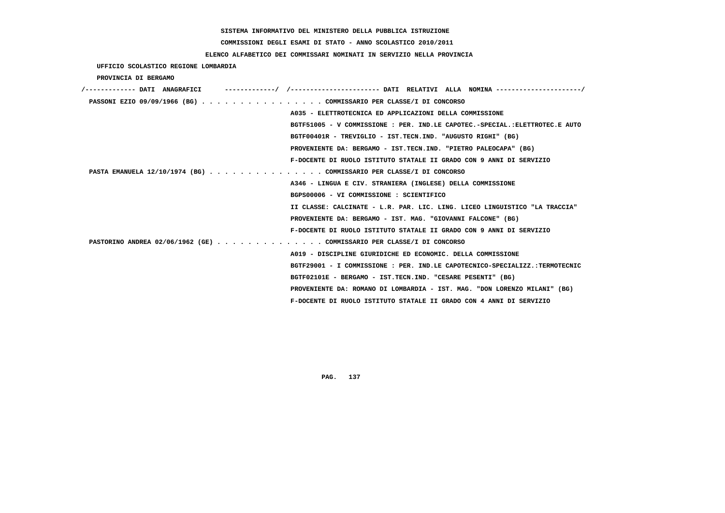# **COMMISSIONI DEGLI ESAMI DI STATO - ANNO SCOLASTICO 2010/2011**

## **ELENCO ALFABETICO DEI COMMISSARI NOMINATI IN SERVIZIO NELLA PROVINCIA**

 **UFFICIO SCOLASTICO REGIONE LOMBARDIA**

 **PROVINCIA DI BERGAMO**

| PASSONI EZIO 09/09/1966 (BG) COMMISSARIO PER CLASSE/I DI CONCORSO     |                                                                             |
|-----------------------------------------------------------------------|-----------------------------------------------------------------------------|
|                                                                       | A035 - ELETTROTECNICA ED APPLICAZIONI DELLA COMMISSIONE                     |
|                                                                       | BGTF51005 - V COMMISSIONE : PER. IND.LE CAPOTEC.-SPECIAL.:ELETTROTEC.E AUTO |
|                                                                       | BGTF00401R - TREVIGLIO - IST.TECN.IND. "AUGUSTO RIGHI" (BG)                 |
|                                                                       | PROVENIENTE DA: BERGAMO - IST.TECN.IND. "PIETRO PALEOCAPA" (BG)             |
|                                                                       | F-DOCENTE DI RUOLO ISTITUTO STATALE II GRADO CON 9 ANNI DI SERVIZIO         |
| PASTA EMANUELA 12/10/1974 (BG) COMMISSARIO PER CLASSE/I DI CONCORSO   |                                                                             |
|                                                                       | A346 - LINGUA E CIV. STRANIERA (INGLESE) DELLA COMMISSIONE                  |
|                                                                       | BGPS00006 - VI COMMISSIONE : SCIENTIFICO                                    |
|                                                                       | II CLASSE: CALCINATE - L.R. PAR. LIC. LING. LICEO LINGUISTICO "LA TRACCIA"  |
|                                                                       | PROVENIENTE DA: BERGAMO - IST. MAG. "GIOVANNI FALCONE" (BG)                 |
|                                                                       | F-DOCENTE DI RUOLO ISTITUTO STATALE II GRADO CON 9 ANNI DI SERVIZIO         |
| PASTORINO ANDREA 02/06/1962 (GE) COMMISSARIO PER CLASSE/I DI CONCORSO |                                                                             |
|                                                                       | A019 - DISCIPLINE GIURIDICHE ED ECONOMIC. DELLA COMMISSIONE                 |
|                                                                       | BGTF29001 - I COMMISSIONE : PER. IND.LE CAPOTECNICO-SPECIALIZZ.:TERMOTECNIC |
|                                                                       | BGTF02101E - BERGAMO - IST.TECN.IND. "CESARE PESENTI" (BG)                  |
|                                                                       | PROVENIENTE DA: ROMANO DI LOMBARDIA - IST. MAG. "DON LORENZO MILANI" (BG)   |
|                                                                       | F-DOCENTE DI RUOLO ISTITUTO STATALE II GRADO CON 4 ANNI DI SERVIZIO         |
|                                                                       |                                                                             |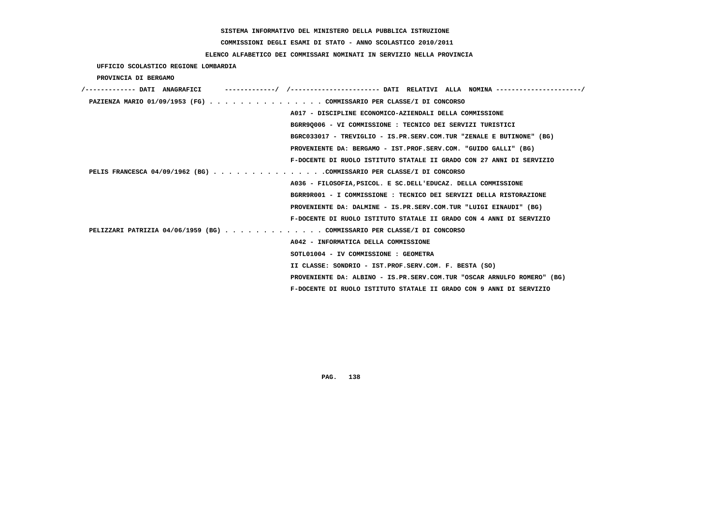# **COMMISSIONI DEGLI ESAMI DI STATO - ANNO SCOLASTICO 2010/2011**

## **ELENCO ALFABETICO DEI COMMISSARI NOMINATI IN SERVIZIO NELLA PROVINCIA**

 **UFFICIO SCOLASTICO REGIONE LOMBARDIA**

 **PROVINCIA DI BERGAMO**

| /------------- DATI ANAGRAFICI |                                                                         |
|--------------------------------|-------------------------------------------------------------------------|
|                                | PAZIENZA MARIO 01/09/1953 (FG) COMMISSARIO PER CLASSE/I DI CONCORSO     |
|                                | A017 - DISCIPLINE ECONOMICO-AZIENDALI DELLA COMMISSIONE                 |
|                                | BGRR90006 - VI COMMISSIONE : TECNICO DEI SERVIZI TURISTICI              |
|                                | BGRC033017 - TREVIGLIO - IS.PR.SERV.COM.TUR "ZENALE E BUTINONE" (BG)    |
|                                | PROVENIENTE DA: BERGAMO - IST.PROF.SERV.COM. "GUIDO GALLI" (BG)         |
|                                | F-DOCENTE DI RUOLO ISTITUTO STATALE II GRADO CON 27 ANNI DI SERVIZIO    |
|                                | PELIS FRANCESCA 04/09/1962 (BG) COMMISSARIO PER CLASSE/I DI CONCORSO    |
|                                | A036 - FILOSOFIA, PSICOL. E SC. DELL'EDUCAZ. DELLA COMMISSIONE          |
|                                | BGRR9R001 - I COMMISSIONE : TECNICO DEI SERVIZI DELLA RISTORAZIONE      |
|                                | PROVENIENTE DA: DALMINE - IS.PR.SERV.COM.TUR "LUIGI EINAUDI" (BG)       |
|                                | F-DOCENTE DI RUOLO ISTITUTO STATALE II GRADO CON 4 ANNI DI SERVIZIO     |
|                                | PELIZZARI PATRIZIA 04/06/1959 (BG) COMMISSARIO PER CLASSE/I DI CONCORSO |
|                                | A042 - INFORMATICA DELLA COMMISSIONE                                    |
|                                | SOTL01004 - IV COMMISSIONE : GEOMETRA                                   |
|                                | II CLASSE: SONDRIO - IST.PROF.SERV.COM. F. BESTA (SO)                   |
|                                | PROVENIENTE DA: ALBINO - IS.PR.SERV.COM.TUR "OSCAR ARNULFO ROMERO" (BG) |
|                                | F-DOCENTE DI RUOLO ISTITUTO STATALE II GRADO CON 9 ANNI DI SERVIZIO     |
|                                |                                                                         |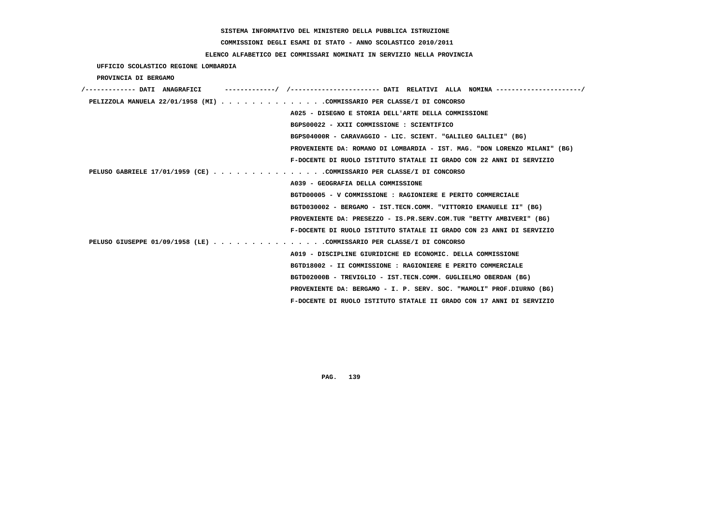# **COMMISSIONI DEGLI ESAMI DI STATO - ANNO SCOLASTICO 2010/2011**

### **ELENCO ALFABETICO DEI COMMISSARI NOMINATI IN SERVIZIO NELLA PROVINCIA**

 **UFFICIO SCOLASTICO REGIONE LOMBARDIA**

 **PROVINCIA DI BERGAMO**

| /------------- DATI ANAGRAFICI                                         | -------------/ /--------------------- DATI RELATIVI ALLA NOMINA --------------------/ |
|------------------------------------------------------------------------|---------------------------------------------------------------------------------------|
| PELIZZOLA MANUELA 22/01/1958 (MI) COMMISSARIO PER CLASSE/I DI CONCORSO |                                                                                       |
|                                                                        | A025 - DISEGNO E STORIA DELL'ARTE DELLA COMMISSIONE                                   |
|                                                                        | BGPS00022 - XXII COMMISSIONE : SCIENTIFICO                                            |
|                                                                        | BGPS04000R - CARAVAGGIO - LIC. SCIENT. "GALILEO GALILEI" (BG)                         |
|                                                                        | PROVENIENTE DA: ROMANO DI LOMBARDIA - IST. MAG. "DON LORENZO MILANI" (BG)             |
|                                                                        | F-DOCENTE DI RUOLO ISTITUTO STATALE II GRADO CON 22 ANNI DI SERVIZIO                  |
| PELUSO GABRIELE 17/01/1959 (CE) COMMISSARIO PER CLASSE/I DI CONCORSO   |                                                                                       |
|                                                                        | A039 - GEOGRAFIA DELLA COMMISSIONE                                                    |
|                                                                        | BGTD00005 - V COMMISSIONE : RAGIONIERE E PERITO COMMERCIALE                           |
|                                                                        | BGTD030002 - BERGAMO - IST.TECN.COMM. "VITTORIO EMANUELE II" (BG)                     |
|                                                                        | PROVENIENTE DA: PRESEZZO - IS.PR.SERV.COM.TUR "BETTY AMBIVERI" (BG)                   |
|                                                                        | F-DOCENTE DI RUOLO ISTITUTO STATALE II GRADO CON 23 ANNI DI SERVIZIO                  |
| PELUSO GIUSEPPE 01/09/1958 (LE) COMMISSARIO PER CLASSE/I DI CONCORSO   |                                                                                       |
|                                                                        | A019 - DISCIPLINE GIURIDICHE ED ECONOMIC. DELLA COMMISSIONE                           |
|                                                                        | BGTD18002 - II COMMISSIONE : RAGIONIERE E PERITO COMMERCIALE                          |
|                                                                        | BGTD02000B - TREVIGLIO - IST.TECN.COMM. GUGLIELMO OBERDAN (BG)                        |
|                                                                        | PROVENIENTE DA: BERGAMO - I. P. SERV. SOC. "MAMOLI" PROF.DIURNO (BG)                  |
|                                                                        | F-DOCENTE DI RUOLO ISTITUTO STATALE II GRADO CON 17 ANNI DI SERVIZIO                  |
|                                                                        |                                                                                       |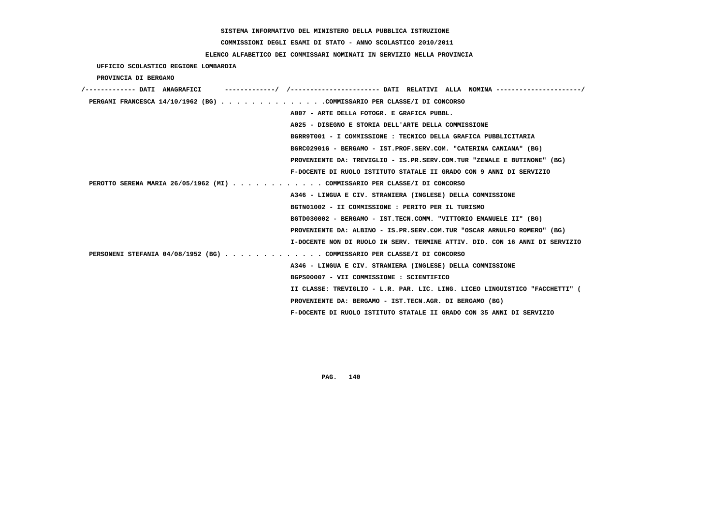**COMMISSIONI DEGLI ESAMI DI STATO - ANNO SCOLASTICO 2010/2011**

### **ELENCO ALFABETICO DEI COMMISSARI NOMINATI IN SERVIZIO NELLA PROVINCIA**

 **UFFICIO SCOLASTICO REGIONE LOMBARDIA**

 **PROVINCIA DI BERGAMO**

| /------------- DATI ANAGRAFICI                                            | /----------------------- DATI RELATIVI ALLA NOMINA ----------               |
|---------------------------------------------------------------------------|-----------------------------------------------------------------------------|
| PERGAMI FRANCESCA 14/10/1962 (BG) COMMISSARIO PER CLASSE/I DI CONCORSO    |                                                                             |
|                                                                           | A007 - ARTE DELLA FOTOGR. E GRAFICA PUBBL.                                  |
|                                                                           | A025 - DISEGNO E STORIA DELL'ARTE DELLA COMMISSIONE                         |
|                                                                           | BGRR9T001 - I COMMISSIONE : TECNICO DELLA GRAFICA PUBBLICITARIA             |
|                                                                           | BGRC02901G - BERGAMO - IST.PROF.SERV.COM. "CATERINA CANIANA" (BG)           |
|                                                                           | PROVENIENTE DA: TREVIGLIO - IS.PR.SERV.COM.TUR "ZENALE E BUTINONE" (BG)     |
|                                                                           | F-DOCENTE DI RUOLO ISTITUTO STATALE II GRADO CON 9 ANNI DI SERVIZIO         |
| PEROTTO SERENA MARIA 26/05/1962 (MI) COMMISSARIO PER CLASSE/I DI CONCORSO |                                                                             |
|                                                                           | A346 - LINGUA E CIV. STRANIERA (INGLESE) DELLA COMMISSIONE                  |
|                                                                           | BGTN01002 - II COMMISSIONE : PERITO PER IL TURISMO                          |
|                                                                           | BGTD030002 - BERGAMO - IST.TECN.COMM. "VITTORIO EMANUELE II" (BG)           |
|                                                                           | PROVENIENTE DA: ALBINO - IS.PR.SERV.COM.TUR "OSCAR ARNULFO ROMERO" (BG)     |
|                                                                           | I-DOCENTE NON DI RUOLO IN SERV. TERMINE ATTIV. DID. CON 16 ANNI DI SERVIZIO |
| PERSONENI STEFANIA 04/08/1952 (BG) COMMISSARIO PER CLASSE/I DI CONCORSO   |                                                                             |
|                                                                           | A346 - LINGUA E CIV. STRANIERA (INGLESE) DELLA COMMISSIONE                  |
|                                                                           | BGPS00007 - VII COMMISSIONE : SCIENTIFICO                                   |
|                                                                           | II CLASSE: TREVIGLIO - L.R. PAR. LIC. LING. LICEO LINGUISTICO "FACCHETTI" ( |
|                                                                           | PROVENIENTE DA: BERGAMO - IST.TECN.AGR. DI BERGAMO (BG)                     |
|                                                                           | F-DOCENTE DI RUOLO ISTITUTO STATALE II GRADO CON 35 ANNI DI SERVIZIO        |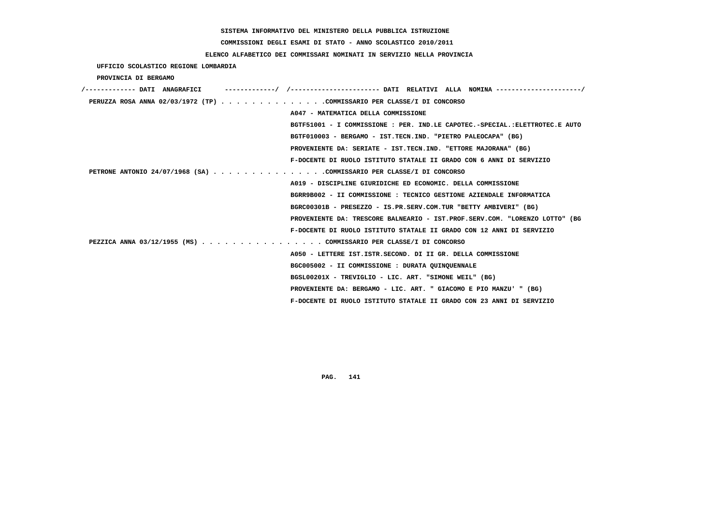**COMMISSIONI DEGLI ESAMI DI STATO - ANNO SCOLASTICO 2010/2011**

### **ELENCO ALFABETICO DEI COMMISSARI NOMINATI IN SERVIZIO NELLA PROVINCIA**

 **UFFICIO SCOLASTICO REGIONE LOMBARDIA**

 **PROVINCIA DI BERGAMO**

| -------/ /---------------------- DATI RELATIVI ALLA NOMINA ---------------------/<br>'------------- DATI ANAGRAFICI |
|---------------------------------------------------------------------------------------------------------------------|
| PERUZZA ROSA ANNA 02/03/1972 (TP) COMMISSARIO PER CLASSE/I DI CONCORSO                                              |
| A047 - MATEMATICA DELLA COMMISSIONE                                                                                 |
| BGTF51001 - I COMMISSIONE : PER. IND.LE CAPOTEC.-SPECIAL.:ELETTROTEC.E AUTO                                         |
| BGTF010003 - BERGAMO - IST.TECN.IND. "PIETRO PALEOCAPA" (BG)                                                        |
| PROVENIENTE DA: SERIATE - IST.TECN.IND. "ETTORE MAJORANA" (BG)                                                      |
| F-DOCENTE DI RUOLO ISTITUTO STATALE II GRADO CON 6 ANNI DI SERVIZIO                                                 |
| PETRONE ANTONIO 24/07/1968 (SA) COMMISSARIO PER CLASSE/I DI CONCORSO                                                |
| A019 - DISCIPLINE GIURIDICHE ED ECONOMIC. DELLA COMMISSIONE                                                         |
| BGRR9B002 - II COMMISSIONE : TECNICO GESTIONE AZIENDALE INFORMATICA                                                 |
| BGRC00301B - PRESEZZO - IS.PR.SERV.COM.TUR "BETTY AMBIVERI" (BG)                                                    |
| PROVENIENTE DA: TRESCORE BALNEARIO - IST.PROF.SERV.COM. "LORENZO LOTTO" (BG                                         |
| F-DOCENTE DI RUOLO ISTITUTO STATALE II GRADO CON 12 ANNI DI SERVIZIO                                                |
| PEZZICA ANNA 03/12/1955 (MS) COMMISSARIO PER CLASSE/I DI CONCORSO                                                   |
| A050 - LETTERE IST.ISTR.SECOND. DI II GR. DELLA COMMISSIONE                                                         |
| BGC005002 - II COMMISSIONE : DURATA QUINQUENNALE                                                                    |
| BGSL00201X - TREVIGLIO - LIC. ART. "SIMONE WEIL" (BG)                                                               |
| PROVENIENTE DA: BERGAMO - LIC. ART. " GIACOMO E PIO MANZU' " (BG)                                                   |
| F-DOCENTE DI RUOLO ISTITUTO STATALE II GRADO CON 23 ANNI DI SERVIZIO                                                |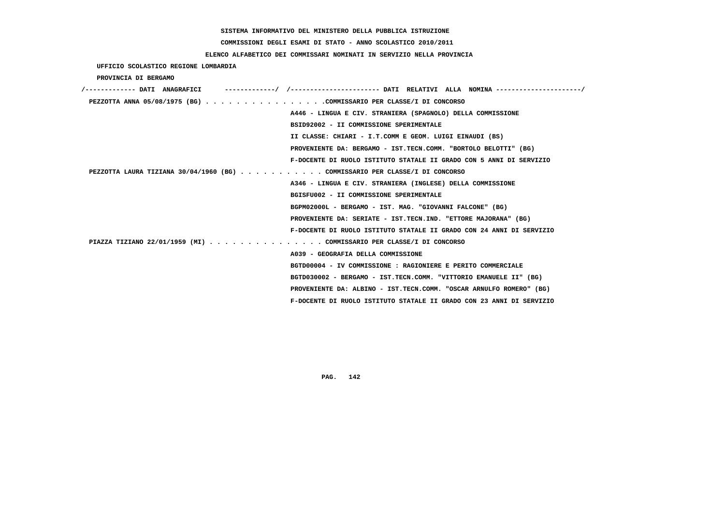**COMMISSIONI DEGLI ESAMI DI STATO - ANNO SCOLASTICO 2010/2011**

### **ELENCO ALFABETICO DEI COMMISSARI NOMINATI IN SERVIZIO NELLA PROVINCIA**

 **UFFICIO SCOLASTICO REGIONE LOMBARDIA**

 **PROVINCIA DI BERGAMO**

| /------------- DATI ANAGRAFICI                                              |                                                                      |
|-----------------------------------------------------------------------------|----------------------------------------------------------------------|
| PEZZOTTA ANNA 05/08/1975 (BG) COMMISSARIO PER CLASSE/I DI CONCORSO          |                                                                      |
|                                                                             | A446 - LINGUA E CIV. STRANIERA (SPAGNOLO) DELLA COMMISSIONE          |
|                                                                             | BSID92002 - II COMMISSIONE SPERIMENTALE                              |
|                                                                             | II CLASSE: CHIARI - I.T.COMM E GEOM. LUIGI EINAUDI (BS)              |
|                                                                             | PROVENIENTE DA: BERGAMO - IST.TECN.COMM. "BORTOLO BELOTTI" (BG)      |
|                                                                             | F-DOCENTE DI RUOLO ISTITUTO STATALE II GRADO CON 5 ANNI DI SERVIZIO  |
| PEZZOTTA LAURA TIZIANA 30/04/1960 (BG) COMMISSARIO PER CLASSE/I DI CONCORSO |                                                                      |
|                                                                             | A346 - LINGUA E CIV. STRANIERA (INGLESE) DELLA COMMISSIONE           |
|                                                                             | BGISFU002 - II COMMISSIONE SPERIMENTALE                              |
|                                                                             | BGPM02000L - BERGAMO - IST. MAG. "GIOVANNI FALCONE" (BG)             |
|                                                                             | PROVENIENTE DA: SERIATE - IST.TECN.IND. "ETTORE MAJORANA" (BG)       |
|                                                                             | F-DOCENTE DI RUOLO ISTITUTO STATALE II GRADO CON 24 ANNI DI SERVIZIO |
| PIAZZA TIZIANO 22/01/1959 (MI) COMMISSARIO PER CLASSE/I DI CONCORSO         |                                                                      |
|                                                                             | A039 - GEOGRAFIA DELLA COMMISSIONE                                   |
|                                                                             | BGTD00004 - IV COMMISSIONE : RAGIONIERE E PERITO COMMERCIALE         |
|                                                                             | BGTD030002 - BERGAMO - IST.TECN.COMM. "VITTORIO EMANUELE II" (BG)    |
|                                                                             | PROVENIENTE DA: ALBINO - IST.TECN.COMM. "OSCAR ARNULFO ROMERO" (BG)  |
|                                                                             | F-DOCENTE DI RUOLO ISTITUTO STATALE II GRADO CON 23 ANNI DI SERVIZIO |
|                                                                             |                                                                      |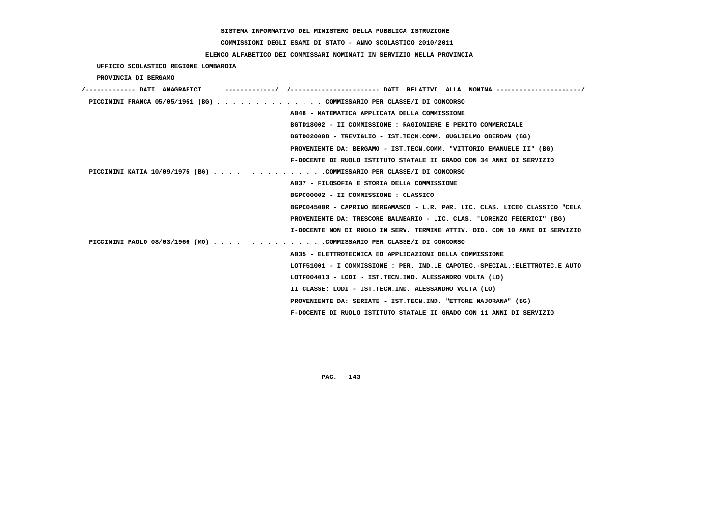# **COMMISSIONI DEGLI ESAMI DI STATO - ANNO SCOLASTICO 2010/2011**

### **ELENCO ALFABETICO DEI COMMISSARI NOMINATI IN SERVIZIO NELLA PROVINCIA**

 **UFFICIO SCOLASTICO REGIONE LOMBARDIA**

 **PROVINCIA DI BERGAMO**

| /------------- DATI ANAGRAFICI | -----------/ /---------------------- DATI RELATIVI ALLA NOMINA --------------------/ |
|--------------------------------|--------------------------------------------------------------------------------------|
|                                | PICCININI FRANCA 05/05/1951 (BG) COMMISSARIO PER CLASSE/I DI CONCORSO                |
|                                | A048 - MATEMATICA APPLICATA DELLA COMMISSIONE                                        |
|                                | BGTD18002 - II COMMISSIONE : RAGIONIERE E PERITO COMMERCIALE                         |
|                                | BGTD02000B - TREVIGLIO - IST.TECN.COMM. GUGLIELMO OBERDAN (BG)                       |
|                                | PROVENIENTE DA: BERGAMO - IST.TECN.COMM. "VITTORIO EMANUELE II" (BG)                 |
|                                | F-DOCENTE DI RUOLO ISTITUTO STATALE II GRADO CON 34 ANNI DI SERVIZIO                 |
|                                | PICCININI KATIA 10/09/1975 (BG) COMMISSARIO PER CLASSE/I DI CONCORSO                 |
|                                | A037 - FILOSOFIA E STORIA DELLA COMMISSIONE                                          |
|                                | BGPC00002 - II COMMISSIONE : CLASSICO                                                |
|                                | BGPC04500R - CAPRINO BERGAMASCO - L.R. PAR. LIC. CLAS. LICEO CLASSICO "CELA          |
|                                | PROVENIENTE DA: TRESCORE BALNEARIO - LIC. CLAS. "LORENZO FEDERICI" (BG)              |
|                                | I-DOCENTE NON DI RUOLO IN SERV. TERMINE ATTIV. DID. CON 10 ANNI DI SERVIZIO          |
|                                | PICCININI PAOLO 08/03/1966 (MO) COMMISSARIO PER CLASSE/I DI CONCORSO                 |
|                                | A035 - ELETTROTECNICA ED APPLICAZIONI DELLA COMMISSIONE                              |
|                                | LOTF51001 - I COMMISSIONE : PER. IND.LE CAPOTEC.-SPECIAL.:ELETTROTEC.E AUTO          |
|                                | LOTF004013 - LODI - IST.TECN.IND. ALESSANDRO VOLTA (LO)                              |
|                                | II CLASSE: LODI - IST.TECN.IND. ALESSANDRO VOLTA (LO)                                |
|                                | PROVENIENTE DA: SERIATE - IST.TECN.IND. "ETTORE MAJORANA" (BG)                       |
|                                | F-DOCENTE DI RUOLO ISTITUTO STATALE II GRADO CON 11 ANNI DI SERVIZIO                 |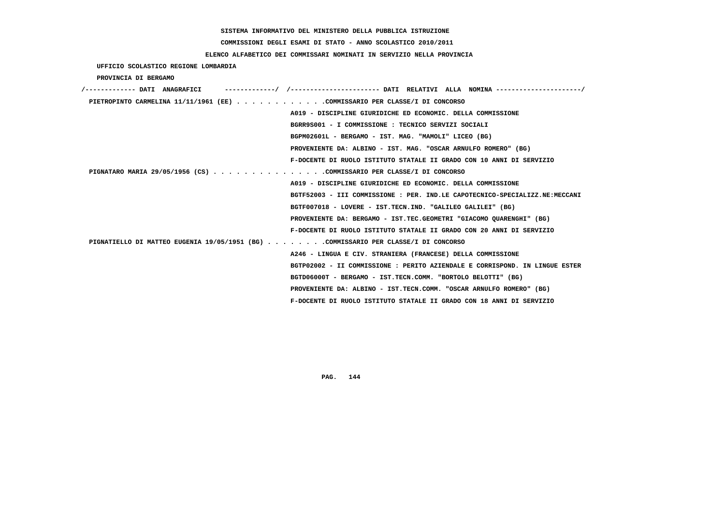**COMMISSIONI DEGLI ESAMI DI STATO - ANNO SCOLASTICO 2010/2011**

### **ELENCO ALFABETICO DEI COMMISSARI NOMINATI IN SERVIZIO NELLA PROVINCIA**

 **UFFICIO SCOLASTICO REGIONE LOMBARDIA**

 **PROVINCIA DI BERGAMO**

| /------------- DATI ANAGRAFICI |                                                                                    |
|--------------------------------|------------------------------------------------------------------------------------|
|                                | PIETROPINTO CARMELINA 11/11/1961 (EE) COMMISSARIO PER CLASSE/I DI CONCORSO         |
|                                | A019 - DISCIPLINE GIURIDICHE ED ECONOMIC. DELLA COMMISSIONE                        |
|                                | BGRR9S001 - I COMMISSIONE : TECNICO SERVIZI SOCIALI                                |
|                                | BGPM02601L - BERGAMO - IST. MAG. "MAMOLI" LICEO (BG)                               |
|                                | PROVENIENTE DA: ALBINO - IST. MAG. "OSCAR ARNULFO ROMERO" (BG)                     |
|                                | F-DOCENTE DI RUOLO ISTITUTO STATALE II GRADO CON 10 ANNI DI SERVIZIO               |
|                                | PIGNATARO MARIA 29/05/1956 (CS) COMMISSARIO PER CLASSE/I DI CONCORSO               |
|                                | A019 - DISCIPLINE GIURIDICHE ED ECONOMIC. DELLA COMMISSIONE                        |
|                                | BGTF52003 - III COMMISSIONE : PER. IND.LE CAPOTECNICO-SPECIALIZZ.NE:MECCANI        |
|                                | BGTF007018 - LOVERE - IST.TECN.IND. "GALILEO GALILEI" (BG)                         |
|                                | PROVENIENTE DA: BERGAMO - IST.TEC.GEOMETRI "GIACOMO OUARENGHI" (BG)                |
|                                | F-DOCENTE DI RUOLO ISTITUTO STATALE II GRADO CON 20 ANNI DI SERVIZIO               |
|                                | PIGNATIELLO DI MATTEO EUGENIA 19/05/1951 (BG) COMMISSARIO PER CLASSE/I DI CONCORSO |
|                                | A246 - LINGUA E CIV. STRANIERA (FRANCESE) DELLA COMMISSIONE                        |
|                                | BGTP02002 - II COMMISSIONE : PERITO AZIENDALE E CORRISPOND. IN LINGUE ESTER        |
|                                | BGTD06000T - BERGAMO - IST.TECN.COMM. "BORTOLO BELOTTI" (BG)                       |
|                                | PROVENIENTE DA: ALBINO - IST.TECN.COMM. "OSCAR ARNULFO ROMERO" (BG)                |
|                                | F-DOCENTE DI RUOLO ISTITUTO STATALE II GRADO CON 18 ANNI DI SERVIZIO               |
|                                |                                                                                    |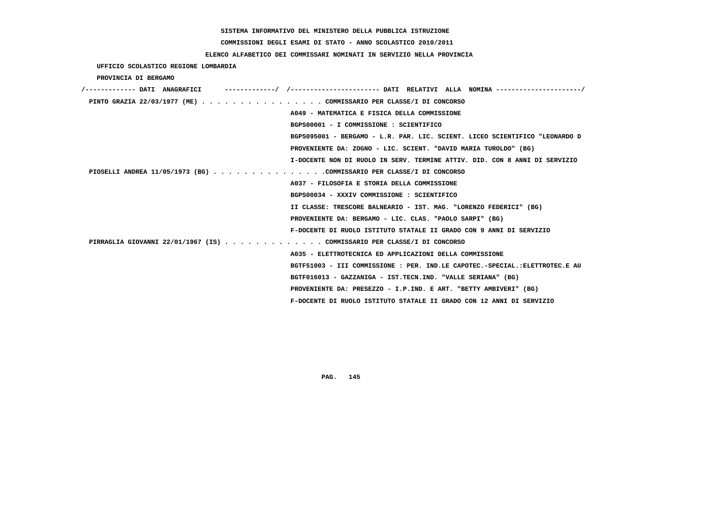# **COMMISSIONI DEGLI ESAMI DI STATO - ANNO SCOLASTICO 2010/2011**

# **ELENCO ALFABETICO DEI COMMISSARI NOMINATI IN SERVIZIO NELLA PROVINCIA**

 **UFFICIO SCOLASTICO REGIONE LOMBARDIA**

 **PROVINCIA DI BERGAMO**

| /------------- DATI ANAGRAFICI |                                                                             |
|--------------------------------|-----------------------------------------------------------------------------|
|                                | PINTO GRAZIA 22/03/1977 (ME) COMMISSARIO PER CLASSE/I DI CONCORSO           |
|                                | A049 - MATEMATICA E FISICA DELLA COMMISSIONE                                |
|                                | BGPS00001 - I COMMISSIONE : SCIENTIFICO                                     |
|                                | BGPS095001 - BERGAMO - L.R. PAR. LIC. SCIENT. LICEO SCIENTIFICO "LEONARDO D |
|                                | PROVENIENTE DA: ZOGNO - LIC. SCIENT. "DAVID MARIA TUROLDO" (BG)             |
|                                | I-DOCENTE NON DI RUOLO IN SERV. TERMINE ATTIV. DID. CON 8 ANNI DI SERVIZIO  |
|                                | PIOSELLI ANDREA 11/05/1973 (BG) COMMISSARIO PER CLASSE/I DI CONCORSO        |
|                                | A037 - FILOSOFIA E STORIA DELLA COMMISSIONE                                 |
|                                | BGPS00034 - XXXIV COMMISSIONE : SCIENTIFICO                                 |
|                                | II CLASSE: TRESCORE BALNEARIO - IST. MAG. "LORENZO FEDERICI" (BG)           |
|                                | PROVENIENTE DA: BERGAMO - LIC. CLAS. "PAOLO SARPI" (BG)                     |
|                                | F-DOCENTE DI RUOLO ISTITUTO STATALE II GRADO CON 9 ANNI DI SERVIZIO         |
|                                | PIRRAGLIA GIOVANNI 22/01/1967 (IS) COMMISSARIO PER CLASSE/I DI CONCORSO     |
|                                | A035 - ELETTROTECNICA ED APPLICAZIONI DELLA COMMISSIONE                     |
|                                | BGTF51003 - III COMMISSIONE : PER. IND.LE CAPOTEC.-SPECIAL.:ELETTROTEC.E AU |
|                                | BGTF016013 - GAZZANIGA - IST.TECN.IND. "VALLE SERIANA" (BG)                 |
|                                | PROVENIENTE DA: PRESEZZO - I.P.IND. E ART. "BETTY AMBIVERI" (BG)            |
|                                | F-DOCENTE DI RUOLO ISTITUTO STATALE II GRADO CON 12 ANNI DI SERVIZIO        |
|                                |                                                                             |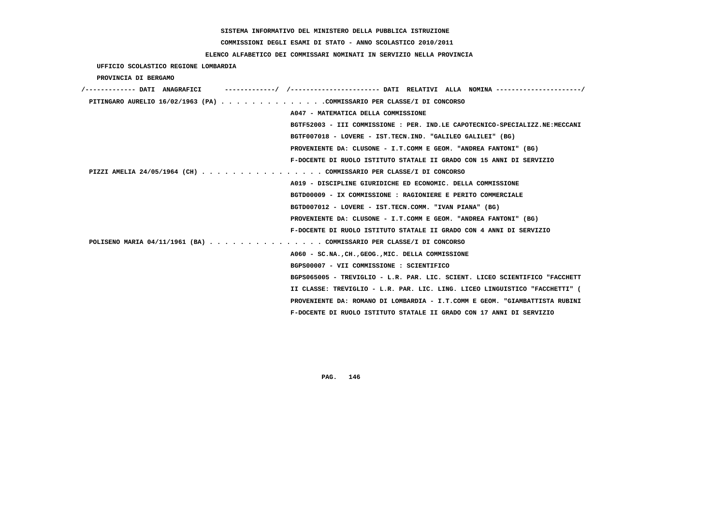# **COMMISSIONI DEGLI ESAMI DI STATO - ANNO SCOLASTICO 2010/2011**

# **ELENCO ALFABETICO DEI COMMISSARI NOMINATI IN SERVIZIO NELLA PROVINCIA**

 **UFFICIO SCOLASTICO REGIONE LOMBARDIA**

 **PROVINCIA DI BERGAMO**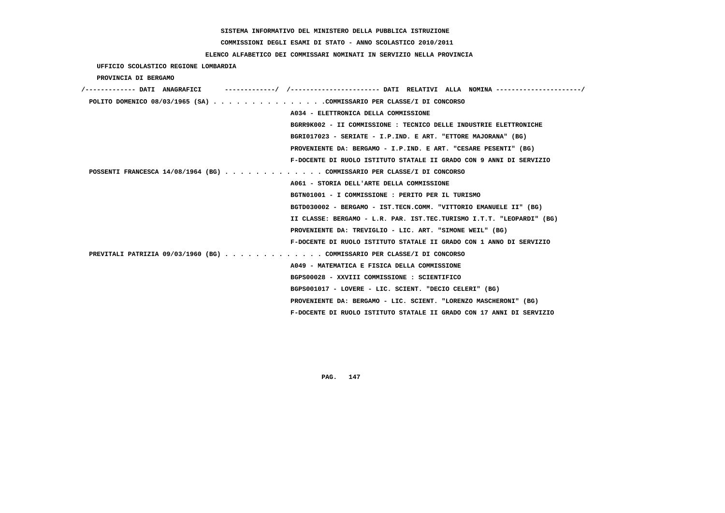**COMMISSIONI DEGLI ESAMI DI STATO - ANNO SCOLASTICO 2010/2011**

## **ELENCO ALFABETICO DEI COMMISSARI NOMINATI IN SERVIZIO NELLA PROVINCIA**

 **UFFICIO SCOLASTICO REGIONE LOMBARDIA**

 **PROVINCIA DI BERGAMO**

| /------------- DATI ANAGRAFICI |  | --------------------       DATI RELATIVI ALLA NOMINA----------------------/ |
|--------------------------------|--|-----------------------------------------------------------------------------|
|                                |  | POLITO DOMENICO 08/03/1965 (SA) COMMISSARIO PER CLASSE/I DI CONCORSO        |
|                                |  | A034 - ELETTRONICA DELLA COMMISSIONE                                        |
|                                |  | BGRR9K002 - II COMMISSIONE : TECNICO DELLE INDUSTRIE ELETTRONICHE           |
|                                |  | BGRI017023 - SERIATE - I.P.IND. E ART. "ETTORE MAJORANA" (BG)               |
|                                |  | PROVENIENTE DA: BERGAMO - I.P.IND. E ART. "CESARE PESENTI" (BG)             |
|                                |  | F-DOCENTE DI RUOLO ISTITUTO STATALE II GRADO CON 9 ANNI DI SERVIZIO         |
|                                |  | POSSENTI FRANCESCA 14/08/1964 (BG) COMMISSARIO PER CLASSE/I DI CONCORSO     |
|                                |  | A061 - STORIA DELL'ARTE DELLA COMMISSIONE                                   |
|                                |  | BGTN01001 - I COMMISSIONE : PERITO PER IL TURISMO                           |
|                                |  | BGTD030002 - BERGAMO - IST.TECN.COMM. "VITTORIO EMANUELE II" (BG)           |
|                                |  | II CLASSE: BERGAMO - L.R. PAR. IST.TEC.TURISMO I.T.T. "LEOPARDI" (BG)       |
|                                |  | PROVENIENTE DA: TREVIGLIO - LIC. ART. "SIMONE WEIL" (BG)                    |
|                                |  | F-DOCENTE DI RUOLO ISTITUTO STATALE II GRADO CON 1 ANNO DI SERVIZIO         |
|                                |  | PREVITALI PATRIZIA 09/03/1960 (BG) COMMISSARIO PER CLASSE/I DI CONCORSO     |
|                                |  | A049 - MATEMATICA E FISICA DELLA COMMISSIONE                                |
|                                |  | BGPS00028 - XXVIII COMMISSIONE : SCIENTIFICO                                |
|                                |  | BGPS001017 - LOVERE - LIC. SCIENT. "DECIO CELERI" (BG)                      |
|                                |  | PROVENIENTE DA: BERGAMO - LIC. SCIENT. "LORENZO MASCHERONI" (BG)            |
|                                |  | F-DOCENTE DI RUOLO ISTITUTO STATALE II GRADO CON 17 ANNI DI SERVIZIO        |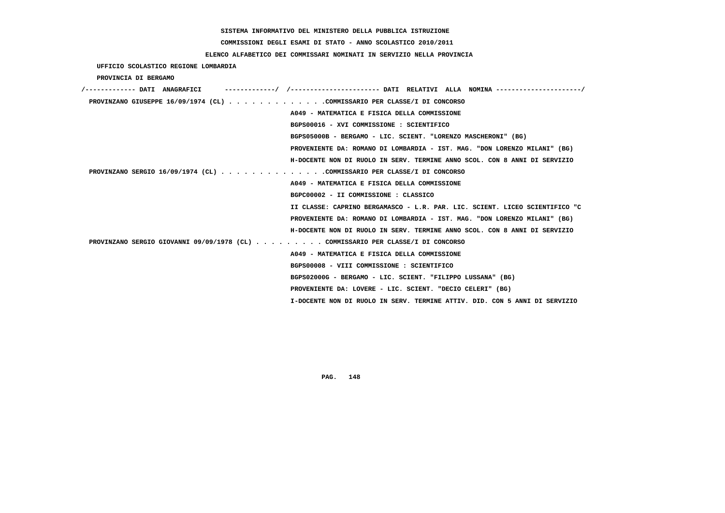# **COMMISSIONI DEGLI ESAMI DI STATO - ANNO SCOLASTICO 2010/2011**

# **ELENCO ALFABETICO DEI COMMISSARI NOMINATI IN SERVIZIO NELLA PROVINCIA**

 **UFFICIO SCOLASTICO REGIONE LOMBARDIA**

 **PROVINCIA DI BERGAMO**

| /------------- DATI ANAGRAFICI                                                  |
|---------------------------------------------------------------------------------|
| PROVINZANO GIUSEPPE 16/09/1974 (CL) COMMISSARIO PER CLASSE/I DI CONCORSO        |
| A049 - MATEMATICA E FISICA DELLA COMMISSIONE                                    |
| BGPS00016 - XVI COMMISSIONE : SCIENTIFICO                                       |
| BGPS05000B - BERGAMO - LIC. SCIENT. "LORENZO MASCHERONI" (BG)                   |
| PROVENIENTE DA: ROMANO DI LOMBARDIA - IST. MAG. "DON LORENZO MILANI" (BG)       |
| H-DOCENTE NON DI RUOLO IN SERV. TERMINE ANNO SCOL. CON 8 ANNI DI SERVIZIO       |
| PROVINZANO SERGIO 16/09/1974 (CL) COMMISSARIO PER CLASSE/I DI CONCORSO          |
| A049 - MATEMATICA E FISICA DELLA COMMISSIONE                                    |
| BGPC00002 - II COMMISSIONE : CLASSICO                                           |
| II CLASSE: CAPRINO BERGAMASCO - L.R. PAR. LIC. SCIENT. LICEO SCIENTIFICO "C     |
| PROVENIENTE DA: ROMANO DI LOMBARDIA - IST. MAG. "DON LORENZO MILANI" (BG)       |
| H-DOCENTE NON DI RUOLO IN SERV. TERMINE ANNO SCOL. CON 8 ANNI DI SERVIZIO       |
| PROVINZANO SERGIO GIOVANNI 09/09/1978 (CL) COMMISSARIO PER CLASSE/I DI CONCORSO |
| A049 - MATEMATICA E FISICA DELLA COMMISSIONE                                    |
| BGPS00008 - VIII COMMISSIONE : SCIENTIFICO                                      |
| BGPS02000G - BERGAMO - LIC. SCIENT. "FILIPPO LUSSANA" (BG)                      |
| PROVENIENTE DA: LOVERE - LIC. SCIENT. "DECIO CELERI" (BG)                       |
| I-DOCENTE NON DI RUOLO IN SERV. TERMINE ATTIV. DID. CON 5 ANNI DI SERVIZIO      |
|                                                                                 |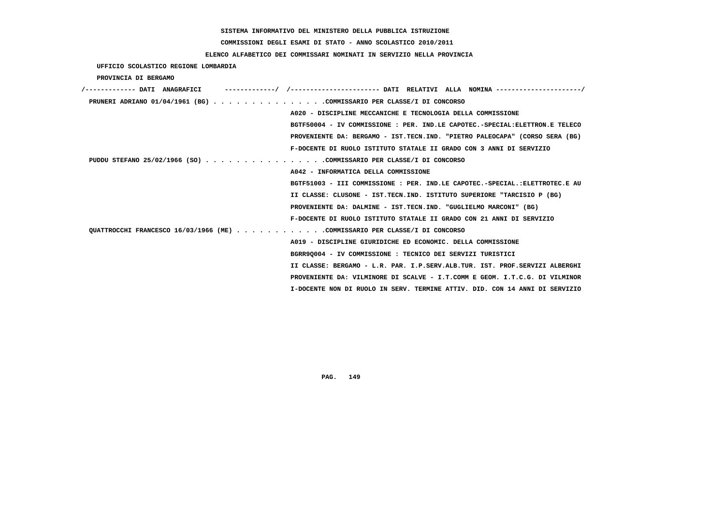# **COMMISSIONI DEGLI ESAMI DI STATO - ANNO SCOLASTICO 2010/2011**

# **ELENCO ALFABETICO DEI COMMISSARI NOMINATI IN SERVIZIO NELLA PROVINCIA**

 **UFFICIO SCOLASTICO REGIONE LOMBARDIA**

 **PROVINCIA DI BERGAMO**

| /------------- DATT ANAGRAFICT                                             |                                                                              |
|----------------------------------------------------------------------------|------------------------------------------------------------------------------|
| PRUNERI ADRIANO 01/04/1961 (BG) COMMISSARIO PER CLASSE/I DI CONCORSO       |                                                                              |
|                                                                            | A020 - DISCIPLINE MECCANICHE E TECNOLOGIA DELLA COMMISSIONE                  |
|                                                                            | BGTF50004 - IV COMMISSIONE : PER. IND.LE CAPOTEC.-SPECIAL:ELETTRON.E TELECO  |
|                                                                            | PROVENIENTE DA: BERGAMO - IST.TECN.IND. "PIETRO PALEOCAPA" (CORSO SERA (BG)  |
|                                                                            | F-DOCENTE DI RUOLO ISTITUTO STATALE II GRADO CON 3 ANNI DI SERVIZIO          |
| PUDDU STEFANO 25/02/1966 (SO) COMMISSARIO PER CLASSE/I DI CONCORSO         |                                                                              |
|                                                                            | A042 - INFORMATICA DELLA COMMISSIONE                                         |
|                                                                            | BGTF51003 - III COMMISSIONE : PER. IND.LE CAPOTEC.-SPECIAL.: ELETTROTEC.E AU |
|                                                                            | II CLASSE: CLUSONE - IST.TECN.IND. ISTITUTO SUPERIORE "TARCISIO P (BG)       |
|                                                                            | PROVENIENTE DA: DALMINE - IST.TECN.IND. "GUGLIELMO MARCONI" (BG)             |
|                                                                            | F-DOCENTE DI RUOLO ISTITUTO STATALE II GRADO CON 21 ANNI DI SERVIZIO         |
| OUATTROCCHI FRANCESCO 16/03/1966 (ME) COMMISSARIO PER CLASSE/I DI CONCORSO |                                                                              |
|                                                                            | A019 - DISCIPLINE GIURIDICHE ED ECONOMIC. DELLA COMMISSIONE                  |
|                                                                            | BGRR90004 - IV COMMISSIONE : TECNICO DEI SERVIZI TURISTICI                   |
|                                                                            | II CLASSE: BERGAMO - L.R. PAR. I.P.SERV.ALB.TUR. IST. PROF.SERVIZI ALBERGHI  |
|                                                                            | PROVENIENTE DA: VILMINORE DI SCALVE - I.T.COMM E GEOM. I.T.C.G. DI VILMINOR  |
|                                                                            | I-DOCENTE NON DI RUOLO IN SERV. TERMINE ATTIV. DID. CON 14 ANNI DI SERVIZIO  |
|                                                                            |                                                                              |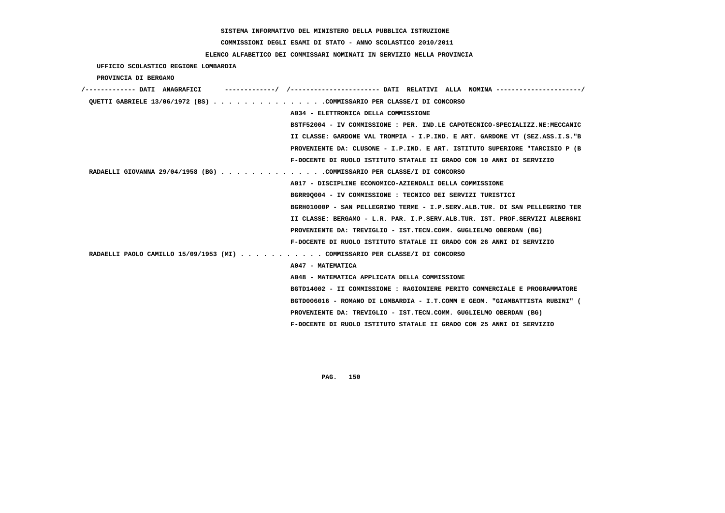# **COMMISSIONI DEGLI ESAMI DI STATO - ANNO SCOLASTICO 2010/2011**

# **ELENCO ALFABETICO DEI COMMISSARI NOMINATI IN SERVIZIO NELLA PROVINCIA**

 **UFFICIO SCOLASTICO REGIONE LOMBARDIA**

 **PROVINCIA DI BERGAMO**

| /------------- DATT ANAGRAFICT                                              |                                                                             |
|-----------------------------------------------------------------------------|-----------------------------------------------------------------------------|
| OUETTI GABRIELE 13/06/1972 (BS) COMMISSARIO PER CLASSE/I DI CONCORSO        |                                                                             |
|                                                                             | A034 - ELETTRONICA DELLA COMMISSIONE                                        |
|                                                                             | BSTF52004 - IV COMMISSIONE : PER. IND.LE CAPOTECNICO-SPECIALIZZ.NE:MECCANIC |
|                                                                             | II CLASSE: GARDONE VAL TROMPIA - I.P.IND. E ART. GARDONE VT (SEZ.ASS.I.S."B |
|                                                                             | PROVENIENTE DA: CLUSONE - I.P.IND. E ART. ISTITUTO SUPERIORE "TARCISIO P (B |
|                                                                             | F-DOCENTE DI RUOLO ISTITUTO STATALE II GRADO CON 10 ANNI DI SERVIZIO        |
| RADAELLI GIOVANNA 29/04/1958 (BG) COMMISSARIO PER CLASSE/I DI CONCORSO      |                                                                             |
|                                                                             | A017 - DISCIPLINE ECONOMICO-AZIENDALI DELLA COMMISSIONE                     |
|                                                                             | BGRR90004 - IV COMMISSIONE : TECNICO DEI SERVIZI TURISTICI                  |
|                                                                             | BGRH01000P - SAN PELLEGRINO TERME - I.P.SERV.ALB.TUR. DI SAN PELLEGRINO TER |
|                                                                             | II CLASSE: BERGAMO - L.R. PAR. I.P.SERV.ALB.TUR. IST. PROF.SERVIZI ALBERGHI |
|                                                                             | PROVENIENTE DA: TREVIGLIO - IST.TECN.COMM. GUGLIELMO OBERDAN (BG)           |
|                                                                             | F-DOCENTE DI RUOLO ISTITUTO STATALE II GRADO CON 26 ANNI DI SERVIZIO        |
| RADAELLI PAOLO CAMILLO 15/09/1953 (MI) COMMISSARIO PER CLASSE/I DI CONCORSO |                                                                             |
|                                                                             | A047 - MATEMATICA                                                           |
|                                                                             | A048 - MATEMATICA APPLICATA DELLA COMMISSIONE                               |
|                                                                             | BGTD14002 - II COMMISSIONE : RAGIONIERE PERITO COMMERCIALE E PROGRAMMATORE  |
|                                                                             | BGTD006016 - ROMANO DI LOMBARDIA - I.T.COMM E GEOM. "GIAMBATTISTA RUBINI" ( |
|                                                                             | PROVENIENTE DA: TREVIGLIO - IST.TECN.COMM. GUGLIELMO OBERDAN (BG)           |
|                                                                             | F-DOCENTE DI RUOLO ISTITUTO STATALE II GRADO CON 25 ANNI DI SERVIZIO        |
|                                                                             |                                                                             |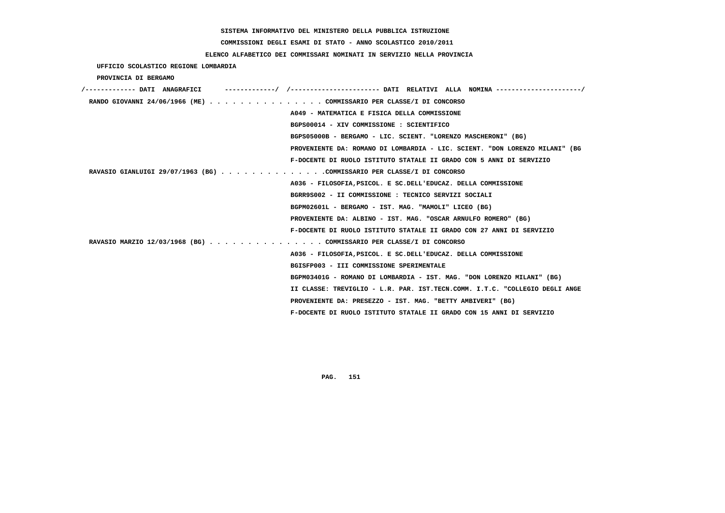# **COMMISSIONI DEGLI ESAMI DI STATO - ANNO SCOLASTICO 2010/2011**

# **ELENCO ALFABETICO DEI COMMISSARI NOMINATI IN SERVIZIO NELLA PROVINCIA**

 **UFFICIO SCOLASTICO REGIONE LOMBARDIA**

 **PROVINCIA DI BERGAMO**

| /------------- DATI ANAGRAFICI |                                                                             |
|--------------------------------|-----------------------------------------------------------------------------|
|                                | RANDO GIOVANNI 24/06/1966 (ME) COMMISSARIO PER CLASSE/I DI CONCORSO         |
|                                | A049 - MATEMATICA E FISICA DELLA COMMISSIONE                                |
|                                | BGPS00014 - XIV COMMISSIONE : SCIENTIFICO                                   |
|                                | BGPS05000B - BERGAMO - LIC. SCIENT. "LORENZO MASCHERONI" (BG)               |
|                                | PROVENIENTE DA: ROMANO DI LOMBARDIA - LIC. SCIENT. "DON LORENZO MILANI" (BG |
|                                | F-DOCENTE DI RUOLO ISTITUTO STATALE II GRADO CON 5 ANNI DI SERVIZIO         |
|                                | RAVASIO GIANLUIGI 29/07/1963 (BG) COMMISSARIO PER CLASSE/I DI CONCORSO      |
|                                | A036 - FILOSOFIA, PSICOL. E SC. DELL'EDUCAZ. DELLA COMMISSIONE              |
|                                | BGRR9S002 - II COMMISSIONE : TECNICO SERVIZI SOCIALI                        |
|                                | BGPM02601L - BERGAMO - IST. MAG. "MAMOLI" LICEO (BG)                        |
|                                | PROVENIENTE DA: ALBINO - IST. MAG. "OSCAR ARNULFO ROMERO" (BG)              |
|                                | F-DOCENTE DI RUOLO ISTITUTO STATALE II GRADO CON 27 ANNI DI SERVIZIO        |
|                                | RAVASIO MARZIO 12/03/1968 (BG) COMMISSARIO PER CLASSE/I DI CONCORSO         |
|                                | A036 - FILOSOFIA, PSICOL. E SC. DELL'EDUCAZ. DELLA COMMISSIONE              |
|                                | BGISFP003 - III COMMISSIONE SPERIMENTALE                                    |
|                                | BGPM03401G - ROMANO DI LOMBARDIA - IST. MAG. "DON LORENZO MILANI" (BG)      |
|                                | II CLASSE: TREVIGLIO - L.R. PAR. IST.TECN.COMM. I.T.C. "COLLEGIO DEGLI ANGE |
|                                | PROVENIENTE DA: PRESEZZO - IST. MAG. "BETTY AMBIVERI" (BG)                  |
|                                | F-DOCENTE DI RUOLO ISTITUTO STATALE II GRADO CON 15 ANNI DI SERVIZIO        |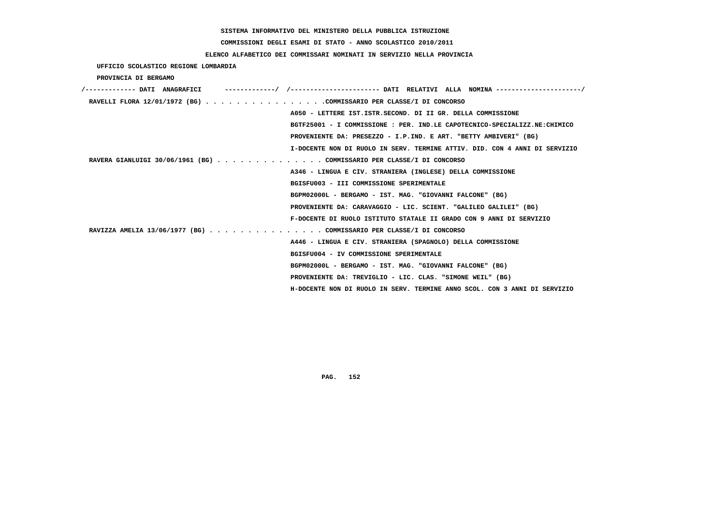# **COMMISSIONI DEGLI ESAMI DI STATO - ANNO SCOLASTICO 2010/2011**

# **ELENCO ALFABETICO DEI COMMISSARI NOMINATI IN SERVIZIO NELLA PROVINCIA**

 **UFFICIO SCOLASTICO REGIONE LOMBARDIA**

 **PROVINCIA DI BERGAMO**

| -----------/ /--------------------- DATI RELATIVI ALLA NOMINA --------------------/<br>/------------- DATI ANAGRAFICI |
|-----------------------------------------------------------------------------------------------------------------------|
| RAVELLI FLORA 12/01/1972 (BG) COMMISSARIO PER CLASSE/I DI CONCORSO                                                    |
| A050 - LETTERE IST.ISTR.SECOND. DI II GR. DELLA COMMISSIONE                                                           |
| BGTF25001 - I COMMISSIONE : PER. IND.LE CAPOTECNICO-SPECIALIZZ.NE:CHIMICO                                             |
| PROVENIENTE DA: PRESEZZO - I.P.IND. E ART. "BETTY AMBIVERI" (BG)                                                      |
| I-DOCENTE NON DI RUOLO IN SERV. TERMINE ATTIV. DID. CON 4 ANNI DI SERVIZIO                                            |
| RAVERA GIANLUIGI 30/06/1961 (BG) COMMISSARIO PER CLASSE/I DI CONCORSO                                                 |
| A346 - LINGUA E CIV. STRANIERA (INGLESE) DELLA COMMISSIONE                                                            |
| BGISFU003 - III COMMISSIONE SPERIMENTALE                                                                              |
| BGPM02000L - BERGAMO - IST. MAG. "GIOVANNI FALCONE" (BG)                                                              |
| PROVENIENTE DA: CARAVAGGIO - LIC. SCIENT. "GALILEO GALILEI" (BG)                                                      |
| F-DOCENTE DI RUOLO ISTITUTO STATALE II GRADO CON 9 ANNI DI SERVIZIO                                                   |
| RAVIZZA AMELIA 13/06/1977 (BG) COMMISSARIO PER CLASSE/I DI CONCORSO                                                   |
| A446 - LINGUA E CIV. STRANIERA (SPAGNOLO) DELLA COMMISSIONE                                                           |
| BGISFU004 - IV COMMISSIONE SPERIMENTALE                                                                               |
| BGPM02000L - BERGAMO - IST. MAG. "GIOVANNI FALCONE" (BG)                                                              |
| PROVENIENTE DA: TREVIGLIO - LIC. CLAS. "SIMONE WEIL" (BG)                                                             |
| H-DOCENTE NON DI RUOLO IN SERV. TERMINE ANNO SCOL. CON 3 ANNI DI SERVIZIO                                             |
|                                                                                                                       |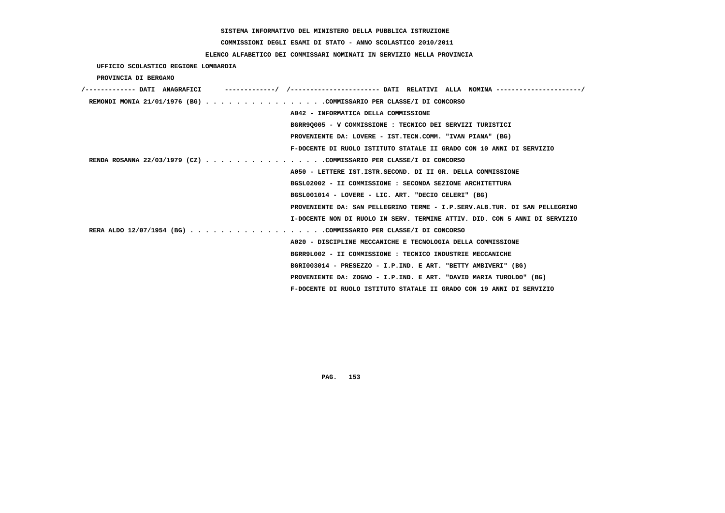# **COMMISSIONI DEGLI ESAMI DI STATO - ANNO SCOLASTICO 2010/2011**

# **ELENCO ALFABETICO DEI COMMISSARI NOMINATI IN SERVIZIO NELLA PROVINCIA**

 **UFFICIO SCOLASTICO REGIONE LOMBARDIA**

 **PROVINCIA DI BERGAMO**

| /------------- DATI ANAGRAFICI | ------------/ /--------------------- DATI RELATIVI ALLA NOMINA-------------------/ |
|--------------------------------|------------------------------------------------------------------------------------|
|                                | REMONDI MONIA 21/01/1976 (BG) COMMISSARIO PER CLASSE/I DI CONCORSO                 |
|                                | A042 - INFORMATICA DELLA COMMISSIONE                                               |
|                                | BGRR9Q005 - V COMMISSIONE : TECNICO DEI SERVIZI TURISTICI                          |
|                                | PROVENIENTE DA: LOVERE - IST.TECN.COMM. "IVAN PIANA" (BG)                          |
|                                | F-DOCENTE DI RUOLO ISTITUTO STATALE II GRADO CON 10 ANNI DI SERVIZIO               |
|                                | RENDA ROSANNA 22/03/1979 (CZ) COMMISSARIO PER CLASSE/I DI CONCORSO                 |
|                                | A050 - LETTERE IST. ISTR. SECOND. DI II GR. DELLA COMMISSIONE                      |
|                                | BGSL02002 - II COMMISSIONE : SECONDA SEZIONE ARCHITETTURA                          |
|                                | BGSL001014 - LOVERE - LIC. ART. "DECIO CELERI" (BG)                                |
|                                | PROVENIENTE DA: SAN PELLEGRINO TERME - I.P.SERV.ALB.TUR. DI SAN PELLEGRINO         |
|                                | I-DOCENTE NON DI RUOLO IN SERV. TERMINE ATTIV. DID. CON 5 ANNI DI SERVIZIO         |
|                                | RERA ALDO 12/07/1954 (BG) COMMISSARIO PER CLASSE/I DI CONCORSO                     |
|                                | A020 - DISCIPLINE MECCANICHE E TECNOLOGIA DELLA COMMISSIONE                        |
|                                | BGRR9L002 - II COMMISSIONE : TECNICO INDUSTRIE MECCANICHE                          |
|                                | BGRI003014 - PRESEZZO - I.P.IND. E ART. "BETTY AMBIVERI" (BG)                      |
|                                | PROVENIENTE DA: ZOGNO - I.P.IND. E ART. "DAVID MARIA TUROLDO" (BG)                 |
|                                | F-DOCENTE DI RUOLO ISTITUTO STATALE II GRADO CON 19 ANNI DI SERVIZIO               |
|                                |                                                                                    |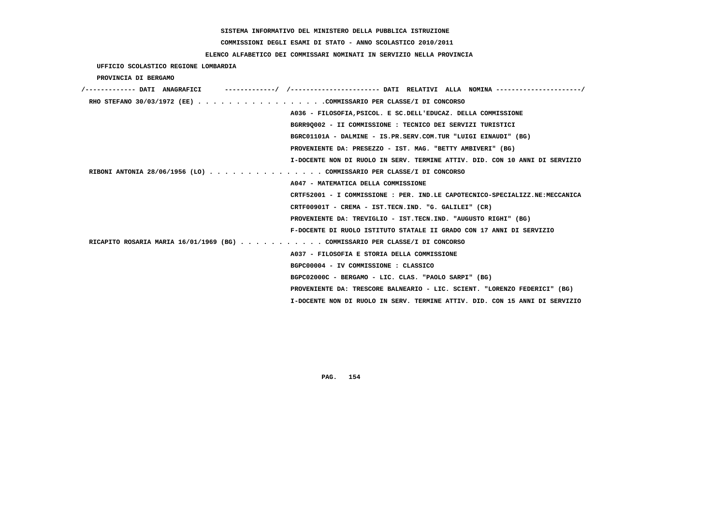# **COMMISSIONI DEGLI ESAMI DI STATO - ANNO SCOLASTICO 2010/2011**

# **ELENCO ALFABETICO DEI COMMISSARI NOMINATI IN SERVIZIO NELLA PROVINCIA**

 **UFFICIO SCOLASTICO REGIONE LOMBARDIA**

 **PROVINCIA DI BERGAMO**

| RHO STEFANO 30/03/1972 (EE) COMMISSARIO PER CLASSE/I DI CONCORSO            |                                                                             |
|-----------------------------------------------------------------------------|-----------------------------------------------------------------------------|
|                                                                             | A036 - FILOSOFIA, PSICOL. E SC. DELL'EDUCAZ. DELLA COMMISSIONE              |
|                                                                             | BGRR90002 - II COMMISSIONE : TECNICO DEI SERVIZI TURISTICI                  |
|                                                                             | BGRC01101A - DALMINE - IS.PR.SERV.COM.TUR "LUIGI EINAUDI" (BG)              |
|                                                                             | PROVENIENTE DA: PRESEZZO - IST. MAG. "BETTY AMBIVERI" (BG)                  |
|                                                                             | I-DOCENTE NON DI RUOLO IN SERV. TERMINE ATTIV. DID. CON 10 ANNI DI SERVIZIO |
| RIBONI ANTONIA 28/06/1956 (LO) COMMISSARIO PER CLASSE/I DI CONCORSO         |                                                                             |
|                                                                             | A047 - MATEMATICA DELLA COMMISSIONE                                         |
|                                                                             | CRTF52001 - I COMMISSIONE : PER. IND.LE CAPOTECNICO-SPECIALIZZ.NE:MECCANICA |
|                                                                             | CRTF00901T - CREMA - IST.TECN.IND. "G. GALILEI" (CR)                        |
|                                                                             | PROVENIENTE DA: TREVIGLIO - IST.TECN.IND. "AUGUSTO RIGHI" (BG)              |
|                                                                             | F-DOCENTE DI RUOLO ISTITUTO STATALE II GRADO CON 17 ANNI DI SERVIZIO        |
| RICAPITO ROSARIA MARIA 16/01/1969 (BG) COMMISSARIO PER CLASSE/I DI CONCORSO |                                                                             |
|                                                                             | A037 - FILOSOFIA E STORIA DELLA COMMISSIONE                                 |
|                                                                             | BGPC00004 - IV COMMISSIONE : CLASSICO                                       |
|                                                                             | BGPC02000C - BERGAMO - LIC. CLAS. "PAOLO SARPI" (BG)                        |
|                                                                             | PROVENIENTE DA: TRESCORE BALNEARIO - LIC. SCIENT. "LORENZO FEDERICI" (BG)   |
|                                                                             | I-DOCENTE NON DI RUOLO IN SERV. TERMINE ATTIV. DID. CON 15 ANNI DI SERVIZIO |
|                                                                             |                                                                             |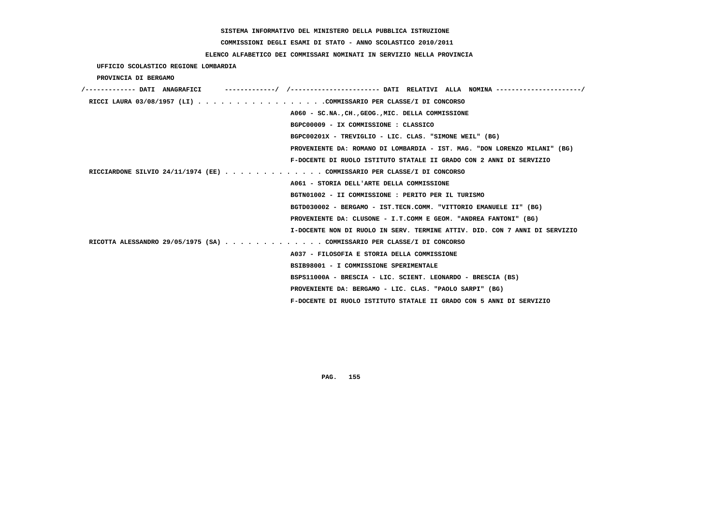# **COMMISSIONI DEGLI ESAMI DI STATO - ANNO SCOLASTICO 2010/2011**

# **ELENCO ALFABETICO DEI COMMISSARI NOMINATI IN SERVIZIO NELLA PROVINCIA**

 **UFFICIO SCOLASTICO REGIONE LOMBARDIA**

 **PROVINCIA DI BERGAMO**

| /------------- DATI ANAGRAFICI                                             |
|----------------------------------------------------------------------------|
| RICCI LAURA 03/08/1957 (LI) COMMISSARIO PER CLASSE/I DI CONCORSO           |
| A060 - SC.NA., CH., GEOG., MIC. DELLA COMMISSIONE                          |
| BGPC00009 - IX COMMISSIONE : CLASSICO                                      |
| BGPC00201X - TREVIGLIO - LIC. CLAS. "SIMONE WEIL" (BG)                     |
| PROVENIENTE DA: ROMANO DI LOMBARDIA - IST. MAG. "DON LORENZO MILANI" (BG)  |
| F-DOCENTE DI RUOLO ISTITUTO STATALE II GRADO CON 2 ANNI DI SERVIZIO        |
| RICCIARDONE SILVIO 24/11/1974 (EE) COMMISSARIO PER CLASSE/I DI CONCORSO    |
| A061 - STORIA DELL'ARTE DELLA COMMISSIONE                                  |
| BGTN01002 - II COMMISSIONE : PERITO PER IL TURISMO                         |
| BGTD030002 - BERGAMO - IST.TECN.COMM. "VITTORIO EMANUELE II" (BG)          |
| PROVENIENTE DA: CLUSONE - I.T.COMM E GEOM. "ANDREA FANTONI" (BG)           |
| I-DOCENTE NON DI RUOLO IN SERV. TERMINE ATTIV. DID. CON 7 ANNI DI SERVIZIO |
| RICOTTA ALESSANDRO 29/05/1975 (SA) COMMISSARIO PER CLASSE/I DI CONCORSO    |
| A037 - FILOSOFIA E STORIA DELLA COMMISSIONE                                |
| BSIB98001 - I COMMISSIONE SPERIMENTALE                                     |
| BSPS11000A - BRESCIA - LIC. SCIENT. LEONARDO - BRESCIA (BS)                |
| PROVENIENTE DA: BERGAMO - LIC. CLAS. "PAOLO SARPI" (BG)                    |
| F-DOCENTE DI RUOLO ISTITUTO STATALE II GRADO CON 5 ANNI DI SERVIZIO        |
|                                                                            |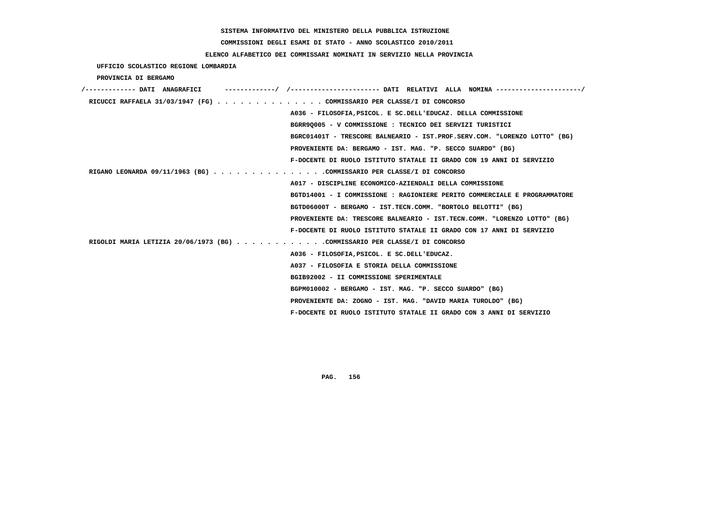# **COMMISSIONI DEGLI ESAMI DI STATO - ANNO SCOLASTICO 2010/2011**

# **ELENCO ALFABETICO DEI COMMISSARI NOMINATI IN SERVIZIO NELLA PROVINCIA**

 **UFFICIO SCOLASTICO REGIONE LOMBARDIA**

 **PROVINCIA DI BERGAMO**

| /------------- DATI ANAGRAFICI                                             |                                                                           |
|----------------------------------------------------------------------------|---------------------------------------------------------------------------|
| RICUCCI RAFFAELA 31/03/1947 (FG) COMMISSARIO PER CLASSE/I DI CONCORSO      |                                                                           |
|                                                                            | A036 - FILOSOFIA, PSICOL. E SC. DELL'EDUCAZ. DELLA COMMISSIONE            |
|                                                                            | BGRR90005 - V COMMISSIONE : TECNICO DEI SERVIZI TURISTICI                 |
|                                                                            | BGRC01401T - TRESCORE BALNEARIO - IST.PROF.SERV.COM. "LORENZO LOTTO" (BG) |
|                                                                            | PROVENIENTE DA: BERGAMO - IST. MAG. "P. SECCO SUARDO" (BG)                |
|                                                                            | F-DOCENTE DI RUOLO ISTITUTO STATALE II GRADO CON 19 ANNI DI SERVIZIO      |
| RIGANO LEONARDA 09/11/1963 (BG) COMMISSARIO PER CLASSE/I DI CONCORSO       |                                                                           |
|                                                                            | A017 - DISCIPLINE ECONOMICO-AZIENDALI DELLA COMMISSIONE                   |
|                                                                            | BGTD14001 - I COMMISSIONE : RAGIONIERE PERITO COMMERCIALE E PROGRAMMATORE |
|                                                                            | BGTD06000T - BERGAMO - IST.TECN.COMM. "BORTOLO BELOTTI" (BG)              |
|                                                                            | PROVENIENTE DA: TRESCORE BALNEARIO - IST.TECN.COMM. "LORENZO LOTTO" (BG)  |
|                                                                            | F-DOCENTE DI RUOLO ISTITUTO STATALE II GRADO CON 17 ANNI DI SERVIZIO      |
| RIGOLDI MARIA LETIZIA 20/06/1973 (BG) COMMISSARIO PER CLASSE/I DI CONCORSO |                                                                           |
|                                                                            | A036 - FILOSOFIA, PSICOL. E SC.DELL'EDUCAZ.                               |
|                                                                            | A037 - FILOSOFIA E STORIA DELLA COMMISSIONE                               |
|                                                                            | BGIB92002 - II COMMISSIONE SPERIMENTALE                                   |
|                                                                            | BGPM010002 - BERGAMO - IST. MAG. "P. SECCO SUARDO" (BG)                   |
|                                                                            | PROVENIENTE DA: ZOGNO - IST. MAG. "DAVID MARIA TUROLDO" (BG)              |
|                                                                            | F-DOCENTE DI RUOLO ISTITUTO STATALE II GRADO CON 3 ANNI DI SERVIZIO       |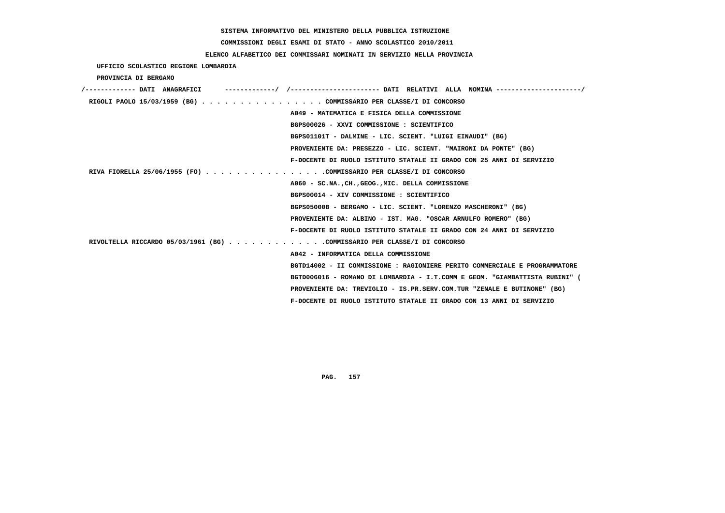# **COMMISSIONI DEGLI ESAMI DI STATO - ANNO SCOLASTICO 2010/2011**

# **ELENCO ALFABETICO DEI COMMISSARI NOMINATI IN SERVIZIO NELLA PROVINCIA**

 **UFFICIO SCOLASTICO REGIONE LOMBARDIA**

 **PROVINCIA DI BERGAMO**

| /------------- DATI ANAGRAFICI                                           |                                                                             |
|--------------------------------------------------------------------------|-----------------------------------------------------------------------------|
| RIGOLI PAOLO 15/03/1959 (BG) COMMISSARIO PER CLASSE/I DI CONCORSO        |                                                                             |
|                                                                          | A049 - MATEMATICA E FISICA DELLA COMMISSIONE                                |
|                                                                          | BGPS00026 - XXVI COMMISSIONE : SCIENTIFICO                                  |
|                                                                          | BGPS01101T - DALMINE - LIC. SCIENT. "LUIGI EINAUDI" (BG)                    |
|                                                                          | PROVENIENTE DA: PRESEZZO - LIC. SCIENT. "MAIRONI DA PONTE" (BG)             |
|                                                                          | F-DOCENTE DI RUOLO ISTITUTO STATALE II GRADO CON 25 ANNI DI SERVIZIO        |
| RIVA FIORELLA 25/06/1955 (FO) COMMISSARIO PER CLASSE/I DI CONCORSO       |                                                                             |
|                                                                          | A060 - SC.NA., CH., GEOG., MIC. DELLA COMMISSIONE                           |
|                                                                          | BGPS00014 - XIV COMMISSIONE : SCIENTIFICO                                   |
|                                                                          | BGPS05000B - BERGAMO - LIC. SCIENT. "LORENZO MASCHERONI" (BG)               |
|                                                                          | PROVENIENTE DA: ALBINO - IST. MAG. "OSCAR ARNULFO ROMERO" (BG)              |
|                                                                          | F-DOCENTE DI RUOLO ISTITUTO STATALE II GRADO CON 24 ANNI DI SERVIZIO        |
| RIVOLTELLA RICCARDO 05/03/1961 (BG) COMMISSARIO PER CLASSE/I DI CONCORSO |                                                                             |
|                                                                          | A042 - INFORMATICA DELLA COMMISSIONE                                        |
|                                                                          | BGTD14002 - II COMMISSIONE : RAGIONIERE PERITO COMMERCIALE E PROGRAMMATORE  |
|                                                                          | BGTD006016 - ROMANO DI LOMBARDIA - I.T.COMM E GEOM. "GIAMBATTISTA RUBINI" ( |
|                                                                          | PROVENIENTE DA: TREVIGLIO - IS.PR.SERV.COM.TUR "ZENALE E BUTINONE" (BG)     |
|                                                                          | F-DOCENTE DI RUOLO ISTITUTO STATALE II GRADO CON 13 ANNI DI SERVIZIO        |
|                                                                          |                                                                             |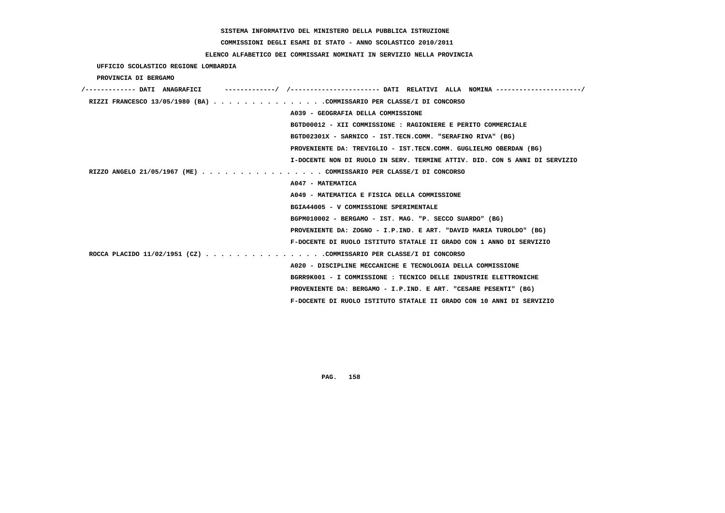**COMMISSIONI DEGLI ESAMI DI STATO - ANNO SCOLASTICO 2010/2011**

## **ELENCO ALFABETICO DEI COMMISSARI NOMINATI IN SERVIZIO NELLA PROVINCIA**

|  | UFFICIO SCOLASTICO REGIONE LOMBARDIA |  |  |  |
|--|--------------------------------------|--|--|--|
|--|--------------------------------------|--|--|--|

 **PROVINCIA DI BERGAMO**

| /------------- DATI ANAGRAFICI                                       |                                                                            |
|----------------------------------------------------------------------|----------------------------------------------------------------------------|
| RIZZI FRANCESCO 13/05/1980 (BA) COMMISSARIO PER CLASSE/I DI CONCORSO |                                                                            |
|                                                                      | A039 - GEOGRAFIA DELLA COMMISSIONE                                         |
|                                                                      | BGTD00012 - XII COMMISSIONE : RAGIONIERE E PERITO COMMERCIALE              |
|                                                                      | BGTD02301X - SARNICO - IST.TECN.COMM. "SERAFINO RIVA" (BG)                 |
|                                                                      | PROVENIENTE DA: TREVIGLIO - IST.TECN.COMM. GUGLIELMO OBERDAN (BG)          |
|                                                                      | I-DOCENTE NON DI RUOLO IN SERV. TERMINE ATTIV. DID. CON 5 ANNI DI SERVIZIO |
| RIZZO ANGELO 21/05/1967 (ME) COMMISSARIO PER CLASSE/I DI CONCORSO    |                                                                            |
|                                                                      | A047 - MATEMATICA                                                          |
|                                                                      | A049 - MATEMATICA E FISICA DELLA COMMISSIONE                               |
|                                                                      | BGIA44005 - V COMMISSIONE SPERIMENTALE                                     |
|                                                                      | BGPM010002 - BERGAMO - IST. MAG. "P. SECCO SUARDO" (BG)                    |
|                                                                      | PROVENIENTE DA: ZOGNO - I.P.IND. E ART. "DAVID MARIA TUROLDO" (BG)         |
|                                                                      | F-DOCENTE DI RUOLO ISTITUTO STATALE II GRADO CON 1 ANNO DI SERVIZIO        |
| ROCCA PLACIDO 11/02/1951 (CZ) COMMISSARIO PER CLASSE/I DI CONCORSO   |                                                                            |
|                                                                      | A020 - DISCIPLINE MECCANICHE E TECNOLOGIA DELLA COMMISSIONE                |
|                                                                      | BGRR9K001 - I COMMISSIONE : TECNICO DELLE INDUSTRIE ELETTRONICHE           |
|                                                                      | PROVENIENTE DA: BERGAMO - I.P.IND. E ART. "CESARE PESENTI" (BG)            |
|                                                                      | F-DOCENTE DI RUOLO ISTITUTO STATALE II GRADO CON 10 ANNI DI SERVIZIO       |
|                                                                      |                                                                            |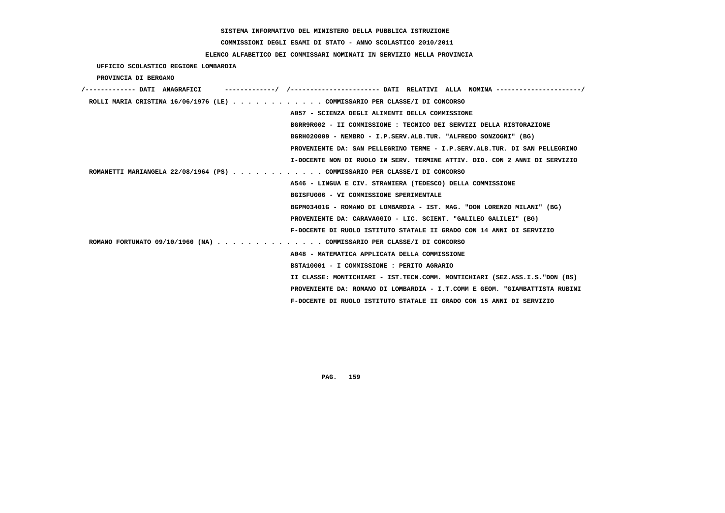# **COMMISSIONI DEGLI ESAMI DI STATO - ANNO SCOLASTICO 2010/2011**

# **ELENCO ALFABETICO DEI COMMISSARI NOMINATI IN SERVIZIO NELLA PROVINCIA**

 **UFFICIO SCOLASTICO REGIONE LOMBARDIA**

 **PROVINCIA DI BERGAMO**

| /------------- DATI ANAGRAFICI                                            | ----------/ /---------------------- DATI RELATIVI ALLA NOMINA --------------------/ |
|---------------------------------------------------------------------------|-------------------------------------------------------------------------------------|
| ROLLI MARIA CRISTINA 16/06/1976 (LE) COMMISSARIO PER CLASSE/I DI CONCORSO |                                                                                     |
|                                                                           | A057 - SCIENZA DEGLI ALIMENTI DELLA COMMISSIONE                                     |
|                                                                           | BGRR9R002 - II COMMISSIONE : TECNICO DEI SERVIZI DELLA RISTORAZIONE                 |
|                                                                           | BGRH020009 - NEMBRO - I.P.SERV.ALB.TUR. "ALFREDO SONZOGNI" (BG)                     |
|                                                                           | PROVENIENTE DA: SAN PELLEGRINO TERME - I.P.SERV.ALB.TUR. DI SAN PELLEGRINO          |
|                                                                           | I-DOCENTE NON DI RUOLO IN SERV. TERMINE ATTIV. DID. CON 2 ANNI DI SERVIZIO          |
| ROMANETTI MARIANGELA 22/08/1964 (PS) COMMISSARIO PER CLASSE/I DI CONCORSO |                                                                                     |
|                                                                           | A546 - LINGUA E CIV. STRANIERA (TEDESCO) DELLA COMMISSIONE                          |
|                                                                           | BGISFU006 - VI COMMISSIONE SPERIMENTALE                                             |
|                                                                           | BGPM03401G - ROMANO DI LOMBARDIA - IST. MAG. "DON LORENZO MILANI" (BG)              |
|                                                                           | PROVENIENTE DA: CARAVAGGIO - LIC. SCIENT. "GALILEO GALILEI" (BG)                    |
|                                                                           | F-DOCENTE DI RUOLO ISTITUTO STATALE II GRADO CON 14 ANNI DI SERVIZIO                |
| ROMANO FORTUNATO 09/10/1960 (NA) COMMISSARIO PER CLASSE/I DI CONCORSO     |                                                                                     |
|                                                                           | A048 - MATEMATICA APPLICATA DELLA COMMISSIONE                                       |
|                                                                           | BSTA10001 - I COMMISSIONE : PERITO AGRARIO                                          |
|                                                                           | II CLASSE: MONTICHIARI - IST.TECN.COMM. MONTICHIARI (SEZ.ASS.I.S."DON (BS)          |
|                                                                           | PROVENIENTE DA: ROMANO DI LOMBARDIA - I.T.COMM E GEOM. "GIAMBATTISTA RUBINI         |
|                                                                           | F-DOCENTE DI RUOLO ISTITUTO STATALE II GRADO CON 15 ANNI DI SERVIZIO                |
|                                                                           |                                                                                     |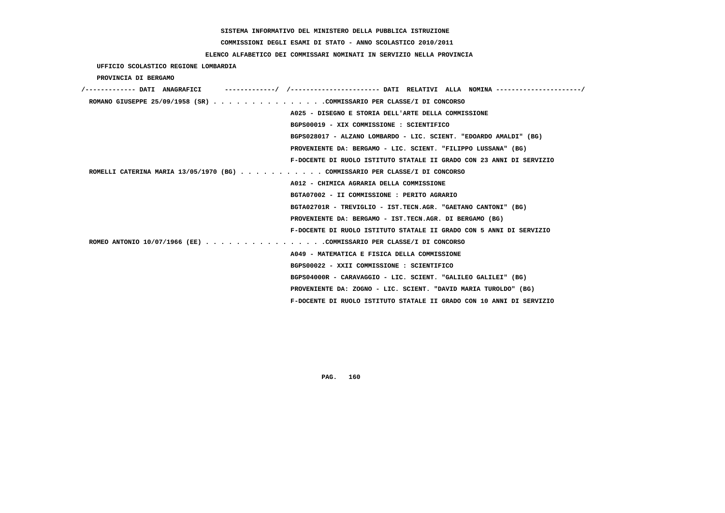**COMMISSIONI DEGLI ESAMI DI STATO - ANNO SCOLASTICO 2010/2011**

# **ELENCO ALFABETICO DEI COMMISSARI NOMINATI IN SERVIZIO NELLA PROVINCIA**

 **UFFICIO SCOLASTICO REGIONE LOMBARDIA**

 **PROVINCIA DI BERGAMO**

| /------------- DATI ANAGRAFICI |                                                                             |
|--------------------------------|-----------------------------------------------------------------------------|
|                                | ROMANO GIUSEPPE 25/09/1958 (SR) COMMISSARIO PER CLASSE/I DI CONCORSO        |
|                                | A025 - DISEGNO E STORIA DELL'ARTE DELLA COMMISSIONE                         |
|                                | BGPS00019 - XIX COMMISSIONE : SCIENTIFICO                                   |
|                                | BGPS028017 - ALZANO LOMBARDO - LIC. SCIENT. "EDOARDO AMALDI" (BG)           |
|                                | PROVENIENTE DA: BERGAMO - LIC. SCIENT. "FILIPPO LUSSANA" (BG)               |
|                                | F-DOCENTE DI RUOLO ISTITUTO STATALE II GRADO CON 23 ANNI DI SERVIZIO        |
|                                | ROMELLI CATERINA MARIA 13/05/1970 (BG) COMMISSARIO PER CLASSE/I DI CONCORSO |
|                                | A012 - CHIMICA AGRARIA DELLA COMMISSIONE                                    |
|                                | BGTA07002 - II COMMISSIONE : PERITO AGRARIO                                 |
|                                | BGTA02701R - TREVIGLIO - IST.TECN.AGR. "GAETANO CANTONI" (BG)               |
|                                | PROVENIENTE DA: BERGAMO - IST.TECN.AGR. DI BERGAMO (BG)                     |
|                                | F-DOCENTE DI RUOLO ISTITUTO STATALE II GRADO CON 5 ANNI DI SERVIZIO         |
|                                | ROMEO ANTONIO 10/07/1966 (EE) COMMISSARIO PER CLASSE/I DI CONCORSO          |
|                                | A049 - MATEMATICA E FISICA DELLA COMMISSIONE                                |
|                                | BGPS00022 - XXII COMMISSIONE : SCIENTIFICO                                  |
|                                | BGPS04000R - CARAVAGGIO - LIC. SCIENT. "GALILEO GALILEI" (BG)               |
|                                | PROVENIENTE DA: ZOGNO - LIC. SCIENT. "DAVID MARIA TUROLDO" (BG)             |
|                                | F-DOCENTE DI RUOLO ISTITUTO STATALE II GRADO CON 10 ANNI DI SERVIZIO        |
|                                |                                                                             |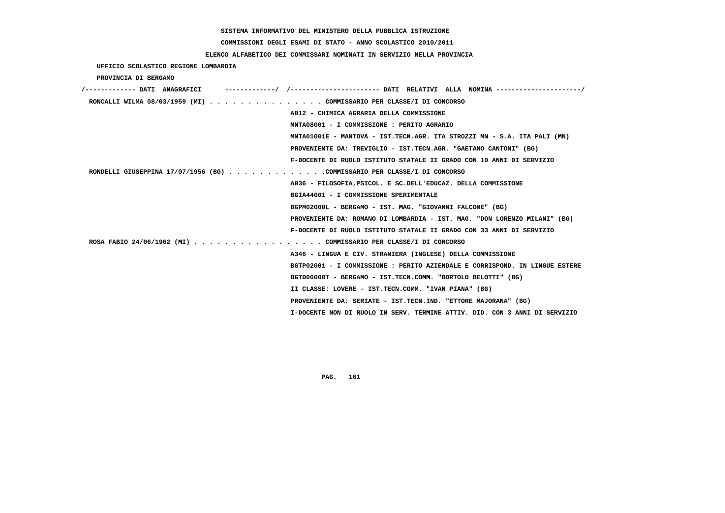# **COMMISSIONI DEGLI ESAMI DI STATO - ANNO SCOLASTICO 2010/2011**

# **ELENCO ALFABETICO DEI COMMISSARI NOMINATI IN SERVIZIO NELLA PROVINCIA**

 **UFFICIO SCOLASTICO REGIONE LOMBARDIA**

 **PROVINCIA DI BERGAMO**

| /------------- DATI ANAGRAFICI | -/ /----------------------- DATI RELATIVI ALLA NOMINA ---------------------/ |
|--------------------------------|------------------------------------------------------------------------------|
|                                | RONCALLI WILMA 08/03/1959 (MI) COMMISSARIO PER CLASSE/I DI CONCORSO          |
|                                | A012 - CHIMICA AGRARIA DELLA COMMISSIONE                                     |
|                                | MNTA08001 - I COMMISSIONE : PERITO AGRARIO                                   |
|                                | MNTA01001E - MANTOVA - IST.TECN.AGR. ITA STROZZI MN - S.A. ITA PALI (MN)     |
|                                | PROVENIENTE DA: TREVIGLIO - IST.TECN.AGR. "GAETANO CANTONI" (BG)             |
|                                | F-DOCENTE DI RUOLO ISTITUTO STATALE II GRADO CON 10 ANNI DI SERVIZIO         |
|                                | RONDELLI GIUSEPPINA 17/07/1956 (BG) COMMISSARIO PER CLASSE/I DI CONCORSO     |
|                                | A036 - FILOSOFIA, PSICOL, E SC. DELL'EDUCAZ, DELLA COMMISSIONE               |
|                                | BGIA44001 - I COMMISSIONE SPERIMENTALE                                       |
|                                | BGPM02000L - BERGAMO - IST. MAG. "GIOVANNI FALCONE" (BG)                     |
|                                | PROVENIENTE DA: ROMANO DI LOMBARDIA - IST. MAG. "DON LORENZO MILANI" (BG)    |
|                                | F-DOCENTE DI RUOLO ISTITUTO STATALE II GRADO CON 33 ANNI DI SERVIZIO         |
|                                | ROSA FABIO 24/06/1962 (MI) COMMISSARIO PER CLASSE/I DI CONCORSO              |
|                                | A346 - LINGUA E CIV. STRANIERA (INGLESE) DELLA COMMISSIONE                   |
|                                | BGTP02001 - I COMMISSIONE : PERITO AZIENDALE E CORRISPOND. IN LINGUE ESTERE  |
|                                | BGTD06000T - BERGAMO - IST.TECN.COMM. "BORTOLO BELOTTI" (BG)                 |
|                                | II CLASSE: LOVERE - IST.TECN.COMM. "IVAN PIANA" (BG)                         |
|                                | PROVENIENTE DA: SERIATE - IST.TECN.IND. "ETTORE MAJORANA" (BG)               |
|                                | I-DOCENTE NON DI RUOLO IN SERV. TERMINE ATTIV. DID. CON 3 ANNI DI SERVIZIO   |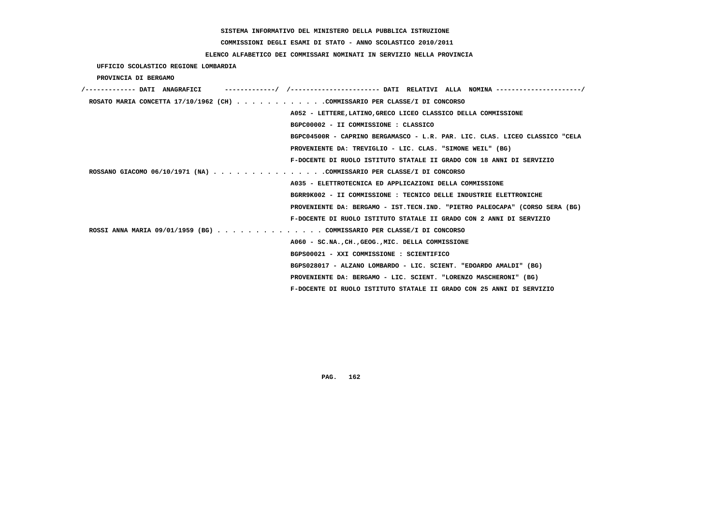# **COMMISSIONI DEGLI ESAMI DI STATO - ANNO SCOLASTICO 2010/2011**

# **ELENCO ALFABETICO DEI COMMISSARI NOMINATI IN SERVIZIO NELLA PROVINCIA**

 **UFFICIO SCOLASTICO REGIONE LOMBARDIA**

 **PROVINCIA DI BERGAMO**

| /------------- DATI ANAGRAFICI |                                                                             |  |
|--------------------------------|-----------------------------------------------------------------------------|--|
|                                | ROSATO MARIA CONCETTA 17/10/1962 (CH) COMMISSARIO PER CLASSE/I DI CONCORSO  |  |
|                                | A052 - LETTERE, LATINO, GRECO LICEO CLASSICO DELLA COMMISSIONE              |  |
|                                | BGPC00002 - II COMMISSIONE : CLASSICO                                       |  |
|                                | BGPC04500R - CAPRINO BERGAMASCO - L.R. PAR. LIC. CLAS. LICEO CLASSICO "CELA |  |
|                                | PROVENIENTE DA: TREVIGLIO - LIC. CLAS. "SIMONE WEIL" (BG)                   |  |
|                                | F-DOCENTE DI RUOLO ISTITUTO STATALE II GRADO CON 18 ANNI DI SERVIZIO        |  |
|                                | ROSSANO GIACOMO 06/10/1971 (NA) COMMISSARIO PER CLASSE/I DI CONCORSO        |  |
|                                | A035 - ELETTROTECNICA ED APPLICAZIONI DELLA COMMISSIONE                     |  |
|                                | BGRR9K002 - II COMMISSIONE : TECNICO DELLE INDUSTRIE ELETTRONICHE           |  |
|                                | PROVENIENTE DA: BERGAMO - IST.TECN.IND. "PIETRO PALEOCAPA" (CORSO SERA (BG) |  |
|                                | F-DOCENTE DI RUOLO ISTITUTO STATALE II GRADO CON 2 ANNI DI SERVIZIO         |  |
|                                | ROSSI ANNA MARIA 09/01/1959 (BG) COMMISSARIO PER CLASSE/I DI CONCORSO       |  |
|                                | A060 - SC.NA., CH., GEOG., MIC. DELLA COMMISSIONE                           |  |
|                                | BGPS00021 - XXI COMMISSIONE : SCIENTIFICO                                   |  |
|                                | BGPS028017 - ALZANO LOMBARDO - LIC. SCIENT. "EDOARDO AMALDI" (BG)           |  |
|                                | PROVENIENTE DA: BERGAMO - LIC. SCIENT. "LORENZO MASCHERONI" (BG)            |  |
|                                | F-DOCENTE DI RUOLO ISTITUTO STATALE II GRADO CON 25 ANNI DI SERVIZIO        |  |
|                                |                                                                             |  |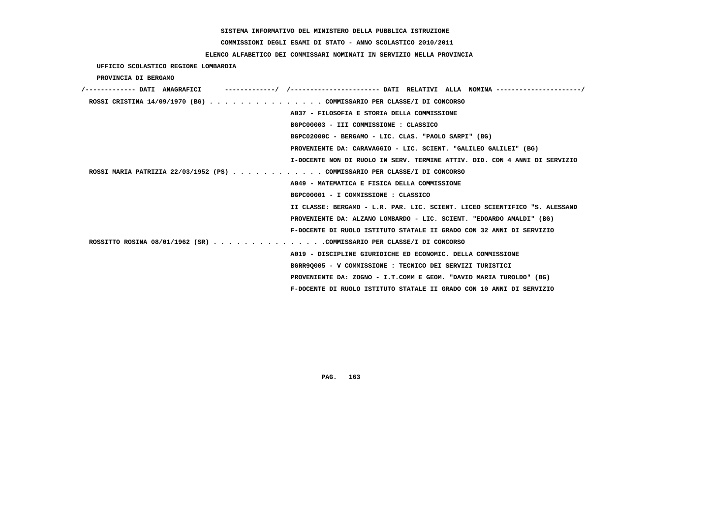# **COMMISSIONI DEGLI ESAMI DI STATO - ANNO SCOLASTICO 2010/2011**

# **ELENCO ALFABETICO DEI COMMISSARI NOMINATI IN SERVIZIO NELLA PROVINCIA**

 **UFFICIO SCOLASTICO REGIONE LOMBARDIA**

 **PROVINCIA DI BERGAMO**

| /------------- DATI ANAGRAFICI                                            |                                                                            |
|---------------------------------------------------------------------------|----------------------------------------------------------------------------|
| ROSSI CRISTINA 14/09/1970 (BG) COMMISSARIO PER CLASSE/I DI CONCORSO       |                                                                            |
|                                                                           | A037 - FILOSOFIA E STORIA DELLA COMMISSIONE                                |
|                                                                           | BGPC00003 - III COMMISSIONE : CLASSICO                                     |
|                                                                           | BGPC02000C - BERGAMO - LIC. CLAS. "PAOLO SARPI" (BG)                       |
|                                                                           | PROVENIENTE DA: CARAVAGGIO - LIC. SCIENT. "GALILEO GALILEI" (BG)           |
|                                                                           | I-DOCENTE NON DI RUOLO IN SERV. TERMINE ATTIV. DID. CON 4 ANNI DI SERVIZIO |
| ROSSI MARIA PATRIZIA 22/03/1952 (PS) COMMISSARIO PER CLASSE/I DI CONCORSO |                                                                            |
|                                                                           | A049 - MATEMATICA E FISICA DELLA COMMISSIONE                               |
|                                                                           | BGPC00001 - I COMMISSIONE : CLASSICO                                       |
|                                                                           | II CLASSE: BERGAMO - L.R. PAR. LIC. SCIENT. LICEO SCIENTIFICO "S. ALESSAND |
|                                                                           | PROVENIENTE DA: ALZANO LOMBARDO - LIC. SCIENT. "EDOARDO AMALDI" (BG)       |
|                                                                           | F-DOCENTE DI RUOLO ISTITUTO STATALE II GRADO CON 32 ANNI DI SERVIZIO       |
| ROSSITTO ROSINA 08/01/1962 (SR) COMMISSARIO PER CLASSE/I DI CONCORSO      |                                                                            |
|                                                                           | A019 - DISCIPLINE GIURIDICHE ED ECONOMIC. DELLA COMMISSIONE                |
|                                                                           | BGRR90005 - V COMMISSIONE : TECNICO DEI SERVIZI TURISTICI                  |
|                                                                           | PROVENIENTE DA: ZOGNO - I.T.COMM E GEOM. "DAVID MARIA TUROLDO" (BG)        |
|                                                                           | F-DOCENTE DI RUOLO ISTITUTO STATALE II GRADO CON 10 ANNI DI SERVIZIO       |
|                                                                           |                                                                            |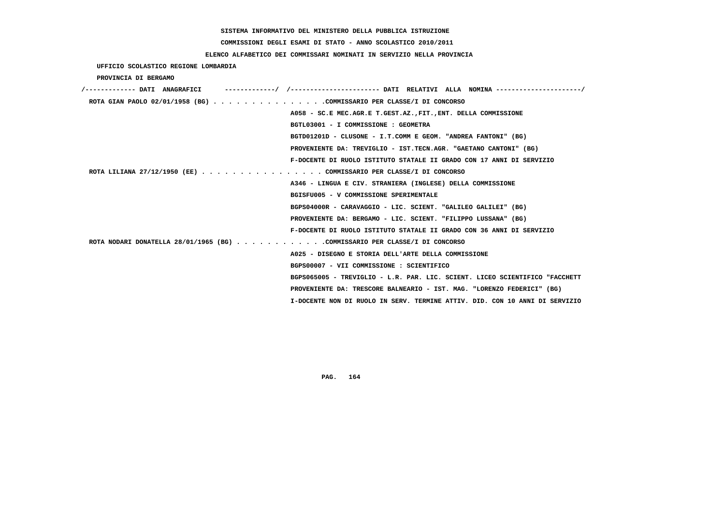# **COMMISSIONI DEGLI ESAMI DI STATO - ANNO SCOLASTICO 2010/2011**

# **ELENCO ALFABETICO DEI COMMISSARI NOMINATI IN SERVIZIO NELLA PROVINCIA**

 **UFFICIO SCOLASTICO REGIONE LOMBARDIA**

 **PROVINCIA DI BERGAMO**

| /------------- DATI ANAGRAFICI                                             |                                                                             |
|----------------------------------------------------------------------------|-----------------------------------------------------------------------------|
| ROTA GIAN PAOLO 02/01/1958 (BG) COMMISSARIO PER CLASSE/I DI CONCORSO       |                                                                             |
|                                                                            | A058 - SC.E MEC.AGR.E T.GEST.AZ., FIT., ENT. DELLA COMMISSIONE              |
|                                                                            | BGTL03001 - I COMMISSIONE : GEOMETRA                                        |
|                                                                            | BGTD01201D - CLUSONE - I.T.COMM E GEOM. "ANDREA FANTONI" (BG)               |
|                                                                            | PROVENIENTE DA: TREVIGLIO - IST.TECN.AGR. "GAETANO CANTONI" (BG)            |
|                                                                            | F-DOCENTE DI RUOLO ISTITUTO STATALE II GRADO CON 17 ANNI DI SERVIZIO        |
| ROTA LILIANA 27/12/1950 (EE) COMMISSARIO PER CLASSE/I DI CONCORSO          |                                                                             |
|                                                                            | A346 - LINGUA E CIV. STRANIERA (INGLESE) DELLA COMMISSIONE                  |
|                                                                            | BGISFU005 - V COMMISSIONE SPERIMENTALE                                      |
|                                                                            | BGPS04000R - CARAVAGGIO - LIC. SCIENT. "GALILEO GALILEI" (BG)               |
|                                                                            | PROVENIENTE DA: BERGAMO - LIC. SCIENT. "FILIPPO LUSSANA" (BG)               |
|                                                                            | F-DOCENTE DI RUOLO ISTITUTO STATALE II GRADO CON 36 ANNI DI SERVIZIO        |
| ROTA NODARI DONATELLA 28/01/1965 (BG) COMMISSARIO PER CLASSE/I DI CONCORSO |                                                                             |
|                                                                            | A025 - DISEGNO E STORIA DELL'ARTE DELLA COMMISSIONE                         |
|                                                                            | BGPS00007 - VII COMMISSIONE : SCIENTIFICO                                   |
|                                                                            | BGPS065005 - TREVIGLIO - L.R. PAR. LIC. SCIENT. LICEO SCIENTIFICO "FACCHETT |
|                                                                            | PROVENIENTE DA: TRESCORE BALNEARIO - IST. MAG. "LORENZO FEDERICI" (BG)      |
|                                                                            | I-DOCENTE NON DI RUOLO IN SERV. TERMINE ATTIV. DID. CON 10 ANNI DI SERVIZIO |
|                                                                            |                                                                             |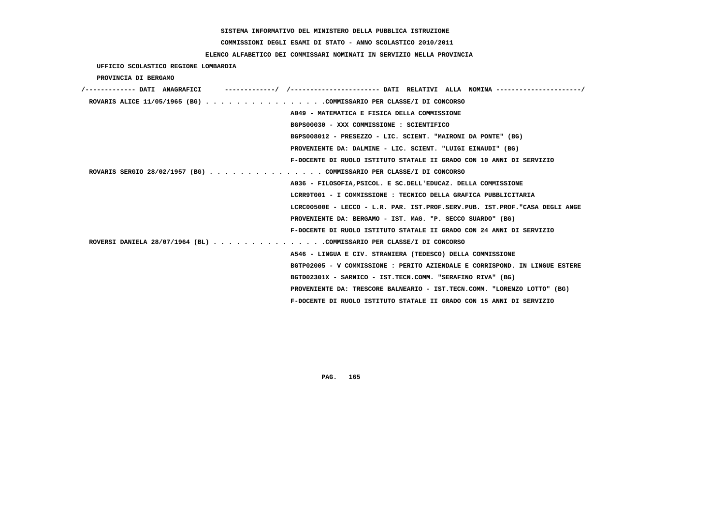# **COMMISSIONI DEGLI ESAMI DI STATO - ANNO SCOLASTICO 2010/2011**

# **ELENCO ALFABETICO DEI COMMISSARI NOMINATI IN SERVIZIO NELLA PROVINCIA**

 **UFFICIO SCOLASTICO REGIONE LOMBARDIA**

 **PROVINCIA DI BERGAMO**

| ROVARIS ALICE 11/05/1965 (BG) COMMISSARIO PER CLASSE/I DI CONCORSO   |                                                                             |
|----------------------------------------------------------------------|-----------------------------------------------------------------------------|
|                                                                      | A049 - MATEMATICA E FISICA DELLA COMMISSIONE                                |
|                                                                      | BGPS00030 - XXX COMMISSIONE : SCIENTIFICO                                   |
|                                                                      | BGPS008012 - PRESEZZO - LIC. SCIENT. "MAIRONI DA PONTE" (BG)                |
|                                                                      | PROVENIENTE DA: DALMINE - LIC. SCIENT. "LUIGI EINAUDI" (BG)                 |
|                                                                      | F-DOCENTE DI RUOLO ISTITUTO STATALE II GRADO CON 10 ANNI DI SERVIZIO        |
| ROVARIS SERGIO 28/02/1957 (BG) COMMISSARIO PER CLASSE/I DI CONCORSO  |                                                                             |
|                                                                      | A036 - FILOSOFIA, PSICOL. E SC. DELL'EDUCAZ. DELLA COMMISSIONE              |
|                                                                      | LCRR9T001 - I COMMISSIONE : TECNICO DELLA GRAFICA PUBBLICITARIA             |
|                                                                      | LCRC00500E - LECCO - L.R. PAR. IST.PROF.SERV.PUB. IST.PROF."CASA DEGLI ANGE |
|                                                                      | PROVENIENTE DA: BERGAMO - IST. MAG. "P. SECCO SUARDO" (BG)                  |
|                                                                      | F-DOCENTE DI RUOLO ISTITUTO STATALE II GRADO CON 24 ANNI DI SERVIZIO        |
| ROVERSI DANIELA 28/07/1964 (BL) COMMISSARIO PER CLASSE/I DI CONCORSO |                                                                             |
|                                                                      | A546 - LINGUA E CIV. STRANIERA (TEDESCO) DELLA COMMISSIONE                  |
|                                                                      | BGTP02005 - V COMMISSIONE : PERITO AZIENDALE E CORRISPOND. IN LINGUE ESTERE |
|                                                                      | BGTD02301X - SARNICO - IST.TECN.COMM. "SERAFINO RIVA" (BG)                  |
|                                                                      | PROVENIENTE DA: TRESCORE BALNEARIO - IST.TECN.COMM. "LORENZO LOTTO" (BG)    |
|                                                                      | F-DOCENTE DI RUOLO ISTITUTO STATALE II GRADO CON 15 ANNI DI SERVIZIO        |
|                                                                      |                                                                             |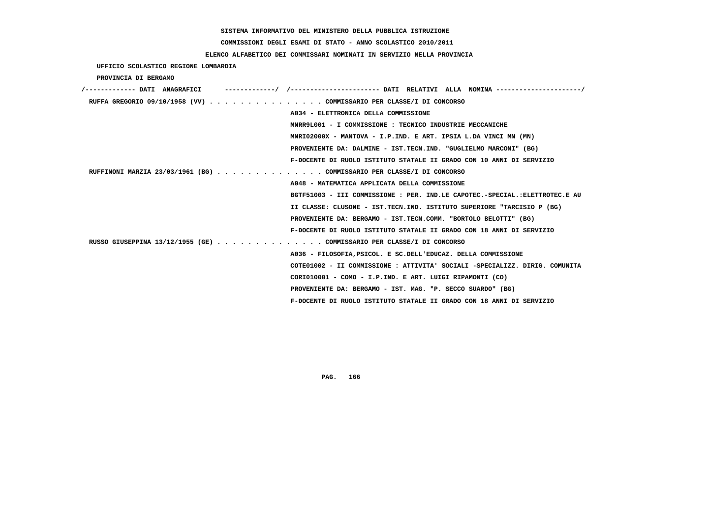**COMMISSIONI DEGLI ESAMI DI STATO - ANNO SCOLASTICO 2010/2011**

# **ELENCO ALFABETICO DEI COMMISSARI NOMINATI IN SERVIZIO NELLA PROVINCIA**

 **UFFICIO SCOLASTICO REGIONE LOMBARDIA**

 **PROVINCIA DI BERGAMO**

| '------------- DATI ANAGRAFICI                                        | --------/ /---------------------- DATI RELATIVI ALLA NOMINA---------------------/ |
|-----------------------------------------------------------------------|-----------------------------------------------------------------------------------|
| RUFFA GREGORIO 09/10/1958 (VV) COMMISSARIO PER CLASSE/I DI CONCORSO   |                                                                                   |
|                                                                       | A034 - ELETTRONICA DELLA COMMISSIONE                                              |
|                                                                       | MNRR9L001 - I COMMISSIONE: TECNICO INDUSTRIE MECCANICHE                           |
|                                                                       | MNRI02000X - MANTOVA - I.P.IND. E ART. IPSIA L.DA VINCI MN (MN)                   |
|                                                                       | PROVENIENTE DA: DALMINE - IST.TECN.IND. "GUGLIELMO MARCONI" (BG)                  |
|                                                                       | F-DOCENTE DI RUOLO ISTITUTO STATALE II GRADO CON 10 ANNI DI SERVIZIO              |
| RUFFINONI MARZIA 23/03/1961 (BG) COMMISSARIO PER CLASSE/I DI CONCORSO |                                                                                   |
|                                                                       | A048 - MATEMATICA APPLICATA DELLA COMMISSIONE                                     |
|                                                                       | BGTF51003 - III COMMISSIONE : PER. IND.LE CAPOTEC.-SPECIAL.: ELETTROTEC.E AU      |
|                                                                       | II CLASSE: CLUSONE - IST. TECN. IND. ISTITUTO SUPERIORE "TARCISIO P (BG)          |
|                                                                       | PROVENIENTE DA: BERGAMO - IST.TECN.COMM. "BORTOLO BELOTTI" (BG)                   |
|                                                                       | F-DOCENTE DI RUOLO ISTITUTO STATALE II GRADO CON 18 ANNI DI SERVIZIO              |
| RUSSO GIUSEPPINA 13/12/1955 (GE) COMMISSARIO PER CLASSE/I DI CONCORSO |                                                                                   |
|                                                                       | A036 - FILOSOFIA, PSICOL. E SC. DELL'EDUCAZ. DELLA COMMISSIONE                    |
|                                                                       | COTE01002 - II COMMISSIONE: ATTIVITA' SOCIALI -SPECIALIZZ, DIRIG, COMUNITA        |
|                                                                       | CORI010001 - COMO - I.P.IND. E ART. LUIGI RIPAMONTI (CO)                          |
|                                                                       | PROVENIENTE DA: BERGAMO - IST. MAG. "P. SECCO SUARDO" (BG)                        |
|                                                                       | F-DOCENTE DI RUOLO ISTITUTO STATALE II GRADO CON 18 ANNI DI SERVIZIO              |
|                                                                       |                                                                                   |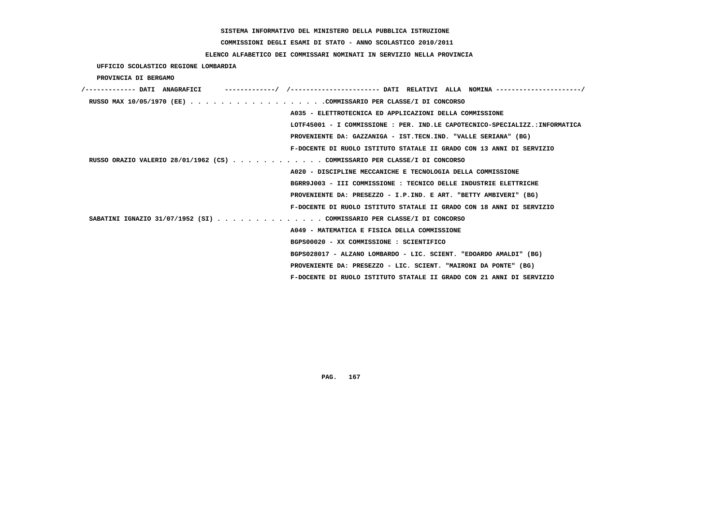**COMMISSIONI DEGLI ESAMI DI STATO - ANNO SCOLASTICO 2010/2011**

# **ELENCO ALFABETICO DEI COMMISSARI NOMINATI IN SERVIZIO NELLA PROVINCIA**

 **UFFICIO SCOLASTICO REGIONE LOMBARDIA**

 **PROVINCIA DI BERGAMO**

| /------------- DATI ANAGRAFICI                                            | -------------/ /--------------------- DATI RELATIVI ALLA NOMINA --------------------/ |
|---------------------------------------------------------------------------|---------------------------------------------------------------------------------------|
|                                                                           |                                                                                       |
|                                                                           | A035 - ELETTROTECNICA ED APPLICAZIONI DELLA COMMISSIONE                               |
|                                                                           | LOTF45001 - I COMMISSIONE : PER. IND.LE CAPOTECNICO-SPECIALIZZ.:INFORMATICA           |
|                                                                           | PROVENIENTE DA: GAZZANIGA - IST.TECN.IND. "VALLE SERIANA" (BG)                        |
|                                                                           | F-DOCENTE DI RUOLO ISTITUTO STATALE II GRADO CON 13 ANNI DI SERVIZIO                  |
| RUSSO ORAZIO VALERIO 28/01/1962 (CS) COMMISSARIO PER CLASSE/I DI CONCORSO |                                                                                       |
|                                                                           | A020 - DISCIPLINE MECCANICHE E TECNOLOGIA DELLA COMMISSIONE                           |
|                                                                           | BGRR9J003 - III COMMISSIONE : TECNICO DELLE INDUSTRIE ELETTRICHE                      |
|                                                                           | PROVENIENTE DA: PRESEZZO - I.P.IND. E ART. "BETTY AMBIVERI" (BG)                      |
|                                                                           | F-DOCENTE DI RUOLO ISTITUTO STATALE II GRADO CON 18 ANNI DI SERVIZIO                  |
| SABATINI IGNAZIO 31/07/1952 (SI) COMMISSARIO PER CLASSE/I DI CONCORSO     |                                                                                       |
|                                                                           | A049 - MATEMATICA E FISICA DELLA COMMISSIONE                                          |
|                                                                           | BGPS00020 - XX COMMISSIONE : SCIENTIFICO                                              |
|                                                                           | BGPS028017 - ALZANO LOMBARDO - LIC. SCIENT. "EDOARDO AMALDI" (BG)                     |
|                                                                           | PROVENIENTE DA: PRESEZZO - LIC. SCIENT. "MAIRONI DA PONTE" (BG)                       |
|                                                                           | F-DOCENTE DI RUOLO ISTITUTO STATALE II GRADO CON 21 ANNI DI SERVIZIO                  |
|                                                                           |                                                                                       |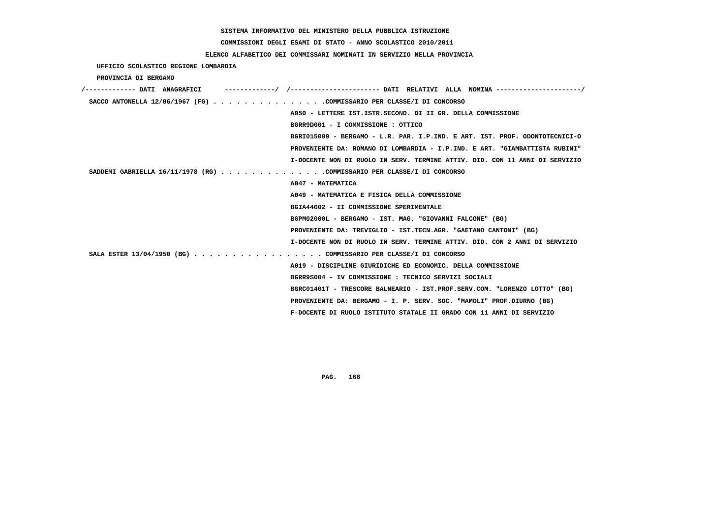#### **COMMISSIONI DEGLI ESAMI DI STATO - ANNO SCOLASTICO 2010/2011**

#### **ELENCO ALFABETICO DEI COMMISSARI NOMINATI IN SERVIZIO NELLA PROVINCIA**

 **UFFICIO SCOLASTICO REGIONE LOMBARDIA PROVINCIA DI BERGAMO /------------- DATI ANAGRAFICI -------------/ /----------------------- DATI RELATIVI ALLA NOMINA ----------------------/ SACCO ANTONELLA 12/06/1967 (FG) . . . . . . . . . . . . . . .COMMISSARIO PER CLASSE/I DI CONCORSO A050 - LETTERE IST.ISTR.SECOND. DI II GR. DELLA COMMISSIONE BGRR9D001 - I COMMISSIONE : OTTICO BGRI015009 - BERGAMO - L.R. PAR. I.P.IND. E ART. IST. PROF. ODONTOTECNICI-O PROVENIENTE DA: ROMANO DI LOMBARDIA - I.P.IND. E ART. "GIAMBATTISTA RUBINI" I-DOCENTE NON DI RUOLO IN SERV. TERMINE ATTIV. DID. CON 11 ANNI DI SERVIZIO SADDEMI GABRIELLA 16/11/1978 (RG) . . . . . . . . . . . . . .COMMISSARIO PER CLASSE/I DI CONCORSO A047 - MATEMATICA A049 - MATEMATICA E FISICA DELLA COMMISSIONE BGIA44002 - II COMMISSIONE SPERIMENTALE BGPM02000L - BERGAMO - IST. MAG. "GIOVANNI FALCONE" (BG) PROVENIENTE DA: TREVIGLIO - IST.TECN.AGR. "GAETANO CANTONI" (BG) I-DOCENTE NON DI RUOLO IN SERV. TERMINE ATTIV. DID. CON 2 ANNI DI SERVIZIO SALA ESTER 13/04/1950 (BG) . . . . . . . . . . . . . . . . . COMMISSARIO PER CLASSE/I DI CONCORSO A019 - DISCIPLINE GIURIDICHE ED ECONOMIC. DELLA COMMISSIONE BGRR9S004 - IV COMMISSIONE : TECNICO SERVIZI SOCIALI BGRC01401T - TRESCORE BALNEARIO - IST.PROF.SERV.COM. "LORENZO LOTTO" (BG) PROVENIENTE DA: BERGAMO - I. P. SERV. SOC. "MAMOLI" PROF.DIURNO (BG) F-DOCENTE DI RUOLO ISTITUTO STATALE II GRADO CON 11 ANNI DI SERVIZIO**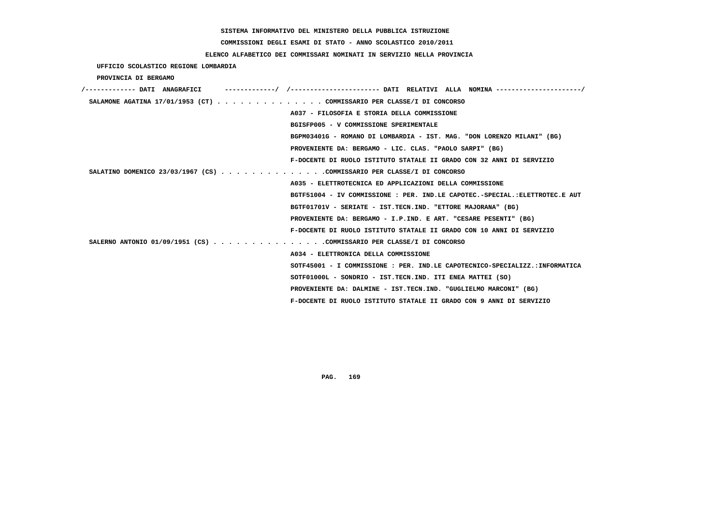# **COMMISSIONI DEGLI ESAMI DI STATO - ANNO SCOLASTICO 2010/2011**

# **ELENCO ALFABETICO DEI COMMISSARI NOMINATI IN SERVIZIO NELLA PROVINCIA**

 **UFFICIO SCOLASTICO REGIONE LOMBARDIA**

 **PROVINCIA DI BERGAMO**

| /------------- DATI ANAGRAFICI | -----------/ /---------------------- DATI RELATIVI ALLA NOMINA --------------------/ |
|--------------------------------|--------------------------------------------------------------------------------------|
|                                | SALAMONE AGATINA 17/01/1953 (CT) COMMISSARIO PER CLASSE/I DI CONCORSO                |
|                                | A037 - FILOSOFIA E STORIA DELLA COMMISSIONE                                          |
|                                | BGISFP005 - V COMMISSIONE SPERIMENTALE                                               |
|                                | BGPM03401G - ROMANO DI LOMBARDIA - IST. MAG. "DON LORENZO MILANI" (BG)               |
|                                | PROVENIENTE DA: BERGAMO - LIC. CLAS. "PAOLO SARPI" (BG)                              |
|                                | F-DOCENTE DI RUOLO ISTITUTO STATALE II GRADO CON 32 ANNI DI SERVIZIO                 |
|                                | SALATINO DOMENICO 23/03/1967 (CS) COMMISSARIO PER CLASSE/I DI CONCORSO               |
|                                | A035 - ELETTROTECNICA ED APPLICAZIONI DELLA COMMISSIONE                              |
|                                | BGTF51004 - IV COMMISSIONE : PER. IND.LE CAPOTEC.-SPECIAL.:ELETTROTEC.E AUT          |
|                                | BGTF01701V - SERIATE - IST.TECN.IND. "ETTORE MAJORANA" (BG)                          |
|                                | PROVENIENTE DA: BERGAMO - I.P.IND. E ART. "CESARE PESENTI" (BG)                      |
|                                | F-DOCENTE DI RUOLO ISTITUTO STATALE II GRADO CON 10 ANNI DI SERVIZIO                 |
|                                | SALERNO ANTONIO 01/09/1951 (CS) COMMISSARIO PER CLASSE/I DI CONCORSO                 |
|                                | A034 - ELETTRONICA DELLA COMMISSIONE                                                 |
|                                | SOTF45001 - I COMMISSIONE : PER. IND.LE CAPOTECNICO-SPECIALIZZ.:INFORMATICA          |
|                                | SOTF01000L - SONDRIO - IST.TECN.IND. ITI ENEA MATTEI (SO)                            |
|                                | PROVENIENTE DA: DALMINE - IST.TECN.IND. "GUGLIELMO MARCONI" (BG)                     |
|                                | F-DOCENTE DI RUOLO ISTITUTO STATALE II GRADO CON 9 ANNI DI SERVIZIO                  |
|                                |                                                                                      |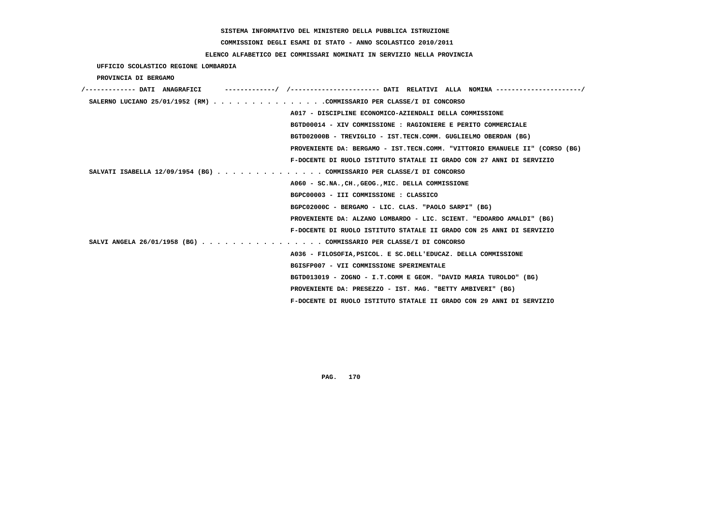# **COMMISSIONI DEGLI ESAMI DI STATO - ANNO SCOLASTICO 2010/2011**

## **ELENCO ALFABETICO DEI COMMISSARI NOMINATI IN SERVIZIO NELLA PROVINCIA**

 **UFFICIO SCOLASTICO REGIONE LOMBARDIA**

 **PROVINCIA DI BERGAMO**

| /------------- DATI ANAGRAFICI                                        |                                                                             |
|-----------------------------------------------------------------------|-----------------------------------------------------------------------------|
| SALERNO LUCIANO 25/01/1952 (RM) COMMISSARIO PER CLASSE/I DI CONCORSO  |                                                                             |
|                                                                       | A017 - DISCIPLINE ECONOMICO-AZIENDALI DELLA COMMISSIONE                     |
|                                                                       | BGTD00014 - XIV COMMISSIONE : RAGIONIERE E PERITO COMMERCIALE               |
|                                                                       | BGTD02000B - TREVIGLIO - IST.TECN.COMM. GUGLIELMO OBERDAN (BG)              |
|                                                                       | PROVENIENTE DA: BERGAMO - IST.TECN.COMM. "VITTORIO EMANUELE II" (CORSO (BG) |
|                                                                       | F-DOCENTE DI RUOLO ISTITUTO STATALE II GRADO CON 27 ANNI DI SERVIZIO        |
| SALVATI ISABELLA 12/09/1954 (BG) COMMISSARIO PER CLASSE/I DI CONCORSO |                                                                             |
|                                                                       | A060 - SC.NA., CH., GEOG., MIC. DELLA COMMISSIONE                           |
|                                                                       | BGPC00003 - III COMMISSIONE : CLASSICO                                      |
|                                                                       | BGPC02000C - BERGAMO - LIC. CLAS. "PAOLO SARPI" (BG)                        |
|                                                                       | PROVENIENTE DA: ALZANO LOMBARDO - LIC. SCIENT. "EDOARDO AMALDI" (BG)        |
|                                                                       | F-DOCENTE DI RUOLO ISTITUTO STATALE II GRADO CON 25 ANNI DI SERVIZIO        |
| SALVI ANGELA 26/01/1958 (BG) COMMISSARIO PER CLASSE/I DI CONCORSO     |                                                                             |
|                                                                       | A036 - FILOSOFIA, PSICOL. E SC. DELL'EDUCAZ. DELLA COMMISSIONE              |
|                                                                       | BGISFP007 - VII COMMISSIONE SPERIMENTALE                                    |
|                                                                       | BGTD013019 - ZOGNO - I.T.COMM E GEOM. "DAVID MARIA TUROLDO" (BG)            |
|                                                                       | PROVENIENTE DA: PRESEZZO - IST. MAG. "BETTY AMBIVERI" (BG)                  |
|                                                                       | F-DOCENTE DI RUOLO ISTITUTO STATALE II GRADO CON 29 ANNI DI SERVIZIO        |
|                                                                       |                                                                             |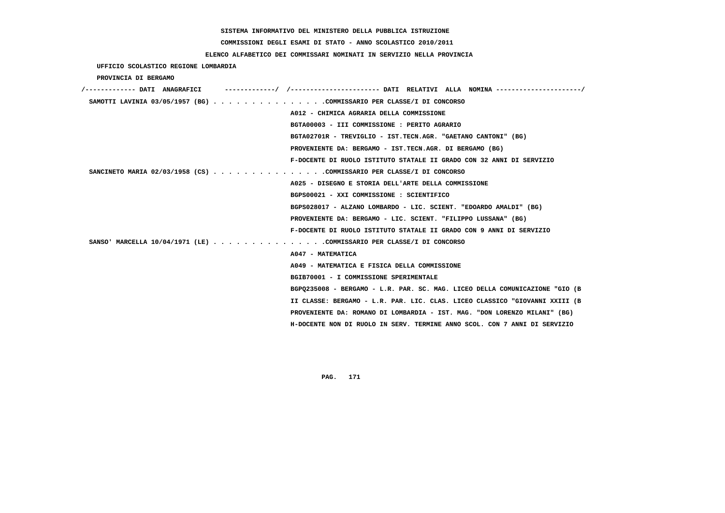# **COMMISSIONI DEGLI ESAMI DI STATO - ANNO SCOLASTICO 2010/2011**

# **ELENCO ALFABETICO DEI COMMISSARI NOMINATI IN SERVIZIO NELLA PROVINCIA**

 **UFFICIO SCOLASTICO REGIONE LOMBARDIA**

 **PROVINCIA DI BERGAMO**

| /------------- DATI ANAGRAFICI                                       |                                                                             |
|----------------------------------------------------------------------|-----------------------------------------------------------------------------|
| SAMOTTI LAVINIA 03/05/1957 (BG) COMMISSARIO PER CLASSE/I DI CONCORSO |                                                                             |
|                                                                      | A012 - CHIMICA AGRARIA DELLA COMMISSIONE                                    |
|                                                                      | BGTA00003 - III COMMISSIONE : PERITO AGRARIO                                |
|                                                                      | BGTA02701R - TREVIGLIO - IST.TECN.AGR. "GAETANO CANTONI" (BG)               |
|                                                                      | PROVENIENTE DA: BERGAMO - IST.TECN.AGR. DI BERGAMO (BG)                     |
|                                                                      | F-DOCENTE DI RUOLO ISTITUTO STATALE II GRADO CON 32 ANNI DI SERVIZIO        |
| SANCINETO MARIA 02/03/1958 (CS) COMMISSARIO PER CLASSE/I DI CONCORSO |                                                                             |
|                                                                      | A025 - DISEGNO E STORIA DELL'ARTE DELLA COMMISSIONE                         |
|                                                                      | BGPS00021 - XXI COMMISSIONE : SCIENTIFICO                                   |
|                                                                      | BGPS028017 - ALZANO LOMBARDO - LIC. SCIENT. "EDOARDO AMALDI" (BG)           |
|                                                                      | PROVENIENTE DA: BERGAMO - LIC. SCIENT. "FILIPPO LUSSANA" (BG)               |
|                                                                      | F-DOCENTE DI RUOLO ISTITUTO STATALE II GRADO CON 9 ANNI DI SERVIZIO         |
| SANSO' MARCELLA 10/04/1971 (LE) COMMISSARIO PER CLASSE/I DI CONCORSO |                                                                             |
|                                                                      | A047 - MATEMATICA                                                           |
|                                                                      | A049 - MATEMATICA E FISICA DELLA COMMISSIONE                                |
|                                                                      | BGIB70001 - I COMMISSIONE SPERIMENTALE                                      |
|                                                                      | BGP0235008 - BERGAMO - L.R. PAR. SC. MAG. LICEO DELLA COMUNICAZIONE "GIO (B |
|                                                                      | II CLASSE: BERGAMO - L.R. PAR. LIC. CLAS. LICEO CLASSICO "GIOVANNI XXIII (B |
|                                                                      | PROVENIENTE DA: ROMANO DI LOMBARDIA - IST. MAG. "DON LORENZO MILANI" (BG)   |
|                                                                      | H-DOCENTE NON DI RUOLO IN SERV. TERMINE ANNO SCOL. CON 7 ANNI DI SERVIZIO   |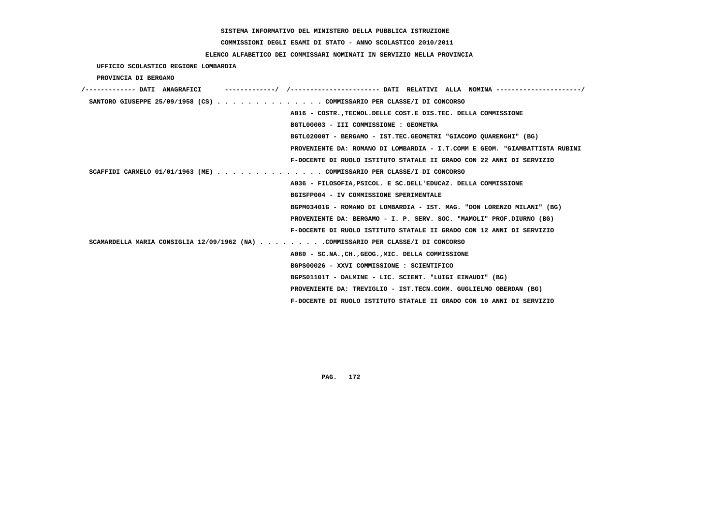# **COMMISSIONI DEGLI ESAMI DI STATO - ANNO SCOLASTICO 2010/2011**

# **ELENCO ALFABETICO DEI COMMISSARI NOMINATI IN SERVIZIO NELLA PROVINCIA**

 **UFFICIO SCOLASTICO REGIONE LOMBARDIA**

 **PROVINCIA DI BERGAMO**

| /------------- DATI ANAGRAFICI |                                                                                  |
|--------------------------------|----------------------------------------------------------------------------------|
|                                | SANTORO GIUSEPPE 25/09/1958 (CS) COMMISSARIO PER CLASSE/I DI CONCORSO            |
|                                | A016 - COSTR., TECNOL. DELLE COST. E DIS. TEC. DELLA COMMISSIONE                 |
|                                | BGTL00003 - III COMMISSIONE : GEOMETRA                                           |
|                                | BGTL02000T - BERGAMO - IST.TEC.GEOMETRI "GIACOMO QUARENGHI" (BG)                 |
|                                | PROVENIENTE DA: ROMANO DI LOMBARDIA - I.T.COMM E GEOM. "GIAMBATTISTA RUBINI      |
|                                | F-DOCENTE DI RUOLO ISTITUTO STATALE II GRADO CON 22 ANNI DI SERVIZIO             |
|                                | SCAFFIDI CARMELO 01/01/1963 (ME) COMMISSARIO PER CLASSE/I DI CONCORSO            |
|                                | A036 - FILOSOFIA, PSICOL. E SC. DELL'EDUCAZ. DELLA COMMISSIONE                   |
|                                | BGISFP004 - IV COMMISSIONE SPERIMENTALE                                          |
|                                | BGPM03401G - ROMANO DI LOMBARDIA - IST. MAG. "DON LORENZO MILANI" (BG)           |
|                                | PROVENIENTE DA: BERGAMO - I. P. SERV. SOC. "MAMOLI" PROF.DIURNO (BG)             |
|                                | F-DOCENTE DI RUOLO ISTITUTO STATALE II GRADO CON 12 ANNI DI SERVIZIO             |
|                                | SCAMARDELLA MARIA CONSIGLIA 12/09/1962 (NA) COMMISSARIO PER CLASSE/I DI CONCORSO |
|                                | A060 - SC.NA., CH., GEOG., MIC. DELLA COMMISSIONE                                |
|                                | BGPS00026 - XXVI COMMISSIONE : SCIENTIFICO                                       |
|                                | BGPS01101T - DALMINE - LIC. SCIENT. "LUIGI EINAUDI" (BG)                         |
|                                | PROVENIENTE DA: TREVIGLIO - IST.TECN.COMM. GUGLIELMO OBERDAN (BG)                |
|                                | F-DOCENTE DI RUOLO ISTITUTO STATALE II GRADO CON 10 ANNI DI SERVIZIO             |
|                                |                                                                                  |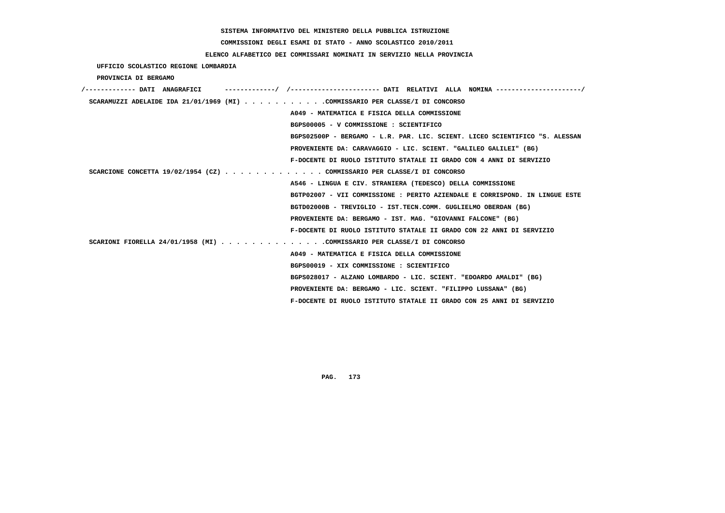# **COMMISSIONI DEGLI ESAMI DI STATO - ANNO SCOLASTICO 2010/2011**

# **ELENCO ALFABETICO DEI COMMISSARI NOMINATI IN SERVIZIO NELLA PROVINCIA**

 **UFFICIO SCOLASTICO REGIONE LOMBARDIA**

 **PROVINCIA DI BERGAMO**

| /------------- DATI ANAGRAFICI |  |                                                                              |
|--------------------------------|--|------------------------------------------------------------------------------|
|                                |  | SCARAMUZZI ADELAIDE IDA 21/01/1969 (MI) COMMISSARIO PER CLASSE/I DI CONCORSO |
|                                |  | A049 - MATEMATICA E FISICA DELLA COMMISSIONE                                 |
|                                |  | BGPS00005 - V COMMISSIONE : SCIENTIFICO                                      |
|                                |  | BGPS02500P - BERGAMO - L.R. PAR. LIC. SCIENT. LICEO SCIENTIFICO "S. ALESSAN  |
|                                |  | PROVENIENTE DA: CARAVAGGIO - LIC. SCIENT. "GALILEO GALILEI" (BG)             |
|                                |  | F-DOCENTE DI RUOLO ISTITUTO STATALE II GRADO CON 4 ANNI DI SERVIZIO          |
|                                |  | SCARCIONE CONCETTA 19/02/1954 (CZ) COMMISSARIO PER CLASSE/I DI CONCORSO      |
|                                |  | A546 - LINGUA E CIV. STRANIERA (TEDESCO) DELLA COMMISSIONE                   |
|                                |  | BGTP02007 - VII COMMISSIONE : PERITO AZIENDALE E CORRISPOND. IN LINGUE ESTE  |
|                                |  | BGTD02000B - TREVIGLIO - IST.TECN.COMM. GUGLIELMO OBERDAN (BG)               |
|                                |  | PROVENIENTE DA: BERGAMO - IST. MAG. "GIOVANNI FALCONE" (BG)                  |
|                                |  | F-DOCENTE DI RUOLO ISTITUTO STATALE II GRADO CON 22 ANNI DI SERVIZIO         |
|                                |  | SCARIONI FIORELLA 24/01/1958 (MI) COMMISSARIO PER CLASSE/I DI CONCORSO       |
|                                |  | A049 - MATEMATICA E FISICA DELLA COMMISSIONE                                 |
|                                |  | BGPS00019 - XIX COMMISSIONE : SCIENTIFICO                                    |
|                                |  | BGPS028017 - ALZANO LOMBARDO - LIC. SCIENT. "EDOARDO AMALDI" (BG)            |
|                                |  | PROVENIENTE DA: BERGAMO - LIC. SCIENT. "FILIPPO LUSSANA" (BG)                |
|                                |  | F-DOCENTE DI RUOLO ISTITUTO STATALE II GRADO CON 25 ANNI DI SERVIZIO         |
|                                |  |                                                                              |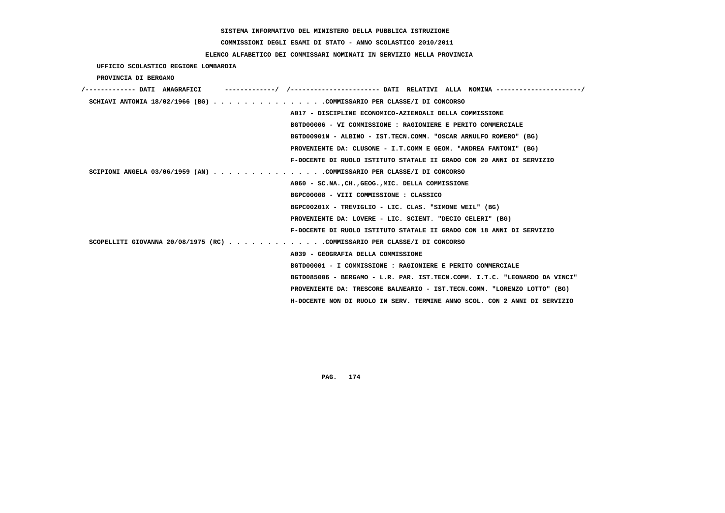# **COMMISSIONI DEGLI ESAMI DI STATO - ANNO SCOLASTICO 2010/2011**

# **ELENCO ALFABETICO DEI COMMISSARI NOMINATI IN SERVIZIO NELLA PROVINCIA**

 **UFFICIO SCOLASTICO REGIONE LOMBARDIA**

 **PROVINCIA DI BERGAMO**

| /------------- DATI ANAGRAFICI                                             |  |
|----------------------------------------------------------------------------|--|
| SCHIAVI ANTONIA 18/02/1966 (BG) COMMISSARIO PER CLASSE/I DI CONCORSO       |  |
| A017 - DISCIPLINE ECONOMICO-AZIENDALI DELLA COMMISSIONE                    |  |
| BGTD00006 - VI COMMISSIONE : RAGIONIERE E PERITO COMMERCIALE               |  |
| BGTD00901N - ALBINO - IST.TECN.COMM. "OSCAR ARNULFO ROMERO" (BG)           |  |
| PROVENIENTE DA: CLUSONE - I.T.COMM E GEOM. "ANDREA FANTONI" (BG)           |  |
| F-DOCENTE DI RUOLO ISTITUTO STATALE II GRADO CON 20 ANNI DI SERVIZIO       |  |
| SCIPIONI ANGELA 03/06/1959 (AN) COMMISSARIO PER CLASSE/I DI CONCORSO       |  |
| A060 - SC.NA., CH., GEOG., MIC. DELLA COMMISSIONE                          |  |
| BGPC00008 - VIII COMMISSIONE : CLASSICO                                    |  |
| BGPC00201X - TREVIGLIO - LIC. CLAS. "SIMONE WEIL" (BG)                     |  |
| PROVENIENTE DA: LOVERE - LIC. SCIENT. "DECIO CELERI" (BG)                  |  |
| F-DOCENTE DI RUOLO ISTITUTO STATALE II GRADO CON 18 ANNI DI SERVIZIO       |  |
| SCOPELLITI GIOVANNA 20/08/1975 (RC) COMMISSARIO PER CLASSE/I DI CONCORSO   |  |
| A039 - GEOGRAFIA DELLA COMMISSIONE                                         |  |
| BGTD00001 - I COMMISSIONE : RAGIONIERE E PERITO COMMERCIALE                |  |
| BGTD085006 - BERGAMO - L.R. PAR. IST.TECN.COMM. I.T.C. "LEONARDO DA VINCI" |  |
| PROVENIENTE DA: TRESCORE BALNEARIO - IST.TECN.COMM. "LORENZO LOTTO" (BG)   |  |
| H-DOCENTE NON DI RUOLO IN SERV. TERMINE ANNO SCOL. CON 2 ANNI DI SERVIZIO  |  |
|                                                                            |  |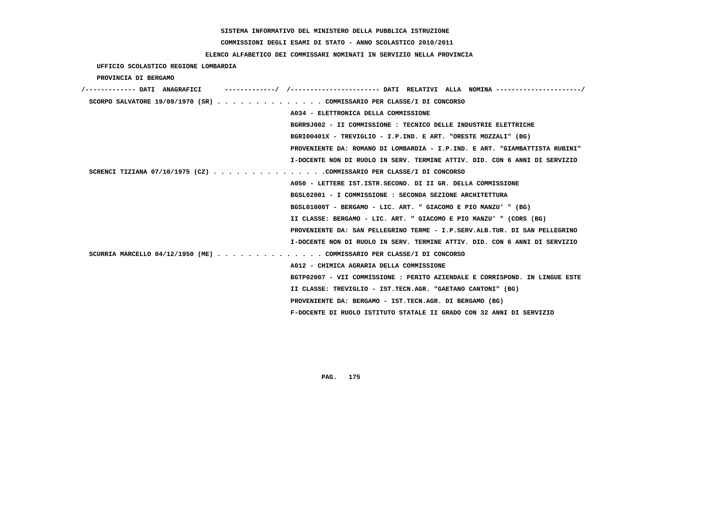# **COMMISSIONI DEGLI ESAMI DI STATO - ANNO SCOLASTICO 2010/2011**

# **ELENCO ALFABETICO DEI COMMISSARI NOMINATI IN SERVIZIO NELLA PROVINCIA**

 **UFFICIO SCOLASTICO REGIONE LOMBARDIA**

 **PROVINCIA DI BERGAMO**

| /------------- DATI ANAGRAFICI | -/ /---------------------- DATI RELATIVI ALLA NOMINA ---------------------/ |
|--------------------------------|-----------------------------------------------------------------------------|
|                                | SCORPO SALVATORE 19/09/1970 (SR) COMMISSARIO PER CLASSE/I DI CONCORSO       |
|                                | A034 - ELETTRONICA DELLA COMMISSIONE                                        |
|                                | BGRR9J002 - II COMMISSIONE : TECNICO DELLE INDUSTRIE ELETTRICHE             |
|                                | BGRI00401X - TREVIGLIO - I.P.IND. E ART. "ORESTE MOZZALI" (BG)              |
|                                | PROVENIENTE DA: ROMANO DI LOMBARDIA - I.P.IND. E ART. "GIAMBATTISTA RUBINI" |
|                                | I-DOCENTE NON DI RUOLO IN SERV. TERMINE ATTIV. DID. CON 6 ANNI DI SERVIZIO  |
|                                | SCRENCI TIZIANA 07/10/1975 (CZ) COMMISSARIO PER CLASSE/I DI CONCORSO        |
|                                | A050 - LETTERE IST. ISTR. SECOND. DI II GR. DELLA COMMISSIONE               |
|                                | BGSL02001 - I COMMISSIONE : SECONDA SEZIONE ARCHITETTURA                    |
|                                | BGSL01000T - BERGAMO - LIC. ART. " GIACOMO E PIO MANZU' " (BG)              |
|                                | II CLASSE: BERGAMO - LIC. ART. " GIACOMO E PIO MANZU' " (CORS (BG)          |
|                                | PROVENIENTE DA: SAN PELLEGRINO TERME - I.P.SERV.ALB.TUR. DI SAN PELLEGRINO  |
|                                | I-DOCENTE NON DI RUOLO IN SERV. TERMINE ATTIV. DID. CON 6 ANNI DI SERVIZIO  |
|                                | SCURRIA MARCELLO 04/12/1950 (ME) COMMISSARIO PER CLASSE/I DI CONCORSO       |
|                                | A012 - CHIMICA AGRARIA DELLA COMMISSIONE                                    |
|                                | BGTP02007 - VII COMMISSIONE : PERITO AZIENDALE E CORRISPOND. IN LINGUE ESTE |
|                                | II CLASSE: TREVIGLIO - IST.TECN.AGR. "GAETANO CANTONI" (BG)                 |
|                                | PROVENIENTE DA: BERGAMO - IST.TECN.AGR. DI BERGAMO (BG)                     |
|                                | F-DOCENTE DI RUOLO ISTITUTO STATALE II GRADO CON 32 ANNI DI SERVIZIO        |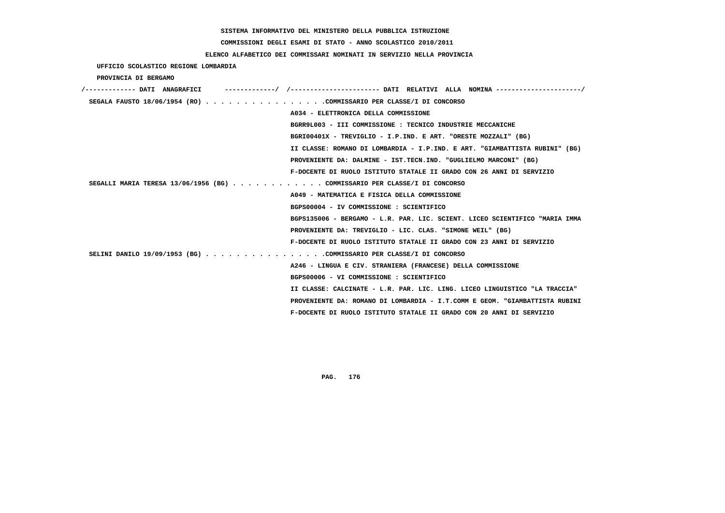# **COMMISSIONI DEGLI ESAMI DI STATO - ANNO SCOLASTICO 2010/2011**

# **ELENCO ALFABETICO DEI COMMISSARI NOMINATI IN SERVIZIO NELLA PROVINCIA**

|  | UFFICIO SCOLASTICO REGIONE LOMBARDIA |  |  |
|--|--------------------------------------|--|--|
|--|--------------------------------------|--|--|

 **PROVINCIA DI BERGAMO**

| /------------- DATI ANAGRAFICI                                            | -----------/ /--------------------- DATI RELATIVI ALLA NOMINA --------------------/ |
|---------------------------------------------------------------------------|-------------------------------------------------------------------------------------|
| SEGALA FAUSTO 18/06/1954 (RO) COMMISSARIO PER CLASSE/I DI CONCORSO        |                                                                                     |
|                                                                           | A034 - ELETTRONICA DELLA COMMISSIONE                                                |
|                                                                           | BGRR9L003 - III COMMISSIONE : TECNICO INDUSTRIE MECCANICHE                          |
|                                                                           | BGRI00401X - TREVIGLIO - I.P.IND. E ART. "ORESTE MOZZALI" (BG)                      |
|                                                                           | II CLASSE: ROMANO DI LOMBARDIA - I.P.IND. E ART. "GIAMBATTISTA RUBINI" (BG)         |
|                                                                           | PROVENIENTE DA: DALMINE - IST.TECN.IND. "GUGLIELMO MARCONI" (BG)                    |
|                                                                           | F-DOCENTE DI RUOLO ISTITUTO STATALE II GRADO CON 26 ANNI DI SERVIZIO                |
| SEGALLI MARIA TERESA 13/06/1956 (BG) COMMISSARIO PER CLASSE/I DI CONCORSO |                                                                                     |
|                                                                           | A049 - MATEMATICA E FISICA DELLA COMMISSIONE                                        |
|                                                                           | BGPS00004 - IV COMMISSIONE : SCIENTIFICO                                            |
|                                                                           | BGPS135006 - BERGAMO - L.R. PAR. LIC. SCIENT. LICEO SCIENTIFICO "MARIA IMMA         |
|                                                                           | PROVENIENTE DA: TREVIGLIO - LIC. CLAS. "SIMONE WEIL" (BG)                           |
|                                                                           | F-DOCENTE DI RUOLO ISTITUTO STATALE II GRADO CON 23 ANNI DI SERVIZIO                |
| SELINI DANILO 19/09/1953 (BG) COMMISSARIO PER CLASSE/I DI CONCORSO        |                                                                                     |
|                                                                           | A246 - LINGUA E CIV. STRANIERA (FRANCESE) DELLA COMMISSIONE                         |
|                                                                           | BGPS00006 - VI COMMISSIONE : SCIENTIFICO                                            |
|                                                                           | II CLASSE: CALCINATE - L.R. PAR. LIC. LING. LICEO LINGUISTICO "LA TRACCIA"          |
|                                                                           | PROVENIENTE DA: ROMANO DI LOMBARDIA - I.T.COMM E GEOM. "GIAMBATTISTA RUBINI         |
|                                                                           | F-DOCENTE DI RUOLO ISTITUTO STATALE II GRADO CON 20 ANNI DI SERVIZIO                |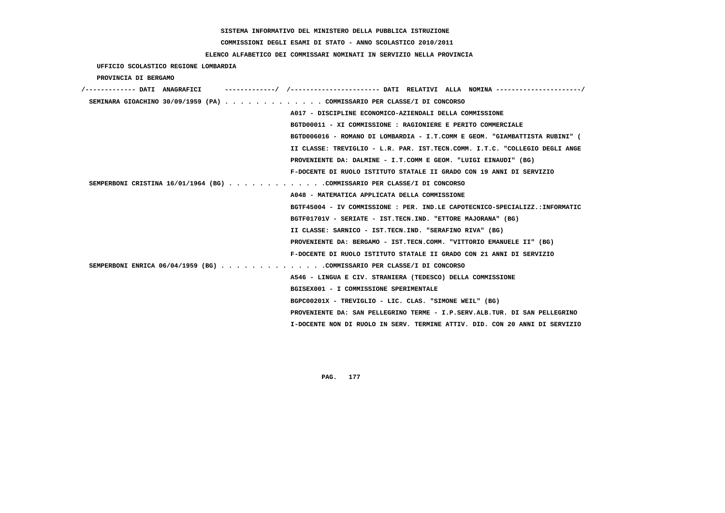# **COMMISSIONI DEGLI ESAMI DI STATO - ANNO SCOLASTICO 2010/2011**

# **ELENCO ALFABETICO DEI COMMISSARI NOMINATI IN SERVIZIO NELLA PROVINCIA**

 **UFFICIO SCOLASTICO REGIONE LOMBARDIA**

 **PROVINCIA DI BERGAMO**

| /------------- DATI ANAGRAFICI<br>/---------------------- DATI RELATIVI ALLA NOMINA---------------------/ |
|-----------------------------------------------------------------------------------------------------------|
| SEMINARA GIOACHINO 30/09/1959 (PA) COMMISSARIO PER CLASSE/I DI CONCORSO                                   |
| A017 - DISCIPLINE ECONOMICO-AZIENDALI DELLA COMMISSIONE                                                   |
| BGTD00011 - XI COMMISSIONE : RAGIONIERE E PERITO COMMERCIALE                                              |
| BGTD006016 - ROMANO DI LOMBARDIA - I.T.COMM E GEOM. "GIAMBATTISTA RUBINI" (                               |
| II CLASSE: TREVIGLIO - L.R. PAR. IST.TECN.COMM. I.T.C. "COLLEGIO DEGLI ANGE                               |
| PROVENIENTE DA: DALMINE - I.T.COMM E GEOM. "LUIGI EINAUDI" (BG)                                           |
| F-DOCENTE DI RUOLO ISTITUTO STATALE II GRADO CON 19 ANNI DI SERVIZIO                                      |
| SEMPERBONI CRISTINA 16/01/1964 (BG) COMMISSARIO PER CLASSE/I DI CONCORSO                                  |
| A048 - MATEMATICA APPLICATA DELLA COMMISSIONE                                                             |
| BGTF45004 - IV COMMISSIONE : PER. IND.LE CAPOTECNICO-SPECIALIZZ.:INFORMATIC                               |
| BGTF01701V - SERIATE - IST.TECN.IND. "ETTORE MAJORANA" (BG)                                               |
| II CLASSE: SARNICO - IST.TECN.IND. "SERAFINO RIVA" (BG)                                                   |
| PROVENIENTE DA: BERGAMO - IST.TECN.COMM. "VITTORIO EMANUELE II" (BG)                                      |
| F-DOCENTE DI RUOLO ISTITUTO STATALE II GRADO CON 21 ANNI DI SERVIZIO                                      |
| SEMPERBONI ENRICA 06/04/1959 (BG) COMMISSARIO PER CLASSE/I DI CONCORSO                                    |
| A546 - LINGUA E CIV. STRANIERA (TEDESCO) DELLA COMMISSIONE                                                |
| BGISEX001 - I COMMISSIONE SPERIMENTALE                                                                    |
| BGPC00201X - TREVIGLIO - LIC. CLAS. "SIMONE WEIL" (BG)                                                    |
| PROVENIENTE DA: SAN PELLEGRINO TERME - I.P.SERV.ALB.TUR. DI SAN PELLEGRINO                                |
| I-DOCENTE NON DI RUOLO IN SERV. TERMINE ATTIV. DID. CON 20 ANNI DI SERVIZIO                               |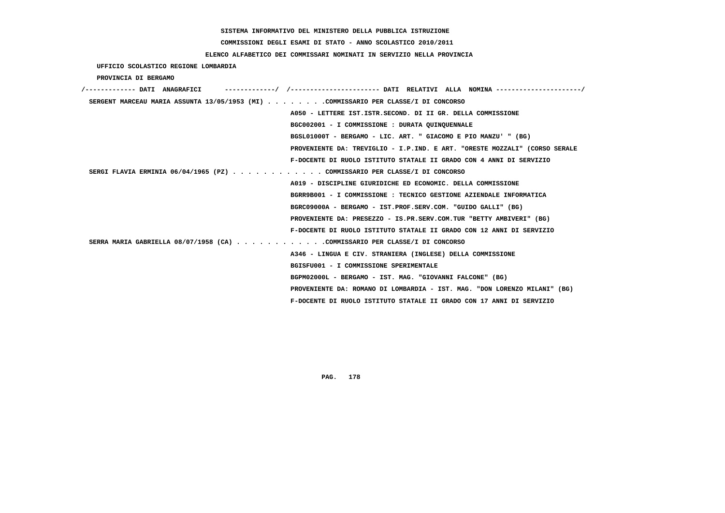**COMMISSIONI DEGLI ESAMI DI STATO - ANNO SCOLASTICO 2010/2011**

# **ELENCO ALFABETICO DEI COMMISSARI NOMINATI IN SERVIZIO NELLA PROVINCIA**

 **UFFICIO SCOLASTICO REGIONE LOMBARDIA**

 **PROVINCIA DI BERGAMO**

| /------------- DATI ANAGRAFICI                                                     |                                                                            |
|------------------------------------------------------------------------------------|----------------------------------------------------------------------------|
| SERGENT MARCEAU MARIA ASSUNTA 13/05/1953 (MI) COMMISSARIO PER CLASSE/I DI CONCORSO |                                                                            |
|                                                                                    | A050 - LETTERE IST.ISTR.SECOND. DI II GR. DELLA COMMISSIONE                |
|                                                                                    | BGC002001 - I COMMISSIONE : DURATA QUINQUENNALE                            |
|                                                                                    | BGSL01000T - BERGAMO - LIC. ART. " GIACOMO E PIO MANZU' " (BG)             |
|                                                                                    | PROVENIENTE DA: TREVIGLIO - I.P.IND. E ART. "ORESTE MOZZALI" (CORSO SERALE |
|                                                                                    | F-DOCENTE DI RUOLO ISTITUTO STATALE II GRADO CON 4 ANNI DI SERVIZIO        |
| SERGI FLAVIA ERMINIA 06/04/1965 (PZ) COMMISSARIO PER CLASSE/I DI CONCORSO          |                                                                            |
|                                                                                    | A019 - DISCIPLINE GIURIDICHE ED ECONOMIC. DELLA COMMISSIONE                |
|                                                                                    | BGRR9B001 - I COMMISSIONE : TECNICO GESTIONE AZIENDALE INFORMATICA         |
|                                                                                    | BGRC09000A - BERGAMO - IST.PROF.SERV.COM. "GUIDO GALLI" (BG)               |
|                                                                                    | PROVENIENTE DA: PRESEZZO - IS.PR.SERV.COM.TUR "BETTY AMBIVERI" (BG)        |
|                                                                                    | F-DOCENTE DI RUOLO ISTITUTO STATALE II GRADO CON 12 ANNI DI SERVIZIO       |
| SERRA MARIA GABRIELLA 08/07/1958 (CA) COMMISSARIO PER CLASSE/I DI CONCORSO         |                                                                            |
|                                                                                    | A346 - LINGUA E CIV. STRANIERA (INGLESE) DELLA COMMISSIONE                 |
|                                                                                    | BGISFU001 - I COMMISSIONE SPERIMENTALE                                     |
|                                                                                    | BGPM02000L - BERGAMO - IST. MAG. "GIOVANNI FALCONE" (BG)                   |
|                                                                                    | PROVENIENTE DA: ROMANO DI LOMBARDIA - IST. MAG. "DON LORENZO MILANI" (BG)  |
|                                                                                    | F-DOCENTE DI RUOLO ISTITUTO STATALE II GRADO CON 17 ANNI DI SERVIZIO       |
|                                                                                    |                                                                            |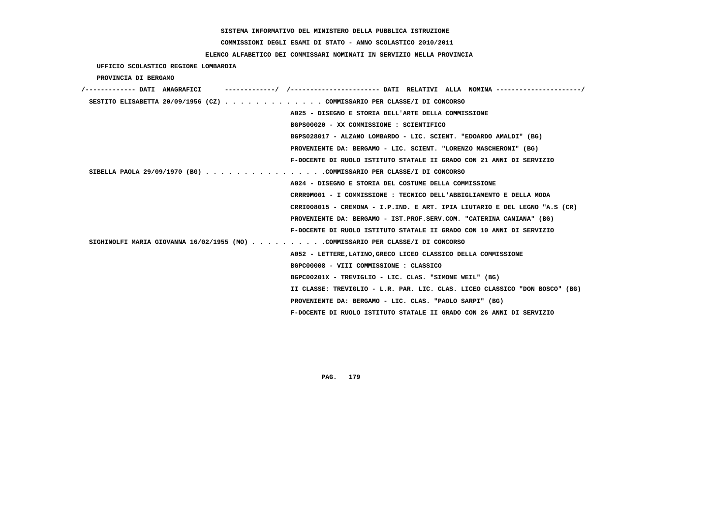# **COMMISSIONI DEGLI ESAMI DI STATO - ANNO SCOLASTICO 2010/2011**

# **ELENCO ALFABETICO DEI COMMISSARI NOMINATI IN SERVIZIO NELLA PROVINCIA**

 **UFFICIO SCOLASTICO REGIONE LOMBARDIA**

 **PROVINCIA DI BERGAMO**

| /------------- DATI ANAGRAFICI                                                 |                                                                             |
|--------------------------------------------------------------------------------|-----------------------------------------------------------------------------|
| SESTITO ELISABETTA 20/09/1956 (CZ) COMMISSARIO PER CLASSE/I DI CONCORSO        |                                                                             |
|                                                                                | A025 - DISEGNO E STORIA DELL'ARTE DELLA COMMISSIONE                         |
|                                                                                | BGPS00020 - XX COMMISSIONE : SCIENTIFICO                                    |
|                                                                                | BGPS028017 - ALZANO LOMBARDO - LIC. SCIENT. "EDOARDO AMALDI" (BG)           |
|                                                                                | PROVENIENTE DA: BERGAMO - LIC. SCIENT. "LORENZO MASCHERONI" (BG)            |
|                                                                                | F-DOCENTE DI RUOLO ISTITUTO STATALE II GRADO CON 21 ANNI DI SERVIZIO        |
| SIBELLA PAOLA 29/09/1970 (BG) COMMISSARIO PER CLASSE/I DI CONCORSO             |                                                                             |
|                                                                                | A024 - DISEGNO E STORIA DEL COSTUME DELLA COMMISSIONE                       |
|                                                                                | CRRR9M001 - I COMMISSIONE : TECNICO DELL'ABBIGLIAMENTO E DELLA MODA         |
|                                                                                | CRRI008015 - CREMONA - I.P.IND. E ART. IPIA LIUTARIO E DEL LEGNO "A.S (CR)  |
|                                                                                | PROVENIENTE DA: BERGAMO - IST.PROF.SERV.COM. "CATERINA CANIANA" (BG)        |
|                                                                                | F-DOCENTE DI RUOLO ISTITUTO STATALE II GRADO CON 10 ANNI DI SERVIZIO        |
| SIGHINOLFI MARIA GIOVANNA 16/02/1955 (MO) COMMISSARIO PER CLASSE/I DI CONCORSO |                                                                             |
|                                                                                | A052 - LETTERE, LATINO, GRECO LICEO CLASSICO DELLA COMMISSIONE              |
|                                                                                | BGPC00008 - VIII COMMISSIONE : CLASSICO                                     |
|                                                                                | BGPC00201X - TREVIGLIO - LIC. CLAS. "SIMONE WEIL" (BG)                      |
|                                                                                | II CLASSE: TREVIGLIO - L.R. PAR. LIC. CLAS. LICEO CLASSICO "DON BOSCO" (BG) |
|                                                                                | PROVENIENTE DA: BERGAMO - LIC. CLAS. "PAOLO SARPI" (BG)                     |
|                                                                                | F-DOCENTE DI RUOLO ISTITUTO STATALE II GRADO CON 26 ANNI DI SERVIZIO        |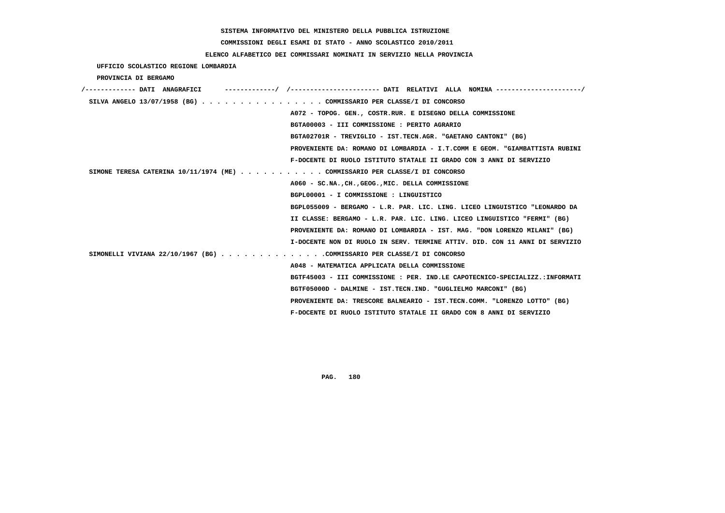# **COMMISSIONI DEGLI ESAMI DI STATO - ANNO SCOLASTICO 2010/2011**

# **ELENCO ALFABETICO DEI COMMISSARI NOMINATI IN SERVIZIO NELLA PROVINCIA**

 **UFFICIO SCOLASTICO REGIONE LOMBARDIA**

 **PROVINCIA DI BERGAMO**

| /------------- DATI ANAGRAFICI |                                                                               |
|--------------------------------|-------------------------------------------------------------------------------|
|                                | SILVA ANGELO 13/07/1958 (BG) COMMISSARIO PER CLASSE/I DI CONCORSO             |
|                                | A072 - TOPOG. GEN., COSTR.RUR. E DISEGNO DELLA COMMISSIONE                    |
|                                | BGTA00003 - III COMMISSIONE : PERITO AGRARIO                                  |
|                                | BGTA02701R - TREVIGLIO - IST.TECN.AGR. "GAETANO CANTONI" (BG)                 |
|                                | PROVENIENTE DA: ROMANO DI LOMBARDIA - I.T.COMM E GEOM. "GIAMBATTISTA RUBINI   |
|                                | F-DOCENTE DI RUOLO ISTITUTO STATALE II GRADO CON 3 ANNI DI SERVIZIO           |
|                                | SIMONE TERESA CATERINA $10/11/1974$ (ME) COMMISSARIO PER CLASSE/I DI CONCORSO |
|                                | A060 - SC.NA., CH., GEOG., MIC. DELLA COMMISSIONE                             |
|                                | BGPL00001 - I COMMISSIONE : LINGUISTICO                                       |
|                                | BGPL055009 - BERGAMO - L.R. PAR. LIC. LING. LICEO LINGUISTICO "LEONARDO DA    |
|                                | II CLASSE: BERGAMO - L.R. PAR. LIC. LING. LICEO LINGUISTICO "FERMI" (BG)      |
|                                | PROVENIENTE DA: ROMANO DI LOMBARDIA - IST. MAG. "DON LORENZO MILANI" (BG)     |
|                                | I-DOCENTE NON DI RUOLO IN SERV. TERMINE ATTIV. DID. CON 11 ANNI DI SERVIZIO   |
|                                | SIMONELLI VIVIANA 22/10/1967 (BG) COMMISSARIO PER CLASSE/I DI CONCORSO        |
|                                | A048 - MATEMATICA APPLICATA DELLA COMMISSIONE                                 |
|                                | BGTF45003 - III COMMISSIONE : PER. IND.LE CAPOTECNICO-SPECIALIZZ.:INFORMATI   |
|                                | BGTF05000D - DALMINE - IST.TECN.IND. "GUGLIELMO MARCONI" (BG)                 |
|                                | PROVENIENTE DA: TRESCORE BALNEARIO - IST.TECN.COMM. "LORENZO LOTTO" (BG)      |
|                                | F-DOCENTE DI RUOLO ISTITUTO STATALE II GRADO CON 8 ANNI DI SERVIZIO           |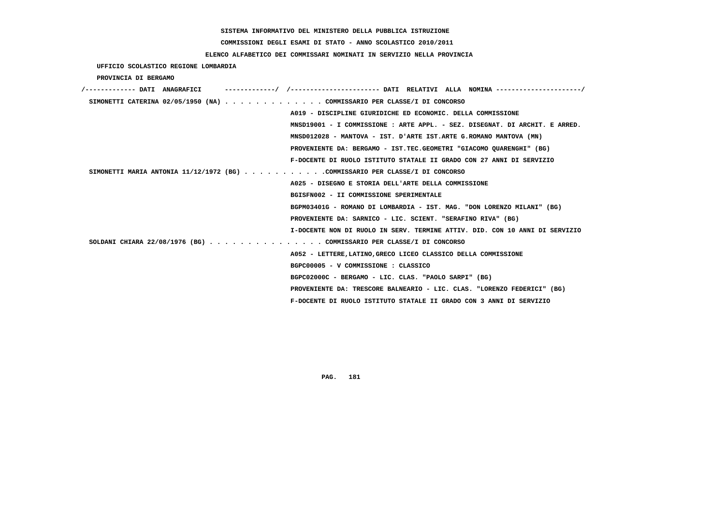**COMMISSIONI DEGLI ESAMI DI STATO - ANNO SCOLASTICO 2010/2011**

 **ELENCO ALFABETICO DEI COMMISSARI NOMINATI IN SERVIZIO NELLA PROVINCIA**

 **UFFICIO SCOLASTICO REGIONE LOMBARDIA**

 **PROVINCIA DI BERGAMO**

| /------------- DATI ANAGRAFICI                                               |                                         |                                                                             |  |
|------------------------------------------------------------------------------|-----------------------------------------|-----------------------------------------------------------------------------|--|
| SIMONETTI CATERINA 02/05/1950 (NA) COMMISSARIO PER CLASSE/I DI CONCORSO      |                                         |                                                                             |  |
|                                                                              |                                         | A019 - DISCIPLINE GIURIDICHE ED ECONOMIC. DELLA COMMISSIONE                 |  |
|                                                                              |                                         | MNSD19001 - I COMMISSIONE : ARTE APPL. - SEZ. DISEGNAT. DI ARCHIT. E ARRED. |  |
|                                                                              |                                         | MNSD012028 - MANTOVA - IST. D'ARTE IST.ARTE G.ROMANO MANTOVA (MN)           |  |
|                                                                              |                                         | PROVENIENTE DA: BERGAMO - IST.TEC.GEOMETRI "GIACOMO OUARENGHI" (BG)         |  |
|                                                                              |                                         | F-DOCENTE DI RUOLO ISTITUTO STATALE II GRADO CON 27 ANNI DI SERVIZIO        |  |
| SIMONETTI MARIA ANTONIA 11/12/1972 (BG) COMMISSARIO PER CLASSE/I DI CONCORSO |                                         |                                                                             |  |
|                                                                              |                                         | A025 - DISEGNO E STORIA DELL'ARTE DELLA COMMISSIONE                         |  |
|                                                                              | BGISFN002 - II COMMISSIONE SPERIMENTALE |                                                                             |  |
|                                                                              |                                         | BGPM03401G - ROMANO DI LOMBARDIA - IST. MAG. "DON LORENZO MILANI" (BG)      |  |
|                                                                              |                                         | PROVENIENTE DA: SARNICO - LIC. SCIENT. "SERAFINO RIVA" (BG)                 |  |
|                                                                              |                                         | I-DOCENTE NON DI RUOLO IN SERV. TERMINE ATTIV. DID. CON 10 ANNI DI SERVIZIO |  |
| SOLDANI CHIARA 22/08/1976 (BG) COMMISSARIO PER CLASSE/I DI CONCORSO          |                                         |                                                                             |  |
|                                                                              |                                         | A052 - LETTERE, LATINO, GRECO LICEO CLASSICO DELLA COMMISSIONE              |  |
|                                                                              | BGPC00005 - V COMMISSIONE : CLASSICO    |                                                                             |  |
|                                                                              |                                         | BGPC02000C - BERGAMO - LIC. CLAS. "PAOLO SARPI" (BG)                        |  |
|                                                                              |                                         | PROVENIENTE DA: TRESCORE BALNEARIO - LIC. CLAS. "LORENZO FEDERICI" (BG)     |  |
|                                                                              |                                         | F-DOCENTE DI RUOLO ISTITUTO STATALE II GRADO CON 3 ANNI DI SERVIZIO         |  |
|                                                                              |                                         |                                                                             |  |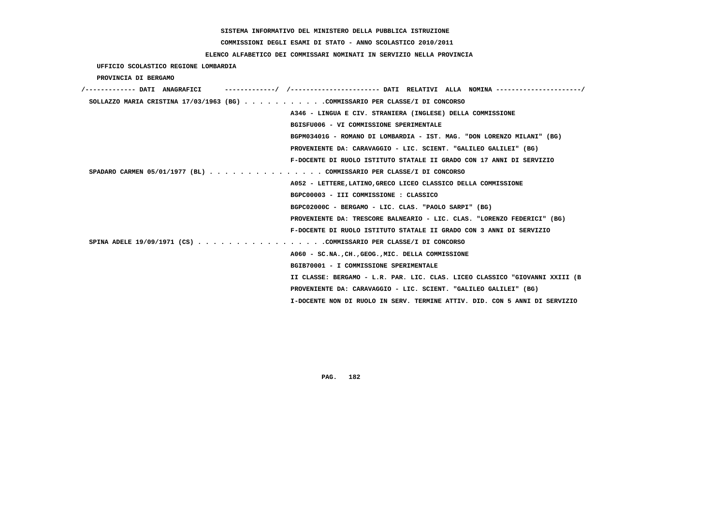# **COMMISSIONI DEGLI ESAMI DI STATO - ANNO SCOLASTICO 2010/2011**

## **ELENCO ALFABETICO DEI COMMISSARI NOMINATI IN SERVIZIO NELLA PROVINCIA**

 **UFFICIO SCOLASTICO REGIONE LOMBARDIA**

 **PROVINCIA DI BERGAMO**

| /------------- DATI ANAGRAFICI |                                                                              |
|--------------------------------|------------------------------------------------------------------------------|
|                                | SOLLAZZO MARIA CRISTINA 17/03/1963 (BG) COMMISSARIO PER CLASSE/I DI CONCORSO |
|                                | A346 - LINGUA E CIV. STRANIERA (INGLESE) DELLA COMMISSIONE                   |
|                                | BGISFU006 - VI COMMISSIONE SPERIMENTALE                                      |
|                                | BGPM03401G - ROMANO DI LOMBARDIA - IST. MAG. "DON LORENZO MILANI" (BG)       |
|                                | PROVENIENTE DA: CARAVAGGIO - LIC. SCIENT. "GALILEO GALILEI" (BG)             |
|                                | F-DOCENTE DI RUOLO ISTITUTO STATALE II GRADO CON 17 ANNI DI SERVIZIO         |
|                                | SPADARO CARMEN 05/01/1977 (BL) COMMISSARIO PER CLASSE/I DI CONCORSO          |
|                                | A052 - LETTERE, LATINO, GRECO LICEO CLASSICO DELLA COMMISSIONE               |
|                                | BGPC00003 - III COMMISSIONE : CLASSICO                                       |
|                                | BGPC02000C - BERGAMO - LIC. CLAS. "PAOLO SARPI" (BG)                         |
|                                | PROVENIENTE DA: TRESCORE BALNEARIO - LIC. CLAS. "LORENZO FEDERICI" (BG)      |
|                                | F-DOCENTE DI RUOLO ISTITUTO STATALE II GRADO CON 3 ANNI DI SERVIZIO          |
|                                | SPINA ADELE 19/09/1971 (CS) COMMISSARIO PER CLASSE/I DI CONCORSO             |
|                                | A060 - SC.NA., CH., GEOG., MIC. DELLA COMMISSIONE                            |
|                                | BGIB70001 - I COMMISSIONE SPERIMENTALE                                       |
|                                | II CLASSE: BERGAMO - L.R. PAR. LIC. CLAS. LICEO CLASSICO "GIOVANNI XXIII (B  |
|                                | PROVENIENTE DA: CARAVAGGIO - LIC. SCIENT. "GALILEO GALILEI" (BG)             |
|                                | I-DOCENTE NON DI RUOLO IN SERV. TERMINE ATTIV. DID. CON 5 ANNI DI SERVIZIO   |
|                                |                                                                              |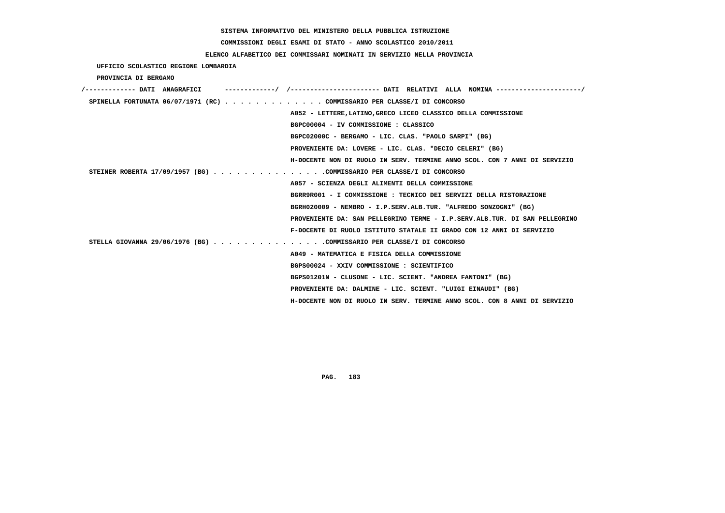**COMMISSIONI DEGLI ESAMI DI STATO - ANNO SCOLASTICO 2010/2011**

### **ELENCO ALFABETICO DEI COMMISSARI NOMINATI IN SERVIZIO NELLA PROVINCIA**

 **UFFICIO SCOLASTICO REGIONE LOMBARDIA**

 **PROVINCIA DI BERGAMO**

| /------------- DATI ANAGRAFICI |                                                                            |
|--------------------------------|----------------------------------------------------------------------------|
|                                | SPINELLA FORTUNATA 06/07/1971 (RC) COMMISSARIO PER CLASSE/I DI CONCORSO    |
|                                | A052 - LETTERE, LATINO, GRECO LICEO CLASSICO DELLA COMMISSIONE             |
|                                | BGPC00004 - IV COMMISSIONE : CLASSICO                                      |
|                                | BGPC02000C - BERGAMO - LIC. CLAS. "PAOLO SARPI" (BG)                       |
|                                | PROVENIENTE DA: LOVERE - LIC. CLAS. "DECIO CELERI" (BG)                    |
|                                | H-DOCENTE NON DI RUOLO IN SERV. TERMINE ANNO SCOL. CON 7 ANNI DI SERVIZIO  |
|                                | STEINER ROBERTA 17/09/1957 (BG) COMMISSARIO PER CLASSE/I DI CONCORSO       |
|                                | A057 - SCIENZA DEGLI ALIMENTI DELLA COMMISSIONE                            |
|                                | BGRR9R001 - I COMMISSIONE : TECNICO DEI SERVIZI DELLA RISTORAZIONE         |
|                                | BGRH020009 - NEMBRO - I.P.SERV.ALB.TUR. "ALFREDO SONZOGNI" (BG)            |
|                                | PROVENIENTE DA: SAN PELLEGRINO TERME - I.P.SERV.ALB.TUR. DI SAN PELLEGRINO |
|                                | F-DOCENTE DI RUOLO ISTITUTO STATALE II GRADO CON 12 ANNI DI SERVIZIO       |
|                                | STELLA GIOVANNA 29/06/1976 (BG) COMMISSARIO PER CLASSE/I DI CONCORSO       |
|                                | A049 - MATEMATICA E FISICA DELLA COMMISSIONE                               |
|                                | BGPS00024 - XXIV COMMISSIONE : SCIENTIFICO                                 |
|                                | BGPS01201N - CLUSONE - LIC. SCIENT. "ANDREA FANTONI" (BG)                  |
|                                | PROVENIENTE DA: DALMINE - LIC. SCIENT. "LUIGI EINAUDI" (BG)                |
|                                | H-DOCENTE NON DI RUOLO IN SERV. TERMINE ANNO SCOL. CON 8 ANNI DI SERVIZIO  |
|                                |                                                                            |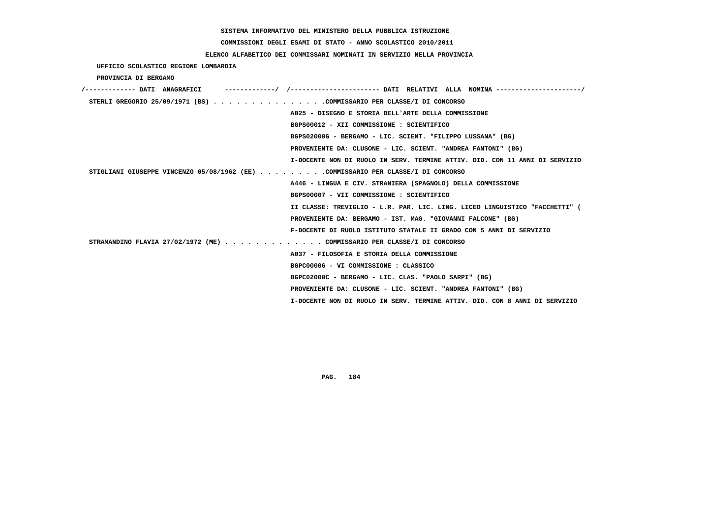# **COMMISSIONI DEGLI ESAMI DI STATO - ANNO SCOLASTICO 2010/2011**

## **ELENCO ALFABETICO DEI COMMISSARI NOMINATI IN SERVIZIO NELLA PROVINCIA**

 **UFFICIO SCOLASTICO REGIONE LOMBARDIA**

 **PROVINCIA DI BERGAMO**

| /------------- DATI ANAGRAFICI                                                   |
|----------------------------------------------------------------------------------|
| STERLI GREGORIO 25/09/1971 (BS) COMMISSARIO PER CLASSE/I DI CONCORSO             |
| A025 - DISEGNO E STORIA DELL'ARTE DELLA COMMISSIONE                              |
| BGPS00012 - XII COMMISSIONE : SCIENTIFICO                                        |
| BGPS02000G - BERGAMO - LIC. SCIENT. "FILIPPO LUSSANA" (BG)                       |
| PROVENIENTE DA: CLUSONE - LIC. SCIENT. "ANDREA FANTONI" (BG)                     |
| I-DOCENTE NON DI RUOLO IN SERV. TERMINE ATTIV. DID. CON 11 ANNI DI SERVIZIO      |
| STIGLIANI GIUSEPPE VINCENZO 05/08/1962 (EE) COMMISSARIO PER CLASSE/I DI CONCORSO |
| A446 - LINGUA E CIV. STRANIERA (SPAGNOLO) DELLA COMMISSIONE                      |
| BGPS00007 - VII COMMISSIONE : SCIENTIFICO                                        |
| II CLASSE: TREVIGLIO - L.R. PAR. LIC. LING. LICEO LINGUISTICO "FACCHETTI" (      |
| PROVENIENTE DA: BERGAMO - IST. MAG. "GIOVANNI FALCONE" (BG)                      |
| F-DOCENTE DI RUOLO ISTITUTO STATALE II GRADO CON 5 ANNI DI SERVIZIO              |
| STRAMANDINO FLAVIA 27/02/1972 (ME) COMMISSARIO PER CLASSE/I DI CONCORSO          |
| A037 - FILOSOFIA E STORIA DELLA COMMISSIONE                                      |
| BGPC00006 - VI COMMISSIONE : CLASSICO                                            |
| BGPC02000C - BERGAMO - LIC. CLAS. "PAOLO SARPI" (BG)                             |
| PROVENIENTE DA: CLUSONE - LIC. SCIENT. "ANDREA FANTONI" (BG)                     |
| I-DOCENTE NON DI RUOLO IN SERV. TERMINE ATTIV. DID. CON 8 ANNI DI SERVIZIO       |
|                                                                                  |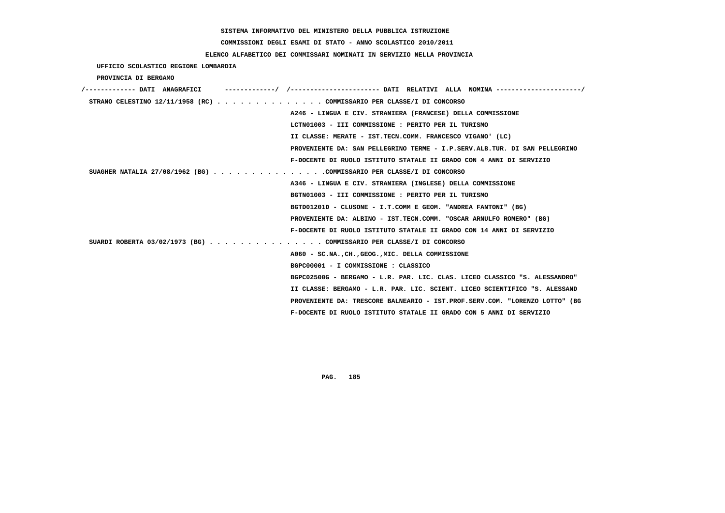# **COMMISSIONI DEGLI ESAMI DI STATO - ANNO SCOLASTICO 2010/2011**

## **ELENCO ALFABETICO DEI COMMISSARI NOMINATI IN SERVIZIO NELLA PROVINCIA**

 **UFFICIO SCOLASTICO REGIONE LOMBARDIA**

 **PROVINCIA DI BERGAMO**

| /------------- DATI ANAGRAFICI | ----------/ /--------------------- DATI RELATIVI ALLA NOMINA--------------------/ |
|--------------------------------|-----------------------------------------------------------------------------------|
|                                | STRANO CELESTINO $12/11/1958$ (RC) COMMISSARIO PER CLASSE/I DI CONCORSO           |
|                                | A246 - LINGUA E CIV. STRANIERA (FRANCESE) DELLA COMMISSIONE                       |
|                                | LCTN01003 - III COMMISSIONE : PERITO PER IL TURISMO                               |
|                                | II CLASSE: MERATE - IST.TECN.COMM. FRANCESCO VIGANO' (LC)                         |
|                                | PROVENIENTE DA: SAN PELLEGRINO TERME - I.P.SERV.ALB.TUR. DI SAN PELLEGRINO        |
|                                | F-DOCENTE DI RUOLO ISTITUTO STATALE II GRADO CON 4 ANNI DI SERVIZIO               |
|                                | SUAGHER NATALIA 27/08/1962 (BG) COMMISSARIO PER CLASSE/I DI CONCORSO              |
|                                | A346 - LINGUA E CIV. STRANIERA (INGLESE) DELLA COMMISSIONE                        |
|                                | BGTN01003 - III COMMISSIONE : PERITO PER IL TURISMO                               |
|                                | BGTD01201D - CLUSONE - I.T.COMM E GEOM. "ANDREA FANTONI" (BG)                     |
|                                | PROVENIENTE DA: ALBINO - IST.TECN.COMM. "OSCAR ARNULFO ROMERO" (BG)               |
|                                | F-DOCENTE DI RUOLO ISTITUTO STATALE II GRADO CON 14 ANNI DI SERVIZIO              |
|                                | SUARDI ROBERTA 03/02/1973 (BG) COMMISSARIO PER CLASSE/I DI CONCORSO               |
|                                | A060 - SC.NA., CH., GEOG., MIC. DELLA COMMISSIONE                                 |
|                                | BGPC00001 - I COMMISSIONE : CLASSICO                                              |
|                                | BGPC02500G - BERGAMO - L.R. PAR. LIC. CLAS. LICEO CLASSICO "S. ALESSANDRO"        |
|                                | II CLASSE: BERGAMO - L.R. PAR. LIC. SCIENT. LICEO SCIENTIFICO "S. ALESSAND        |
|                                | PROVENIENTE DA: TRESCORE BALNEARIO - IST.PROF.SERV.COM. "LORENZO LOTTO" (BG       |
|                                | F-DOCENTE DI RUOLO ISTITUTO STATALE II GRADO CON 5 ANNI DI SERVIZIO               |
|                                |                                                                                   |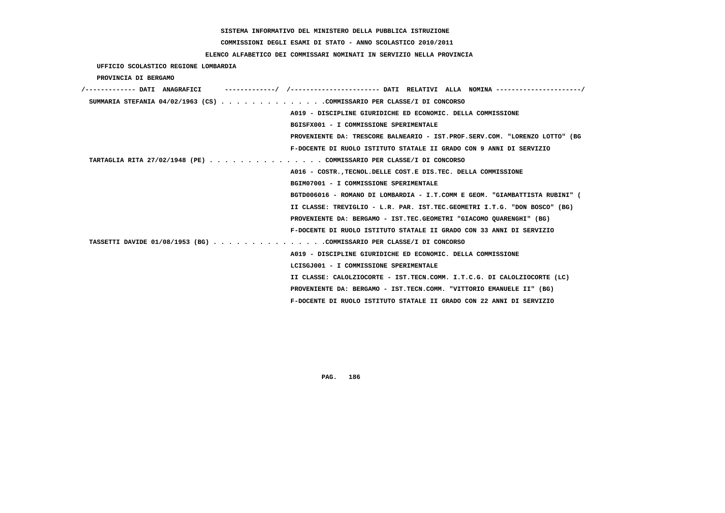**COMMISSIONI DEGLI ESAMI DI STATO - ANNO SCOLASTICO 2010/2011**

## **ELENCO ALFABETICO DEI COMMISSARI NOMINATI IN SERVIZIO NELLA PROVINCIA**

 **UFFICIO SCOLASTICO REGIONE LOMBARDIA**

 **PROVINCIA DI BERGAMO**

| /------------- DATI ANAGRAFICI                                         | ---------/ /--------------------- DATI RELATIVI ALLA NOMINA--------------------/ |
|------------------------------------------------------------------------|----------------------------------------------------------------------------------|
| SUMMARIA STEFANIA 04/02/1963 (CS) COMMISSARIO PER CLASSE/I DI CONCORSO |                                                                                  |
|                                                                        | A019 - DISCIPLINE GIURIDICHE ED ECONOMIC. DELLA COMMISSIONE                      |
|                                                                        | BGISFX001 - I COMMISSIONE SPERIMENTALE                                           |
|                                                                        | PROVENIENTE DA: TRESCORE BALNEARIO - IST.PROF.SERV.COM. "LORENZO LOTTO" (BG      |
|                                                                        | F-DOCENTE DI RUOLO ISTITUTO STATALE II GRADO CON 9 ANNI DI SERVIZIO              |
| TARTAGLIA RITA 27/02/1948 (PE) COMMISSARIO PER CLASSE/I DI CONCORSO    |                                                                                  |
|                                                                        | A016 - COSTR. TECNOL. DELLE COST. E DIS. TEC. DELLA COMMISSIONE                  |
|                                                                        | BGIM07001 - I COMMISSIONE SPERIMENTALE                                           |
|                                                                        | BGTD006016 - ROMANO DI LOMBARDIA - I.T.COMM E GEOM. "GIAMBATTISTA RUBINI" (      |
|                                                                        | II CLASSE: TREVIGLIO - L.R. PAR. IST.TEC.GEOMETRI I.T.G. "DON BOSCO" (BG)        |
|                                                                        | PROVENIENTE DA: BERGAMO - IST.TEC.GEOMETRI "GIACOMO OUARENGHI" (BG)              |
|                                                                        | F-DOCENTE DI RUOLO ISTITUTO STATALE II GRADO CON 33 ANNI DI SERVIZIO             |
| TASSETTI DAVIDE 01/08/1953 (BG) COMMISSARIO PER CLASSE/I DI CONCORSO   |                                                                                  |
|                                                                        | A019 - DISCIPLINE GIURIDICHE ED ECONOMIC. DELLA COMMISSIONE                      |
|                                                                        | LCISGJ001 - I COMMISSIONE SPERIMENTALE                                           |
|                                                                        | II CLASSE: CALOLZIOCORTE - IST.TECN.COMM. I.T.C.G. DI CALOLZIOCORTE (LC)         |
|                                                                        | PROVENIENTE DA: BERGAMO - IST.TECN.COMM. "VITTORIO EMANUELE II" (BG)             |
|                                                                        | F-DOCENTE DI RUOLO ISTITUTO STATALE II GRADO CON 22 ANNI DI SERVIZIO             |
|                                                                        |                                                                                  |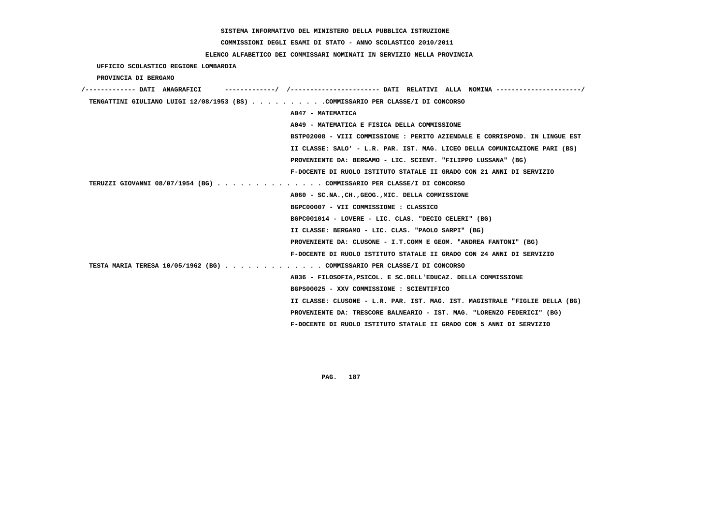**COMMISSIONI DEGLI ESAMI DI STATO - ANNO SCOLASTICO 2010/2011**

## **ELENCO ALFABETICO DEI COMMISSARI NOMINATI IN SERVIZIO NELLA PROVINCIA**

 **UFFICIO SCOLASTICO REGIONE LOMBARDIA**

 **PROVINCIA DI BERGAMO**

| /------------- DATI ANAGRAFICI                                                 | ----------/ /--------------------- DATI RELATIVI ALLA NOMINA --------------------/ |
|--------------------------------------------------------------------------------|------------------------------------------------------------------------------------|
| TENGATTINI GIULIANO LUIGI 12/08/1953 (BS) COMMISSARIO PER CLASSE/I DI CONCORSO |                                                                                    |
|                                                                                | A047 - MATEMATICA                                                                  |
|                                                                                | A049 - MATEMATICA E FISICA DELLA COMMISSIONE                                       |
|                                                                                | BSTP02008 - VIII COMMISSIONE : PERITO AZIENDALE E CORRISPOND. IN LINGUE EST        |
|                                                                                | II CLASSE: SALO' - L.R. PAR. IST. MAG. LICEO DELLA COMUNICAZIONE PARI (BS)         |
|                                                                                | PROVENIENTE DA: BERGAMO - LIC. SCIENT. "FILIPPO LUSSANA" (BG)                      |
|                                                                                | F-DOCENTE DI RUOLO ISTITUTO STATALE II GRADO CON 21 ANNI DI SERVIZIO               |
| TERUZZI GIOVANNI 08/07/1954 (BG) COMMISSARIO PER CLASSE/I DI CONCORSO          |                                                                                    |
|                                                                                | A060 - SC.NA., CH., GEOG., MIC. DELLA COMMISSIONE                                  |
|                                                                                | BGPC00007 - VII COMMISSIONE : CLASSICO                                             |
|                                                                                | BGPC001014 - LOVERE - LIC. CLAS. "DECIO CELERI" (BG)                               |
|                                                                                | II CLASSE: BERGAMO - LIC. CLAS. "PAOLO SARPI" (BG)                                 |
|                                                                                | PROVENIENTE DA: CLUSONE - I.T.COMM E GEOM. "ANDREA FANTONI" (BG)                   |
|                                                                                | F-DOCENTE DI RUOLO ISTITUTO STATALE II GRADO CON 24 ANNI DI SERVIZIO               |
| TESTA MARIA TERESA 10/05/1962 (BG) COMMISSARIO PER CLASSE/I DI CONCORSO        |                                                                                    |
|                                                                                | A036 - FILOSOFIA, PSICOL. E SC. DELL'EDUCAZ. DELLA COMMISSIONE                     |
|                                                                                | BGPS00025 - XXV COMMISSIONE : SCIENTIFICO                                          |
|                                                                                | II CLASSE: CLUSONE - L.R. PAR. IST. MAG. IST. MAGISTRALE "FIGLIE DELLA (BG)        |
|                                                                                | PROVENIENTE DA: TRESCORE BALNEARIO - IST. MAG. "LORENZO FEDERICI" (BG)             |
|                                                                                | F-DOCENTE DI RUOLO ISTITUTO STATALE II GRADO CON 5 ANNI DI SERVIZIO                |
|                                                                                |                                                                                    |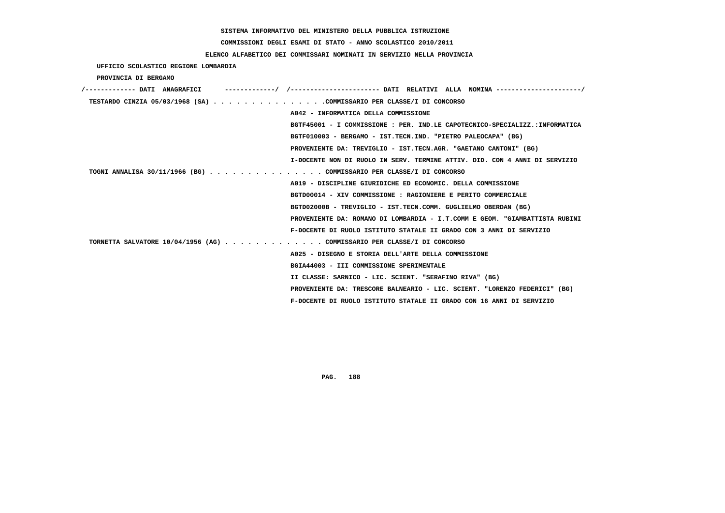# **COMMISSIONI DEGLI ESAMI DI STATO - ANNO SCOLASTICO 2010/2011**

## **ELENCO ALFABETICO DEI COMMISSARI NOMINATI IN SERVIZIO NELLA PROVINCIA**

 **UFFICIO SCOLASTICO REGIONE LOMBARDIA**

 **PROVINCIA DI BERGAMO**

| /------------- DATI ANAGRAFICI                                          |                                                                             |
|-------------------------------------------------------------------------|-----------------------------------------------------------------------------|
| TESTARDO CINZIA 05/03/1968 (SA) COMMISSARIO PER CLASSE/I DI CONCORSO    |                                                                             |
|                                                                         | A042 - INFORMATICA DELLA COMMISSIONE                                        |
|                                                                         | BGTF45001 - I COMMISSIONE : PER. IND.LE CAPOTECNICO-SPECIALIZZ.:INFORMATICA |
|                                                                         | BGTF010003 - BERGAMO - IST.TECN.IND. "PIETRO PALEOCAPA" (BG)                |
|                                                                         | PROVENIENTE DA: TREVIGLIO - IST.TECN.AGR. "GAETANO CANTONI" (BG)            |
|                                                                         | I-DOCENTE NON DI RUOLO IN SERV. TERMINE ATTIV. DID. CON 4 ANNI DI SERVIZIO  |
| TOGNI ANNALISA 30/11/1966 (BG) COMMISSARIO PER CLASSE/I DI CONCORSO     |                                                                             |
|                                                                         | A019 - DISCIPLINE GIURIDICHE ED ECONOMIC. DELLA COMMISSIONE                 |
|                                                                         | BGTD00014 - XIV COMMISSIONE : RAGIONIERE E PERITO COMMERCIALE               |
|                                                                         | BGTD02000B - TREVIGLIO - IST.TECN.COMM. GUGLIELMO OBERDAN (BG)              |
|                                                                         | PROVENIENTE DA: ROMANO DI LOMBARDIA - I.T.COMM E GEOM. "GIAMBATTISTA RUBINI |
|                                                                         | F-DOCENTE DI RUOLO ISTITUTO STATALE II GRADO CON 3 ANNI DI SERVIZIO         |
| TORNETTA SALVATORE 10/04/1956 (AG) COMMISSARIO PER CLASSE/I DI CONCORSO |                                                                             |
|                                                                         | A025 - DISEGNO E STORIA DELL'ARTE DELLA COMMISSIONE                         |
|                                                                         | BGIA44003 - III COMMISSIONE SPERIMENTALE                                    |
|                                                                         | II CLASSE: SARNICO - LIC. SCIENT. "SERAFINO RIVA" (BG)                      |
|                                                                         | PROVENIENTE DA: TRESCORE BALNEARIO - LIC. SCIENT. "LORENZO FEDERICI" (BG)   |
|                                                                         | F-DOCENTE DI RUOLO ISTITUTO STATALE II GRADO CON 16 ANNI DI SERVIZIO        |
|                                                                         |                                                                             |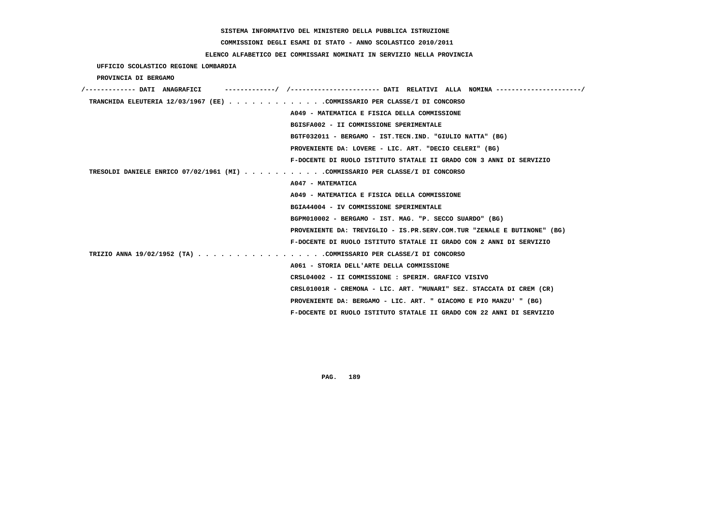# **COMMISSIONI DEGLI ESAMI DI STATO - ANNO SCOLASTICO 2010/2011**

## **ELENCO ALFABETICO DEI COMMISSARI NOMINATI IN SERVIZIO NELLA PROVINCIA**

 **UFFICIO SCOLASTICO REGIONE LOMBARDIA**

 **PROVINCIA DI BERGAMO**

| /------------- DATI ANAGRAFICI                                               |                                                                         |
|------------------------------------------------------------------------------|-------------------------------------------------------------------------|
| TRANCHIDA ELEUTERIA 12/03/1967 (EE) COMMISSARIO PER CLASSE/I DI CONCORSO     |                                                                         |
|                                                                              | A049 - MATEMATICA E FISICA DELLA COMMISSIONE                            |
|                                                                              | BGISFA002 - II COMMISSIONE SPERIMENTALE                                 |
|                                                                              | BGTF032011 - BERGAMO - IST.TECN.IND. "GIULIO NATTA" (BG)                |
|                                                                              | PROVENIENTE DA: LOVERE - LIC. ART. "DECIO CELERI" (BG)                  |
|                                                                              | F-DOCENTE DI RUOLO ISTITUTO STATALE II GRADO CON 3 ANNI DI SERVIZIO     |
| TRESOLDI DANIELE ENRICO 07/02/1961 (MI) COMMISSARIO PER CLASSE/I DI CONCORSO |                                                                         |
|                                                                              | A047 - MATEMATICA                                                       |
|                                                                              | A049 - MATEMATICA E FISICA DELLA COMMISSIONE                            |
|                                                                              | BGIA44004 - IV COMMISSIONE SPERIMENTALE                                 |
|                                                                              | BGPM010002 - BERGAMO - IST. MAG. "P. SECCO SUARDO" (BG)                 |
|                                                                              | PROVENIENTE DA: TREVIGLIO - IS.PR.SERV.COM.TUR "ZENALE E BUTINONE" (BG) |
|                                                                              | F-DOCENTE DI RUOLO ISTITUTO STATALE II GRADO CON 2 ANNI DI SERVIZIO     |
| TRIZIO ANNA 19/02/1952 (TA) COMMISSARIO PER CLASSE/I DI CONCORSO             |                                                                         |
|                                                                              | A061 - STORIA DELL'ARTE DELLA COMMISSIONE                               |
|                                                                              | CRSL04002 - II COMMISSIONE : SPERIM. GRAFICO VISIVO                     |
|                                                                              | CRSL01001R - CREMONA - LIC. ART. "MUNARI" SEZ. STACCATA DI CREM (CR)    |
|                                                                              | PROVENIENTE DA: BERGAMO - LIC. ART. " GIACOMO E PIO MANZU' " (BG)       |
|                                                                              | F-DOCENTE DI RUOLO ISTITUTO STATALE II GRADO CON 22 ANNI DI SERVIZIO    |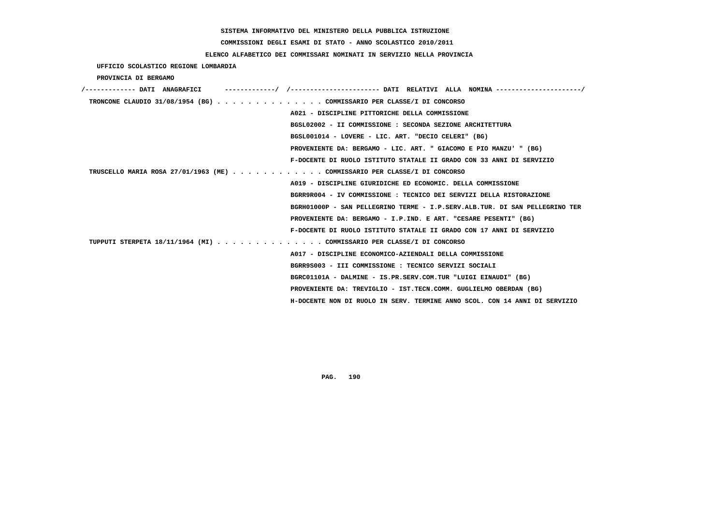**COMMISSIONI DEGLI ESAMI DI STATO - ANNO SCOLASTICO 2010/2011**

## **ELENCO ALFABETICO DEI COMMISSARI NOMINATI IN SERVIZIO NELLA PROVINCIA**

 **UFFICIO SCOLASTICO REGIONE LOMBARDIA**

 **PROVINCIA DI BERGAMO**

| /------------- DATI ANAGRAFICI                                            | -------------/ /--------------------- DATI RELATIVI ALLA NOMINA--------------------/ |
|---------------------------------------------------------------------------|--------------------------------------------------------------------------------------|
| TRONCONE CLAUDIO 31/08/1954 (BG) COMMISSARIO PER CLASSE/I DI CONCORSO     |                                                                                      |
|                                                                           | A021 - DISCIPLINE PITTORICHE DELLA COMMISSIONE                                       |
|                                                                           | BGSL02002 - II COMMISSIONE : SECONDA SEZIONE ARCHITETTURA                            |
|                                                                           | BGSL001014 - LOVERE - LIC. ART. "DECIO CELERI" (BG)                                  |
|                                                                           | PROVENIENTE DA: BERGAMO - LIC. ART. " GIACOMO E PIO MANZU' " (BG)                    |
|                                                                           | F-DOCENTE DI RUOLO ISTITUTO STATALE II GRADO CON 33 ANNI DI SERVIZIO                 |
| TRUSCELLO MARIA ROSA 27/01/1963 (ME) COMMISSARIO PER CLASSE/I DI CONCORSO |                                                                                      |
|                                                                           | A019 - DISCIPLINE GIURIDICHE ED ECONOMIC. DELLA COMMISSIONE                          |
|                                                                           | BGRR9R004 - IV COMMISSIONE : TECNICO DEI SERVIZI DELLA RISTORAZIONE                  |
|                                                                           | BGRH01000P - SAN PELLEGRINO TERME - I.P.SERV.ALB.TUR. DI SAN PELLEGRINO TER          |
|                                                                           | PROVENIENTE DA: BERGAMO - I.P.IND. E ART. "CESARE PESENTI" (BG)                      |
|                                                                           | F-DOCENTE DI RUOLO ISTITUTO STATALE II GRADO CON 17 ANNI DI SERVIZIO                 |
| TUPPUTI STERPETA 18/11/1964 (MI) COMMISSARIO PER CLASSE/I DI CONCORSO     |                                                                                      |
|                                                                           | A017 - DISCIPLINE ECONOMICO-AZIENDALI DELLA COMMISSIONE                              |
|                                                                           | BGRR9S003 - III COMMISSIONE : TECNICO SERVIZI SOCIALI                                |
|                                                                           | BGRC01101A - DALMINE - IS.PR.SERV.COM.TUR "LUIGI EINAUDI" (BG)                       |
|                                                                           | PROVENIENTE DA: TREVIGLIO - IST.TECN.COMM. GUGLIELMO OBERDAN (BG)                    |
|                                                                           | H-DOCENTE NON DI RUOLO IN SERV. TERMINE ANNO SCOL. CON 14 ANNI DI SERVIZIO           |
|                                                                           |                                                                                      |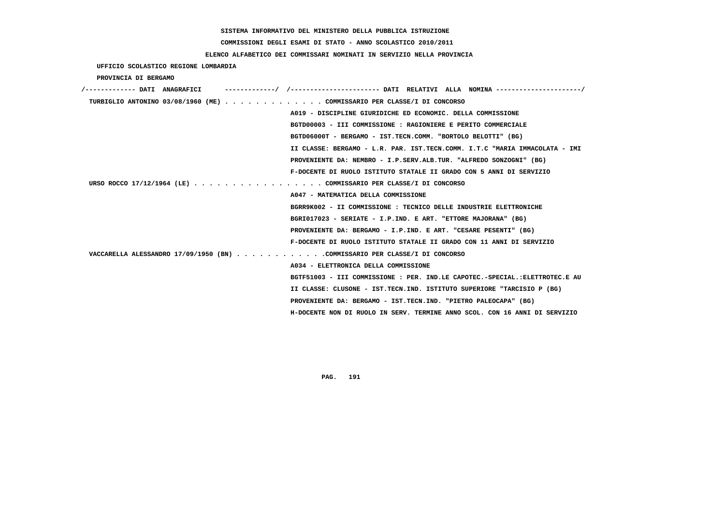# **COMMISSIONI DEGLI ESAMI DI STATO - ANNO SCOLASTICO 2010/2011**

## **ELENCO ALFABETICO DEI COMMISSARI NOMINATI IN SERVIZIO NELLA PROVINCIA**

 **UFFICIO SCOLASTICO REGIONE LOMBARDIA**

 **PROVINCIA DI BERGAMO**

| /------------- DATI ANAGRAFICI                                             | -----------/ /----------------------- DATI RELATIVI ALLA NOMINA ---------------------/ |
|----------------------------------------------------------------------------|----------------------------------------------------------------------------------------|
| TURBIGLIO ANTONINO 03/08/1960 (ME) COMMISSARIO PER CLASSE/I DI CONCORSO    |                                                                                        |
|                                                                            | A019 - DISCIPLINE GIURIDICHE ED ECONOMIC. DELLA COMMISSIONE                            |
|                                                                            | BGTD00003 - III COMMISSIONE : RAGIONIERE E PERITO COMMERCIALE                          |
|                                                                            | BGTD06000T - BERGAMO - IST.TECN.COMM. "BORTOLO BELOTTI" (BG)                           |
|                                                                            | II CLASSE: BERGAMO - L.R. PAR. IST.TECN.COMM. I.T.C "MARIA IMMACOLATA - IMI            |
|                                                                            | PROVENIENTE DA: NEMBRO - I.P.SERV.ALB.TUR. "ALFREDO SONZOGNI" (BG)                     |
|                                                                            | F-DOCENTE DI RUOLO ISTITUTO STATALE II GRADO CON 5 ANNI DI SERVIZIO                    |
| URSO ROCCO 17/12/1964 (LE) COMMISSARIO PER CLASSE/I DI CONCORSO            |                                                                                        |
|                                                                            | A047 - MATEMATICA DELLA COMMISSIONE                                                    |
|                                                                            | BGRR9K002 - II COMMISSIONE : TECNICO DELLE INDUSTRIE ELETTRONICHE                      |
|                                                                            | BGRI017023 - SERIATE - I.P.IND. E ART. "ETTORE MAJORANA" (BG)                          |
|                                                                            | PROVENIENTE DA: BERGAMO - I.P.IND. E ART. "CESARE PESENTI" (BG)                        |
|                                                                            | F-DOCENTE DI RUOLO ISTITUTO STATALE II GRADO CON 11 ANNI DI SERVIZIO                   |
| VACCARELLA ALESSANDRO 17/09/1950 (BN) COMMISSARIO PER CLASSE/I DI CONCORSO |                                                                                        |
|                                                                            | A034 - ELETTRONICA DELLA COMMISSIONE                                                   |
|                                                                            | BGTF51003 - III COMMISSIONE : PER. IND.LE CAPOTEC.-SPECIAL.:ELETTROTEC.E AU            |
|                                                                            | II CLASSE: CLUSONE - IST.TECN.IND. ISTITUTO SUPERIORE "TARCISIO P (BG)                 |
|                                                                            | PROVENIENTE DA: BERGAMO - IST.TECN.IND. "PIETRO PALEOCAPA" (BG)                        |
|                                                                            | H-DOCENTE NON DI RUOLO IN SERV. TERMINE ANNO SCOL. CON 16 ANNI DI SERVIZIO             |
|                                                                            |                                                                                        |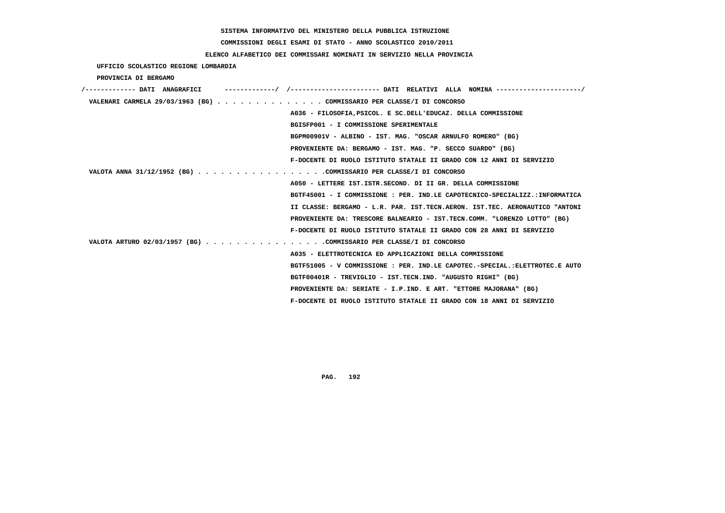# **COMMISSIONI DEGLI ESAMI DI STATO - ANNO SCOLASTICO 2010/2011**

## **ELENCO ALFABETICO DEI COMMISSARI NOMINATI IN SERVIZIO NELLA PROVINCIA**

 **UFFICIO SCOLASTICO REGIONE LOMBARDIA**

 **PROVINCIA DI BERGAMO**

| /------------- DATI ANAGRAFICI |                                                                             |
|--------------------------------|-----------------------------------------------------------------------------|
|                                | VALENARI CARMELA 29/03/1963 (BG) COMMISSARIO PER CLASSE/I DI CONCORSO       |
|                                | A036 - FILOSOFIA, PSICOL. E SC. DELL'EDUCAZ. DELLA COMMISSIONE              |
|                                | BGISFP001 - I COMMISSIONE SPERIMENTALE                                      |
|                                | BGPM00901V - ALBINO - IST. MAG. "OSCAR ARNULFO ROMERO" (BG)                 |
|                                | PROVENIENTE DA: BERGAMO - IST. MAG. "P. SECCO SUARDO" (BG)                  |
|                                | F-DOCENTE DI RUOLO ISTITUTO STATALE II GRADO CON 12 ANNI DI SERVIZIO        |
|                                | VALOTA ANNA 31/12/1952 (BG) COMMISSARIO PER CLASSE/I DI CONCORSO            |
|                                | A050 - LETTERE IST. ISTR. SECOND. DI II GR. DELLA COMMISSIONE               |
|                                | BGTF45001 - I COMMISSIONE : PER. IND.LE CAPOTECNICO-SPECIALIZZ.:INFORMATICA |
|                                | II CLASSE: BERGAMO - L.R. PAR. IST.TECN.AERON. IST.TEC. AERONAUTICO "ANTONI |
|                                | PROVENIENTE DA: TRESCORE BALNEARIO - IST.TECN.COMM. "LORENZO LOTTO" (BG)    |
|                                | F-DOCENTE DI RUOLO ISTITUTO STATALE II GRADO CON 28 ANNI DI SERVIZIO        |
|                                | VALOTA ARTURO 02/03/1957 (BG) COMMISSARIO PER CLASSE/I DI CONCORSO          |
|                                | A035 - ELETTROTECNICA ED APPLICAZIONI DELLA COMMISSIONE                     |
|                                | BGTF51005 - V COMMISSIONE : PER. IND.LE CAPOTEC.-SPECIAL.:ELETTROTEC.E AUTO |
|                                | BGTF00401R - TREVIGLIO - IST.TECN.IND. "AUGUSTO RIGHI" (BG)                 |
|                                | PROVENIENTE DA: SERIATE - I.P.IND. E ART. "ETTORE MAJORANA" (BG)            |
|                                | F-DOCENTE DI RUOLO ISTITUTO STATALE II GRADO CON 18 ANNI DI SERVIZIO        |
|                                |                                                                             |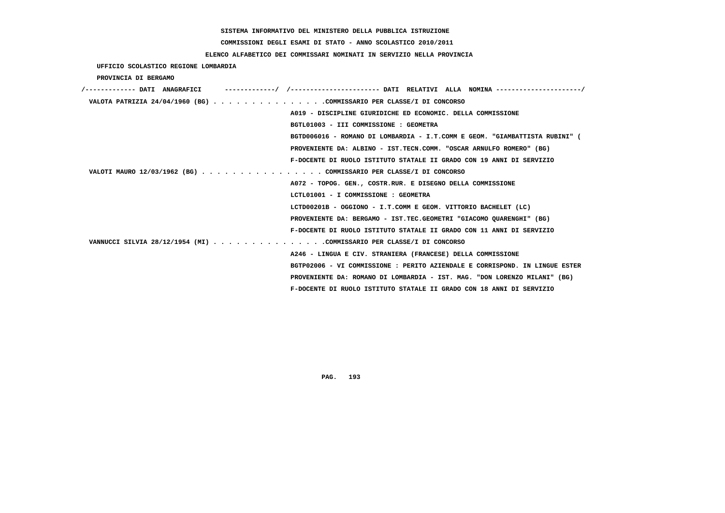# **COMMISSIONI DEGLI ESAMI DI STATO - ANNO SCOLASTICO 2010/2011**

## **ELENCO ALFABETICO DEI COMMISSARI NOMINATI IN SERVIZIO NELLA PROVINCIA**

 **UFFICIO SCOLASTICO REGIONE LOMBARDIA**

 **PROVINCIA DI BERGAMO**

| /------------- DATI ANAGRAFICI                                       |                                                                             |
|----------------------------------------------------------------------|-----------------------------------------------------------------------------|
| VALOTA PATRIZIA 24/04/1960 (BG) COMMISSARIO PER CLASSE/I DI CONCORSO |                                                                             |
| A019 - DISCIPLINE GIURIDICHE ED ECONOMIC. DELLA COMMISSIONE          |                                                                             |
| BGTL01003 - III COMMISSIONE : GEOMETRA                               |                                                                             |
|                                                                      | BGTD006016 - ROMANO DI LOMBARDIA - I.T.COMM E GEOM. "GIAMBATTISTA RUBINI" ( |
|                                                                      | PROVENIENTE DA: ALBINO - IST.TECN.COMM. "OSCAR ARNULFO ROMERO" (BG)         |
|                                                                      | F-DOCENTE DI RUOLO ISTITUTO STATALE II GRADO CON 19 ANNI DI SERVIZIO        |
| VALOTI MAURO 12/03/1962 (BG) COMMISSARIO PER CLASSE/I DI CONCORSO    |                                                                             |
| A072 - TOPOG. GEN., COSTR.RUR. E DISEGNO DELLA COMMISSIONE           |                                                                             |
| LCTL01001 - I COMMISSIONE : GEOMETRA                                 |                                                                             |
| LCTD00201B - OGGIONO - I.T.COMM E GEOM. VITTORIO BACHELET (LC)       |                                                                             |
|                                                                      | PROVENIENTE DA: BERGAMO - IST.TEC.GEOMETRI "GIACOMO OUARENGHI" (BG)         |
|                                                                      | F-DOCENTE DI RUOLO ISTITUTO STATALE II GRADO CON 11 ANNI DI SERVIZIO        |
| VANNUCCI SILVIA 28/12/1954 (MI) COMMISSARIO PER CLASSE/I DI CONCORSO |                                                                             |
| A246 - LINGUA E CIV. STRANIERA (FRANCESE) DELLA COMMISSIONE          |                                                                             |
|                                                                      | BGTP02006 - VI COMMISSIONE : PERITO AZIENDALE E CORRISPOND. IN LINGUE ESTER |
|                                                                      | PROVENIENTE DA: ROMANO DI LOMBARDIA - IST. MAG. "DON LORENZO MILANI" (BG)   |
|                                                                      | F-DOCENTE DI RUOLO ISTITUTO STATALE II GRADO CON 18 ANNI DI SERVIZIO        |
|                                                                      |                                                                             |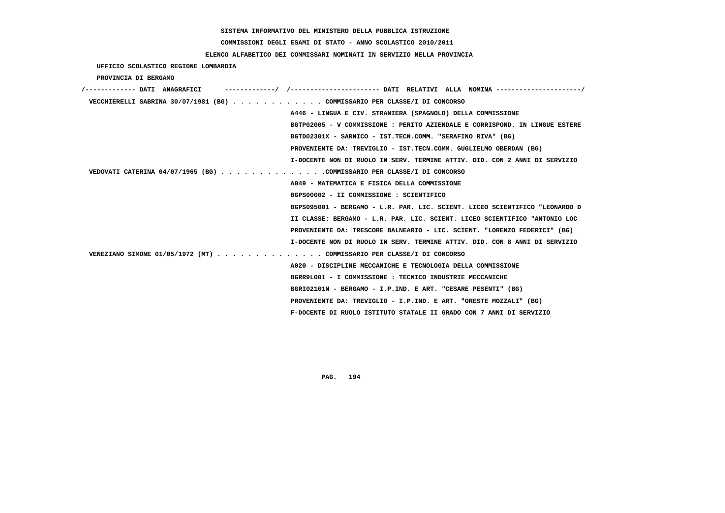**COMMISSIONI DEGLI ESAMI DI STATO - ANNO SCOLASTICO 2010/2011**

 **ELENCO ALFABETICO DEI COMMISSARI NOMINATI IN SERVIZIO NELLA PROVINCIA**

 **UFFICIO SCOLASTICO REGIONE LOMBARDIA**

 **PROVINCIA DI BERGAMO**

| /------------- DATI ANAGRAFICI                                            |                                                                             |
|---------------------------------------------------------------------------|-----------------------------------------------------------------------------|
| VECCHIERELLI SABRINA 30/07/1981 (BG) COMMISSARIO PER CLASSE/I DI CONCORSO |                                                                             |
|                                                                           | A446 - LINGUA E CIV. STRANIERA (SPAGNOLO) DELLA COMMISSIONE                 |
|                                                                           | BGTP02005 - V COMMISSIONE : PERITO AZIENDALE E CORRISPOND. IN LINGUE ESTERE |
|                                                                           | BGTD02301X - SARNICO - IST.TECN.COMM. "SERAFINO RIVA" (BG)                  |
|                                                                           | PROVENIENTE DA: TREVIGLIO - IST.TECN.COMM. GUGLIELMO OBERDAN (BG)           |
|                                                                           | I-DOCENTE NON DI RUOLO IN SERV. TERMINE ATTIV. DID. CON 2 ANNI DI SERVIZIO  |
| VEDOVATI CATERINA 04/07/1965 (BG) COMMISSARIO PER CLASSE/I DI CONCORSO    |                                                                             |
|                                                                           | A049 - MATEMATICA E FISICA DELLA COMMISSIONE                                |
|                                                                           | BGPS00002 - II COMMISSIONE : SCIENTIFICO                                    |
|                                                                           | BGPS095001 - BERGAMO - L.R. PAR. LIC. SCIENT. LICEO SCIENTIFICO "LEONARDO D |
|                                                                           | II CLASSE: BERGAMO - L.R. PAR. LIC. SCIENT. LICEO SCIENTIFICO "ANTONIO LOC  |
|                                                                           | PROVENIENTE DA: TRESCORE BALNEARIO - LIC. SCIENT. "LORENZO FEDERICI" (BG)   |
|                                                                           | I-DOCENTE NON DI RUOLO IN SERV. TERMINE ATTIV. DID. CON 8 ANNI DI SERVIZIO  |
| VENEZIANO SIMONE 01/05/1972 (MT) COMMISSARIO PER CLASSE/I DI CONCORSO     |                                                                             |
|                                                                           | A020 - DISCIPLINE MECCANICHE E TECNOLOGIA DELLA COMMISSIONE                 |
|                                                                           | BGRR9L001 - I COMMISSIONE : TECNICO INDUSTRIE MECCANICHE                    |
|                                                                           | BGRI02101N - BERGAMO - I.P.IND. E ART. "CESARE PESENTI" (BG)                |
|                                                                           | PROVENIENTE DA: TREVIGLIO - I.P.IND. E ART. "ORESTE MOZZALI" (BG)           |
|                                                                           | F-DOCENTE DI RUOLO ISTITUTO STATALE II GRADO CON 7 ANNI DI SERVIZIO         |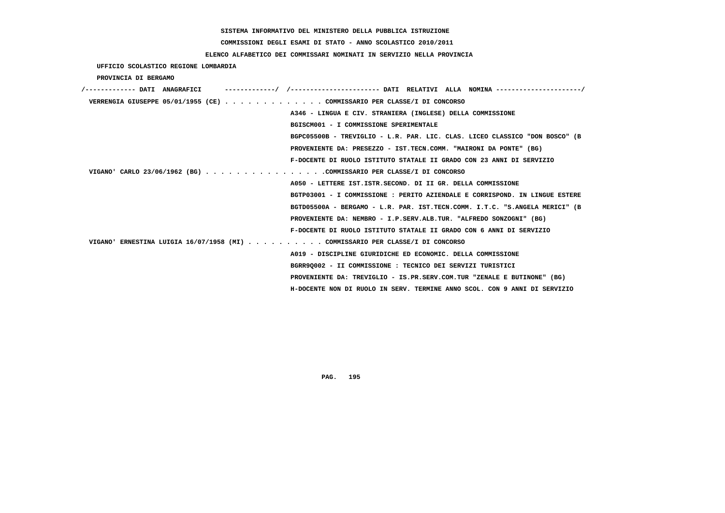# **COMMISSIONI DEGLI ESAMI DI STATO - ANNO SCOLASTICO 2010/2011**

## **ELENCO ALFABETICO DEI COMMISSARI NOMINATI IN SERVIZIO NELLA PROVINCIA**

 **UFFICIO SCOLASTICO REGIONE LOMBARDIA**

 **PROVINCIA DI BERGAMO**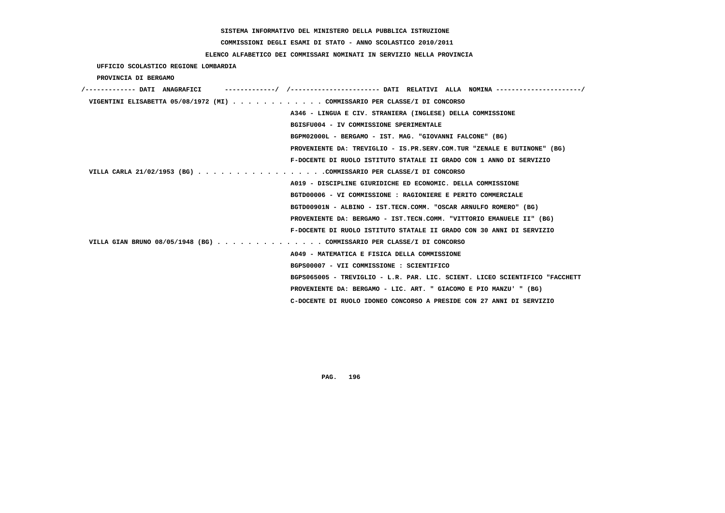**COMMISSIONI DEGLI ESAMI DI STATO - ANNO SCOLASTICO 2010/2011**

### **ELENCO ALFABETICO DEI COMMISSARI NOMINATI IN SERVIZIO NELLA PROVINCIA**

 **UFFICIO SCOLASTICO REGIONE LOMBARDIA**

 **PROVINCIA DI BERGAMO**

| /------------- DATI ANAGRAFICI                                            | ---------/ /---------------------- DATI RELATIVI ALLA NOMINA --------------------/ |
|---------------------------------------------------------------------------|------------------------------------------------------------------------------------|
| VIGENTINI ELISABETTA 05/08/1972 (MI) COMMISSARIO PER CLASSE/I DI CONCORSO |                                                                                    |
|                                                                           | A346 - LINGUA E CIV. STRANIERA (INGLESE) DELLA COMMISSIONE                         |
|                                                                           | BGISFU004 - IV COMMISSIONE SPERIMENTALE                                            |
|                                                                           | BGPM02000L - BERGAMO - IST. MAG. "GIOVANNI FALCONE" (BG)                           |
|                                                                           | PROVENIENTE DA: TREVIGLIO - IS.PR.SERV.COM.TUR "ZENALE E BUTINONE" (BG)            |
|                                                                           | F-DOCENTE DI RUOLO ISTITUTO STATALE II GRADO CON 1 ANNO DI SERVIZIO                |
| VILLA CARLA 21/02/1953 (BG) COMMISSARIO PER CLASSE/I DI CONCORSO          |                                                                                    |
|                                                                           | A019 - DISCIPLINE GIURIDICHE ED ECONOMIC. DELLA COMMISSIONE                        |
|                                                                           | BGTD00006 - VI COMMISSIONE : RAGIONIERE E PERITO COMMERCIALE                       |
|                                                                           | BGTD00901N - ALBINO - IST.TECN.COMM. "OSCAR ARNULFO ROMERO" (BG)                   |
|                                                                           | PROVENIENTE DA: BERGAMO - IST.TECN.COMM. "VITTORIO EMANUELE II" (BG)               |
|                                                                           | F-DOCENTE DI RUOLO ISTITUTO STATALE II GRADO CON 30 ANNI DI SERVIZIO               |
| VILLA GIAN BRUNO 08/05/1948 (BG) COMMISSARIO PER CLASSE/I DI CONCORSO     |                                                                                    |
|                                                                           | A049 - MATEMATICA E FISICA DELLA COMMISSIONE                                       |
|                                                                           | BGPS00007 - VII COMMISSIONE : SCIENTIFICO                                          |
|                                                                           | BGPS065005 - TREVIGLIO - L.R. PAR. LIC. SCIENT. LICEO SCIENTIFICO "FACCHETT        |
|                                                                           | PROVENIENTE DA: BERGAMO - LIC. ART. " GIACOMO E PIO MANZU' " (BG)                  |
|                                                                           | C-DOCENTE DI RUOLO IDONEO CONCORSO A PRESIDE CON 27 ANNI DI SERVIZIO               |
|                                                                           |                                                                                    |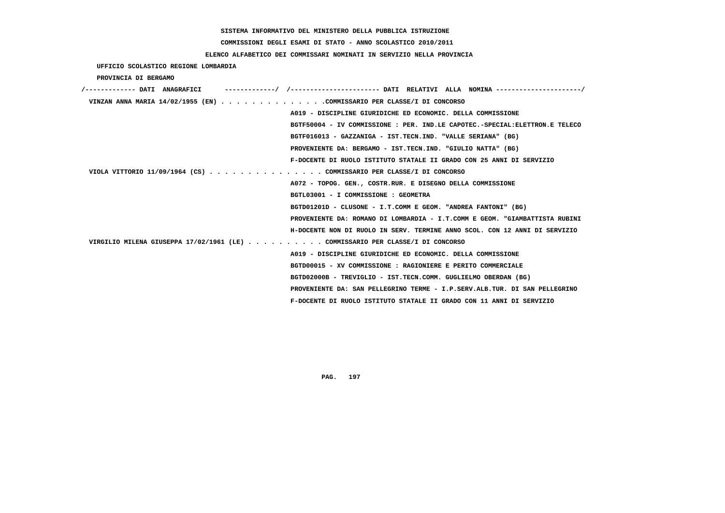# **COMMISSIONI DEGLI ESAMI DI STATO - ANNO SCOLASTICO 2010/2011**

## **ELENCO ALFABETICO DEI COMMISSARI NOMINATI IN SERVIZIO NELLA PROVINCIA**

 **UFFICIO SCOLASTICO REGIONE LOMBARDIA**

 **PROVINCIA DI BERGAMO**

| ------------- DATI ANAGRAFICI                                                 | --------/ /---------------------- DATI RELATIVI ALLA NOMINA---------------------/ |
|-------------------------------------------------------------------------------|-----------------------------------------------------------------------------------|
| VINZAN ANNA MARIA 14/02/1955 (EN) COMMISSARIO PER CLASSE/I DI CONCORSO        |                                                                                   |
|                                                                               | A019 - DISCIPLINE GIURIDICHE ED ECONOMIC. DELLA COMMISSIONE                       |
|                                                                               | BGTF50004 - IV COMMISSIONE: PER. IND.LE CAPOTEC.-SPECIAL:ELETTRON.E TELECO        |
|                                                                               | BGTF016013 - GAZZANIGA - IST.TECN.IND. "VALLE SERIANA" (BG)                       |
|                                                                               | PROVENIENTE DA: BERGAMO - IST.TECN.IND. "GIULIO NATTA" (BG)                       |
|                                                                               | F-DOCENTE DI RUOLO ISTITUTO STATALE II GRADO CON 25 ANNI DI SERVIZIO              |
| VIOLA VITTORIO 11/09/1964 (CS) COMMISSARIO PER CLASSE/I DI CONCORSO           |                                                                                   |
|                                                                               | A072 - TOPOG. GEN., COSTR.RUR. E DISEGNO DELLA COMMISSIONE                        |
|                                                                               | BGTL03001 - I COMMISSIONE : GEOMETRA                                              |
|                                                                               | BGTD01201D - CLUSONE - I.T.COMM E GEOM. "ANDREA FANTONI" (BG)                     |
|                                                                               | PROVENIENTE DA: ROMANO DI LOMBARDIA - I.T.COMM E GEOM. "GIAMBATTISTA RUBINI       |
|                                                                               | H-DOCENTE NON DI RUOLO IN SERV. TERMINE ANNO SCOL. CON 12 ANNI DI SERVIZIO        |
| VIRGILIO MILENA GIUSEPPA 17/02/1961 (LE) COMMISSARIO PER CLASSE/I DI CONCORSO |                                                                                   |
|                                                                               | A019 - DISCIPLINE GIURIDICHE ED ECONOMIC. DELLA COMMISSIONE                       |
|                                                                               | BGTD00015 - XV COMMISSIONE : RAGIONIERE E PERITO COMMERCIALE                      |
|                                                                               | BGTD02000B - TREVIGLIO - IST.TECN.COMM. GUGLIELMO OBERDAN (BG)                    |
|                                                                               | PROVENIENTE DA: SAN PELLEGRINO TERME - I.P.SERV.ALB.TUR. DI SAN PELLEGRINO        |
|                                                                               | F-DOCENTE DI RUOLO ISTITUTO STATALE II GRADO CON 11 ANNI DI SERVIZIO              |
|                                                                               |                                                                                   |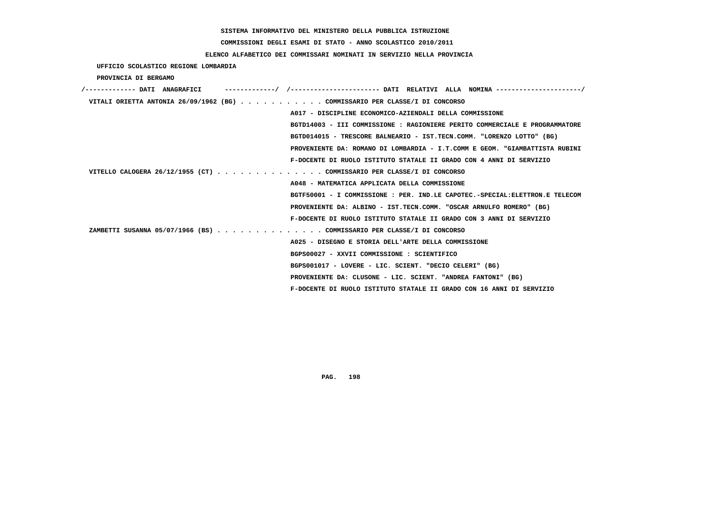**COMMISSIONI DEGLI ESAMI DI STATO - ANNO SCOLASTICO 2010/2011**

## **ELENCO ALFABETICO DEI COMMISSARI NOMINATI IN SERVIZIO NELLA PROVINCIA**

 **UFFICIO SCOLASTICO REGIONE LOMBARDIA**

 **PROVINCIA DI BERGAMO**

| VITALI ORIETTA ANTONIA 26/09/1962 (BG) COMMISSARIO PER CLASSE/I DI CONCORSO |
|-----------------------------------------------------------------------------|
| A017 - DISCIPLINE ECONOMICO-AZIENDALI DELLA COMMISSIONE                     |
| BGTD14003 - III COMMISSIONE : RAGIONIERE PERITO COMMERCIALE E PROGRAMMATORE |
| BGTD014015 - TRESCORE BALNEARIO - IST.TECN.COMM. "LORENZO LOTTO" (BG)       |
| PROVENIENTE DA: ROMANO DI LOMBARDIA - I.T.COMM E GEOM. "GIAMBATTISTA RUBINI |
| F-DOCENTE DI RUOLO ISTITUTO STATALE II GRADO CON 4 ANNI DI SERVIZIO         |
| VITELLO CALOGERA 26/12/1955 (CT) COMMISSARIO PER CLASSE/I DI CONCORSO       |
| A048 - MATEMATICA APPLICATA DELLA COMMISSIONE                               |
| BGTF50001 - I COMMISSIONE : PER. IND.LE CAPOTEC.-SPECIAL:ELETTRON.E TELECOM |
| PROVENIENTE DA: ALBINO - IST.TECN.COMM. "OSCAR ARNULFO ROMERO" (BG)         |
| F-DOCENTE DI RUOLO ISTITUTO STATALE II GRADO CON 3 ANNI DI SERVIZIO         |
| ZAMBETTI SUSANNA 05/07/1966 (BS) COMMISSARIO PER CLASSE/I DI CONCORSO       |
| A025 - DISEGNO E STORIA DELL'ARTE DELLA COMMISSIONE                         |
| BGPS00027 - XXVII COMMISSIONE : SCIENTIFICO                                 |
| BGPS001017 - LOVERE - LIC. SCIENT. "DECIO CELERI" (BG)                      |
| PROVENIENTE DA: CLUSONE - LIC. SCIENT. "ANDREA FANTONI" (BG)                |
| F-DOCENTE DI RUOLO ISTITUTO STATALE II GRADO CON 16 ANNI DI SERVIZIO        |
|                                                                             |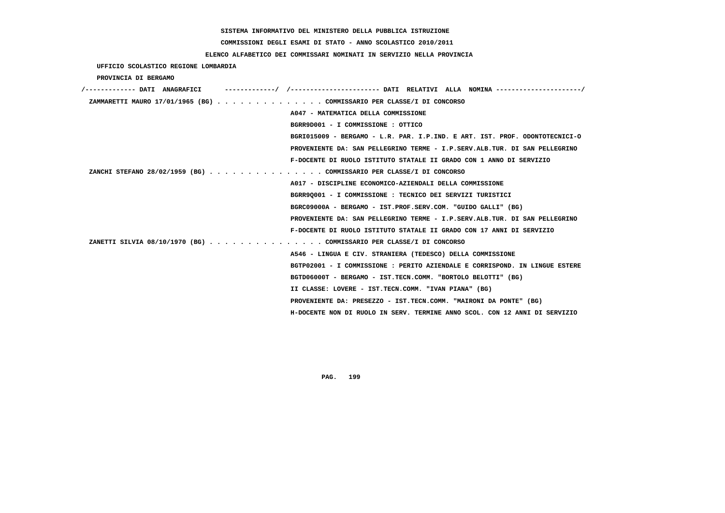# **COMMISSIONI DEGLI ESAMI DI STATO - ANNO SCOLASTICO 2010/2011**

## **ELENCO ALFABETICO DEI COMMISSARI NOMINATI IN SERVIZIO NELLA PROVINCIA**

 **UFFICIO SCOLASTICO REGIONE LOMBARDIA**

 **PROVINCIA DI BERGAMO**

| /------------- DATI ANAGRAFICI |                                                                             |
|--------------------------------|-----------------------------------------------------------------------------|
|                                | ZAMMARETTI MAURO 17/01/1965 (BG) COMMISSARIO PER CLASSE/I DI CONCORSO       |
|                                | A047 - MATEMATICA DELLA COMMISSIONE                                         |
|                                | BGRR9D001 - I COMMISSIONE : OTTICO                                          |
|                                | BGRI015009 - BERGAMO - L.R. PAR. I.P.IND. E ART. IST. PROF. ODONTOTECNICI-O |
|                                | PROVENIENTE DA: SAN PELLEGRINO TERME - I.P.SERV.ALB.TUR. DI SAN PELLEGRINO  |
|                                | F-DOCENTE DI RUOLO ISTITUTO STATALE II GRADO CON 1 ANNO DI SERVIZIO         |
|                                | ZANCHI STEFANO 28/02/1959 (BG) COMMISSARIO PER CLASSE/I DI CONCORSO         |
|                                | A017 - DISCIPLINE ECONOMICO-AZIENDALI DELLA COMMISSIONE                     |
|                                | BGRR90001 - I COMMISSIONE : TECNICO DEI SERVIZI TURISTICI                   |
|                                | BGRC09000A - BERGAMO - IST.PROF.SERV.COM. "GUIDO GALLI" (BG)                |
|                                | PROVENIENTE DA: SAN PELLEGRINO TERME - I.P.SERV.ALB.TUR. DI SAN PELLEGRINO  |
|                                | F-DOCENTE DI RUOLO ISTITUTO STATALE II GRADO CON 17 ANNI DI SERVIZIO        |
|                                | ZANETTI SILVIA 08/10/1970 (BG) COMMISSARIO PER CLASSE/I DI CONCORSO         |
|                                | A546 - LINGUA E CIV. STRANIERA (TEDESCO) DELLA COMMISSIONE                  |
|                                | BGTP02001 - I COMMISSIONE : PERITO AZIENDALE E CORRISPOND. IN LINGUE ESTERE |
|                                | BGTD06000T - BERGAMO - IST.TECN.COMM. "BORTOLO BELOTTI" (BG)                |
|                                | II CLASSE: LOVERE - IST.TECN.COMM. "IVAN PIANA" (BG)                        |
|                                | PROVENIENTE DA: PRESEZZO - IST.TECN.COMM. "MAIRONI DA PONTE" (BG)           |
|                                | H-DOCENTE NON DI RUOLO IN SERV. TERMINE ANNO SCOL. CON 12 ANNI DI SERVIZIO  |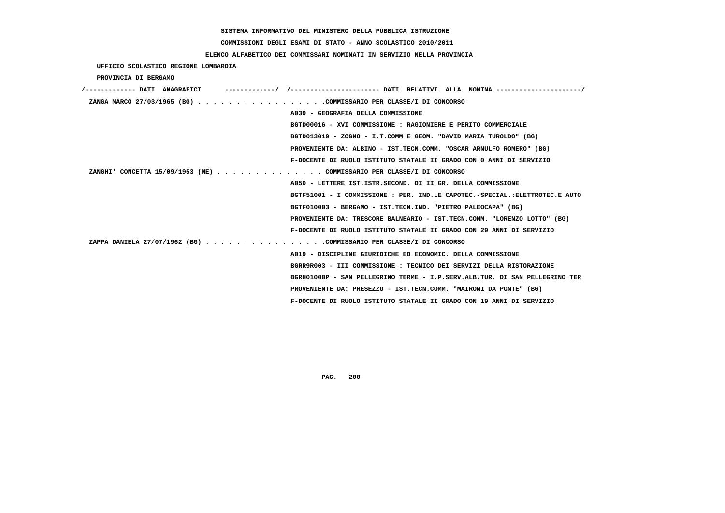**COMMISSIONI DEGLI ESAMI DI STATO - ANNO SCOLASTICO 2010/2011**

## **ELENCO ALFABETICO DEI COMMISSARI NOMINATI IN SERVIZIO NELLA PROVINCIA**

 **UFFICIO SCOLASTICO REGIONE LOMBARDIA**

 **PROVINCIA DI BERGAMO**

| /------------- DATI ANAGRAFICI                                        |                                                                             |
|-----------------------------------------------------------------------|-----------------------------------------------------------------------------|
| ZANGA MARCO 27/03/1965 (BG) COMMISSARIO PER CLASSE/I DI CONCORSO      |                                                                             |
|                                                                       | A039 - GEOGRAFIA DELLA COMMISSIONE                                          |
|                                                                       | BGTD00016 - XVI COMMISSIONE : RAGIONIERE E PERITO COMMERCIALE               |
|                                                                       | BGTD013019 - ZOGNO - I.T.COMM E GEOM. "DAVID MARIA TUROLDO" (BG)            |
|                                                                       | PROVENIENTE DA: ALBINO - IST.TECN.COMM. "OSCAR ARNULFO ROMERO" (BG)         |
|                                                                       | F-DOCENTE DI RUOLO ISTITUTO STATALE II GRADO CON 0 ANNI DI SERVIZIO         |
| ZANGHI' CONCETTA 15/09/1953 (ME) COMMISSARIO PER CLASSE/I DI CONCORSO |                                                                             |
|                                                                       | A050 - LETTERE IST.ISTR.SECOND. DI II GR. DELLA COMMISSIONE                 |
|                                                                       | BGTF51001 - I COMMISSIONE : PER. IND.LE CAPOTEC.-SPECIAL.:ELETTROTEC.E AUTO |
|                                                                       | BGTF010003 - BERGAMO - IST.TECN.IND. "PIETRO PALEOCAPA" (BG)                |
|                                                                       | PROVENIENTE DA: TRESCORE BALNEARIO - IST.TECN.COMM. "LORENZO LOTTO" (BG)    |
|                                                                       | F-DOCENTE DI RUOLO ISTITUTO STATALE II GRADO CON 29 ANNI DI SERVIZIO        |
| ZAPPA DANIELA 27/07/1962 (BG) COMMISSARIO PER CLASSE/I DI CONCORSO    |                                                                             |
|                                                                       | A019 - DISCIPLINE GIURIDICHE ED ECONOMIC. DELLA COMMISSIONE                 |
|                                                                       | BGRR9R003 - III COMMISSIONE : TECNICO DEI SERVIZI DELLA RISTORAZIONE        |
|                                                                       | BGRH01000P - SAN PELLEGRINO TERME - I.P.SERV.ALB.TUR. DI SAN PELLEGRINO TER |
|                                                                       | PROVENIENTE DA: PRESEZZO - IST.TECN.COMM. "MAIRONI DA PONTE" (BG)           |
|                                                                       | F-DOCENTE DI RUOLO ISTITUTO STATALE II GRADO CON 19 ANNI DI SERVIZIO        |
|                                                                       |                                                                             |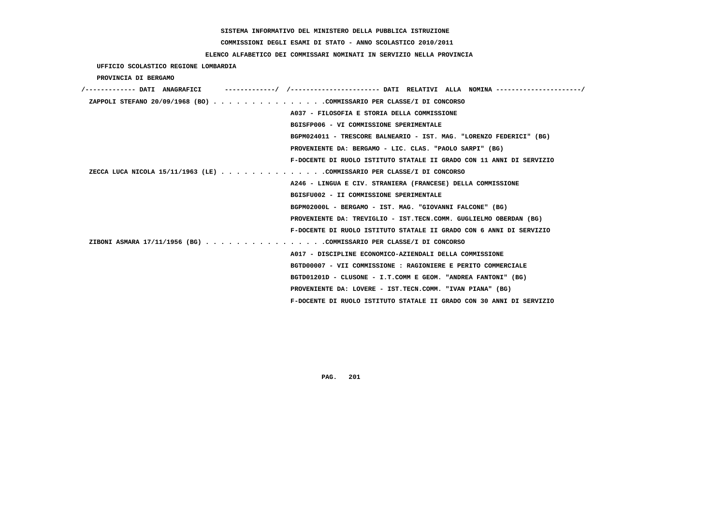# **COMMISSIONI DEGLI ESAMI DI STATO - ANNO SCOLASTICO 2010/2011**

## **ELENCO ALFABETICO DEI COMMISSARI NOMINATI IN SERVIZIO NELLA PROVINCIA**

 **UFFICIO SCOLASTICO REGIONE LOMBARDIA**

 **PROVINCIA DI BERGAMO**

| /------------- DATI ANAGRAFICI |                                                                        |
|--------------------------------|------------------------------------------------------------------------|
|                                | ZAPPOLI STEFANO 20/09/1968 (BO) COMMISSARIO PER CLASSE/I DI CONCORSO   |
|                                | A037 - FILOSOFIA E STORIA DELLA COMMISSIONE                            |
|                                | BGISFP006 - VI COMMISSIONE SPERIMENTALE                                |
|                                | BGPM024011 - TRESCORE BALNEARIO - IST. MAG. "LORENZO FEDERICI" (BG)    |
|                                | PROVENIENTE DA: BERGAMO - LIC. CLAS. "PAOLO SARPI" (BG)                |
|                                | F-DOCENTE DI RUOLO ISTITUTO STATALE II GRADO CON 11 ANNI DI SERVIZIO   |
|                                | ZECCA LUCA NICOLA 15/11/1963 (LE) COMMISSARIO PER CLASSE/I DI CONCORSO |
|                                | A246 - LINGUA E CIV. STRANIERA (FRANCESE) DELLA COMMISSIONE            |
|                                | BGISFU002 - II COMMISSIONE SPERIMENTALE                                |
|                                | BGPM02000L - BERGAMO - IST. MAG. "GIOVANNI FALCONE" (BG)               |
|                                | PROVENIENTE DA: TREVIGLIO - IST.TECN.COMM. GUGLIELMO OBERDAN (BG)      |
|                                | F-DOCENTE DI RUOLO ISTITUTO STATALE II GRADO CON 6 ANNI DI SERVIZIO    |
|                                | ZIBONI ASMARA 17/11/1956 (BG) COMMISSARIO PER CLASSE/I DI CONCORSO     |
|                                | A017 - DISCIPLINE ECONOMICO-AZIENDALI DELLA COMMISSIONE                |
|                                | BGTD00007 - VII COMMISSIONE : RAGIONIERE E PERITO COMMERCIALE          |
|                                | BGTD01201D - CLUSONE - I.T.COMM E GEOM. "ANDREA FANTONI" (BG)          |
|                                | PROVENIENTE DA: LOVERE - IST.TECN.COMM. "IVAN PIANA" (BG)              |
|                                | F-DOCENTE DI RUOLO ISTITUTO STATALE II GRADO CON 30 ANNI DI SERVIZIO   |
|                                |                                                                        |